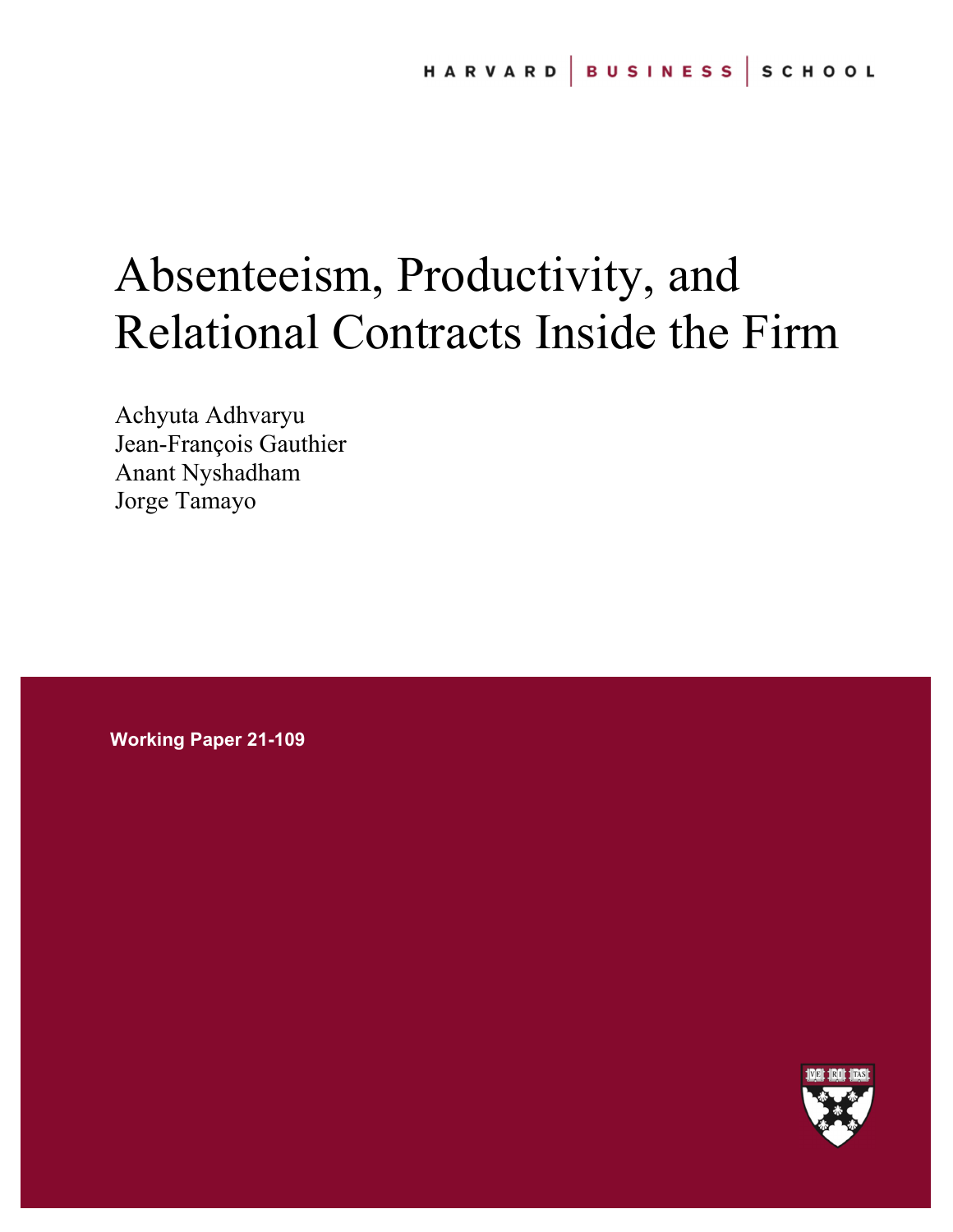# Absenteeism, Productivity, and Relational Contracts Inside the Firm

Achyuta Adhvaryu Jean-François Gauthier Anant Nyshadham Jorge Tamayo

**Working Paper 21-109** 

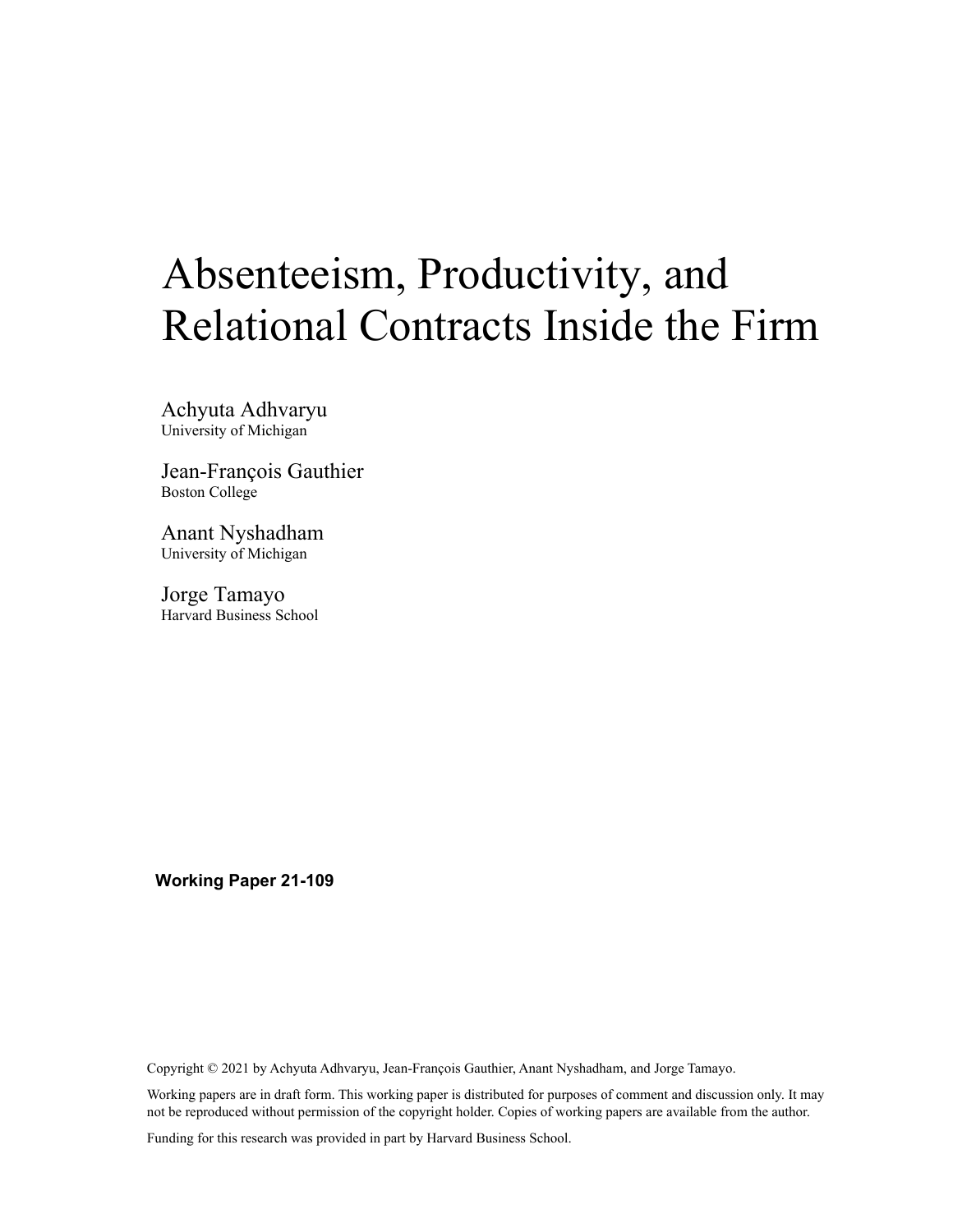# Absenteeism, Productivity, and Relational Contracts Inside the Firm

Achyuta Adhvaryu University of Michigan

Jean-François Gauthier Boston College

Anant Nyshadham University of Michigan

Jorge Tamayo Harvard Business School

**Working Paper 21-109** 

Copyright © 2021 by Achyuta Adhvaryu, Jean-François Gauthier, Anant Nyshadham, and Jorge Tamayo.

Working papers are in draft form. This working paper is distributed for purposes of comment and discussion only. It may not be reproduced without permission of the copyright holder. Copies of working papers are available from the author.

Funding for this research was provided in part by Harvard Business School.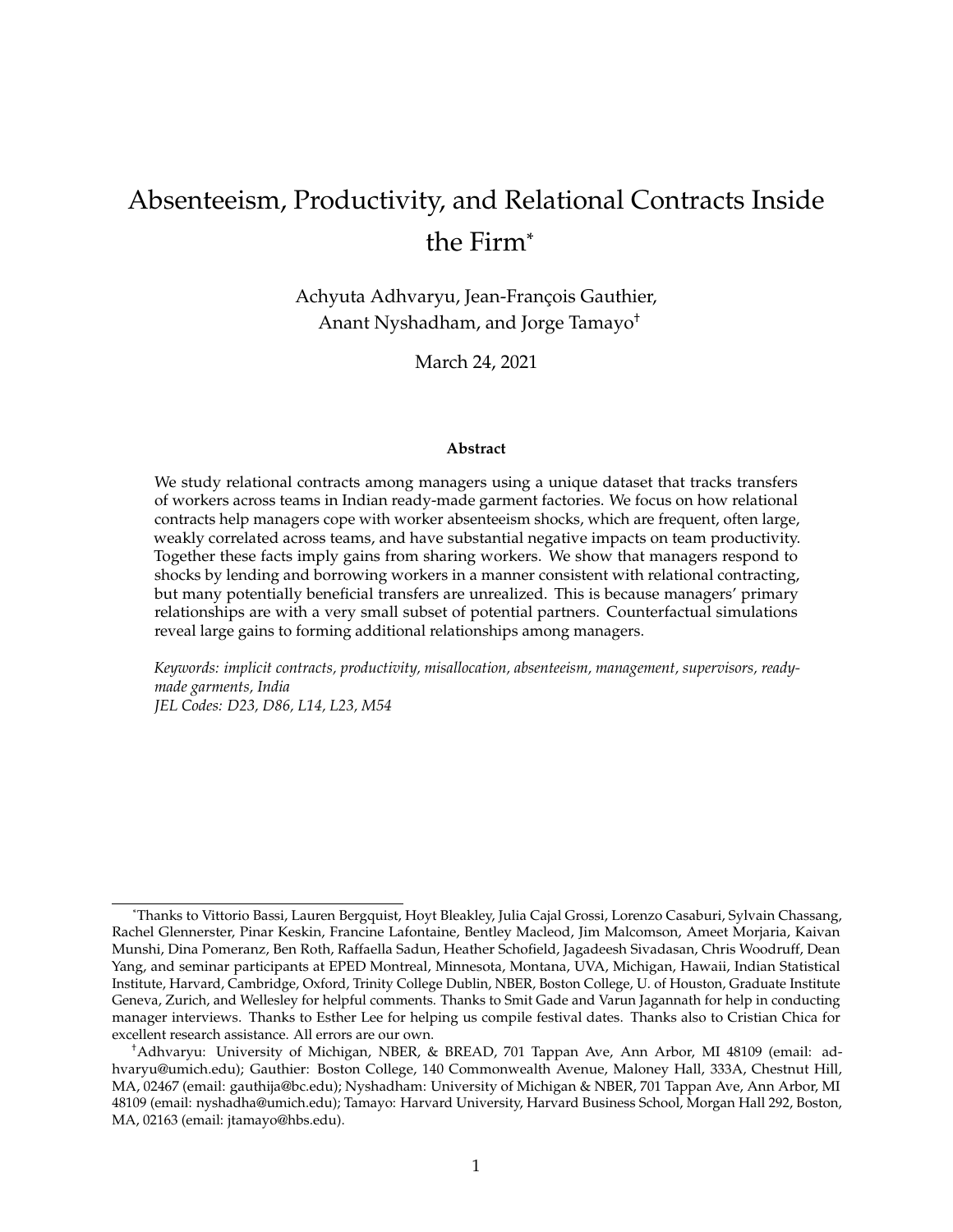## Absenteeism, Productivity, and Relational Contracts Inside the Firm\*

Achyuta Adhvaryu, Jean-François Gauthier, Anant Nyshadham, and Jorge Tamayo†

March 24, 2021

#### **Abstract**

We study relational contracts among managers using a unique dataset that tracks transfers of workers across teams in Indian ready-made garment factories. We focus on how relational contracts help managers cope with worker absenteeism shocks, which are frequent, often large, weakly correlated across teams, and have substantial negative impacts on team productivity. Together these facts imply gains from sharing workers. We show that managers respond to shocks by lending and borrowing workers in a manner consistent with relational contracting, but many potentially beneficial transfers are unrealized. This is because managers' primary relationships are with a very small subset of potential partners. Counterfactual simulations reveal large gains to forming additional relationships among managers.

*Keywords: implicit contracts, productivity, misallocation, absenteeism, management, supervisors, readymade garments, India JEL Codes: D23, D86, L14, L23, M54*

<sup>\*</sup>Thanks to Vittorio Bassi, Lauren Bergquist, Hoyt Bleakley, Julia Cajal Grossi, Lorenzo Casaburi, Sylvain Chassang, Rachel Glennerster, Pinar Keskin, Francine Lafontaine, Bentley Macleod, Jim Malcomson, Ameet Morjaria, Kaivan Munshi, Dina Pomeranz, Ben Roth, Raffaella Sadun, Heather Schofield, Jagadeesh Sivadasan, Chris Woodruff, Dean Yang, and seminar participants at EPED Montreal, Minnesota, Montana, UVA, Michigan, Hawaii, Indian Statistical Institute, Harvard, Cambridge, Oxford, Trinity College Dublin, NBER, Boston College, U. of Houston, Graduate Institute Geneva, Zurich, and Wellesley for helpful comments. Thanks to Smit Gade and Varun Jagannath for help in conducting manager interviews. Thanks to Esther Lee for helping us compile festival dates. Thanks also to Cristian Chica for excellent research assistance. All errors are our own.

<sup>†</sup>Adhvaryu: University of Michigan, NBER, & BREAD, 701 Tappan Ave, Ann Arbor, MI 48109 (email: adhvaryu@umich.edu); Gauthier: Boston College, 140 Commonwealth Avenue, Maloney Hall, 333A, Chestnut Hill, MA, 02467 (email: gauthija@bc.edu); Nyshadham: University of Michigan & NBER, 701 Tappan Ave, Ann Arbor, MI 48109 (email: nyshadha@umich.edu); Tamayo: Harvard University, Harvard Business School, Morgan Hall 292, Boston, MA, 02163 (email: jtamayo@hbs.edu).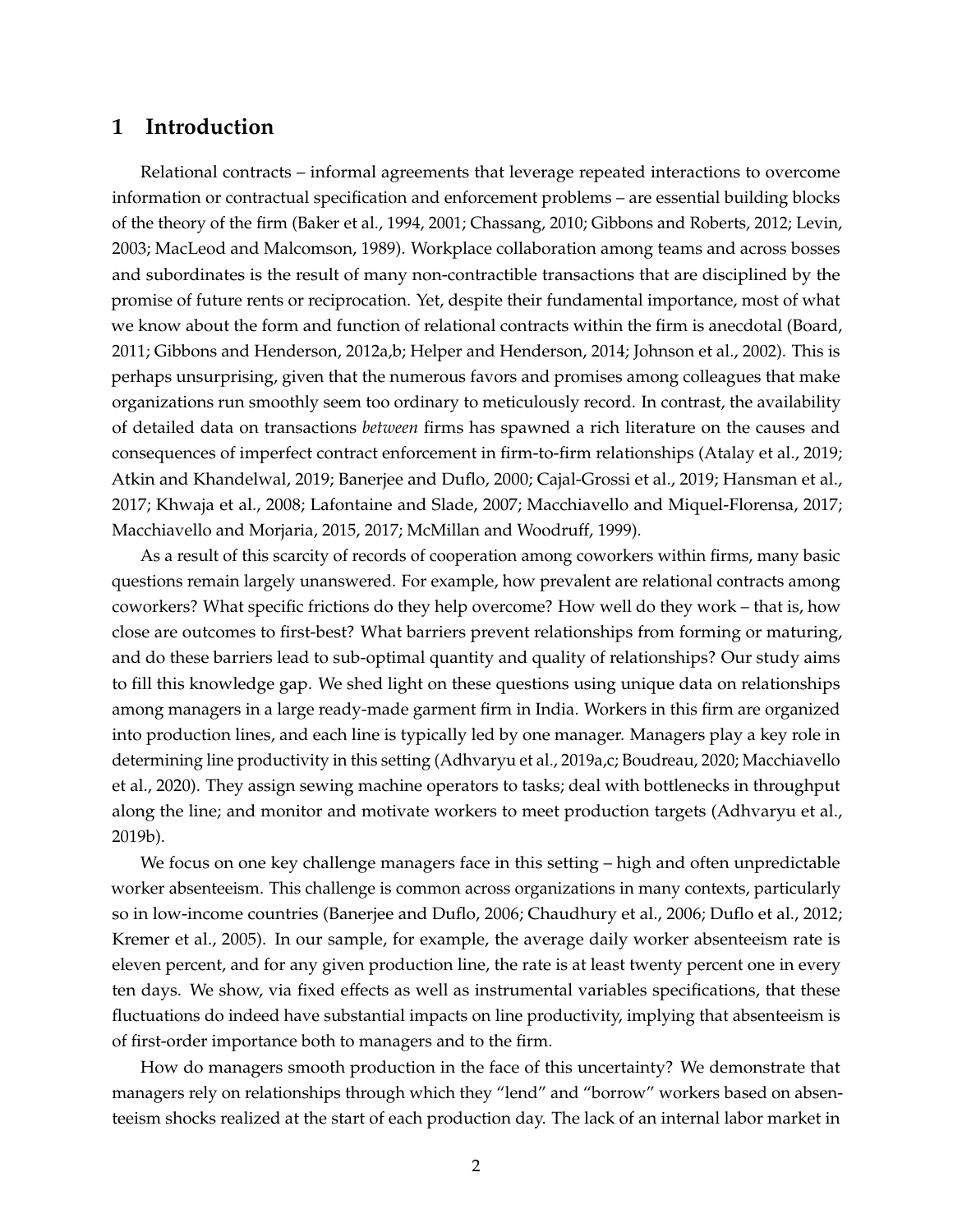## **1 Introduction**

Relational contracts – informal agreements that leverage repeated interactions to overcome information or contractual specification and enforcement problems – are essential building blocks of the theory of the firm (Baker et al., 1994, 2001; Chassang, 2010; Gibbons and Roberts, 2012; Levin, 2003; MacLeod and Malcomson, 1989). Workplace collaboration among teams and across bosses and subordinates is the result of many non-contractible transactions that are disciplined by the promise of future rents or reciprocation. Yet, despite their fundamental importance, most of what we know about the form and function of relational contracts within the firm is anecdotal (Board, 2011; Gibbons and Henderson, 2012a,b; Helper and Henderson, 2014; Johnson et al., 2002). This is perhaps unsurprising, given that the numerous favors and promises among colleagues that make organizations run smoothly seem too ordinary to meticulously record. In contrast, the availability of detailed data on transactions *between* firms has spawned a rich literature on the causes and consequences of imperfect contract enforcement in firm-to-firm relationships (Atalay et al., 2019; Atkin and Khandelwal, 2019; Banerjee and Duflo, 2000; Cajal-Grossi et al., 2019; Hansman et al., 2017; Khwaja et al., 2008; Lafontaine and Slade, 2007; Macchiavello and Miquel-Florensa, 2017; Macchiavello and Morjaria, 2015, 2017; McMillan and Woodruff, 1999).

As a result of this scarcity of records of cooperation among coworkers within firms, many basic questions remain largely unanswered. For example, how prevalent are relational contracts among coworkers? What specific frictions do they help overcome? How well do they work – that is, how close are outcomes to first-best? What barriers prevent relationships from forming or maturing, and do these barriers lead to sub-optimal quantity and quality of relationships? Our study aims to fill this knowledge gap. We shed light on these questions using unique data on relationships among managers in a large ready-made garment firm in India. Workers in this firm are organized into production lines, and each line is typically led by one manager. Managers play a key role in determining line productivity in this setting (Adhvaryu et al., 2019a,c; Boudreau, 2020; Macchiavello et al., 2020). They assign sewing machine operators to tasks; deal with bottlenecks in throughput along the line; and monitor and motivate workers to meet production targets (Adhvaryu et al., 2019b).

We focus on one key challenge managers face in this setting – high and often unpredictable worker absenteeism. This challenge is common across organizations in many contexts, particularly so in low-income countries (Banerjee and Duflo, 2006; Chaudhury et al., 2006; Duflo et al., 2012; Kremer et al., 2005). In our sample, for example, the average daily worker absenteeism rate is eleven percent, and for any given production line, the rate is at least twenty percent one in every ten days. We show, via fixed effects as well as instrumental variables specifications, that these fluctuations do indeed have substantial impacts on line productivity, implying that absenteeism is of first-order importance both to managers and to the firm.

How do managers smooth production in the face of this uncertainty? We demonstrate that managers rely on relationships through which they "lend" and "borrow" workers based on absenteeism shocks realized at the start of each production day. The lack of an internal labor market in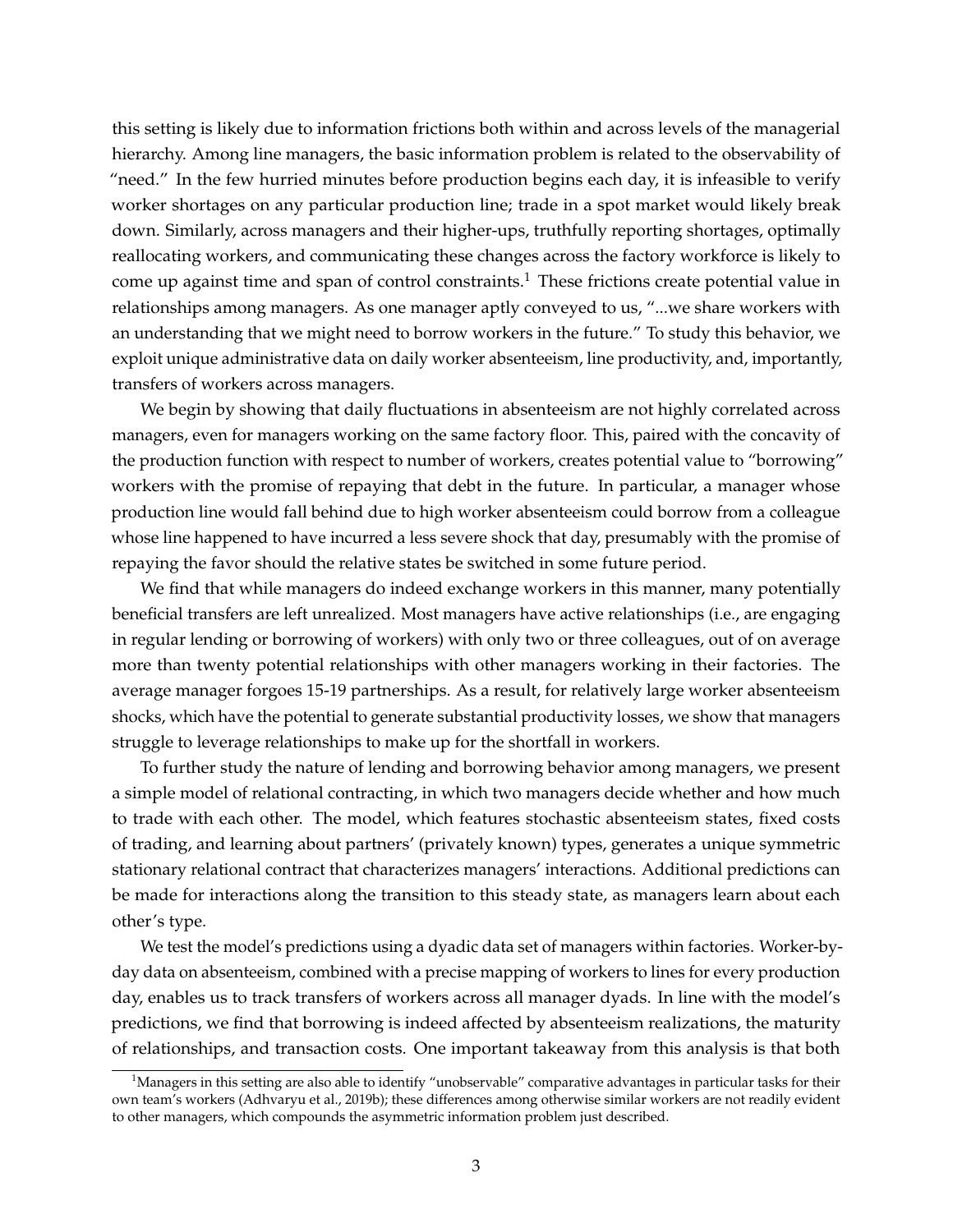this setting is likely due to information frictions both within and across levels of the managerial hierarchy. Among line managers, the basic information problem is related to the observability of "need." In the few hurried minutes before production begins each day, it is infeasible to verify worker shortages on any particular production line; trade in a spot market would likely break down. Similarly, across managers and their higher-ups, truthfully reporting shortages, optimally reallocating workers, and communicating these changes across the factory workforce is likely to come up against time and span of control constraints.<sup>1</sup> These frictions create potential value in relationships among managers. As one manager aptly conveyed to us, "...we share workers with an understanding that we might need to borrow workers in the future." To study this behavior, we exploit unique administrative data on daily worker absenteeism, line productivity, and, importantly, transfers of workers across managers.

We begin by showing that daily fluctuations in absenteeism are not highly correlated across managers, even for managers working on the same factory floor. This, paired with the concavity of the production function with respect to number of workers, creates potential value to "borrowing" workers with the promise of repaying that debt in the future. In particular, a manager whose production line would fall behind due to high worker absenteeism could borrow from a colleague whose line happened to have incurred a less severe shock that day, presumably with the promise of repaying the favor should the relative states be switched in some future period.

We find that while managers do indeed exchange workers in this manner, many potentially beneficial transfers are left unrealized. Most managers have active relationships (i.e., are engaging in regular lending or borrowing of workers) with only two or three colleagues, out of on average more than twenty potential relationships with other managers working in their factories. The average manager forgoes 15-19 partnerships. As a result, for relatively large worker absenteeism shocks, which have the potential to generate substantial productivity losses, we show that managers struggle to leverage relationships to make up for the shortfall in workers.

To further study the nature of lending and borrowing behavior among managers, we present a simple model of relational contracting, in which two managers decide whether and how much to trade with each other. The model, which features stochastic absenteeism states, fixed costs of trading, and learning about partners' (privately known) types, generates a unique symmetric stationary relational contract that characterizes managers' interactions. Additional predictions can be made for interactions along the transition to this steady state, as managers learn about each other's type.

We test the model's predictions using a dyadic data set of managers within factories. Worker-byday data on absenteeism, combined with a precise mapping of workers to lines for every production day, enables us to track transfers of workers across all manager dyads. In line with the model's predictions, we find that borrowing is indeed affected by absenteeism realizations, the maturity of relationships, and transaction costs. One important takeaway from this analysis is that both

 $1<sup>1</sup>$ Managers in this setting are also able to identify "unobservable" comparative advantages in particular tasks for their own team's workers (Adhvaryu et al., 2019b); these differences among otherwise similar workers are not readily evident to other managers, which compounds the asymmetric information problem just described.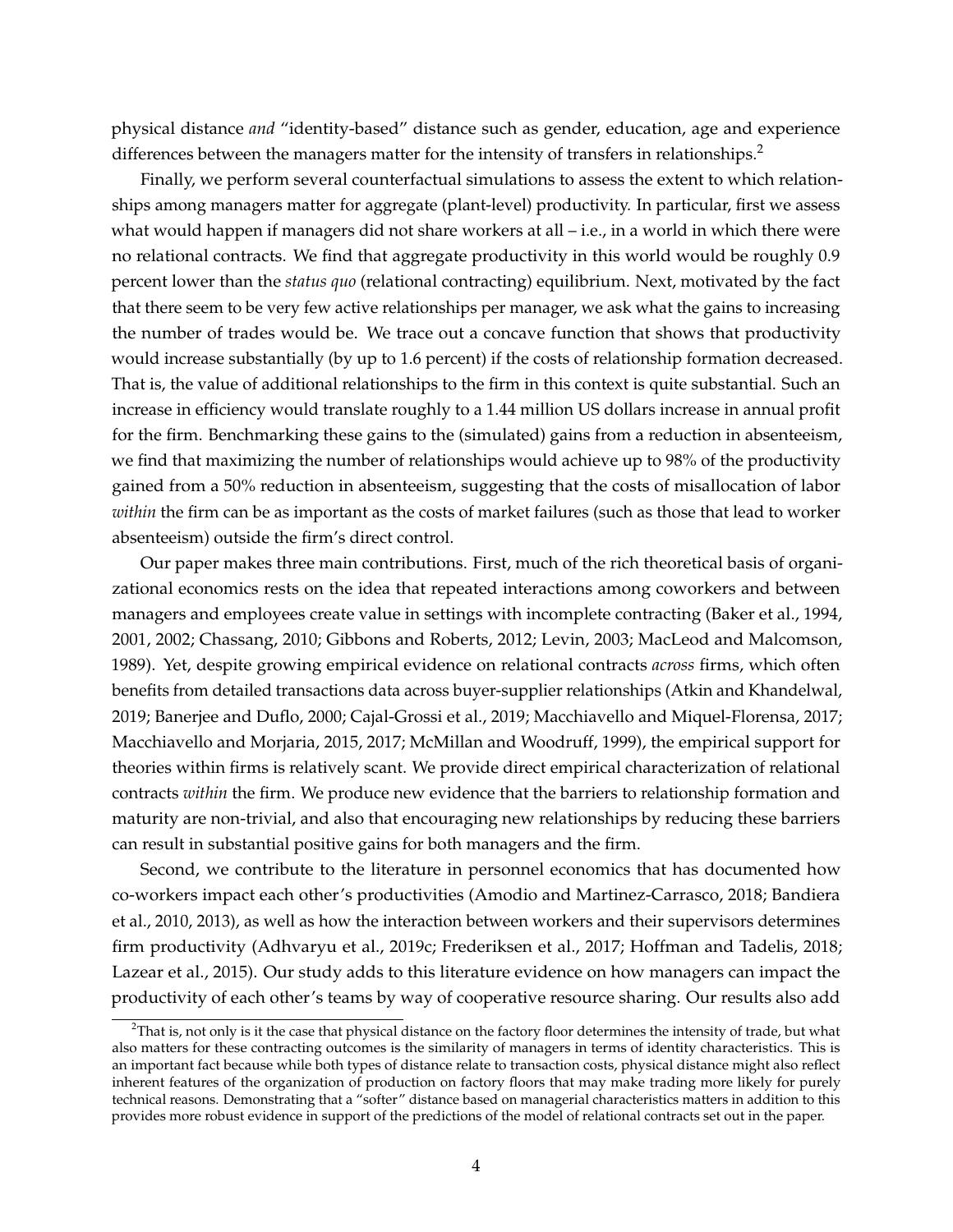physical distance *and* "identity-based" distance such as gender, education, age and experience differences between the managers matter for the intensity of transfers in relationships.<sup>2</sup>

Finally, we perform several counterfactual simulations to assess the extent to which relationships among managers matter for aggregate (plant-level) productivity. In particular, first we assess what would happen if managers did not share workers at all – i.e., in a world in which there were no relational contracts. We find that aggregate productivity in this world would be roughly 0.9 percent lower than the *status quo* (relational contracting) equilibrium. Next, motivated by the fact that there seem to be very few active relationships per manager, we ask what the gains to increasing the number of trades would be. We trace out a concave function that shows that productivity would increase substantially (by up to 1.6 percent) if the costs of relationship formation decreased. That is, the value of additional relationships to the firm in this context is quite substantial. Such an increase in efficiency would translate roughly to a 1.44 million US dollars increase in annual profit for the firm. Benchmarking these gains to the (simulated) gains from a reduction in absenteeism, we find that maximizing the number of relationships would achieve up to 98% of the productivity gained from a 50% reduction in absenteeism, suggesting that the costs of misallocation of labor *within* the firm can be as important as the costs of market failures (such as those that lead to worker absenteeism) outside the firm's direct control.

Our paper makes three main contributions. First, much of the rich theoretical basis of organizational economics rests on the idea that repeated interactions among coworkers and between managers and employees create value in settings with incomplete contracting (Baker et al., 1994, 2001, 2002; Chassang, 2010; Gibbons and Roberts, 2012; Levin, 2003; MacLeod and Malcomson, 1989). Yet, despite growing empirical evidence on relational contracts *across* firms, which often benefits from detailed transactions data across buyer-supplier relationships (Atkin and Khandelwal, 2019; Banerjee and Duflo, 2000; Cajal-Grossi et al., 2019; Macchiavello and Miquel-Florensa, 2017; Macchiavello and Morjaria, 2015, 2017; McMillan and Woodruff, 1999), the empirical support for theories within firms is relatively scant. We provide direct empirical characterization of relational contracts *within* the firm. We produce new evidence that the barriers to relationship formation and maturity are non-trivial, and also that encouraging new relationships by reducing these barriers can result in substantial positive gains for both managers and the firm.

Second, we contribute to the literature in personnel economics that has documented how co-workers impact each other's productivities (Amodio and Martinez-Carrasco, 2018; Bandiera et al., 2010, 2013), as well as how the interaction between workers and their supervisors determines firm productivity (Adhvaryu et al., 2019c; Frederiksen et al., 2017; Hoffman and Tadelis, 2018; Lazear et al., 2015). Our study adds to this literature evidence on how managers can impact the productivity of each other's teams by way of cooperative resource sharing. Our results also add

 $^{2}$ That is, not only is it the case that physical distance on the factory floor determines the intensity of trade, but what also matters for these contracting outcomes is the similarity of managers in terms of identity characteristics. This is an important fact because while both types of distance relate to transaction costs, physical distance might also reflect inherent features of the organization of production on factory floors that may make trading more likely for purely technical reasons. Demonstrating that a "softer" distance based on managerial characteristics matters in addition to this provides more robust evidence in support of the predictions of the model of relational contracts set out in the paper.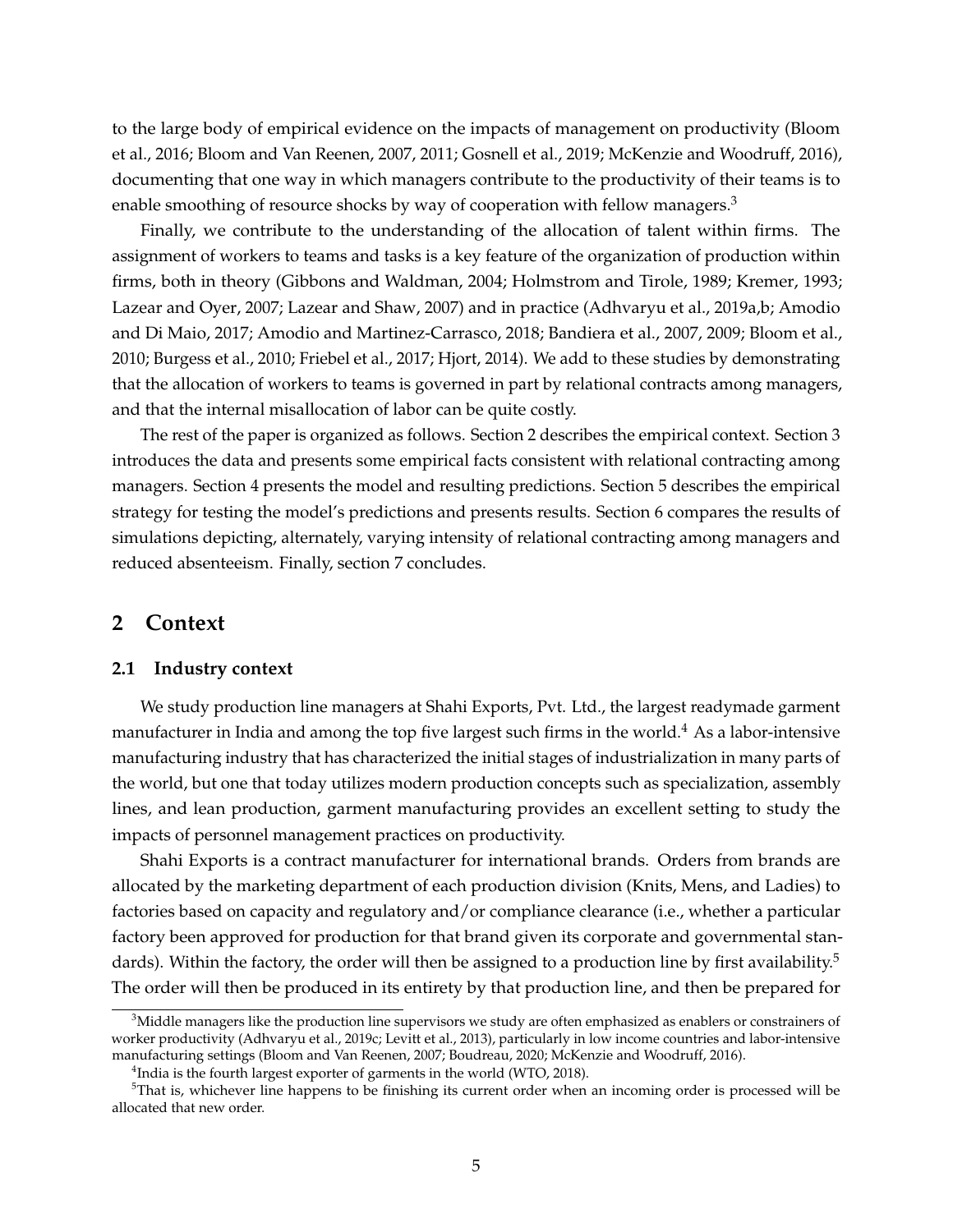to the large body of empirical evidence on the impacts of management on productivity (Bloom et al., 2016; Bloom and Van Reenen, 2007, 2011; Gosnell et al., 2019; McKenzie and Woodruff, 2016), documenting that one way in which managers contribute to the productivity of their teams is to enable smoothing of resource shocks by way of cooperation with fellow managers.<sup>3</sup>

Finally, we contribute to the understanding of the allocation of talent within firms. The assignment of workers to teams and tasks is a key feature of the organization of production within firms, both in theory (Gibbons and Waldman, 2004; Holmstrom and Tirole, 1989; Kremer, 1993; Lazear and Oyer, 2007; Lazear and Shaw, 2007) and in practice (Adhvaryu et al., 2019a,b; Amodio and Di Maio, 2017; Amodio and Martinez-Carrasco, 2018; Bandiera et al., 2007, 2009; Bloom et al., 2010; Burgess et al., 2010; Friebel et al., 2017; Hjort, 2014). We add to these studies by demonstrating that the allocation of workers to teams is governed in part by relational contracts among managers, and that the internal misallocation of labor can be quite costly.

The rest of the paper is organized as follows. Section 2 describes the empirical context. Section 3 introduces the data and presents some empirical facts consistent with relational contracting among managers. Section 4 presents the model and resulting predictions. Section 5 describes the empirical strategy for testing the model's predictions and presents results. Section 6 compares the results of simulations depicting, alternately, varying intensity of relational contracting among managers and reduced absenteeism. Finally, section 7 concludes.

## **2 Context**

#### **2.1 Industry context**

We study production line managers at Shahi Exports, Pvt. Ltd., the largest readymade garment manufacturer in India and among the top five largest such firms in the world.<sup>4</sup> As a labor-intensive manufacturing industry that has characterized the initial stages of industrialization in many parts of the world, but one that today utilizes modern production concepts such as specialization, assembly lines, and lean production, garment manufacturing provides an excellent setting to study the impacts of personnel management practices on productivity.

Shahi Exports is a contract manufacturer for international brands. Orders from brands are allocated by the marketing department of each production division (Knits, Mens, and Ladies) to factories based on capacity and regulatory and/or compliance clearance (i.e., whether a particular factory been approved for production for that brand given its corporate and governmental standards). Within the factory, the order will then be assigned to a production line by first availability.<sup>5</sup> The order will then be produced in its entirety by that production line, and then be prepared for

 $3$ Middle managers like the production line supervisors we study are often emphasized as enablers or constrainers of worker productivity (Adhvaryu et al., 2019c; Levitt et al., 2013), particularly in low income countries and labor-intensive manufacturing settings (Bloom and Van Reenen, 2007; Boudreau, 2020; McKenzie and Woodruff, 2016).

 $^4$ India is the fourth largest exporter of garments in the world (WTO, 2018).

 $5$ That is, whichever line happens to be finishing its current order when an incoming order is processed will be allocated that new order.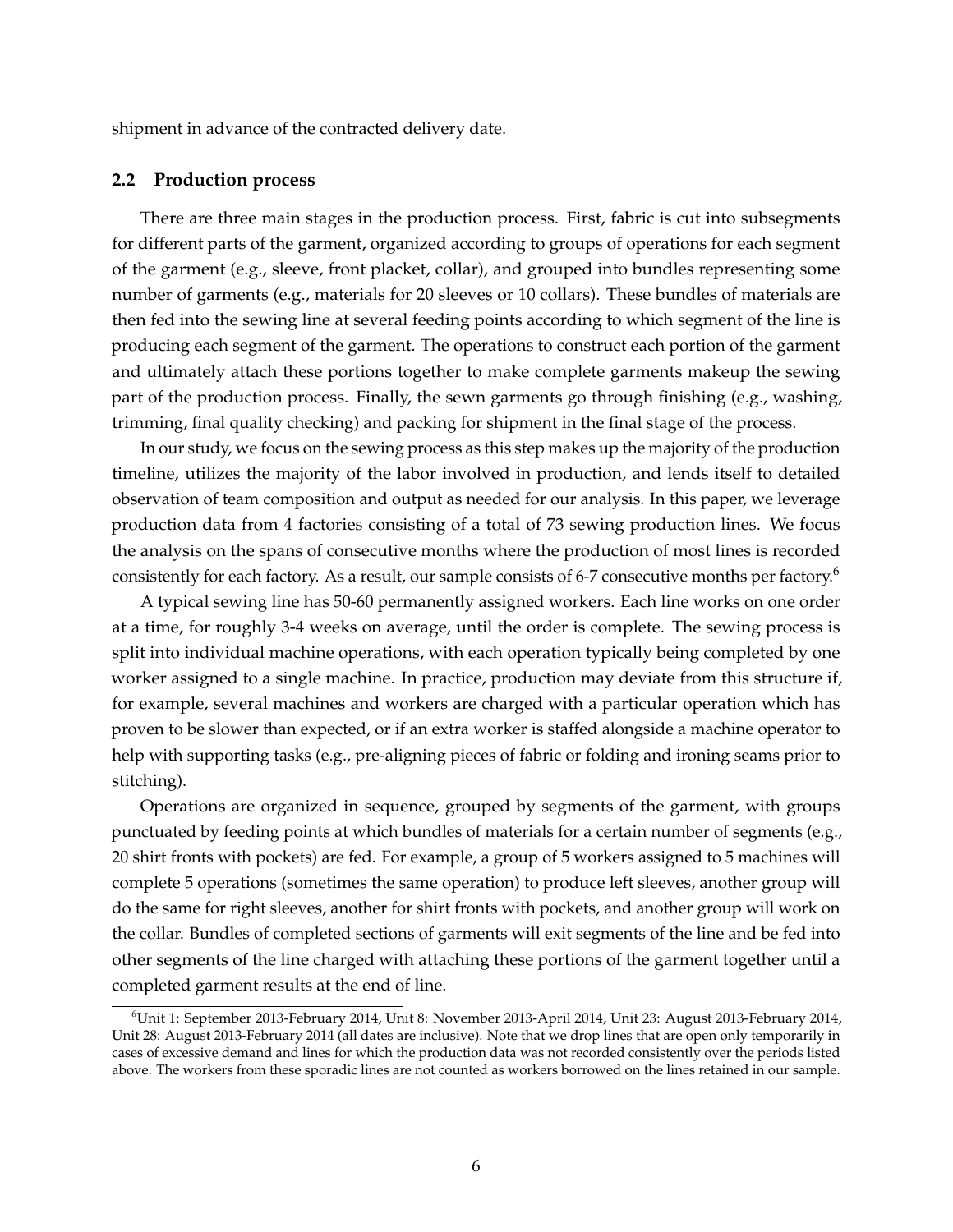shipment in advance of the contracted delivery date.

#### **2.2 Production process**

There are three main stages in the production process. First, fabric is cut into subsegments for different parts of the garment, organized according to groups of operations for each segment of the garment (e.g., sleeve, front placket, collar), and grouped into bundles representing some number of garments (e.g., materials for 20 sleeves or 10 collars). These bundles of materials are then fed into the sewing line at several feeding points according to which segment of the line is producing each segment of the garment. The operations to construct each portion of the garment and ultimately attach these portions together to make complete garments makeup the sewing part of the production process. Finally, the sewn garments go through finishing (e.g., washing, trimming, final quality checking) and packing for shipment in the final stage of the process.

In our study, we focus on the sewing process as this step makes up the majority of the production timeline, utilizes the majority of the labor involved in production, and lends itself to detailed observation of team composition and output as needed for our analysis. In this paper, we leverage production data from 4 factories consisting of a total of 73 sewing production lines. We focus the analysis on the spans of consecutive months where the production of most lines is recorded consistently for each factory. As a result, our sample consists of 6-7 consecutive months per factory.<sup>6</sup>

A typical sewing line has 50-60 permanently assigned workers. Each line works on one order at a time, for roughly 3-4 weeks on average, until the order is complete. The sewing process is split into individual machine operations, with each operation typically being completed by one worker assigned to a single machine. In practice, production may deviate from this structure if, for example, several machines and workers are charged with a particular operation which has proven to be slower than expected, or if an extra worker is staffed alongside a machine operator to help with supporting tasks (e.g., pre-aligning pieces of fabric or folding and ironing seams prior to stitching).

Operations are organized in sequence, grouped by segments of the garment, with groups punctuated by feeding points at which bundles of materials for a certain number of segments (e.g., 20 shirt fronts with pockets) are fed. For example, a group of 5 workers assigned to 5 machines will complete 5 operations (sometimes the same operation) to produce left sleeves, another group will do the same for right sleeves, another for shirt fronts with pockets, and another group will work on the collar. Bundles of completed sections of garments will exit segments of the line and be fed into other segments of the line charged with attaching these portions of the garment together until a completed garment results at the end of line.

<sup>6</sup>Unit 1: September 2013-February 2014, Unit 8: November 2013-April 2014, Unit 23: August 2013-February 2014, Unit 28: August 2013-February 2014 (all dates are inclusive). Note that we drop lines that are open only temporarily in cases of excessive demand and lines for which the production data was not recorded consistently over the periods listed above. The workers from these sporadic lines are not counted as workers borrowed on the lines retained in our sample.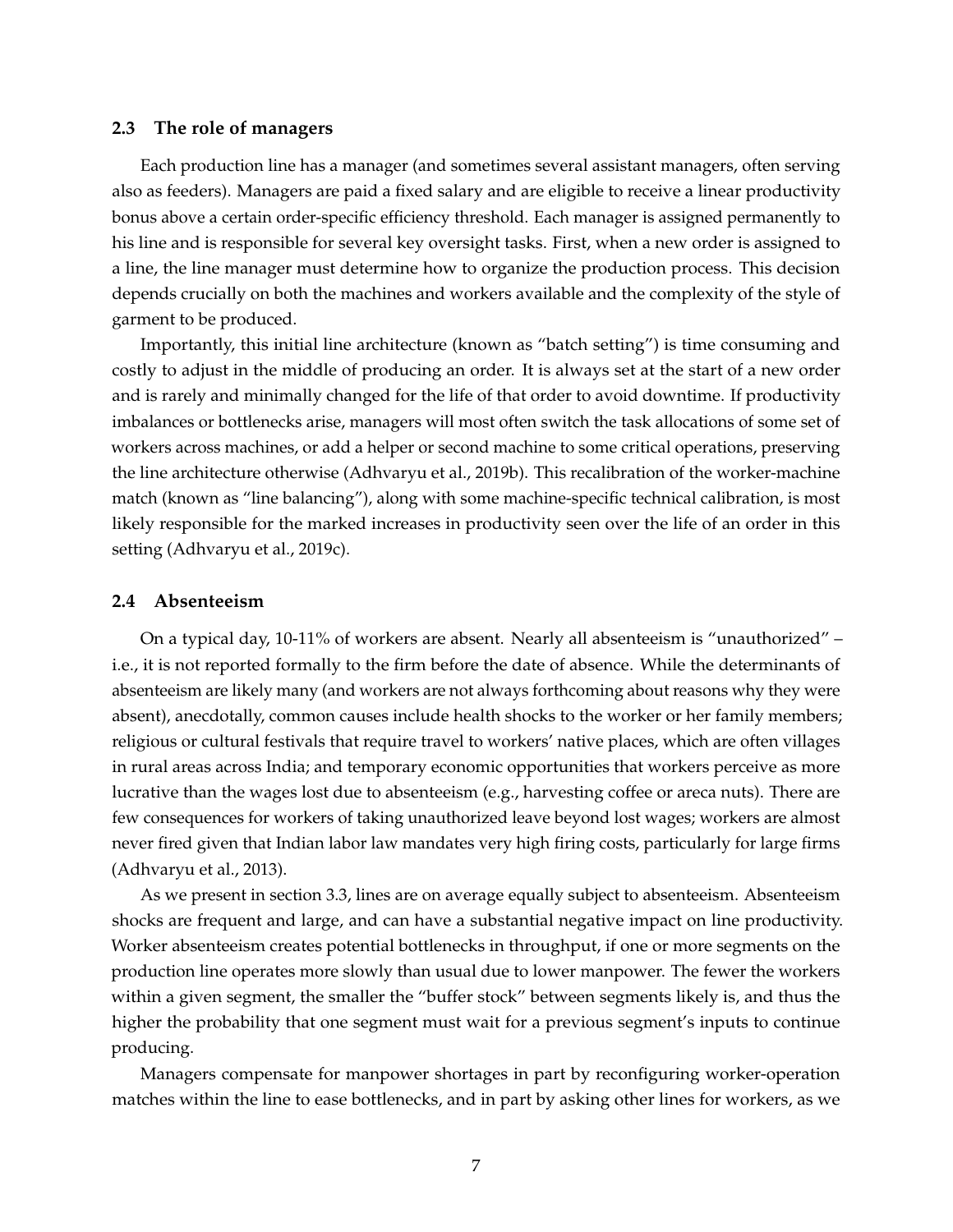#### **2.3 The role of managers**

Each production line has a manager (and sometimes several assistant managers, often serving also as feeders). Managers are paid a fixed salary and are eligible to receive a linear productivity bonus above a certain order-specific efficiency threshold. Each manager is assigned permanently to his line and is responsible for several key oversight tasks. First, when a new order is assigned to a line, the line manager must determine how to organize the production process. This decision depends crucially on both the machines and workers available and the complexity of the style of garment to be produced.

Importantly, this initial line architecture (known as "batch setting") is time consuming and costly to adjust in the middle of producing an order. It is always set at the start of a new order and is rarely and minimally changed for the life of that order to avoid downtime. If productivity imbalances or bottlenecks arise, managers will most often switch the task allocations of some set of workers across machines, or add a helper or second machine to some critical operations, preserving the line architecture otherwise (Adhvaryu et al., 2019b). This recalibration of the worker-machine match (known as "line balancing"), along with some machine-specific technical calibration, is most likely responsible for the marked increases in productivity seen over the life of an order in this setting (Adhvaryu et al., 2019c).

#### **2.4 Absenteeism**

On a typical day, 10-11% of workers are absent. Nearly all absenteeism is "unauthorized" – i.e., it is not reported formally to the firm before the date of absence. While the determinants of absenteeism are likely many (and workers are not always forthcoming about reasons why they were absent), anecdotally, common causes include health shocks to the worker or her family members; religious or cultural festivals that require travel to workers' native places, which are often villages in rural areas across India; and temporary economic opportunities that workers perceive as more lucrative than the wages lost due to absenteeism (e.g., harvesting coffee or areca nuts). There are few consequences for workers of taking unauthorized leave beyond lost wages; workers are almost never fired given that Indian labor law mandates very high firing costs, particularly for large firms (Adhvaryu et al., 2013).

As we present in section 3.3, lines are on average equally subject to absenteeism. Absenteeism shocks are frequent and large, and can have a substantial negative impact on line productivity. Worker absenteeism creates potential bottlenecks in throughput, if one or more segments on the production line operates more slowly than usual due to lower manpower. The fewer the workers within a given segment, the smaller the "buffer stock" between segments likely is, and thus the higher the probability that one segment must wait for a previous segment's inputs to continue producing.

Managers compensate for manpower shortages in part by reconfiguring worker-operation matches within the line to ease bottlenecks, and in part by asking other lines for workers, as we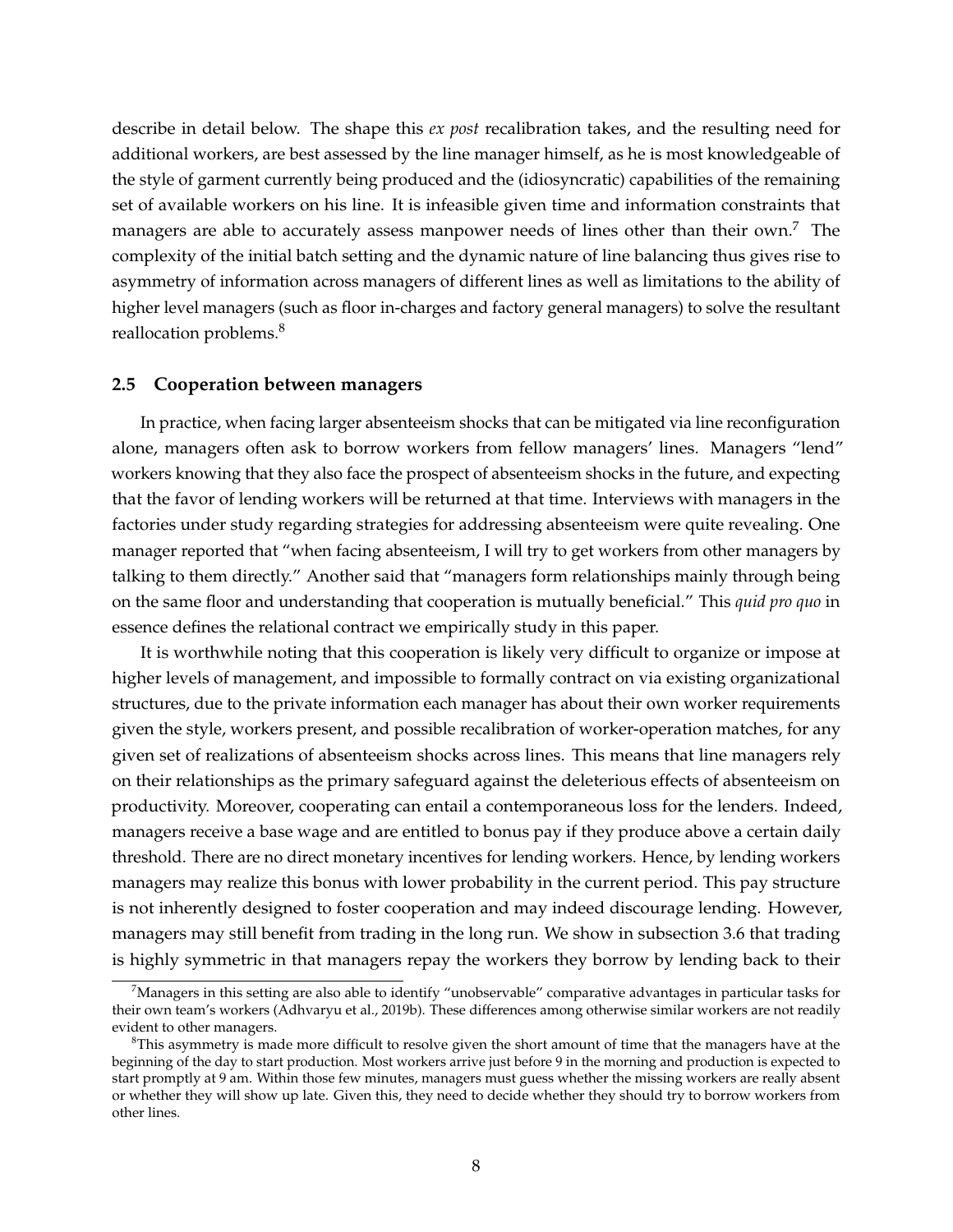describe in detail below. The shape this *ex post* recalibration takes, and the resulting need for additional workers, are best assessed by the line manager himself, as he is most knowledgeable of the style of garment currently being produced and the (idiosyncratic) capabilities of the remaining set of available workers on his line. It is infeasible given time and information constraints that managers are able to accurately assess manpower needs of lines other than their own.<sup>7</sup> The complexity of the initial batch setting and the dynamic nature of line balancing thus gives rise to asymmetry of information across managers of different lines as well as limitations to the ability of higher level managers (such as floor in-charges and factory general managers) to solve the resultant reallocation problems.<sup>8</sup>

#### **2.5 Cooperation between managers**

In practice, when facing larger absenteeism shocks that can be mitigated via line reconfiguration alone, managers often ask to borrow workers from fellow managers' lines. Managers "lend" workers knowing that they also face the prospect of absenteeism shocks in the future, and expecting that the favor of lending workers will be returned at that time. Interviews with managers in the factories under study regarding strategies for addressing absenteeism were quite revealing. One manager reported that "when facing absenteeism, I will try to get workers from other managers by talking to them directly." Another said that "managers form relationships mainly through being on the same floor and understanding that cooperation is mutually beneficial." This *quid pro quo* in essence defines the relational contract we empirically study in this paper.

It is worthwhile noting that this cooperation is likely very difficult to organize or impose at higher levels of management, and impossible to formally contract on via existing organizational structures, due to the private information each manager has about their own worker requirements given the style, workers present, and possible recalibration of worker-operation matches, for any given set of realizations of absenteeism shocks across lines. This means that line managers rely on their relationships as the primary safeguard against the deleterious effects of absenteeism on productivity. Moreover, cooperating can entail a contemporaneous loss for the lenders. Indeed, managers receive a base wage and are entitled to bonus pay if they produce above a certain daily threshold. There are no direct monetary incentives for lending workers. Hence, by lending workers managers may realize this bonus with lower probability in the current period. This pay structure is not inherently designed to foster cooperation and may indeed discourage lending. However, managers may still benefit from trading in the long run. We show in subsection 3.6 that trading is highly symmetric in that managers repay the workers they borrow by lending back to their

 $7$ Managers in this setting are also able to identify "unobservable" comparative advantages in particular tasks for their own team's workers (Adhvaryu et al., 2019b). These differences among otherwise similar workers are not readily evident to other managers.

 ${}^{8}$ This asymmetry is made more difficult to resolve given the short amount of time that the managers have at the beginning of the day to start production. Most workers arrive just before 9 in the morning and production is expected to start promptly at 9 am. Within those few minutes, managers must guess whether the missing workers are really absent or whether they will show up late. Given this, they need to decide whether they should try to borrow workers from other lines.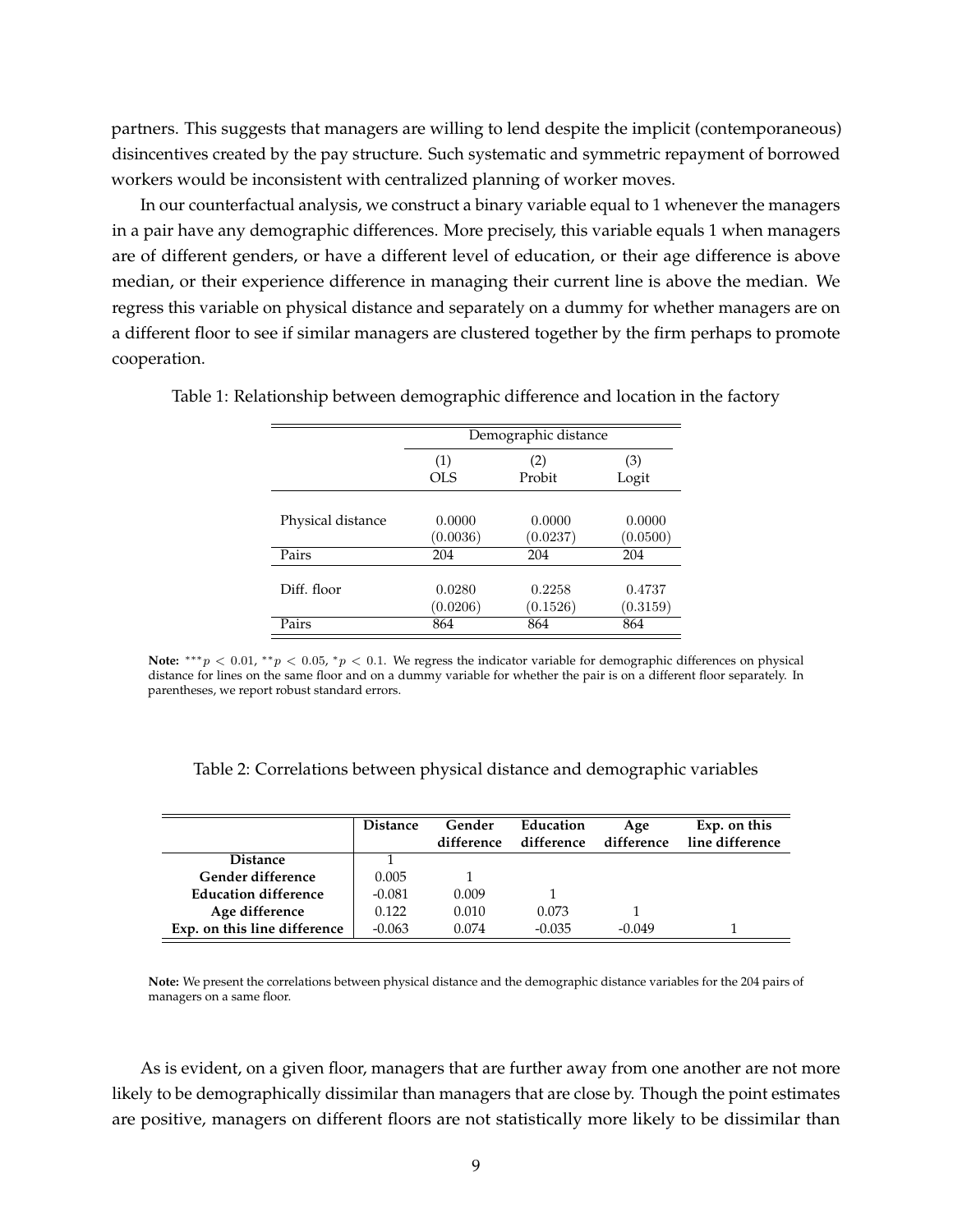partners. This suggests that managers are willing to lend despite the implicit (contemporaneous) disincentives created by the pay structure. Such systematic and symmetric repayment of borrowed workers would be inconsistent with centralized planning of worker moves.

In our counterfactual analysis, we construct a binary variable equal to 1 whenever the managers in a pair have any demographic differences. More precisely, this variable equals 1 when managers are of different genders, or have a different level of education, or their age difference is above median, or their experience difference in managing their current line is above the median. We regress this variable on physical distance and separately on a dummy for whether managers are on a different floor to see if similar managers are clustered together by the firm perhaps to promote cooperation.

|                   | Demographic distance |          |          |
|-------------------|----------------------|----------|----------|
|                   | (1)                  | (2)      | (3)      |
|                   | OLS                  | Probit   | Logit    |
| Physical distance | 0.0000               | 0.0000   | 0.0000   |
|                   | (0.0036)             | (0.0237) | (0.0500) |
| Pairs             | 204                  | 204      | 204      |
| Diff. floor       | 0.0280               | 0.2258   | 0.4737   |
|                   | (0.0206)             | (0.1526) | (0.3159) |
| Pairs             | 864                  | 864      | 864      |

Table 1: Relationship between demographic difference and location in the factory

Note: \*\*\*p < 0.01, \*\*p < 0.05, \*p < 0.1. We regress the indicator variable for demographic differences on physical distance for lines on the same floor and on a dummy variable for whether the pair is on a different floor separately. In parentheses, we report robust standard errors.

Table 2: Correlations between physical distance and demographic variables

|                              | <b>Distance</b> | Gender<br>difference | Education<br>difference | Age<br>difference | Exp. on this<br>line difference |
|------------------------------|-----------------|----------------------|-------------------------|-------------------|---------------------------------|
| <b>Distance</b>              |                 |                      |                         |                   |                                 |
| Gender difference            | 0.005           |                      |                         |                   |                                 |
| <b>Education difference</b>  | -0.081          | 0.009                |                         |                   |                                 |
| Age difference               | 0.122           | 0.010                | 0.073                   |                   |                                 |
| Exp. on this line difference | $-0.063$        | 0.074                | $-0.035$                | $-0.049$          |                                 |

**Note:** We present the correlations between physical distance and the demographic distance variables for the 204 pairs of managers on a same floor.

As is evident, on a given floor, managers that are further away from one another are not more likely to be demographically dissimilar than managers that are close by. Though the point estimates are positive, managers on different floors are not statistically more likely to be dissimilar than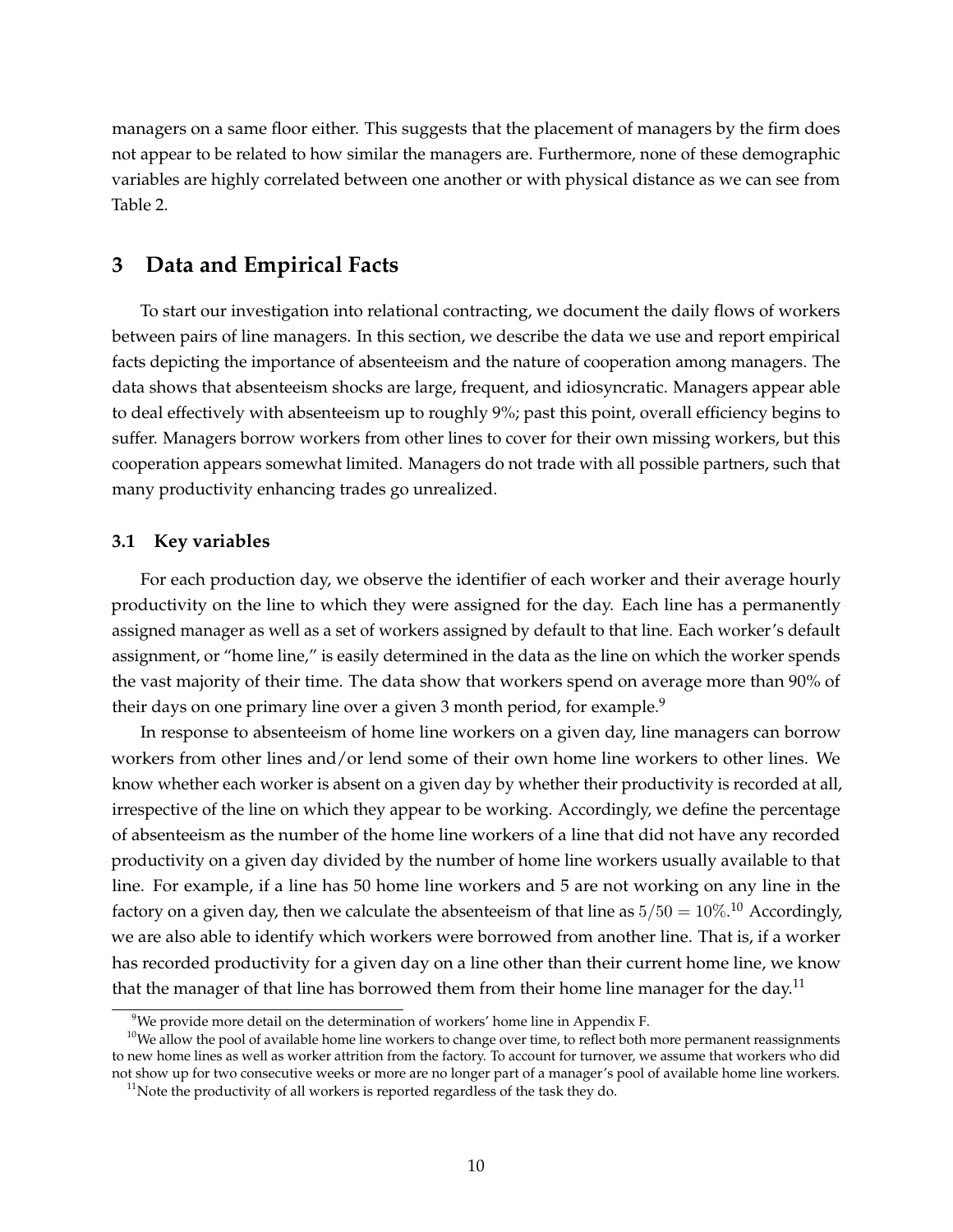managers on a same floor either. This suggests that the placement of managers by the firm does not appear to be related to how similar the managers are. Furthermore, none of these demographic variables are highly correlated between one another or with physical distance as we can see from Table 2.

## **3 Data and Empirical Facts**

To start our investigation into relational contracting, we document the daily flows of workers between pairs of line managers. In this section, we describe the data we use and report empirical facts depicting the importance of absenteeism and the nature of cooperation among managers. The data shows that absenteeism shocks are large, frequent, and idiosyncratic. Managers appear able to deal effectively with absenteeism up to roughly 9%; past this point, overall efficiency begins to suffer. Managers borrow workers from other lines to cover for their own missing workers, but this cooperation appears somewhat limited. Managers do not trade with all possible partners, such that many productivity enhancing trades go unrealized.

#### **3.1 Key variables**

For each production day, we observe the identifier of each worker and their average hourly productivity on the line to which they were assigned for the day. Each line has a permanently assigned manager as well as a set of workers assigned by default to that line. Each worker's default assignment, or "home line," is easily determined in the data as the line on which the worker spends the vast majority of their time. The data show that workers spend on average more than 90% of their days on one primary line over a given 3 month period, for example.<sup>9</sup>

In response to absenteeism of home line workers on a given day, line managers can borrow workers from other lines and/or lend some of their own home line workers to other lines. We know whether each worker is absent on a given day by whether their productivity is recorded at all, irrespective of the line on which they appear to be working. Accordingly, we define the percentage of absenteeism as the number of the home line workers of a line that did not have any recorded productivity on a given day divided by the number of home line workers usually available to that line. For example, if a line has 50 home line workers and 5 are not working on any line in the factory on a given day, then we calculate the absenteeism of that line as  $5/50 = 10\%. ^{10}$  Accordingly, we are also able to identify which workers were borrowed from another line. That is, if a worker has recorded productivity for a given day on a line other than their current home line, we know that the manager of that line has borrowed them from their home line manager for the day.<sup>11</sup>

<sup>&</sup>lt;sup>9</sup>We provide more detail on the determination of workers' home line in Appendix F.

<sup>&</sup>lt;sup>10</sup>We allow the pool of available home line workers to change over time, to reflect both more permanent reassignments to new home lines as well as worker attrition from the factory. To account for turnover, we assume that workers who did not show up for two consecutive weeks or more are no longer part of a manager's pool of available home line workers.

<sup>&</sup>lt;sup>11</sup>Note the productivity of all workers is reported regardless of the task they do.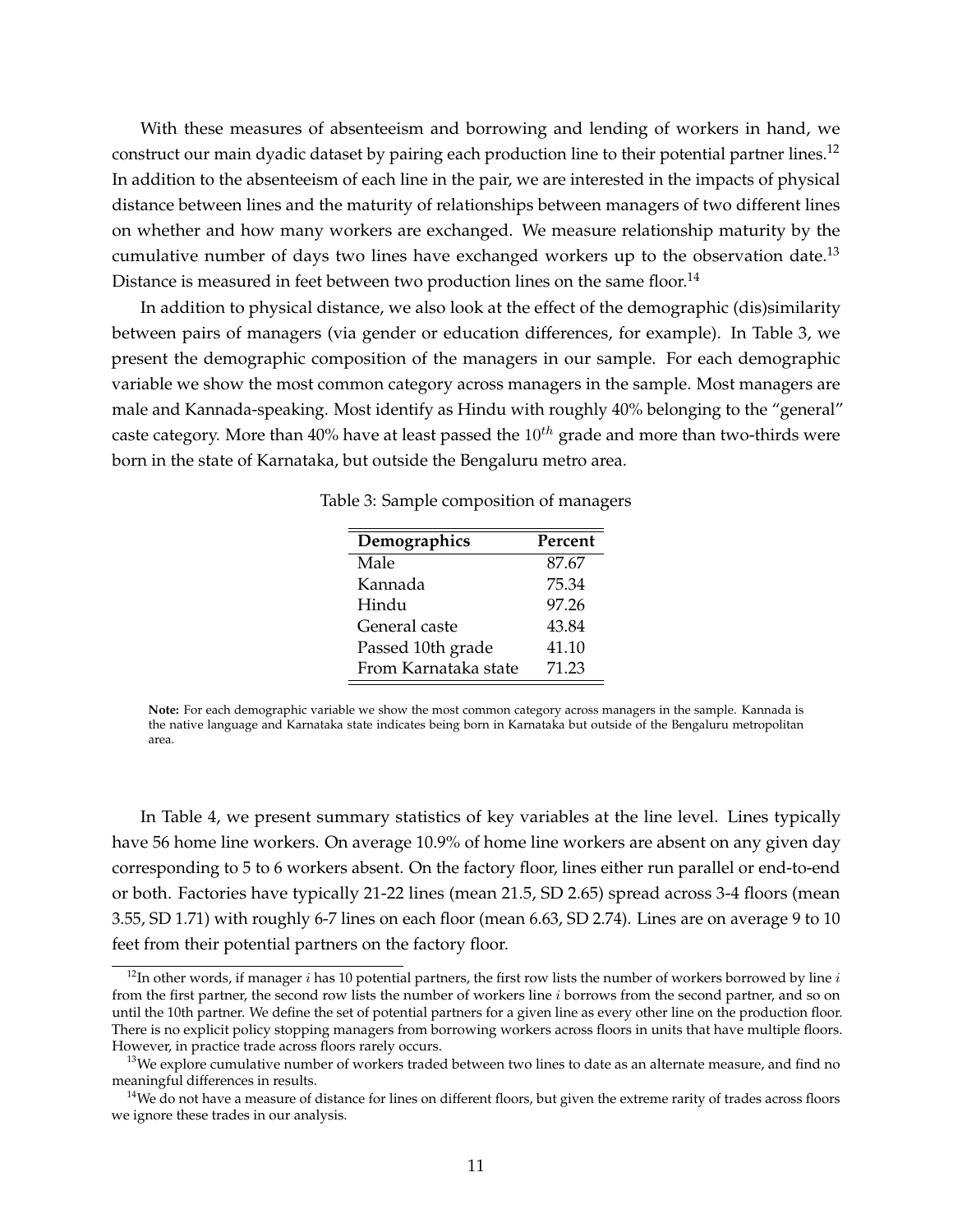With these measures of absenteeism and borrowing and lending of workers in hand, we construct our main dyadic dataset by pairing each production line to their potential partner lines.<sup>12</sup> In addition to the absenteeism of each line in the pair, we are interested in the impacts of physical distance between lines and the maturity of relationships between managers of two different lines on whether and how many workers are exchanged. We measure relationship maturity by the cumulative number of days two lines have exchanged workers up to the observation date.<sup>13</sup> Distance is measured in feet between two production lines on the same floor.<sup>14</sup>

In addition to physical distance, we also look at the effect of the demographic (dis)similarity between pairs of managers (via gender or education differences, for example). In Table 3, we present the demographic composition of the managers in our sample. For each demographic variable we show the most common category across managers in the sample. Most managers are male and Kannada-speaking. Most identify as Hindu with roughly 40% belonging to the "general" caste category. More than 40% have at least passed the  $10^{th}$  grade and more than two-thirds were born in the state of Karnataka, but outside the Bengaluru metro area.

| Demographics         | Percent |
|----------------------|---------|
| Male                 | 87.67   |
| Kannada              | 75.34   |
| Hindu                | 97.26   |
| General caste        | 43.84   |
| Passed 10th grade    | 41.10   |
| From Karnataka state | 71.23   |

Table 3: Sample composition of managers

**Note:** For each demographic variable we show the most common category across managers in the sample. Kannada is the native language and Karnataka state indicates being born in Karnataka but outside of the Bengaluru metropolitan area.

In Table 4, we present summary statistics of key variables at the line level. Lines typically have 56 home line workers. On average 10.9% of home line workers are absent on any given day corresponding to 5 to 6 workers absent. On the factory floor, lines either run parallel or end-to-end or both. Factories have typically 21-22 lines (mean 21.5, SD 2.65) spread across 3-4 floors (mean 3.55, SD 1.71) with roughly 6-7 lines on each floor (mean 6.63, SD 2.74). Lines are on average 9 to 10 feet from their potential partners on the factory floor.

<sup>&</sup>lt;sup>12</sup>In other words, if manager  $i$  has 10 potential partners, the first row lists the number of workers borrowed by line  $i$ from the first partner, the second row lists the number of workers line i borrows from the second partner, and so on until the 10th partner. We define the set of potential partners for a given line as every other line on the production floor. There is no explicit policy stopping managers from borrowing workers across floors in units that have multiple floors. However, in practice trade across floors rarely occurs.

<sup>&</sup>lt;sup>13</sup>We explore cumulative number of workers traded between two lines to date as an alternate measure, and find no meaningful differences in results.

<sup>&</sup>lt;sup>14</sup>We do not have a measure of distance for lines on different floors, but given the extreme rarity of trades across floors we ignore these trades in our analysis.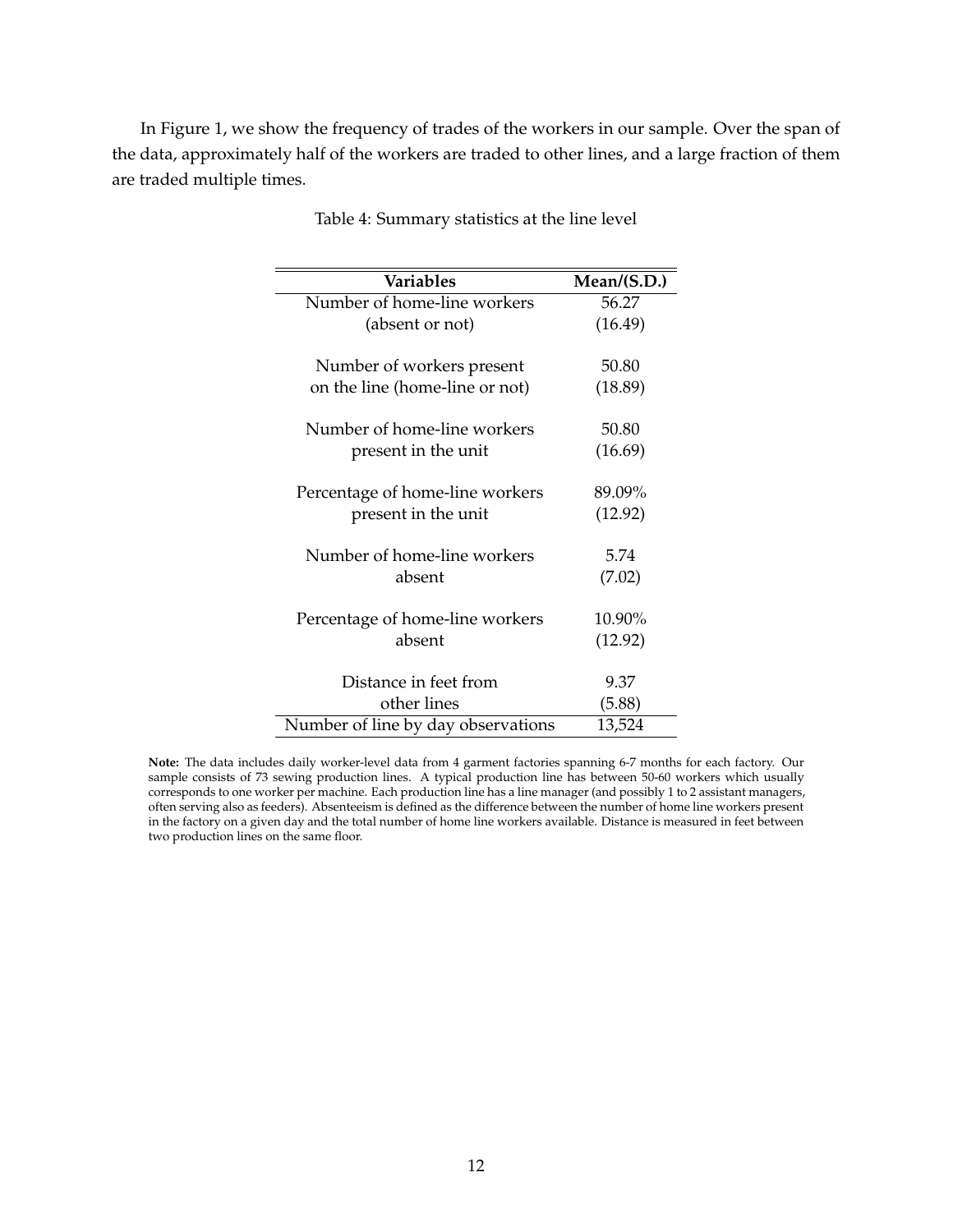In Figure 1, we show the frequency of trades of the workers in our sample. Over the span of the data, approximately half of the workers are traded to other lines, and a large fraction of them are traded multiple times.

| <b>Variables</b>                   | Mean/(S.D.) |
|------------------------------------|-------------|
| Number of home-line workers        | 56.27       |
| (absent or not)                    | (16.49)     |
| Number of workers present          | 50.80       |
| on the line (home-line or not)     | (18.89)     |
| Number of home-line workers        | 50.80       |
| present in the unit                | (16.69)     |
| Percentage of home-line workers    | 89.09%      |
| present in the unit                | (12.92)     |
| Number of home-line workers        | 5.74        |
| absent                             | (7.02)      |
| Percentage of home-line workers    | 10.90%      |
| absent                             | (12.92)     |
| Distance in feet from              | 9.37        |
| other lines                        | (5.88)      |
| Number of line by day observations | 13,524      |

Table 4: Summary statistics at the line level

**Note:** The data includes daily worker-level data from 4 garment factories spanning 6-7 months for each factory. Our sample consists of 73 sewing production lines. A typical production line has between 50-60 workers which usually corresponds to one worker per machine. Each production line has a line manager (and possibly 1 to 2 assistant managers, often serving also as feeders). Absenteeism is defined as the difference between the number of home line workers present in the factory on a given day and the total number of home line workers available. Distance is measured in feet between two production lines on the same floor.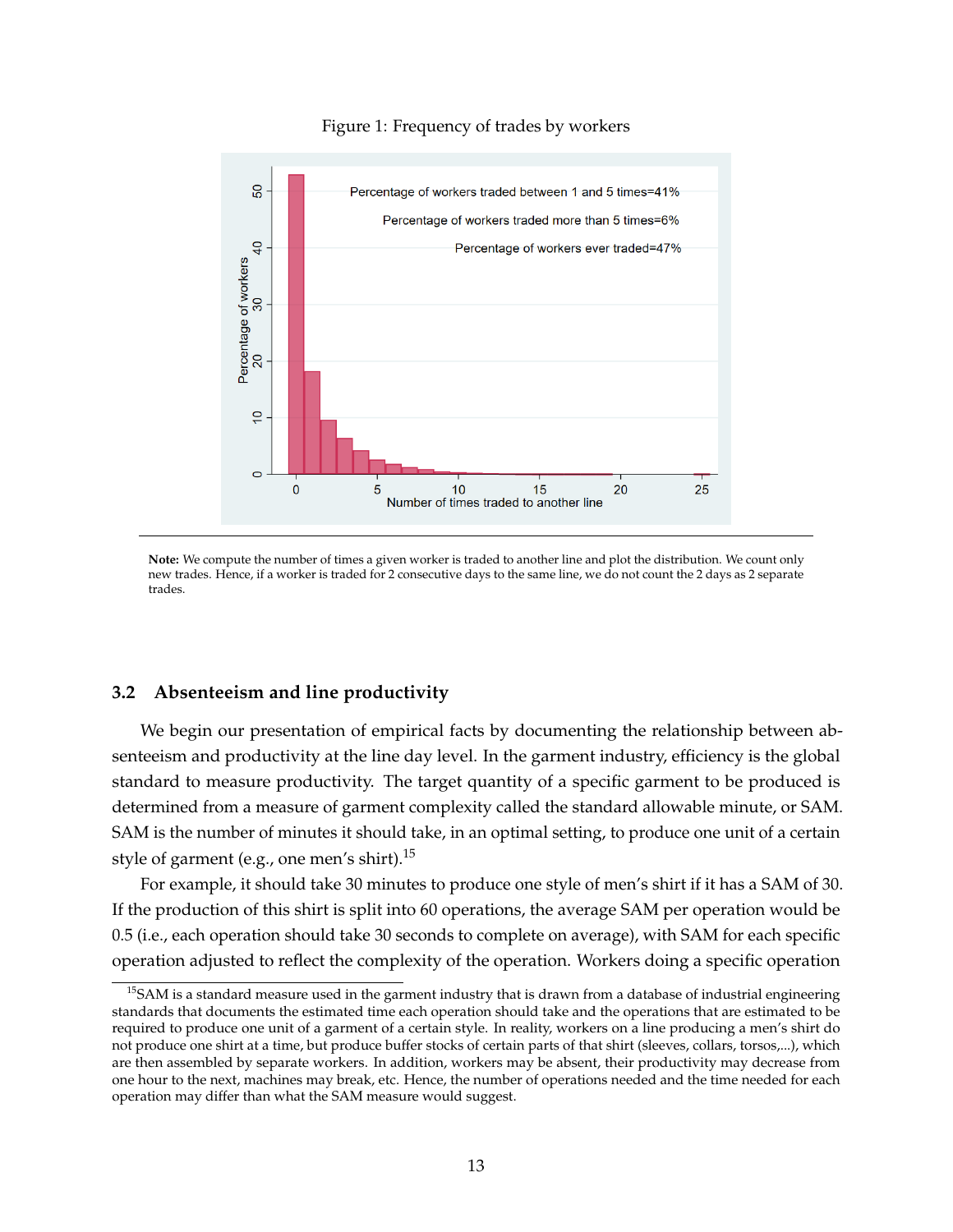

#### Figure 1: Frequency of trades by workers

**Note:** We compute the number of times a given worker is traded to another line and plot the distribution. We count only new trades. Hence, if a worker is traded for 2 consecutive days to the same line, we do not count the 2 days as 2 separate trades.

#### **3.2 Absenteeism and line productivity**

We begin our presentation of empirical facts by documenting the relationship between absenteeism and productivity at the line day level. In the garment industry, efficiency is the global standard to measure productivity. The target quantity of a specific garment to be produced is determined from a measure of garment complexity called the standard allowable minute, or SAM. SAM is the number of minutes it should take, in an optimal setting, to produce one unit of a certain style of garment (e.g., one men's shirt).<sup>15</sup>

For example, it should take 30 minutes to produce one style of men's shirt if it has a SAM of 30. If the production of this shirt is split into 60 operations, the average SAM per operation would be 0.5 (i.e., each operation should take 30 seconds to complete on average), with SAM for each specific operation adjusted to reflect the complexity of the operation. Workers doing a specific operation

 $<sup>15</sup>$ SAM is a standard measure used in the garment industry that is drawn from a database of industrial engineering</sup> standards that documents the estimated time each operation should take and the operations that are estimated to be required to produce one unit of a garment of a certain style. In reality, workers on a line producing a men's shirt do not produce one shirt at a time, but produce buffer stocks of certain parts of that shirt (sleeves, collars, torsos,...), which are then assembled by separate workers. In addition, workers may be absent, their productivity may decrease from one hour to the next, machines may break, etc. Hence, the number of operations needed and the time needed for each operation may differ than what the SAM measure would suggest.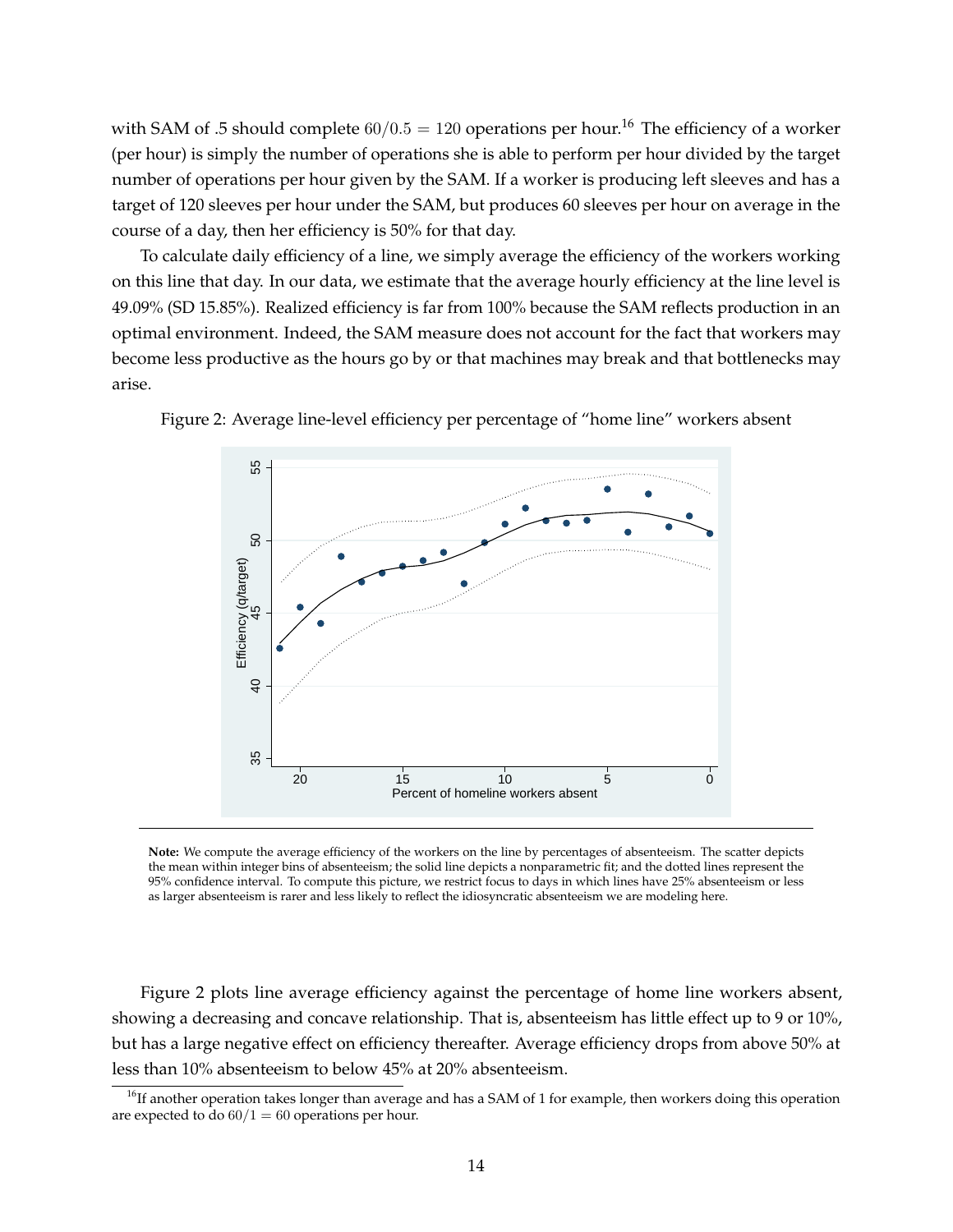with SAM of .5 should complete  $60/0.5 = 120$  operations per hour.<sup>16</sup> The efficiency of a worker (per hour) is simply the number of operations she is able to perform per hour divided by the target number of operations per hour given by the SAM. If a worker is producing left sleeves and has a target of 120 sleeves per hour under the SAM, but produces 60 sleeves per hour on average in the course of a day, then her efficiency is 50% for that day.

To calculate daily efficiency of a line, we simply average the efficiency of the workers working on this line that day. In our data, we estimate that the average hourly efficiency at the line level is 49.09% (SD 15.85%). Realized efficiency is far from 100% because the SAM reflects production in an optimal environment. Indeed, the SAM measure does not account for the fact that workers may become less productive as the hours go by or that machines may break and that bottlenecks may arise.



Figure 2: Average line-level efficiency per percentage of "home line" workers absent

**Note:** We compute the average efficiency of the workers on the line by percentages of absenteeism. The scatter depicts the mean within integer bins of absenteeism; the solid line depicts a nonparametric fit; and the dotted lines represent the 95% confidence interval. To compute this picture, we restrict focus to days in which lines have 25% absenteeism or less as larger absenteeism is rarer and less likely to reflect the idiosyncratic absenteeism we are modeling here.

Figure 2 plots line average efficiency against the percentage of home line workers absent, showing a decreasing and concave relationship. That is, absenteeism has little effect up to 9 or 10%, but has a large negative effect on efficiency thereafter. Average efficiency drops from above 50% at less than 10% absenteeism to below 45% at 20% absenteeism.

 $<sup>16</sup>$ If another operation takes longer than average and has a SAM of 1 for example, then workers doing this operation</sup> are expected to do  $60/1 = 60$  operations per hour.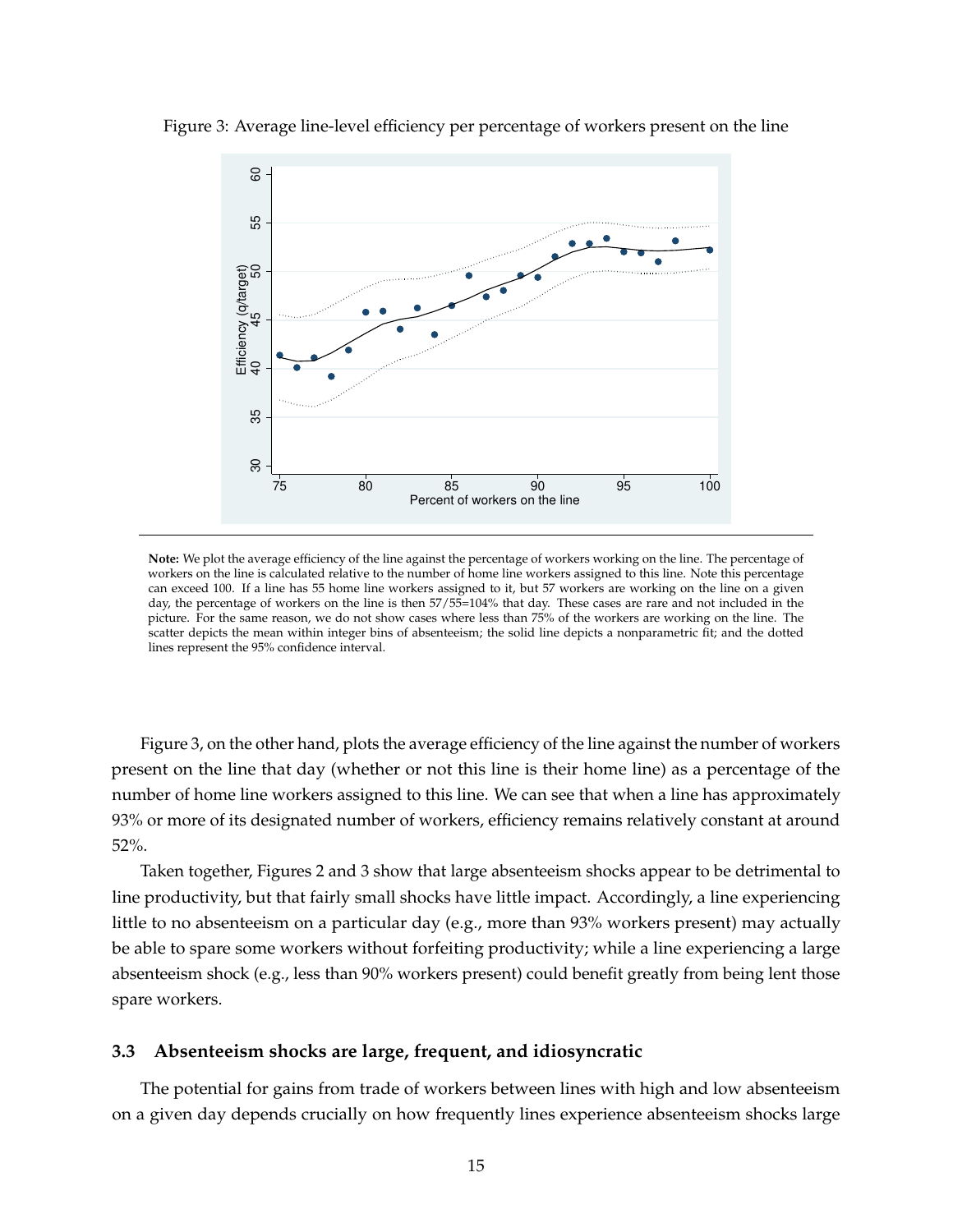

Figure 3: Average line-level efficiency per percentage of workers present on the line

**Note:** We plot the average efficiency of the line against the percentage of workers working on the line. The percentage of workers on the line is calculated relative to the number of home line workers assigned to this line. Note this percentage can exceed 100. If a line has 55 home line workers assigned to it, but 57 workers are working on the line on a given day, the percentage of workers on the line is then  $57/55=104\%$  that day. These cases are rare and not included in the picture. For the same reason, we do not show cases where less than 75% of the workers are working on the line. The scatter depicts the mean within integer bins of absenteeism; the solid line depicts a nonparametric fit; and the dotted lines represent the 95% confidence interval.

Figure 3, on the other hand, plots the average efficiency of the line against the number of workers present on the line that day (whether or not this line is their home line) as a percentage of the number of home line workers assigned to this line. We can see that when a line has approximately 93% or more of its designated number of workers, efficiency remains relatively constant at around 52%.

Taken together, Figures 2 and 3 show that large absenteeism shocks appear to be detrimental to line productivity, but that fairly small shocks have little impact. Accordingly, a line experiencing little to no absenteeism on a particular day (e.g., more than 93% workers present) may actually be able to spare some workers without forfeiting productivity; while a line experiencing a large absenteeism shock (e.g., less than 90% workers present) could benefit greatly from being lent those spare workers.

#### **3.3 Absenteeism shocks are large, frequent, and idiosyncratic**

The potential for gains from trade of workers between lines with high and low absenteeism on a given day depends crucially on how frequently lines experience absenteeism shocks large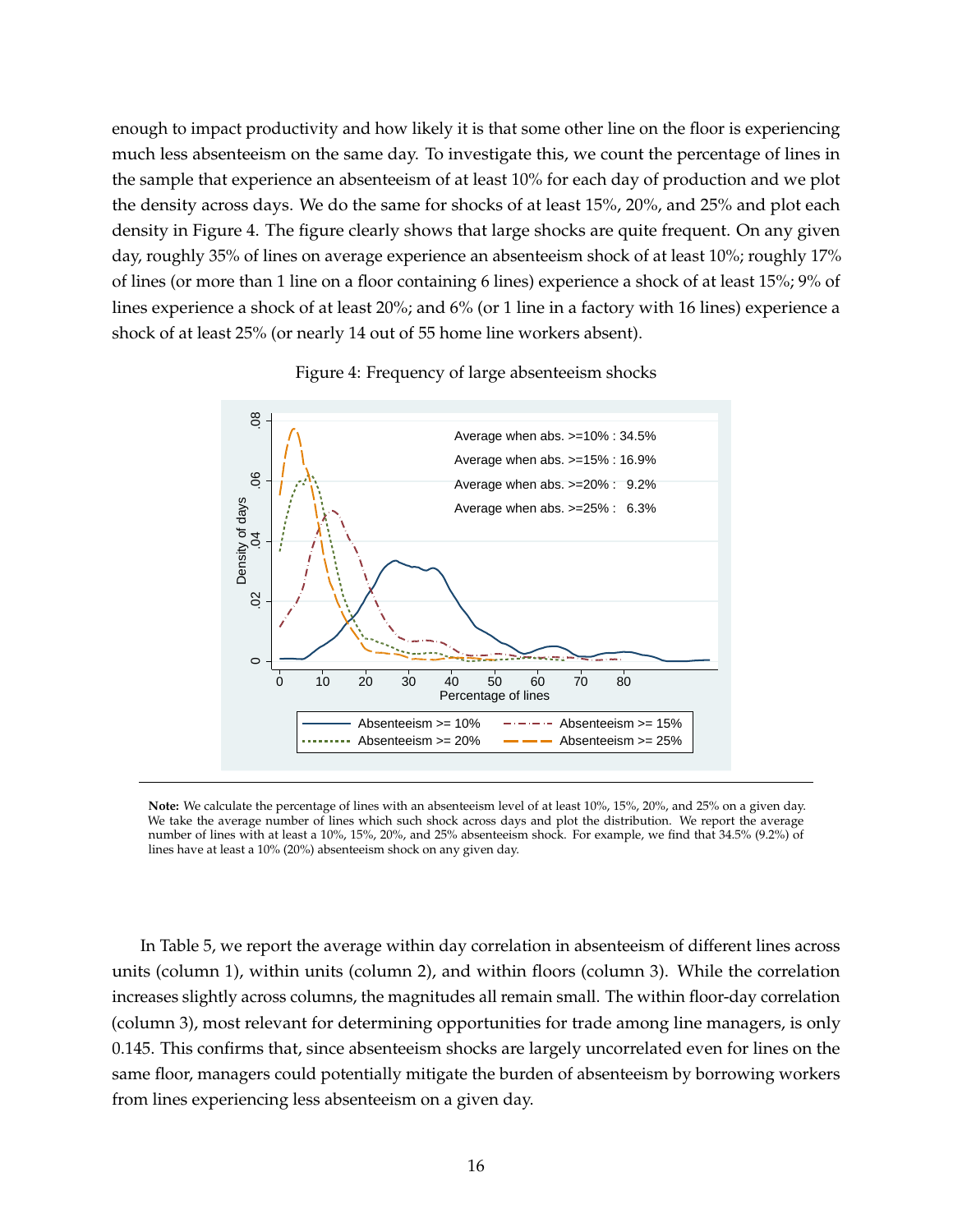enough to impact productivity and how likely it is that some other line on the floor is experiencing much less absenteeism on the same day. To investigate this, we count the percentage of lines in the sample that experience an absenteeism of at least 10% for each day of production and we plot the density across days. We do the same for shocks of at least 15%, 20%, and 25% and plot each density in Figure 4. The figure clearly shows that large shocks are quite frequent. On any given day, roughly 35% of lines on average experience an absenteeism shock of at least 10%; roughly 17% of lines (or more than 1 line on a floor containing 6 lines) experience a shock of at least 15%; 9% of lines experience a shock of at least 20%; and 6% (or 1 line in a factory with 16 lines) experience a shock of at least 25% (or nearly 14 out of 55 home line workers absent).



Figure 4: Frequency of large absenteeism shocks

**Note:** We calculate the percentage of lines with an absenteeism level of at least 10%, 15%, 20%, and 25% on a given day. We take the average number of lines which such shock across days and plot the distribution. We report the average number of lines with at least a 10%, 15%, 20%, and 25% absenteeism shock. For example, we find that 34.5% (9.2%) of lines have at least a 10% (20%) absenteeism shock on any given day.

In Table 5, we report the average within day correlation in absenteeism of different lines across units (column 1), within units (column 2), and within floors (column 3). While the correlation increases slightly across columns, the magnitudes all remain small. The within floor-day correlation (column 3), most relevant for determining opportunities for trade among line managers, is only 0.145. This confirms that, since absenteeism shocks are largely uncorrelated even for lines on the same floor, managers could potentially mitigate the burden of absenteeism by borrowing workers from lines experiencing less absenteeism on a given day.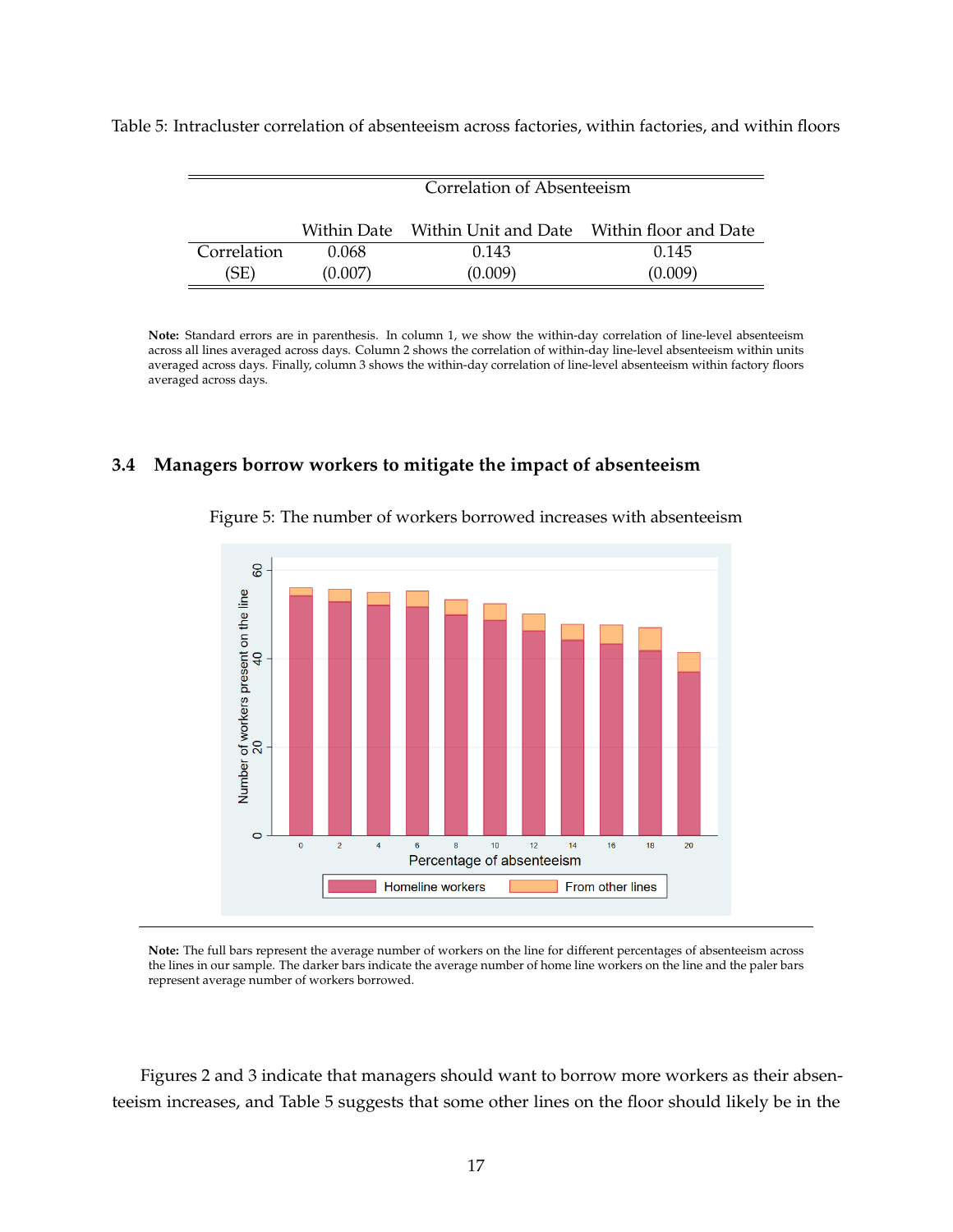|             | Correlation of Absenteeism |                                                        |         |  |
|-------------|----------------------------|--------------------------------------------------------|---------|--|
|             |                            | Within Date Within Unit and Date Within floor and Date |         |  |
| Correlation | 0.068                      | 0.143                                                  | 0.145   |  |
| (SE)        | (0.007)                    | (0.009)                                                | (0.009) |  |

Table 5: Intracluster correlation of absenteeism across factories, within factories, and within floors

**Note:** Standard errors are in parenthesis. In column 1, we show the within-day correlation of line-level absenteeism across all lines averaged across days. Column 2 shows the correlation of within-day line-level absenteeism within units averaged across days. Finally, column 3 shows the within-day correlation of line-level absenteeism within factory floors averaged across days.

#### **3.4 Managers borrow workers to mitigate the impact of absenteeism**



Figure 5: The number of workers borrowed increases with absenteeism

**Note:** The full bars represent the average number of workers on the line for different percentages of absenteeism across the lines in our sample. The darker bars indicate the average number of home line workers on the line and the paler bars represent average number of workers borrowed.

Figures 2 and 3 indicate that managers should want to borrow more workers as their absenteeism increases, and Table 5 suggests that some other lines on the floor should likely be in the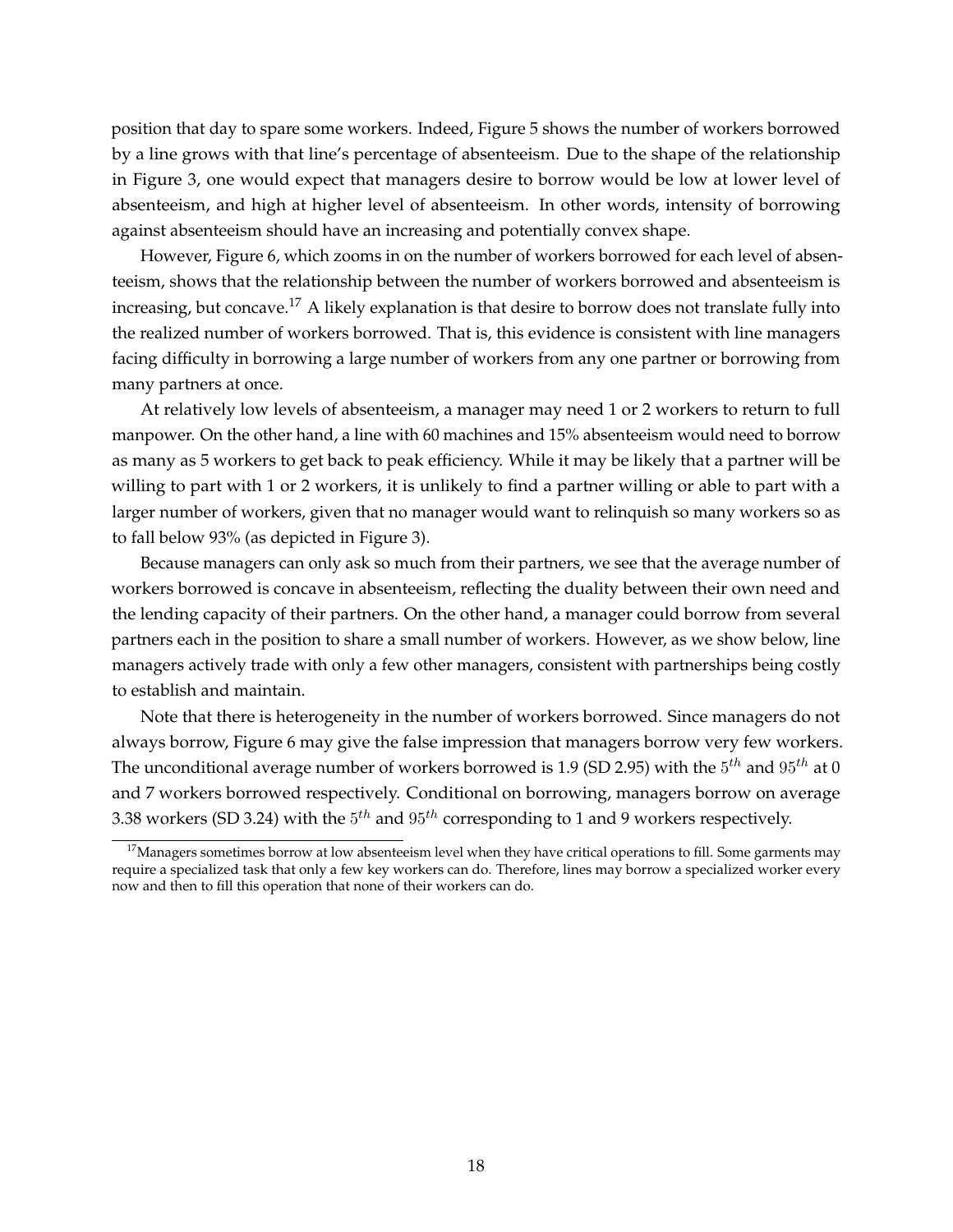position that day to spare some workers. Indeed, Figure 5 shows the number of workers borrowed by a line grows with that line's percentage of absenteeism. Due to the shape of the relationship in Figure 3, one would expect that managers desire to borrow would be low at lower level of absenteeism, and high at higher level of absenteeism. In other words, intensity of borrowing against absenteeism should have an increasing and potentially convex shape.

However, Figure 6, which zooms in on the number of workers borrowed for each level of absenteeism, shows that the relationship between the number of workers borrowed and absenteeism is increasing, but concave.<sup>17</sup> A likely explanation is that desire to borrow does not translate fully into the realized number of workers borrowed. That is, this evidence is consistent with line managers facing difficulty in borrowing a large number of workers from any one partner or borrowing from many partners at once.

At relatively low levels of absenteeism, a manager may need 1 or 2 workers to return to full manpower. On the other hand, a line with 60 machines and 15% absenteeism would need to borrow as many as 5 workers to get back to peak efficiency. While it may be likely that a partner will be willing to part with 1 or 2 workers, it is unlikely to find a partner willing or able to part with a larger number of workers, given that no manager would want to relinquish so many workers so as to fall below 93% (as depicted in Figure 3).

Because managers can only ask so much from their partners, we see that the average number of workers borrowed is concave in absenteeism, reflecting the duality between their own need and the lending capacity of their partners. On the other hand, a manager could borrow from several partners each in the position to share a small number of workers. However, as we show below, line managers actively trade with only a few other managers, consistent with partnerships being costly to establish and maintain.

Note that there is heterogeneity in the number of workers borrowed. Since managers do not always borrow, Figure 6 may give the false impression that managers borrow very few workers. The unconditional average number of workers borrowed is 1.9 (SD 2.95) with the  $5^{th}$  and  $95^{th}$  at  $0$ and 7 workers borrowed respectively. Conditional on borrowing, managers borrow on average 3.38 workers (SD 3.24) with the  $5^{th}$  and  $95^{th}$  corresponding to 1 and 9 workers respectively.

 $17$ Managers sometimes borrow at low absenteeism level when they have critical operations to fill. Some garments may require a specialized task that only a few key workers can do. Therefore, lines may borrow a specialized worker every now and then to fill this operation that none of their workers can do.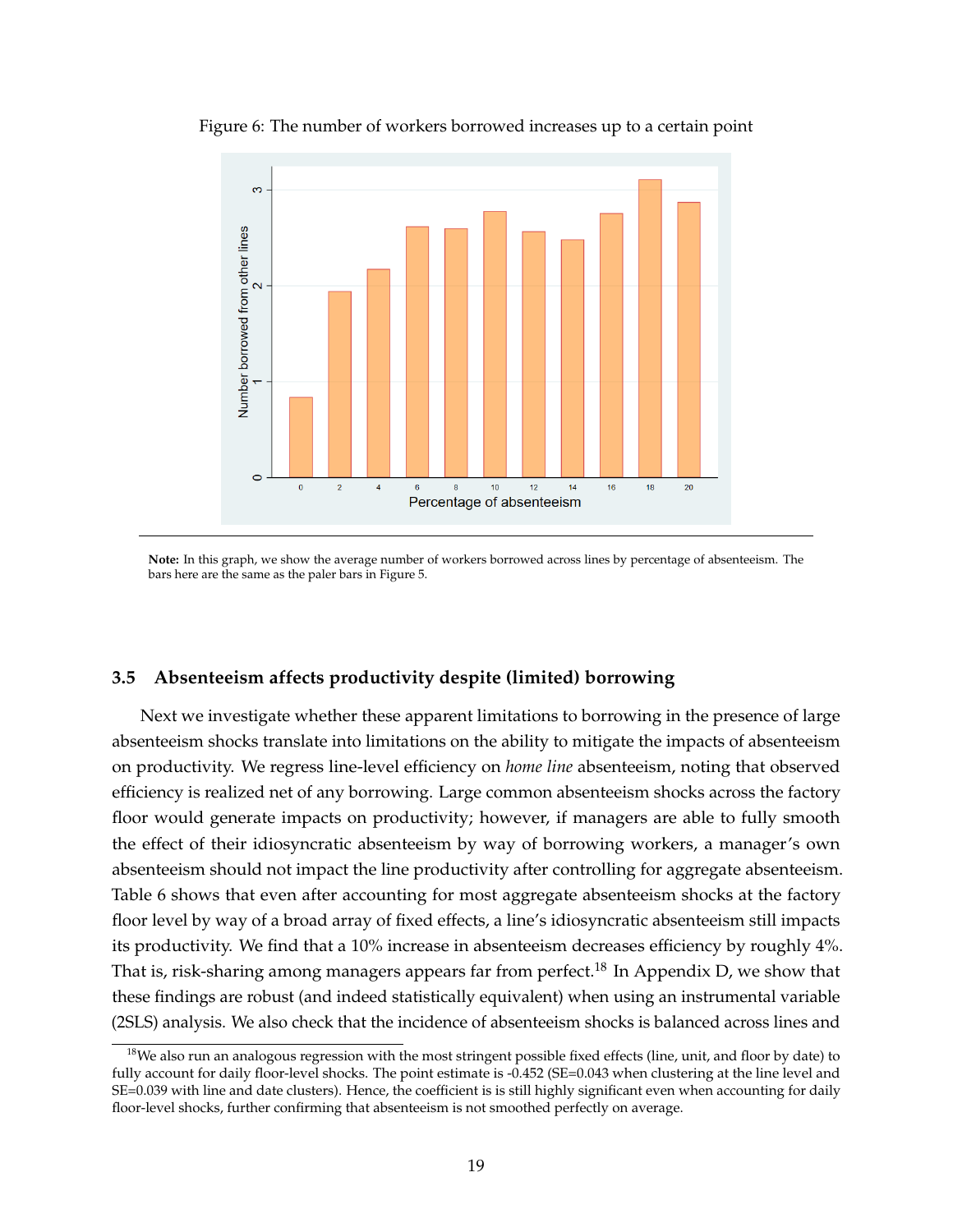

Figure 6: The number of workers borrowed increases up to a certain point

**Note:** In this graph, we show the average number of workers borrowed across lines by percentage of absenteeism. The bars here are the same as the paler bars in Figure 5.

#### **3.5 Absenteeism affects productivity despite (limited) borrowing**

Next we investigate whether these apparent limitations to borrowing in the presence of large absenteeism shocks translate into limitations on the ability to mitigate the impacts of absenteeism on productivity. We regress line-level efficiency on *home line* absenteeism, noting that observed efficiency is realized net of any borrowing. Large common absenteeism shocks across the factory floor would generate impacts on productivity; however, if managers are able to fully smooth the effect of their idiosyncratic absenteeism by way of borrowing workers, a manager's own absenteeism should not impact the line productivity after controlling for aggregate absenteeism. Table 6 shows that even after accounting for most aggregate absenteeism shocks at the factory floor level by way of a broad array of fixed effects, a line's idiosyncratic absenteeism still impacts its productivity. We find that a 10% increase in absenteeism decreases efficiency by roughly 4%. That is, risk-sharing among managers appears far from perfect.<sup>18</sup> In Appendix D, we show that these findings are robust (and indeed statistically equivalent) when using an instrumental variable (2SLS) analysis. We also check that the incidence of absenteeism shocks is balanced across lines and

 $18$ We also run an analogous regression with the most stringent possible fixed effects (line, unit, and floor by date) to fully account for daily floor-level shocks. The point estimate is -0.452 (SE=0.043 when clustering at the line level and SE=0.039 with line and date clusters). Hence, the coefficient is is still highly significant even when accounting for daily floor-level shocks, further confirming that absenteeism is not smoothed perfectly on average.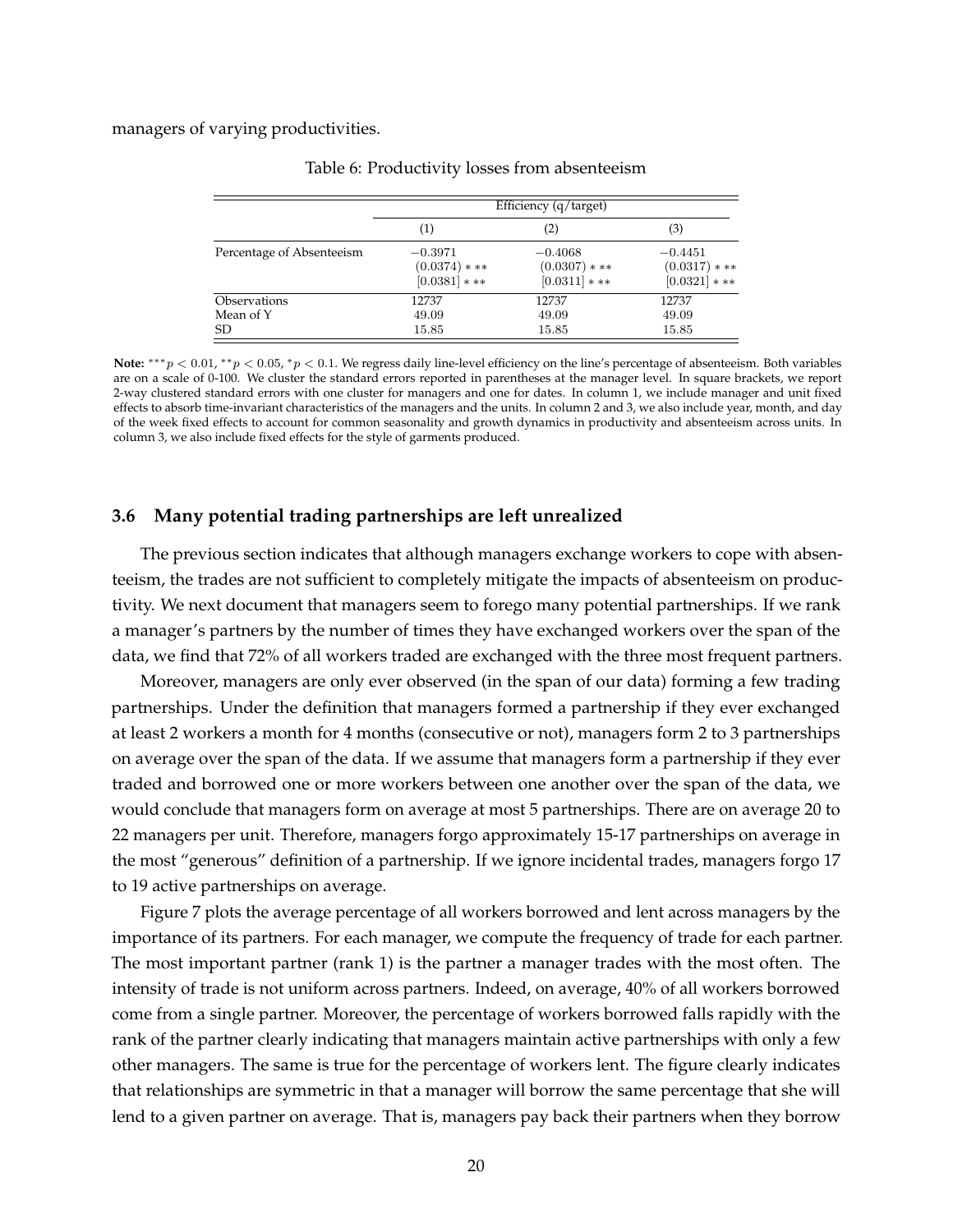managers of varying productivities.

|                           | Efficiency (q/target)                         |                                               |                                               |  |
|---------------------------|-----------------------------------------------|-----------------------------------------------|-----------------------------------------------|--|
|                           | (1)                                           | (2)                                           | (3)                                           |  |
| Percentage of Absenteeism | $-0.3971$<br>$(0.0374)$ * **<br>$[0.0381]***$ | $-0.4068$<br>$(0.0307)$ * **<br>$[0.0311]***$ | $-0.4451$<br>$(0.0317)$ * **<br>$[0.0321]***$ |  |
| Observations              | 12737                                         | 12737                                         | 12737                                         |  |
| Mean of Y                 | 49.09                                         | 49.09                                         | 49.09                                         |  |
| SD                        | 15.85                                         | 15.85                                         | 15.85                                         |  |

Table 6: Productivity losses from absenteeism

Note: \*\*\*p < 0.01, \*\*p < 0.05, \*p < 0.1. We regress daily line-level efficiency on the line's percentage of absenteeism. Both variables are on a scale of 0-100. We cluster the standard errors reported in parentheses at the manager level. In square brackets, we report 2-way clustered standard errors with one cluster for managers and one for dates. In column 1, we include manager and unit fixed effects to absorb time-invariant characteristics of the managers and the units. In column 2 and 3, we also include year, month, and day of the week fixed effects to account for common seasonality and growth dynamics in productivity and absenteeism across units. In column 3, we also include fixed effects for the style of garments produced.

#### **3.6 Many potential trading partnerships are left unrealized**

The previous section indicates that although managers exchange workers to cope with absenteeism, the trades are not sufficient to completely mitigate the impacts of absenteeism on productivity. We next document that managers seem to forego many potential partnerships. If we rank a manager's partners by the number of times they have exchanged workers over the span of the data, we find that 72% of all workers traded are exchanged with the three most frequent partners.

Moreover, managers are only ever observed (in the span of our data) forming a few trading partnerships. Under the definition that managers formed a partnership if they ever exchanged at least 2 workers a month for 4 months (consecutive or not), managers form 2 to 3 partnerships on average over the span of the data. If we assume that managers form a partnership if they ever traded and borrowed one or more workers between one another over the span of the data, we would conclude that managers form on average at most 5 partnerships. There are on average 20 to 22 managers per unit. Therefore, managers forgo approximately 15-17 partnerships on average in the most "generous" definition of a partnership. If we ignore incidental trades, managers forgo 17 to 19 active partnerships on average.

Figure 7 plots the average percentage of all workers borrowed and lent across managers by the importance of its partners. For each manager, we compute the frequency of trade for each partner. The most important partner (rank 1) is the partner a manager trades with the most often. The intensity of trade is not uniform across partners. Indeed, on average, 40% of all workers borrowed come from a single partner. Moreover, the percentage of workers borrowed falls rapidly with the rank of the partner clearly indicating that managers maintain active partnerships with only a few other managers. The same is true for the percentage of workers lent. The figure clearly indicates that relationships are symmetric in that a manager will borrow the same percentage that she will lend to a given partner on average. That is, managers pay back their partners when they borrow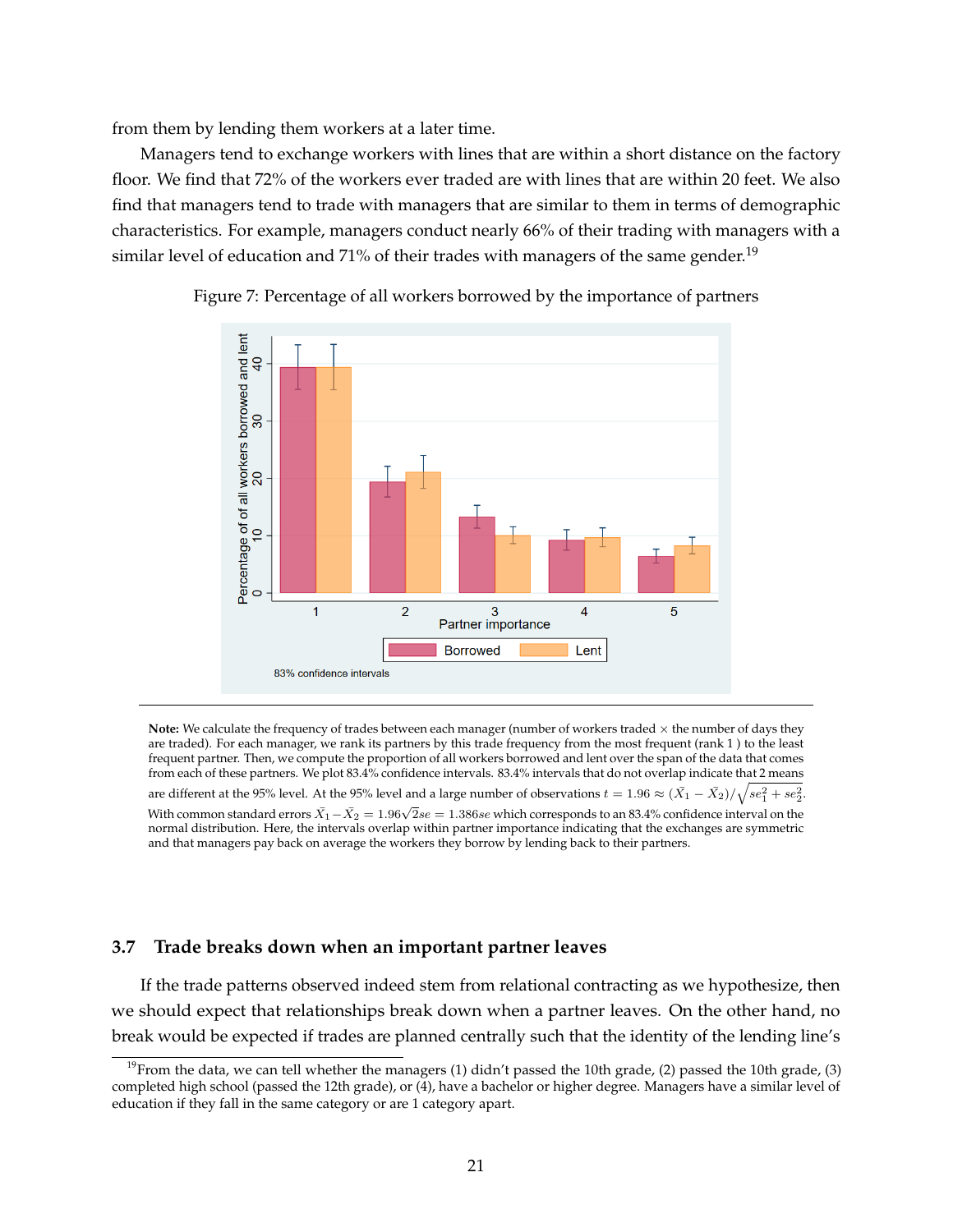from them by lending them workers at a later time.

Managers tend to exchange workers with lines that are within a short distance on the factory floor. We find that 72% of the workers ever traded are with lines that are within 20 feet. We also find that managers tend to trade with managers that are similar to them in terms of demographic characteristics. For example, managers conduct nearly 66% of their trading with managers with a similar level of education and 71% of their trades with managers of the same gender.<sup>19</sup>





Note: We calculate the frequency of trades between each manager (number of workers traded  $\times$  the number of days they are traded). For each manager, we rank its partners by this trade frequency from the most frequent (rank 1 ) to the least frequent partner. Then, we compute the proportion of all workers borrowed and lent over the span of the data that comes from each of these partners. We plot 83.4% confidence intervals. 83.4% intervals that do not overlap indicate that 2 means are different at the 95% level. At the 95% level and a large number of observations  $t=1.96\approx (\bar{X_1}-\bar{X_2})/\sqrt{se_1^2+se_2^2}.$ With common standard errors  $\bar{X}_1 - \bar{X}_2 = 1.96\sqrt{2}$ se  $= 1.386$ se which corresponds to an 83.4% confidence interval on the normal distribution. Here, the intervals overlap within partner importance indicating that the exchanges are symmetric and that managers pay back on average the workers they borrow by lending back to their partners.

#### **3.7 Trade breaks down when an important partner leaves**

If the trade patterns observed indeed stem from relational contracting as we hypothesize, then we should expect that relationships break down when a partner leaves. On the other hand, no break would be expected if trades are planned centrally such that the identity of the lending line's

<sup>&</sup>lt;sup>19</sup>From the data, we can tell whether the managers (1) didn't passed the 10th grade, (2) passed the 10th grade, (3) completed high school (passed the 12th grade), or (4), have a bachelor or higher degree. Managers have a similar level of education if they fall in the same category or are 1 category apart.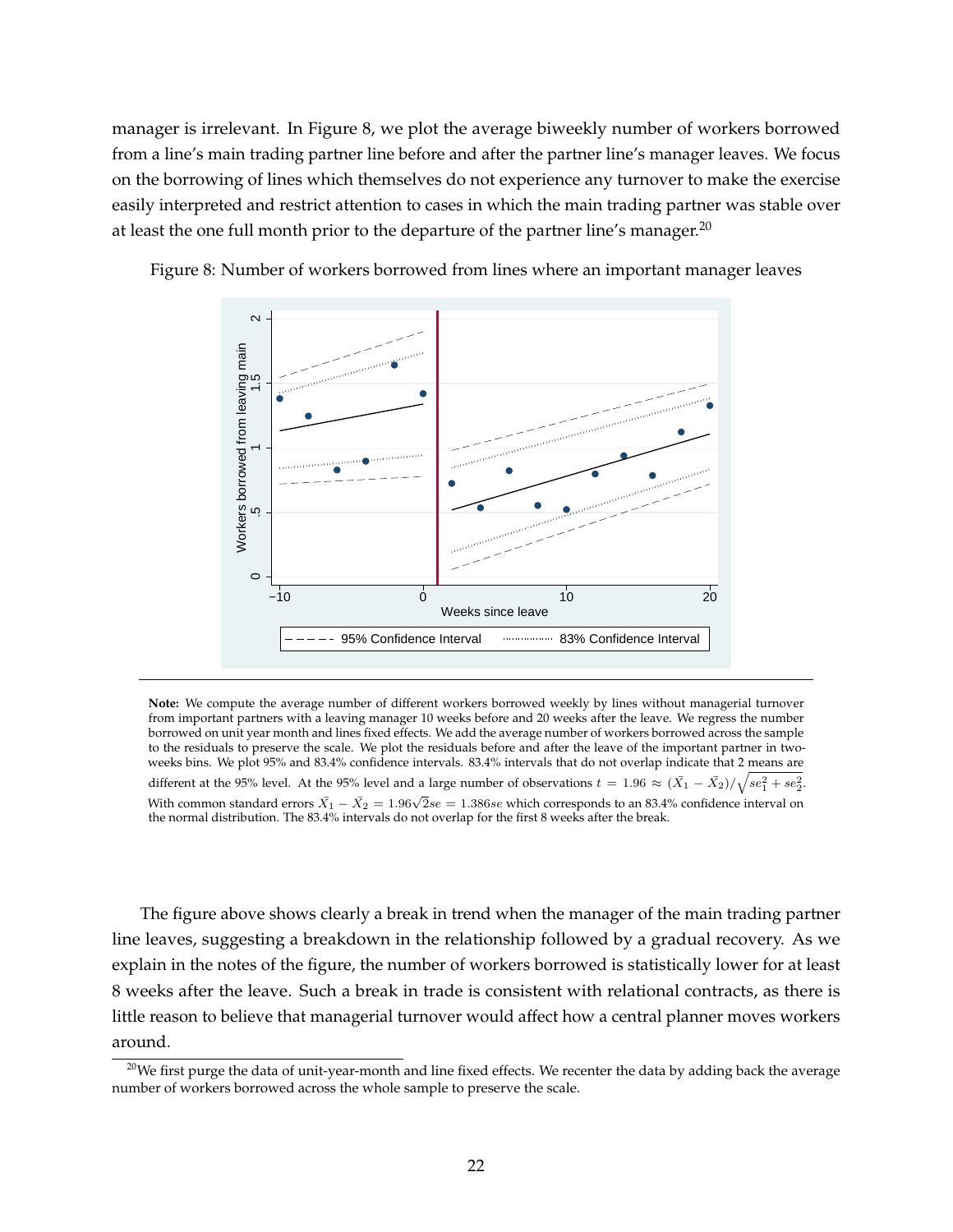manager is irrelevant. In Figure 8, we plot the average biweekly number of workers borrowed from a line's main trading partner line before and after the partner line's manager leaves. We focus on the borrowing of lines which themselves do not experience any turnover to make the exercise easily interpreted and restrict attention to cases in which the main trading partner was stable over at least the one full month prior to the departure of the partner line's manager.<sup>20</sup>



Figure 8: Number of workers borrowed from lines where an important manager leaves

**Note:** We compute the average number of different workers borrowed weekly by lines without managerial turnover from important partners with a leaving manager 10 weeks before and 20 weeks after the leave. We regress the number borrowed on unit year month and lines fixed effects. We add the average number of workers borrowed across the sample to the residuals to preserve the scale. We plot the residuals before and after the leave of the important partner in twoweeks bins. We plot 95% and 83.4% confidence intervals. 83.4% intervals that do not overlap indicate that 2 means are different at the 95% level. At the 95% level and a large number of observations  $t=1.96\approx (\bar{X_1}-\bar{X_2})/\sqrt{se_1^2+se_2^2}.$ With common standard errors  $\bar{X}_1 - \bar{X}_2 = 1.96\sqrt{2}$ se = 1.386se which corresponds to an 83.4% confidence interval on the normal distribution. The 83.4% intervals do not overlap for the first 8 weeks after the break.

The figure above shows clearly a break in trend when the manager of the main trading partner line leaves, suggesting a breakdown in the relationship followed by a gradual recovery. As we explain in the notes of the figure, the number of workers borrowed is statistically lower for at least 8 weeks after the leave. Such a break in trade is consistent with relational contracts, as there is little reason to believe that managerial turnover would affect how a central planner moves workers around.

<sup>&</sup>lt;sup>20</sup>We first purge the data of unit-year-month and line fixed effects. We recenter the data by adding back the average number of workers borrowed across the whole sample to preserve the scale.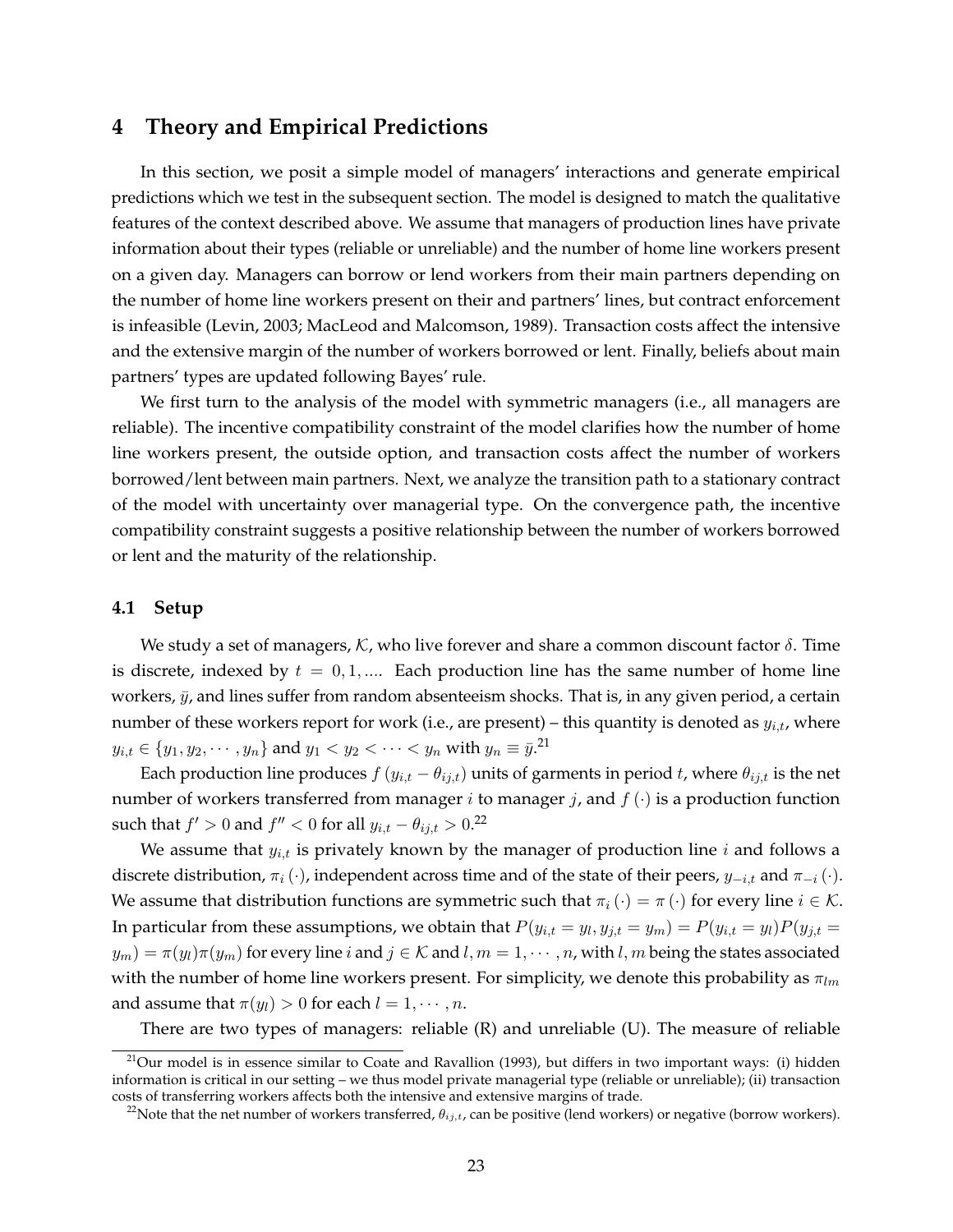## **4 Theory and Empirical Predictions**

In this section, we posit a simple model of managers' interactions and generate empirical predictions which we test in the subsequent section. The model is designed to match the qualitative features of the context described above. We assume that managers of production lines have private information about their types (reliable or unreliable) and the number of home line workers present on a given day. Managers can borrow or lend workers from their main partners depending on the number of home line workers present on their and partners' lines, but contract enforcement is infeasible (Levin, 2003; MacLeod and Malcomson, 1989). Transaction costs affect the intensive and the extensive margin of the number of workers borrowed or lent. Finally, beliefs about main partners' types are updated following Bayes' rule.

We first turn to the analysis of the model with symmetric managers (i.e., all managers are reliable). The incentive compatibility constraint of the model clarifies how the number of home line workers present, the outside option, and transaction costs affect the number of workers borrowed/lent between main partners. Next, we analyze the transition path to a stationary contract of the model with uncertainty over managerial type. On the convergence path, the incentive compatibility constraint suggests a positive relationship between the number of workers borrowed or lent and the maturity of the relationship.

#### **4.1 Setup**

We study a set of managers, K, who live forever and share a common discount factor  $\delta$ . Time is discrete, indexed by  $t = 0, 1, \dots$  Each production line has the same number of home line workers,  $\bar{y}$ , and lines suffer from random absenteeism shocks. That is, in any given period, a certain number of these workers report for work (i.e., are present) – this quantity is denoted as  $y_{i,t}$ , where  $y_{i,t} \in \{y_1, y_2, \cdots, y_n\}$  and  $y_1 < y_2 < \cdots < y_n$  with  $y_n \equiv \bar{y}.^{21}$ 

Each production line produces  $f(y_{i,t} - \theta_{i,t})$  units of garments in period t, where  $\theta_{i,j,t}$  is the net number of workers transferred from manager *i* to manager *j*, and  $f(\cdot)$  is a production function such that  $f' > 0$  and  $f'' < 0$  for all  $y_{i,t} - \theta_{ij,t} > 0$ .<sup>22</sup>

We assume that  $y_{i,t}$  is privately known by the manager of production line  $i$  and follows a discrete distribution,  $\pi_i(\cdot)$ , independent across time and of the state of their peers,  $y_{-i,t}$  and  $\pi_{-i}(\cdot)$ . We assume that distribution functions are symmetric such that  $\pi_i(\cdot) = \pi(\cdot)$  for every line  $i \in \mathcal{K}$ . In particular from these assumptions, we obtain that  $P(y_{i,t}=y_l,y_{j,t}=y_m)=P(y_{i,t}=y_l)P(y_{j,t}=y_l)$  $y_m$ ) =  $\pi(y_l)\pi(y_m)$  for every line i and  $j \in \mathcal{K}$  and  $l, m = 1, \cdots, n$ , with  $l, m$  being the states associated with the number of home line workers present. For simplicity, we denote this probability as  $\pi_{lm}$ and assume that  $\pi(y_l) > 0$  for each  $l = 1, \dots, n$ .

There are two types of managers: reliable (R) and unreliable (U). The measure of reliable

 $^{21}$ Our model is in essence similar to Coate and Ravallion (1993), but differs in two important ways: (i) hidden information is critical in our setting – we thus model private managerial type (reliable or unreliable); (ii) transaction costs of transferring workers affects both the intensive and extensive margins of trade.

<sup>&</sup>lt;sup>22</sup>Note that the net number of workers transferred,  $\theta_{ij,t}$ , can be positive (lend workers) or negative (borrow workers).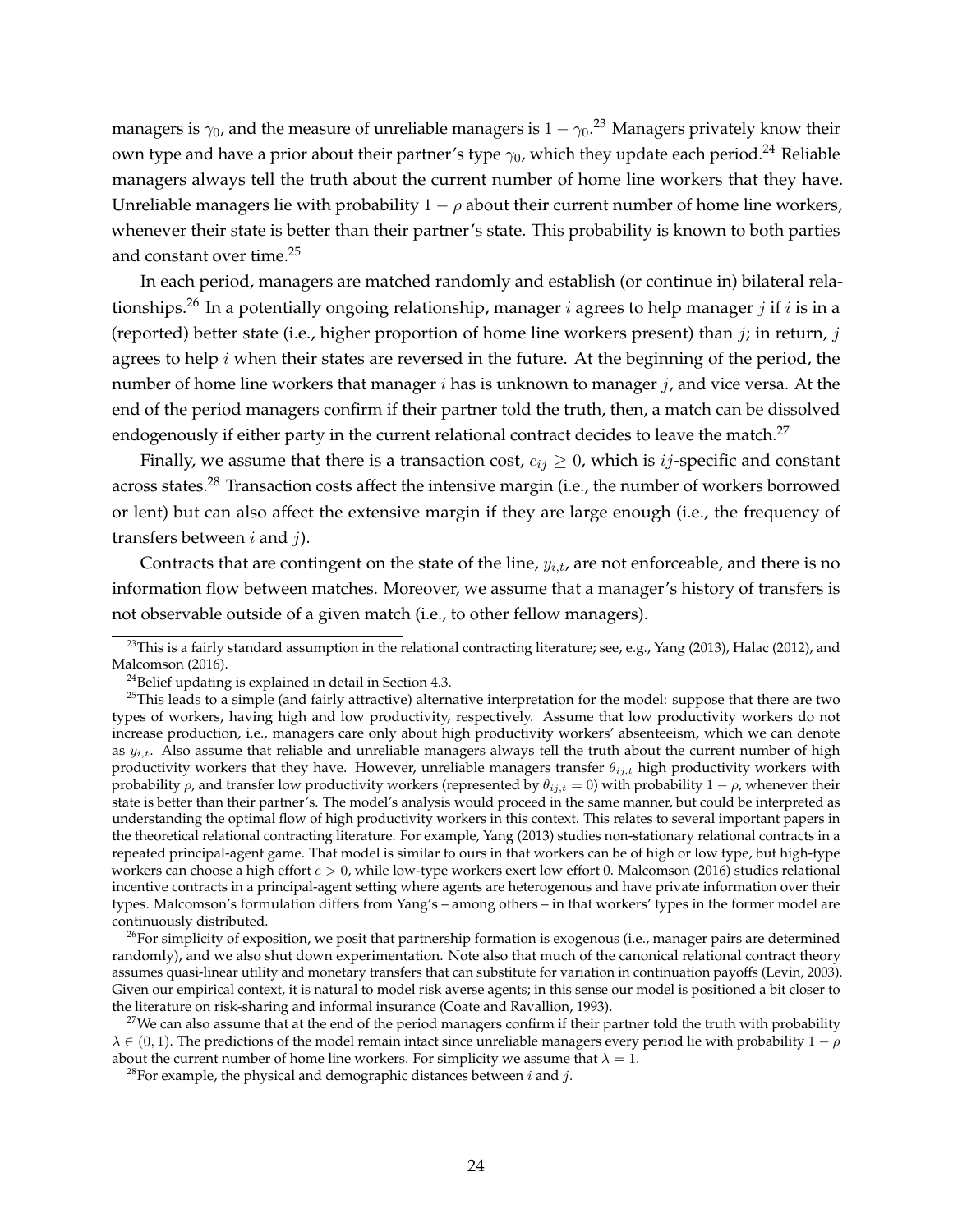managers is  $\gamma_0$ , and the measure of unreliable managers is  $1-\gamma_0$ . $^{23}$  Managers privately know their own type and have a prior about their partner's type  $\gamma_0$ , which they update each period.<sup>24</sup> Reliable managers always tell the truth about the current number of home line workers that they have. Unreliable managers lie with probability  $1 - \rho$  about their current number of home line workers, whenever their state is better than their partner's state. This probability is known to both parties and constant over time.<sup>25</sup>

In each period, managers are matched randomly and establish (or continue in) bilateral relationships.<sup>26</sup> In a potentially ongoing relationship, manager *i* agrees to help manager *j* if *i* is in a (reported) better state (i.e., higher proportion of home line workers present) than  $j$ ; in return,  $j$ agrees to help  $i$  when their states are reversed in the future. At the beginning of the period, the number of home line workers that manager  $i$  has is unknown to manager  $j$ , and vice versa. At the end of the period managers confirm if their partner told the truth, then, a match can be dissolved endogenously if either party in the current relational contract decides to leave the match.<sup>27</sup>

Finally, we assume that there is a transaction cost,  $c_{ij} \geq 0$ , which is *ij*-specific and constant across states.<sup>28</sup> Transaction costs affect the intensive margin (i.e., the number of workers borrowed or lent) but can also affect the extensive margin if they are large enough (i.e., the frequency of transfers between  $i$  and  $j$ ).

Contracts that are contingent on the state of the line,  $y_{i,t}$ , are not enforceable, and there is no information flow between matches. Moreover, we assume that a manager's history of transfers is not observable outside of a given match (i.e., to other fellow managers).

 $^{23}$ This is a fairly standard assumption in the relational contracting literature; see, e.g., Yang (2013), Halac (2012), and Malcomson (2016).

 $24$ Belief updating is explained in detail in Section 4.3.

 $25$ This leads to a simple (and fairly attractive) alternative interpretation for the model: suppose that there are two types of workers, having high and low productivity, respectively. Assume that low productivity workers do not increase production, i.e., managers care only about high productivity workers' absenteeism, which we can denote as  $y_{i,t}$ . Also assume that reliable and unreliable managers always tell the truth about the current number of high productivity workers that they have. However, unreliable managers transfer  $\theta_{ij,t}$  high productivity workers with probability  $\rho$ , and transfer low productivity workers (represented by  $\theta_{ij,t} = 0$ ) with probability  $1 - \rho$ , whenever their state is better than their partner's. The model's analysis would proceed in the same manner, but could be interpreted as understanding the optimal flow of high productivity workers in this context. This relates to several important papers in the theoretical relational contracting literature. For example, Yang (2013) studies non-stationary relational contracts in a repeated principal-agent game. That model is similar to ours in that workers can be of high or low type, but high-type workers can choose a high effort  $\bar{e} > 0$ , while low-type workers exert low effort 0. Malcomson (2016) studies relational incentive contracts in a principal-agent setting where agents are heterogenous and have private information over their types. Malcomson's formulation differs from Yang's – among others – in that workers' types in the former model are continuously distributed.

 $^{26}$ For simplicity of exposition, we posit that partnership formation is exogenous (i.e., manager pairs are determined randomly), and we also shut down experimentation. Note also that much of the canonical relational contract theory assumes quasi-linear utility and monetary transfers that can substitute for variation in continuation payoffs (Levin, 2003). Given our empirical context, it is natural to model risk averse agents; in this sense our model is positioned a bit closer to the literature on risk-sharing and informal insurance (Coate and Ravallion, 1993).

<sup>&</sup>lt;sup>27</sup>We can also assume that at the end of the period managers confirm if their partner told the truth with probability  $\lambda \in (0, 1)$ . The predictions of the model remain intact since unreliable managers every period lie with probability  $1 - \rho$ about the current number of home line workers. For simplicity we assume that  $\lambda = 1$ .

<sup>&</sup>lt;sup>28</sup>For example, the physical and demographic distances between  $i$  and  $j$ .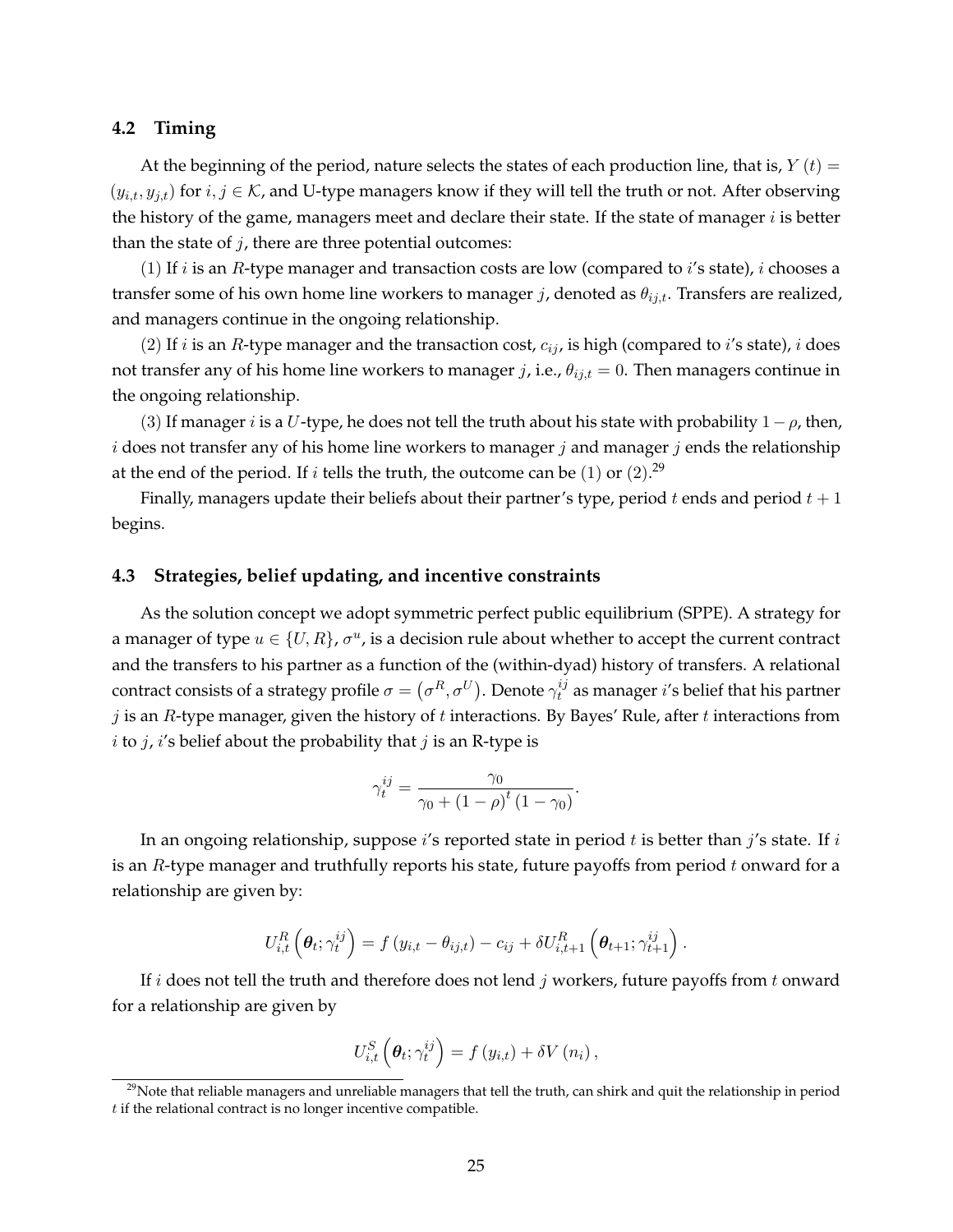#### **4.2 Timing**

At the beginning of the period, nature selects the states of each production line, that is,  $Y(t) =$  $(y_{i,t}, y_{j,t})$  for  $i, j \in \mathcal{K}$ , and U-type managers know if they will tell the truth or not. After observing the history of the game, managers meet and declare their state. If the state of manager  $i$  is better than the state of  $j$ , there are three potential outcomes:

(1) If *i* is an *R*-type manager and transaction costs are low (compared to *i*'s state), *i* chooses a transfer some of his own home line workers to manager j, denoted as  $\theta_{ij,t}$ . Transfers are realized, and managers continue in the ongoing relationship.

(2) If *i* is an *R*-type manager and the transaction cost,  $c_{ij}$ , is high (compared to *i*'s state), *i* does not transfer any of his home line workers to manager j, i.e.,  $\theta_{ij,t} = 0$ . Then managers continue in the ongoing relationship.

(3) If manager *i* is a U-type, he does not tell the truth about his state with probability  $1-\rho$ , then, i does not transfer any of his home line workers to manager j and manager j ends the relationship at the end of the period. If  $i$  tells the truth, the outcome can be  $(1)$  or  $(2).^{29}$ 

Finally, managers update their beliefs about their partner's type, period t ends and period  $t + 1$ begins.

#### **4.3 Strategies, belief updating, and incentive constraints**

As the solution concept we adopt symmetric perfect public equilibrium (SPPE). A strategy for a manager of type  $u \in \{U,R\}$ ,  $\sigma^u$ , is a decision rule about whether to accept the current contract and the transfers to his partner as a function of the (within-dyad) history of transfers. A relational contract consists of a strategy profile  $\sigma = \left(\sigma^R, \sigma^U\right)$ . Denote  $\gamma_t^{ij}$  $t^{ij}_t$  as manager  $i^{\prime}$ s belief that his partner  $j$  is an R-type manager, given the history of  $t$  interactions. By Bayes' Rule, after  $t$  interactions from *i* to *j*, *i*'s belief about the probability that *j* is an R-type is

$$
\gamma_t^{ij} = \frac{\gamma_0}{\gamma_0 + \left(1 - \rho\right)^t \left(1 - \gamma_0\right)}
$$

.

In an ongoing relationship, suppose  $i$ 's reported state in period  $t$  is better than  $j$ 's state. If  $i$ is an  $R$ -type manager and truthfully reports his state, future payoffs from period  $t$  onward for a relationship are given by:

$$
U_{i,t}^R\left(\boldsymbol{\theta}_t;\gamma_t^{ij}\right)=f\left(y_{i,t}-\theta_{ij,t}\right)-c_{ij}+\delta U_{i,t+1}^R\left(\boldsymbol{\theta}_{t+1};\gamma_{t+1}^{ij}\right).
$$

If i does not tell the truth and therefore does not lend j workers, future payoffs from t onward for a relationship are given by

$$
U_{i,t}^{S}\left(\boldsymbol{\theta}_{t};\gamma_{t}^{ij}\right)=f\left(y_{i,t}\right)+\delta V\left(n_{i}\right),\,
$$

 $29$ Note that reliable managers and unreliable managers that tell the truth, can shirk and quit the relationship in period  $t$  if the relational contract is no longer incentive compatible.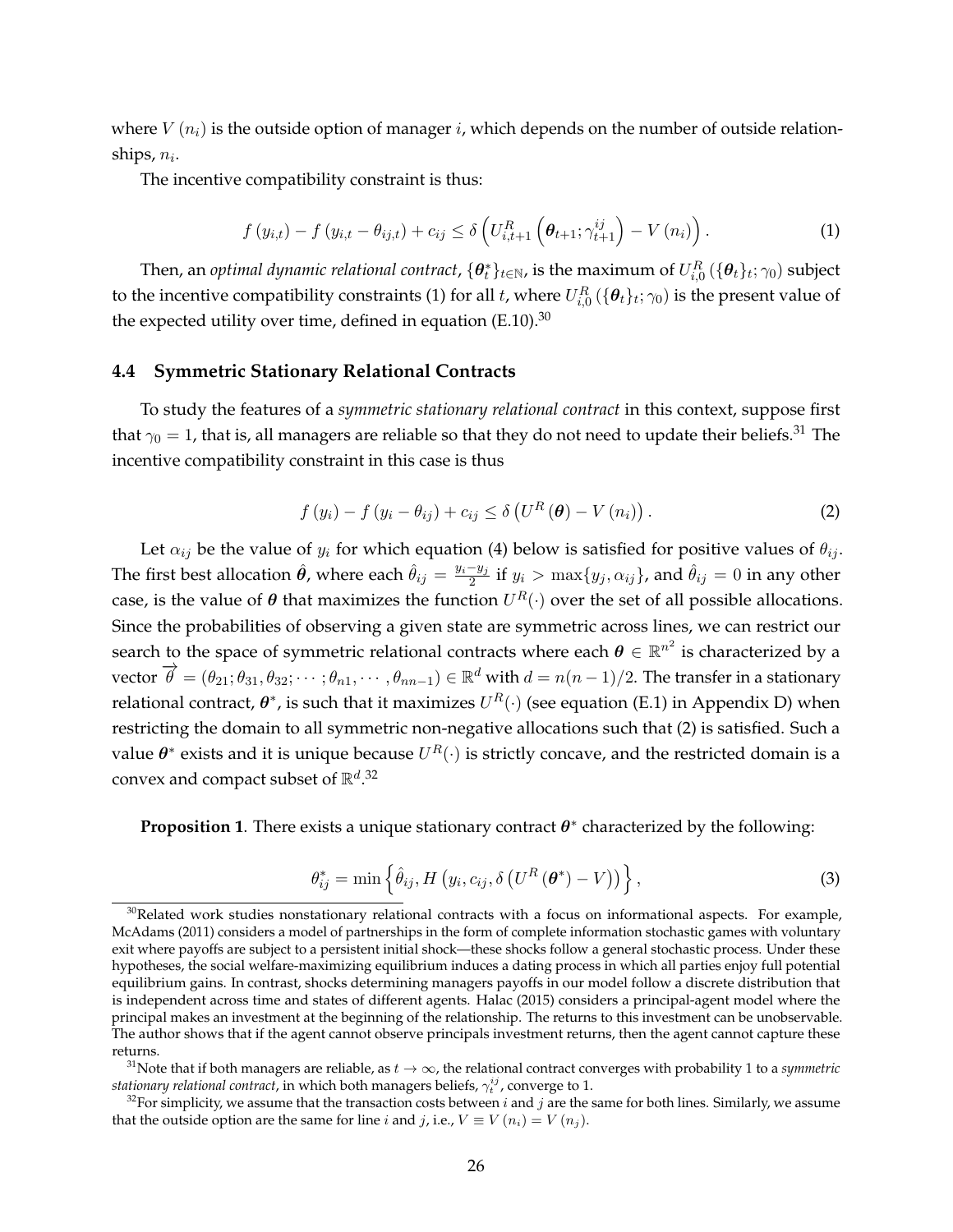where  $V(n_i)$  is the outside option of manager i, which depends on the number of outside relationships,  $n_i$ .

The incentive compatibility constraint is thus:

$$
f(y_{i,t}) - f(y_{i,t} - \theta_{ij,t}) + c_{ij} \leq \delta \left( U_{i,t+1}^R \left( \theta_{t+1}; \gamma_{t+1}^{ij} \right) - V(n_i) \right). \tag{1}
$$

Then, an *optimal dynamic relational contract,*  $\{\bm\theta_t^*\}_{t\in\mathbb{N}}$ *,* is the maximum of  $U^R_{i,0}(\{\bm\theta_t\}_t;\gamma_0)$  subject to the incentive compatibility constraints (1) for all  $t$ , where  $U_{i,0}^R$   $(\{\bm{\theta}_t\}_t; \gamma_0)$  is the present value of the expected utility over time, defined in equation  $(E.10).^{30}$ 

#### **4.4 Symmetric Stationary Relational Contracts**

To study the features of a *symmetric stationary relational contract* in this context, suppose first that  $\gamma_0 = 1$ , that is, all managers are reliable so that they do not need to update their beliefs.<sup>31</sup> The incentive compatibility constraint in this case is thus

$$
f(y_i) - f(y_i - \theta_{ij}) + c_{ij} \leq \delta \left( U^R \left( \boldsymbol{\theta} \right) - V(n_i) \right). \tag{2}
$$

Let  $\alpha_{ij}$  be the value of  $y_i$  for which equation (4) below is satisfied for positive values of  $\theta_{ij}$ . The first best allocation  $\hat{\theta}$ , where each  $\hat{\theta}_{ij} = \frac{y_i - y_j}{2}$  $\frac{-y_j}{2}$  if  $y_i > \max\{y_j, \alpha_{ij}\}$ , and  $\hat{\theta}_{ij} = 0$  in any other case, is the value of  $\theta$  that maximizes the function  $U^R(\cdot)$  over the set of all possible allocations. Since the probabilities of observing a given state are symmetric across lines, we can restrict our search to the space of symmetric relational contracts where each  $\theta \in \mathbb{R}^{n^2}$  is characterized by a vector  $\overrightarrow{\theta} = (\theta_{21}; \theta_{31}, \theta_{32}; \cdots; \theta_{n1}, \cdots, \theta_{nn-1}) \in \mathbb{R}^d$  with  $d = n(n-1)/2$ . The transfer in a stationary relational contract,  $\bm{\theta}^*$ , is such that it maximizes  $U^R(\cdot)$  (see equation (E.1) in Appendix D) when restricting the domain to all symmetric non-negative allocations such that (2) is satisfied. Such a value  $\bm{\theta}^*$  exists and it is unique because  $U^R(\cdot)$  is strictly concave, and the restricted domain is a convex and compact subset of  $\mathbb{R}^{d}$ .<sup>32</sup>

**Proposition 1**. There exists a unique stationary contract  $\theta^*$  characterized by the following:

$$
\theta_{ij}^* = \min\left\{\hat{\theta}_{ij}, H\left(y_i, c_{ij}, \delta\left(U^R\left(\boldsymbol{\theta}^*\right) - V\right)\right)\right\},\tag{3}
$$

 $30$ Related work studies nonstationary relational contracts with a focus on informational aspects. For example, McAdams (2011) considers a model of partnerships in the form of complete information stochastic games with voluntary exit where payoffs are subject to a persistent initial shock—these shocks follow a general stochastic process. Under these hypotheses, the social welfare-maximizing equilibrium induces a dating process in which all parties enjoy full potential equilibrium gains. In contrast, shocks determining managers payoffs in our model follow a discrete distribution that is independent across time and states of different agents. Halac (2015) considers a principal-agent model where the principal makes an investment at the beginning of the relationship. The returns to this investment can be unobservable. The author shows that if the agent cannot observe principals investment returns, then the agent cannot capture these returns.

<sup>&</sup>lt;sup>31</sup>Note that if both managers are reliable, as  $t\to\infty$ , the relational contract converges with probability 1 to a *symmetric*  $_{stationary\; relational\; contract}$ , in which both managers beliefs,  $\gamma_t^{ij}$  , converge to  $1.$ 

<sup>&</sup>lt;sup>32</sup>For simplicity, we assume that the transaction costs between i and j are the same for both lines. Similarly, we assume that the outside option are the same for line i and j, i.e.,  $V \equiv V(n_i) = V(n_i)$ .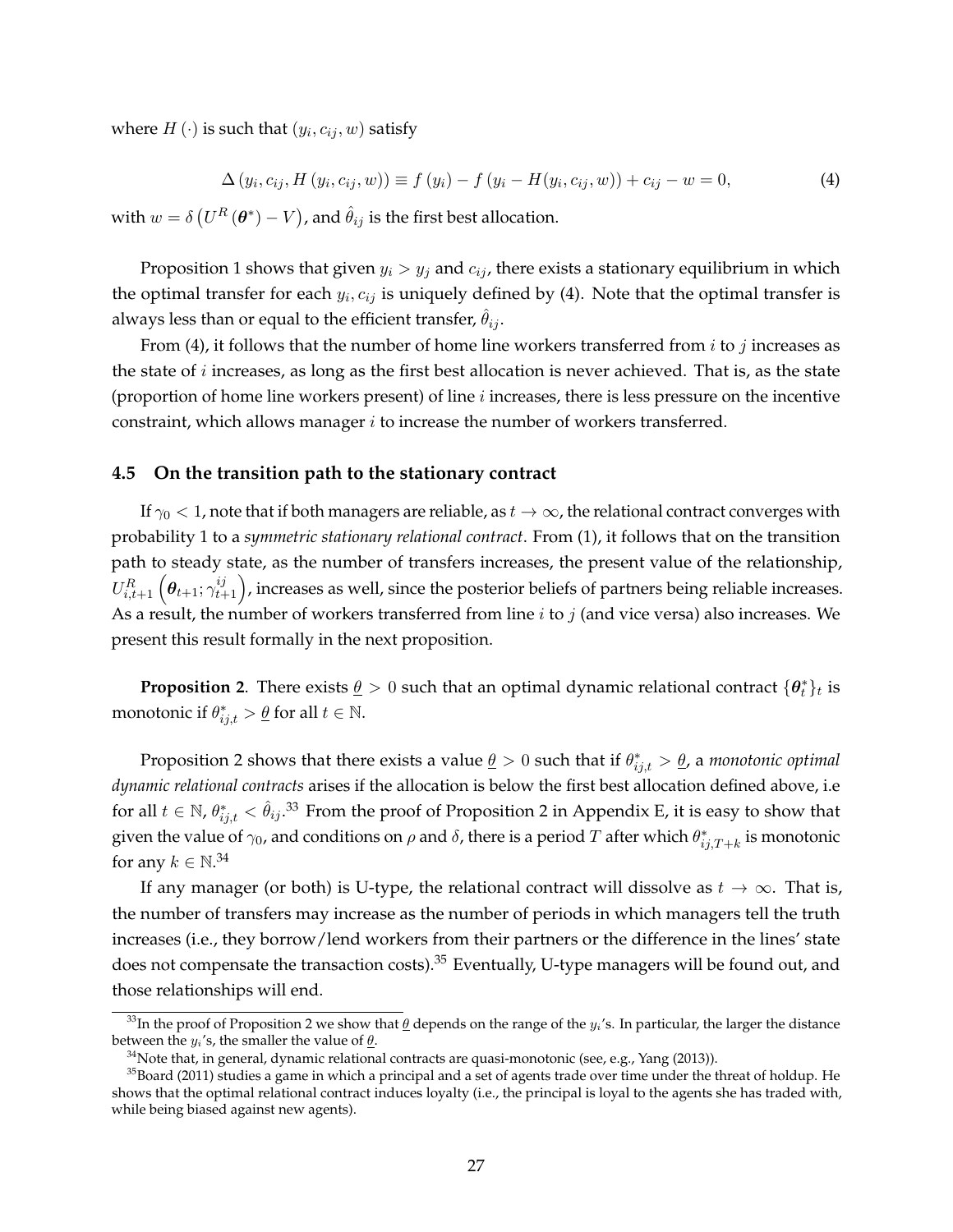where  $H\left(\cdot\right)$  is such that  $\left(y_i, c_{ij}, w\right)$  satisfy

$$
\Delta(y_i, c_{ij}, H(y_i, c_{ij}, w)) \equiv f(y_i) - f(y_i - H(y_i, c_{ij}, w)) + c_{ij} - w = 0,
$$
\n(4)

with  $w = \delta\left(U^R\left(\bm{\theta}^*\right) - V\right)$ , and  $\hat{\theta}_{ij}$  is the first best allocation.

Proposition 1 shows that given  $y_i > y_j$  and  $c_{ij}$ , there exists a stationary equilibrium in which the optimal transfer for each  $y_i, c_{ij}$  is uniquely defined by (4). Note that the optimal transfer is always less than or equal to the efficient transfer,  $\hat{\theta}_{ij}$ .

From (4), it follows that the number of home line workers transferred from  $i$  to  $j$  increases as the state of  $i$  increases, as long as the first best allocation is never achieved. That is, as the state (proportion of home line workers present) of line  $i$  increases, there is less pressure on the incentive constraint, which allows manager  $i$  to increase the number of workers transferred.

#### **4.5 On the transition path to the stationary contract**

If  $\gamma_0 < 1$ , note that if both managers are reliable, as  $t \to \infty$ , the relational contract converges with probability 1 to a *symmetric stationary relational contract*. From (1), it follows that on the transition path to steady state, as the number of transfers increases, the present value of the relationship,  $U^R_{i,t+1}\left(\pmb\theta_{t+1};\gamma_{t+1}^{ij}\right)$ , increases as well, since the posterior beliefs of partners being reliable increases. As a result, the number of workers transferred from line  $i$  to  $j$  (and vice versa) also increases. We present this result formally in the next proposition.

**Proposition 2**. There exists  $\underline{\theta} > 0$  such that an optimal dynamic relational contract  $\{\theta_t^*\}_t$  is monotonic if  $\theta^*_{ij,t} > \underline{\theta}$  for all  $t \in \mathbb{N}$ .

Proposition 2 shows that there exists a value  $\underline{\theta} > 0$  such that if  $\theta^*_{ij,t} > \underline{\theta}$ , a *monotonic optimal dynamic relational contracts* arises if the allocation is below the first best allocation defined above, i.e for all  $t\in\mathbb{N}$ ,  $\theta^*_{ij,t}<\hat{\theta}_{ij}.$ <sup>33</sup> From the proof of Proposition 2 in Appendix E, it is easy to show that given the value of  $\gamma_0$ , and conditions on  $\rho$  and  $\delta$ , there is a period  $T$  after which  $\theta^*_{ij,T+k}$  is monotonic for any  $k \in \mathbb{N}^{34}$ 

If any manager (or both) is U-type, the relational contract will dissolve as  $t \to \infty$ . That is, the number of transfers may increase as the number of periods in which managers tell the truth increases (i.e., they borrow/lend workers from their partners or the difference in the lines' state does not compensate the transaction costs).<sup>35</sup> Eventually, U-type managers will be found out, and those relationships will end.

<sup>&</sup>lt;sup>33</sup>In the proof of Proposition 2 we show that  $\theta$  depends on the range of the  $y_i$ 's. In particular, the larger the distance between the  $y_i$ 's, the smaller the value of  $\theta$ .

<sup>&</sup>lt;sup>34</sup>Note that, in general, dynamic relational contracts are quasi-monotonic (see, e.g., Yang (2013)).

 $35$ Board (2011) studies a game in which a principal and a set of agents trade over time under the threat of holdup. He shows that the optimal relational contract induces loyalty (i.e., the principal is loyal to the agents she has traded with, while being biased against new agents).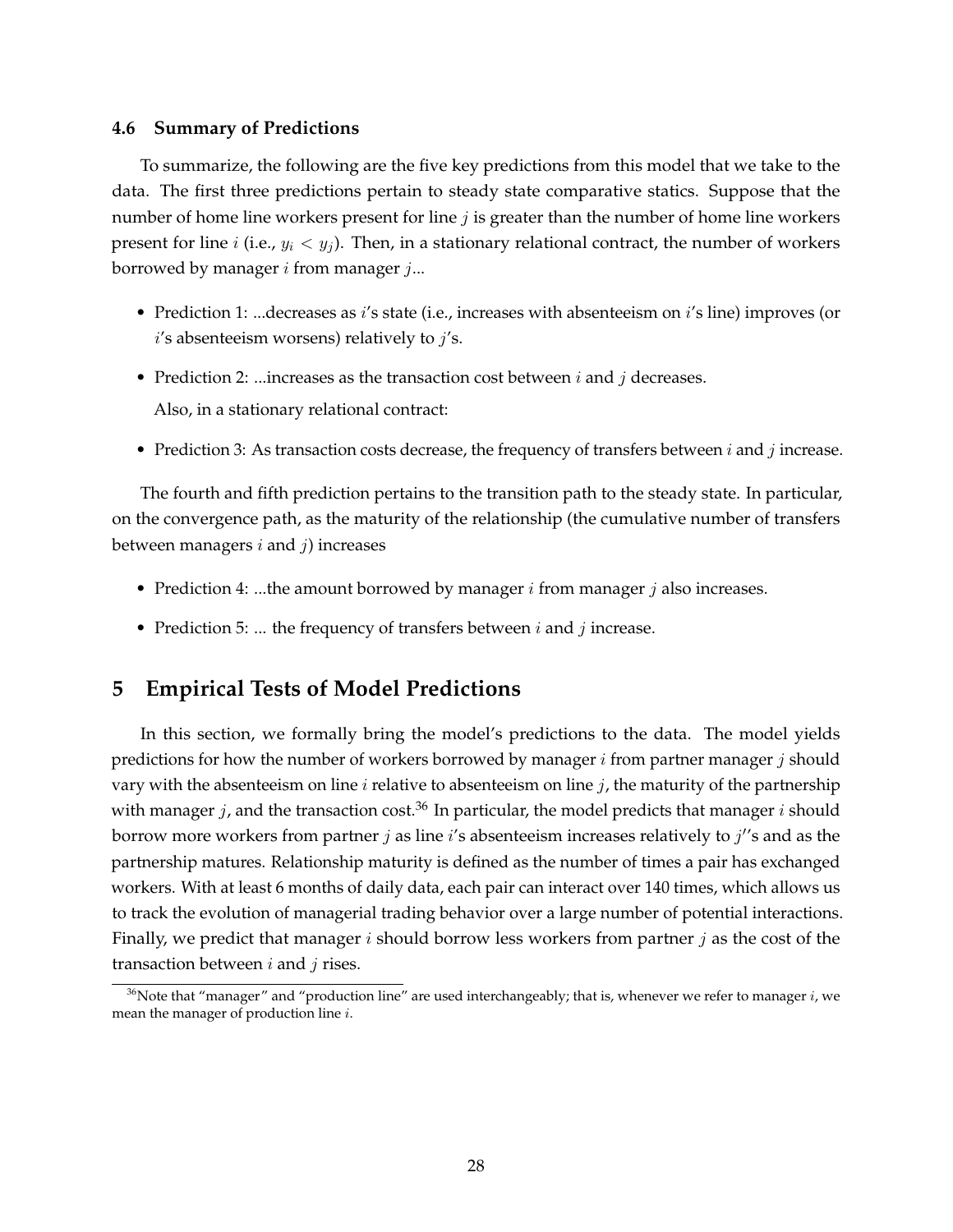#### **4.6 Summary of Predictions**

To summarize, the following are the five key predictions from this model that we take to the data. The first three predictions pertain to steady state comparative statics. Suppose that the number of home line workers present for line  $j$  is greater than the number of home line workers present for line *i* (i.e.,  $y_i < y_j$ ). Then, in a stationary relational contract, the number of workers borrowed by manager  $i$  from manager  $j...$ 

- Prediction 1: ...decreases as *i's* state (i.e., increases with absenteeism on *i's* line) improves (or  $i$ 's absenteeism worsens) relatively to  $j$ 's.
- Prediction 2: ...increases as the transaction cost between  $i$  and  $j$  decreases. Also, in a stationary relational contract:
- Prediction 3: As transaction costs decrease, the frequency of transfers between  $i$  and  $j$  increase.

The fourth and fifth prediction pertains to the transition path to the steady state. In particular, on the convergence path, as the maturity of the relationship (the cumulative number of transfers between managers  $i$  and  $j$ ) increases

- Prediction 4: ...the amount borrowed by manager  $i$  from manager  $j$  also increases.
- Prediction 5: ... the frequency of transfers between  $i$  and  $j$  increase.

## **5 Empirical Tests of Model Predictions**

In this section, we formally bring the model's predictions to the data. The model yields predictions for how the number of workers borrowed by manager  $i$  from partner manager  $j$  should vary with the absenteeism on line  $i$  relative to absenteeism on line  $j$ , the maturity of the partnership with manager j, and the transaction cost.<sup>36</sup> In particular, the model predicts that manager i should borrow more workers from partner  $j$  as line  $i$ 's absenteeism increases relatively to  $j$ ''s and as the partnership matures. Relationship maturity is defined as the number of times a pair has exchanged workers. With at least 6 months of daily data, each pair can interact over 140 times, which allows us to track the evolution of managerial trading behavior over a large number of potential interactions. Finally, we predict that manager  $i$  should borrow less workers from partner  $j$  as the cost of the transaction between  $i$  and  $j$  rises.

<sup>&</sup>lt;sup>36</sup>Note that "manager" and "production line" are used interchangeably; that is, whenever we refer to manager  $i$ , we mean the manager of production line i.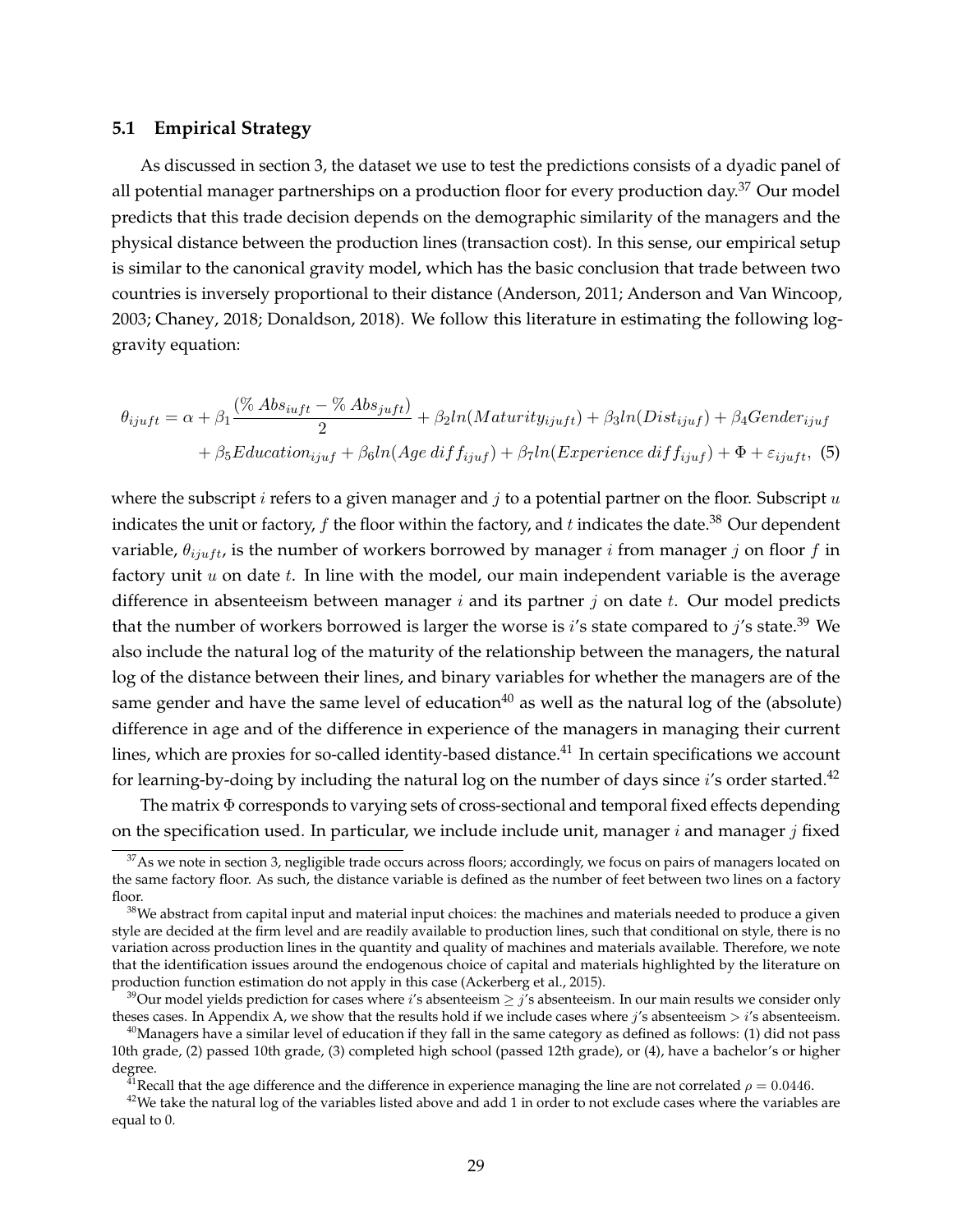#### **5.1 Empirical Strategy**

As discussed in section 3, the dataset we use to test the predictions consists of a dyadic panel of all potential manager partnerships on a production floor for every production day.<sup>37</sup> Our model predicts that this trade decision depends on the demographic similarity of the managers and the physical distance between the production lines (transaction cost). In this sense, our empirical setup is similar to the canonical gravity model, which has the basic conclusion that trade between two countries is inversely proportional to their distance (Anderson, 2011; Anderson and Van Wincoop, 2003; Chaney, 2018; Donaldson, 2018). We follow this literature in estimating the following loggravity equation:

$$
\theta_{ijuft} = \alpha + \beta_1 \frac{(\% Abs_{iutf} - \% Abs_{jutf})}{2} + \beta_2 ln(Maturity_{ijutf}) + \beta_3 ln(Dist_{ijuf}) + \beta_4 Gender_{ijuf}
$$

$$
+ \beta_5 Education_{ijuf} + \beta_6 ln(Age\ diff_{ijuf}) + \beta_7 ln(Experience\ diff_{ijuf}) + \Phi + \varepsilon_{ijuft},
$$
(5)

where the subscript  $i$  refers to a given manager and  $j$  to a potential partner on the floor. Subscript  $u$ indicates the unit or factory,  $f$  the floor within the factory, and  $t$  indicates the date.<sup>38</sup> Our dependent variable,  $\theta_{init}$  is the number of workers borrowed by manager *i* from manager *j* on floor *f* in factory unit  $u$  on date  $t$ . In line with the model, our main independent variable is the average difference in absenteeism between manager  $i$  and its partner  $j$  on date  $t$ . Our model predicts that the number of workers borrowed is larger the worse is i's state compared to j's state.<sup>39</sup> We also include the natural log of the maturity of the relationship between the managers, the natural log of the distance between their lines, and binary variables for whether the managers are of the same gender and have the same level of education<sup>40</sup> as well as the natural log of the (absolute) difference in age and of the difference in experience of the managers in managing their current lines, which are proxies for so-called identity-based distance.<sup>41</sup> In certain specifications we account for learning-by-doing by including the natural log on the number of days since i's order started.<sup>42</sup>

The matrix Φ corresponds to varying sets of cross-sectional and temporal fixed effects depending on the specification used. In particular, we include include unit, manager  $i$  and manager  $j$  fixed

<sup>&</sup>lt;sup>37</sup>As we note in section 3, negligible trade occurs across floors; accordingly, we focus on pairs of managers located on the same factory floor. As such, the distance variable is defined as the number of feet between two lines on a factory floor.

 $38$ We abstract from capital input and material input choices: the machines and materials needed to produce a given style are decided at the firm level and are readily available to production lines, such that conditional on style, there is no variation across production lines in the quantity and quality of machines and materials available. Therefore, we note that the identification issues around the endogenous choice of capital and materials highlighted by the literature on production function estimation do not apply in this case (Ackerberg et al., 2015).

<sup>&</sup>lt;sup>39</sup>Our model yields prediction for cases where i's absenteeism  $\geq j$ 's absenteeism. In our main results we consider only theses cases. In Appendix A, we show that the results hold if we include cases where  $j$ 's absenteeism  $> i$ 's absenteeism.

<sup>&</sup>lt;sup>40</sup>Managers have a similar level of education if they fall in the same category as defined as follows: (1) did not pass 10th grade, (2) passed 10th grade, (3) completed high school (passed 12th grade), or (4), have a bachelor's or higher degree.

<sup>&</sup>lt;sup>41</sup> Recall that the age difference and the difference in experience managing the line are not correlated  $\rho = 0.0446$ .

 $42$ We take the natural log of the variables listed above and add 1 in order to not exclude cases where the variables are equal to 0.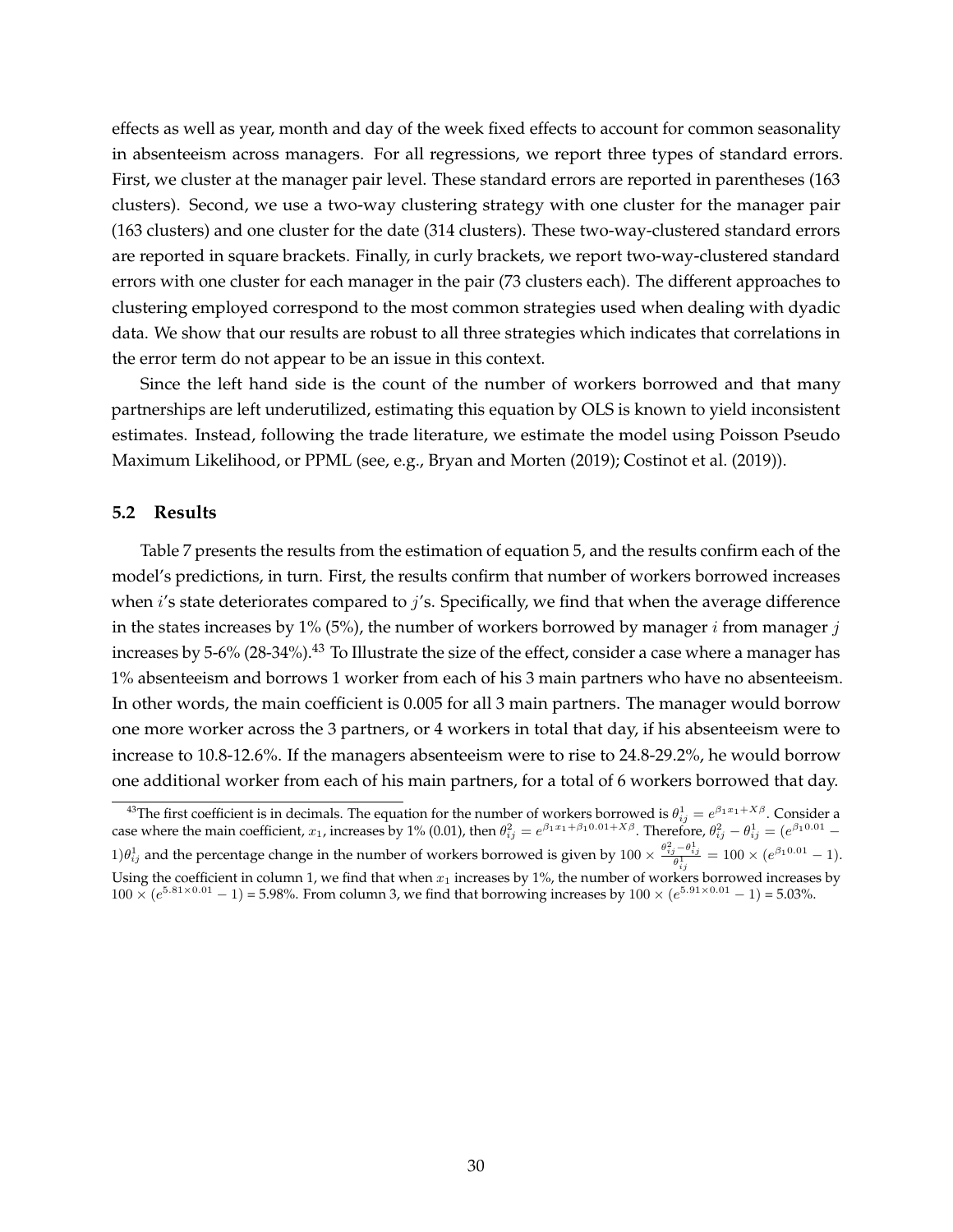effects as well as year, month and day of the week fixed effects to account for common seasonality in absenteeism across managers. For all regressions, we report three types of standard errors. First, we cluster at the manager pair level. These standard errors are reported in parentheses (163 clusters). Second, we use a two-way clustering strategy with one cluster for the manager pair (163 clusters) and one cluster for the date (314 clusters). These two-way-clustered standard errors are reported in square brackets. Finally, in curly brackets, we report two-way-clustered standard errors with one cluster for each manager in the pair (73 clusters each). The different approaches to clustering employed correspond to the most common strategies used when dealing with dyadic data. We show that our results are robust to all three strategies which indicates that correlations in the error term do not appear to be an issue in this context.

Since the left hand side is the count of the number of workers borrowed and that many partnerships are left underutilized, estimating this equation by OLS is known to yield inconsistent estimates. Instead, following the trade literature, we estimate the model using Poisson Pseudo Maximum Likelihood, or PPML (see, e.g., Bryan and Morten (2019); Costinot et al. (2019)).

#### **5.2 Results**

Table 7 presents the results from the estimation of equation 5, and the results confirm each of the model's predictions, in turn. First, the results confirm that number of workers borrowed increases when  $i'$ s state deteriorates compared to  $j'$ s. Specifically, we find that when the average difference in the states increases by 1% (5%), the number of workers borrowed by manager  $i$  from manager  $j$ increases by 5-6% (28-34%).<sup>43</sup> To Illustrate the size of the effect, consider a case where a manager has 1% absenteeism and borrows 1 worker from each of his 3 main partners who have no absenteeism. In other words, the main coefficient is 0.005 for all 3 main partners. The manager would borrow one more worker across the 3 partners, or 4 workers in total that day, if his absenteeism were to increase to 10.8-12.6%. If the managers absenteeism were to rise to 24.8-29.2%, he would borrow one additional worker from each of his main partners, for a total of 6 workers borrowed that day.

<sup>&</sup>lt;sup>43</sup>The first coefficient is in decimals. The equation for the number of workers borrowed is  $\theta_{ij}^1=e^{\beta_1x_1+X\beta}$ . Consider a case where the main coefficient,  $x_1$ , increases by 1% (0.01), then  $\theta_{ij}^2=e^{\beta_1x_1+\beta_10.01+X\beta}$ . Therefore,  $\theta_{ij}^2-\theta_{ij}^1=(e^{\beta_10.01}-1)$ 1) $\theta_{ij}^1$  and the percentage change in the number of workers borrowed is given by  $100 \times \frac{\theta_{ij}^2 - \theta_{ij}^1}{\theta_{ij}^1} = 100 \times (e^{\beta_1 0.01} - 1)$ . Using the coefficient in column 1, we find that when  $x_1$  increases by 1%, the number of workers borrowed increases by  $100 \times (e^{5.81 \times 0.01} - 1) = 5.98\%$ . From column 3, we find that borrowing increases by  $100 \times (e^{5.91 \times 0.01} - 1) = 5.03\%$ .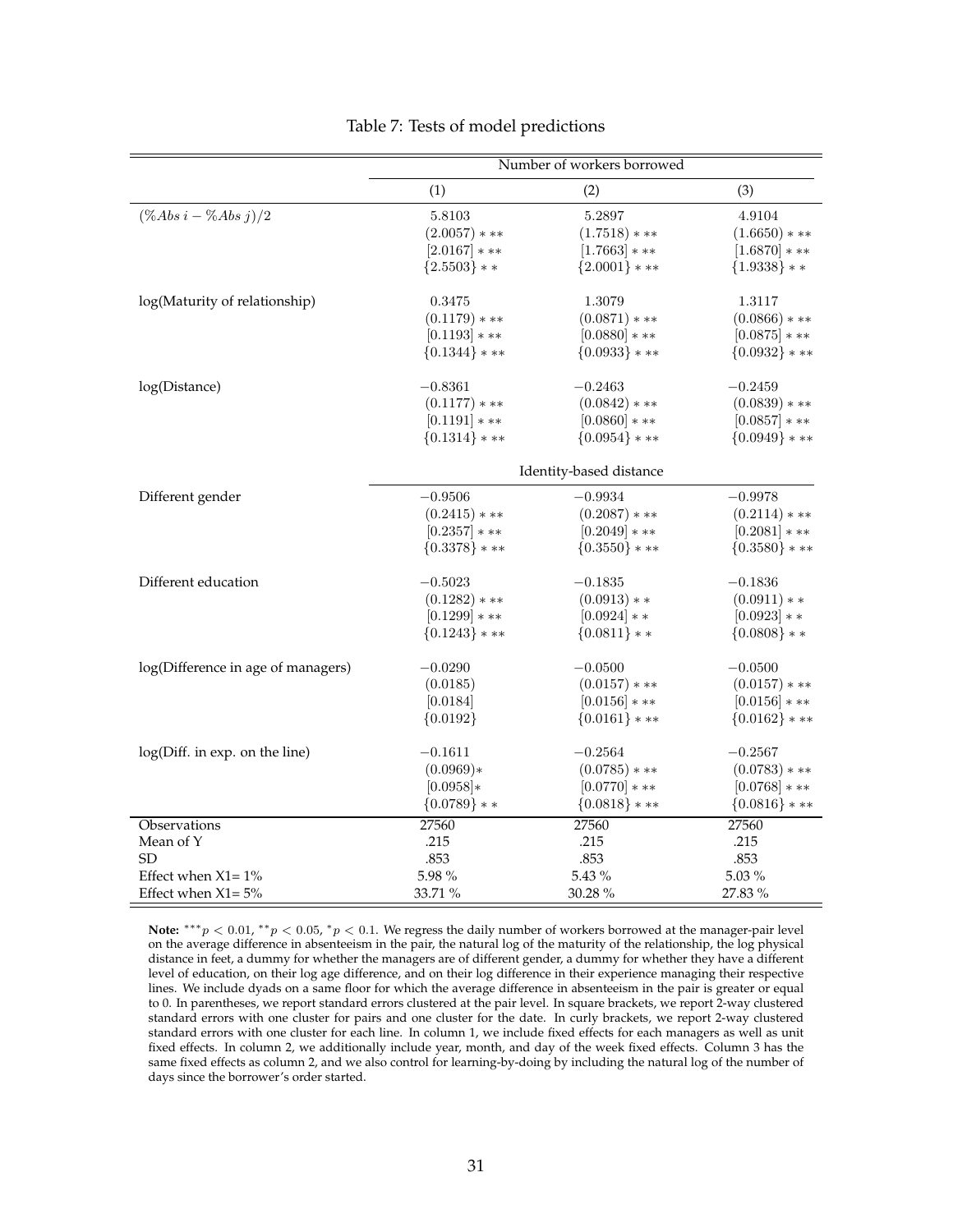|                                    | Number of workers borrowed |                         |                   |
|------------------------------------|----------------------------|-------------------------|-------------------|
|                                    | (1)                        | (2)                     | (3)               |
| $(\%Abs\ i - \%Abs\ j)/2$          | 5.8103                     | 5.2897                  | 4.9104            |
|                                    | $(2.0057)***$              | $(1.7518)***$           | $(1.6650)***$     |
|                                    | $[2.0167]***$              | $[1.7663]***$           | $[1.6870]***$     |
|                                    | ${2.5503}$ * *             | ${2.0001}$ * **         | ${1.9338}$ * *    |
| log(Maturity of relationship)      | 0.3475                     | 1.3079                  | 1.3117            |
|                                    | $(0.1179)$ * **            | $(0.0871)$ * **         | $(0.0866)$ * **   |
|                                    | $[0.1193]$ * **            | $[0.0880]***$           | $[0.0875]$ * **   |
|                                    | ${0.1344}$ * **            | $\{0.0933\}$ * **       | ${0.0932}$ * **   |
| log(Distance)                      | $-0.8361$                  | $-0.2463$               | $-0.2459$         |
|                                    | $(0.1177)$ * **            | $(0.0842)****$          | $(0.0839)$ * **   |
|                                    | $[0.1191]***$              | $[0.0860]***$           | $[0.0857]***$     |
|                                    | ${0.1314}$ * **            | ${0.0954}$ ***          | ${0.0949}$ ***    |
|                                    |                            | Identity-based distance |                   |
| Different gender                   | $-0.9506$                  | $-0.9934$               | $-0.9978$         |
|                                    | $(0.2415)$ * **            | $(0.2087)$ * **         | $(0.2114)$ * **   |
|                                    | $[0.2357]***$              | $[0.2049]***$           | $[0.2081]***$     |
|                                    | ${0.3378}$ * **            | $\{0.3550\}$ * **       | $\{0.3580\}$ * ** |
| Different education                | $-0.5023$                  | $-0.1835$               | $-0.1836$         |
|                                    | $(0.1282)$ * **            | $(0.0913)**$            | $(0.0911)**$      |
|                                    | $[0.1299]$ * **            | $[0.0924]$ * *          | $[0.0923]**$      |
|                                    | ${0.1243}$ ***             | ${0.0811}$ * *          | ${0.0808}$ * *    |
| log(Difference in age of managers) | $-0.0290$                  | $-0.0500$               | $-0.0500$         |
|                                    | (0.0185)                   | $(0.0157)$ * **         | $(0.0157)$ * **   |
|                                    | [0.0184]                   | $[0.0156]***$           | $[0.0156]***$     |
|                                    | ${0.0192}$                 | ${0.0161}$ * **         | ${0.0162}$ * **   |
| log(Diff. in exp. on the line)     | $-0.1611$                  | $-0.2564$               | $-0.2567$         |
|                                    | $(0.0969)*$                | $(0.0785)$ * **         | $(0.0783)$ * **   |
|                                    | $[0.0958]*$                | $[0.0770]***$           | $[0.0768]***$     |
|                                    | ${0.0789}$ * *             | ${0.0818}$ * **         | ${0.0816}$ * **   |
| Observations                       | 27560                      | 27560                   | 27560             |
| Mean of Y                          | .215                       | .215                    | .215              |
| <b>SD</b>                          | .853                       | .853                    | .853              |
| Effect when $X1 = 1\%$             | 5.98%                      | 5.43 %                  | 5.03 %            |
| Effect when $X1 = 5%$              | 33.71 %                    | 30.28 %                 | 27.83 %           |

Note:  $***p$  < 0.01,  $**p$  < 0.05,  $*p$  < 0.1. We regress the daily number of workers borrowed at the manager-pair level on the average difference in absenteeism in the pair, the natural log of the maturity of the relationship, the log physical distance in feet, a dummy for whether the managers are of different gender, a dummy for whether they have a different level of education, on their log age difference, and on their log difference in their experience managing their respective lines. We include dyads on a same floor for which the average difference in absenteeism in the pair is greater or equal to 0. In parentheses, we report standard errors clustered at the pair level. In square brackets, we report 2-way clustered standard errors with one cluster for pairs and one cluster for the date. In curly brackets, we report 2-way clustered standard errors with one cluster for each line. In column 1, we include fixed effects for each managers as well as unit fixed effects. In column 2, we additionally include year, month, and day of the week fixed effects. Column 3 has the same fixed effects as column 2, and we also control for learning-by-doing by including the natural log of the number of days since the borrower's order started.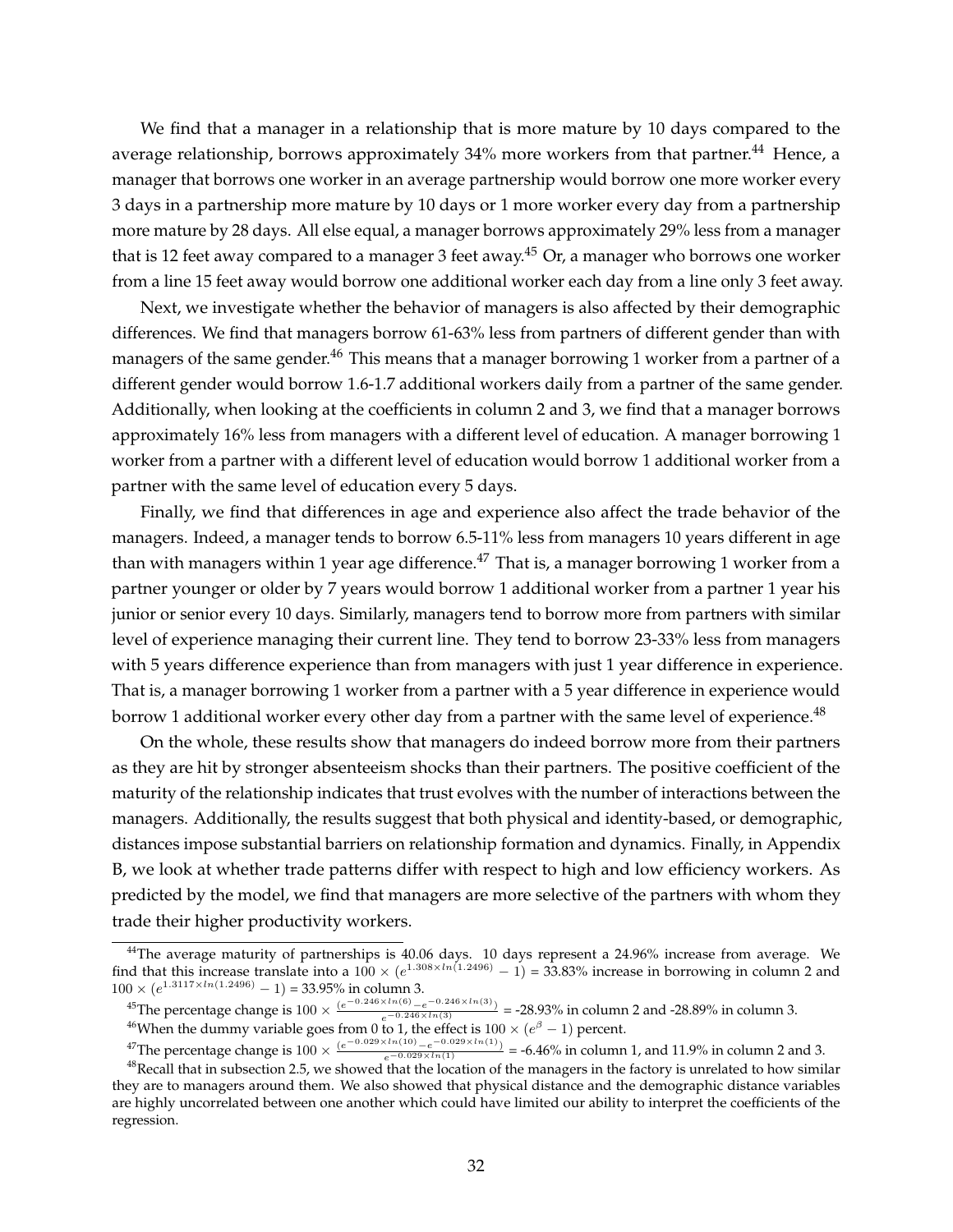We find that a manager in a relationship that is more mature by 10 days compared to the average relationship, borrows approximately 34% more workers from that partner.<sup>44</sup> Hence, a manager that borrows one worker in an average partnership would borrow one more worker every 3 days in a partnership more mature by 10 days or 1 more worker every day from a partnership more mature by 28 days. All else equal, a manager borrows approximately 29% less from a manager that is 12 feet away compared to a manager 3 feet away.<sup>45</sup> Or, a manager who borrows one worker from a line 15 feet away would borrow one additional worker each day from a line only 3 feet away.

Next, we investigate whether the behavior of managers is also affected by their demographic differences. We find that managers borrow 61-63% less from partners of different gender than with managers of the same gender.<sup>46</sup> This means that a manager borrowing 1 worker from a partner of a different gender would borrow 1.6-1.7 additional workers daily from a partner of the same gender. Additionally, when looking at the coefficients in column 2 and 3, we find that a manager borrows approximately 16% less from managers with a different level of education. A manager borrowing 1 worker from a partner with a different level of education would borrow 1 additional worker from a partner with the same level of education every 5 days.

Finally, we find that differences in age and experience also affect the trade behavior of the managers. Indeed, a manager tends to borrow 6.5-11% less from managers 10 years different in age than with managers within 1 year age difference.<sup>47</sup> That is, a manager borrowing 1 worker from a partner younger or older by 7 years would borrow 1 additional worker from a partner 1 year his junior or senior every 10 days. Similarly, managers tend to borrow more from partners with similar level of experience managing their current line. They tend to borrow 23-33% less from managers with 5 years difference experience than from managers with just 1 year difference in experience. That is, a manager borrowing 1 worker from a partner with a 5 year difference in experience would borrow 1 additional worker every other day from a partner with the same level of experience.<sup>48</sup>

On the whole, these results show that managers do indeed borrow more from their partners as they are hit by stronger absenteeism shocks than their partners. The positive coefficient of the maturity of the relationship indicates that trust evolves with the number of interactions between the managers. Additionally, the results suggest that both physical and identity-based, or demographic, distances impose substantial barriers on relationship formation and dynamics. Finally, in Appendix B, we look at whether trade patterns differ with respect to high and low efficiency workers. As predicted by the model, we find that managers are more selective of the partners with whom they trade their higher productivity workers.

 $^{44}$ The average maturity of partnerships is 40.06 days. 10 days represent a 24.96% increase from average. We find that this increase translate into a  $100 \times (e^{1.308 \times ln(1.2496)} - 1) = 33.83\%$  increase in borrowing in column 2 and  $100 \times (e^{1.3117 \times ln(1.2496)} - 1) = 33.95\%$  in column 3.

<sup>&</sup>lt;sup>45</sup>The percentage change is  $100 \times \frac{(e^{-0.246 \times ln(6)} - e^{-0.246 \times ln(3)})}{e^{-0.246 \times ln(3)}} = -28.93\%$  in column 2 and -28.89% in column 3. <sup>46</sup>When the dummy variable goes from 0 to 1, the effect is  $100 \times (e^{\beta} - 1)$  percent.

<sup>&</sup>lt;sup>47</sup>The percentage change is  $100 \times \frac{(e^{-0.029 \times ln(10)} - e^{-0.029 \times ln(1)})}{e^{-0.029 \times ln(1)}} = -6.46\%$  in column 1, and 11.9% in column 2 and 3.

 $48$ Recall that in subsection 2.5, we showed that the location of the managers in the factory is unrelated to how similar they are to managers around them. We also showed that physical distance and the demographic distance variables are highly uncorrelated between one another which could have limited our ability to interpret the coefficients of the regression.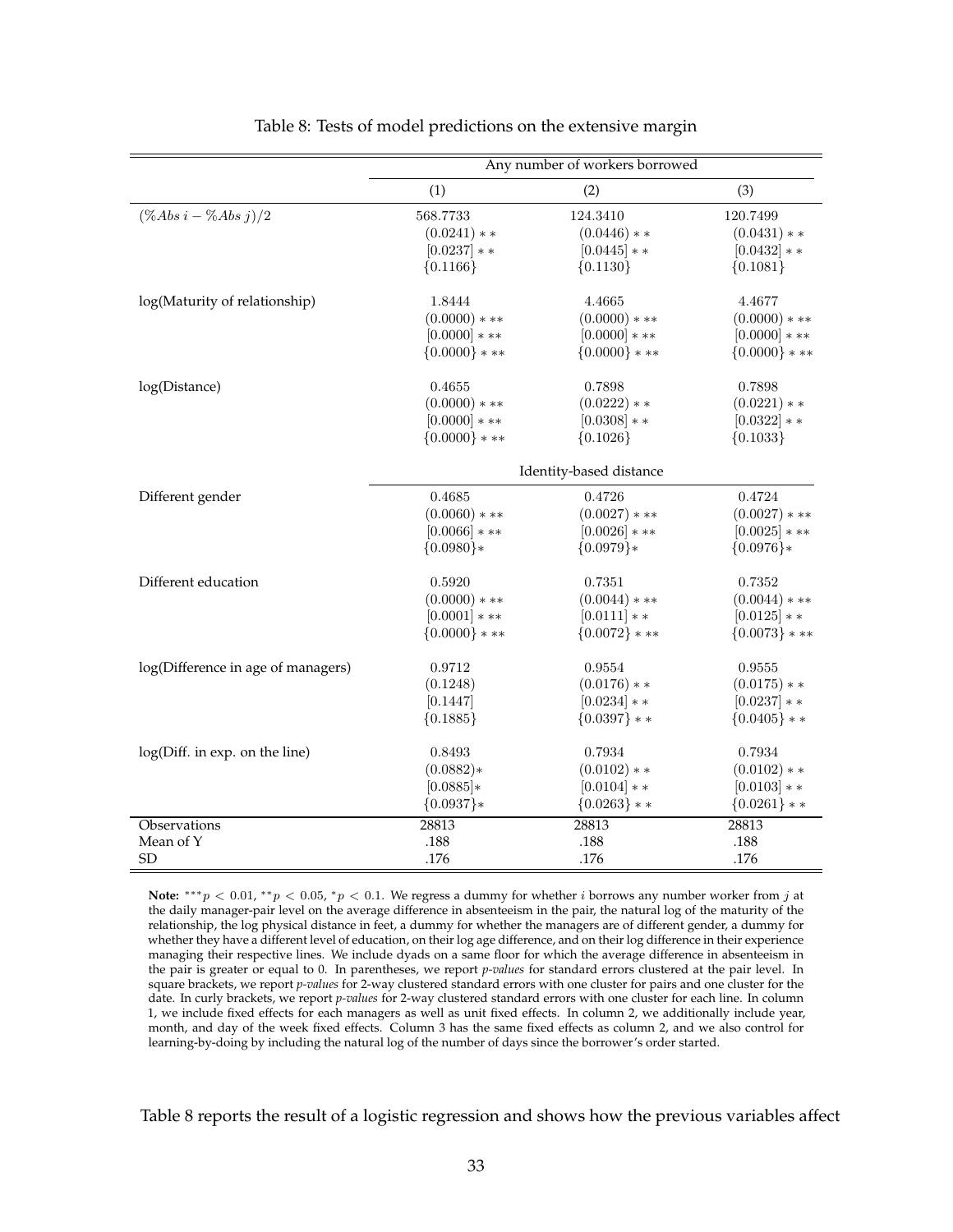|                                    | Any number of workers borrowed |                         |                 |
|------------------------------------|--------------------------------|-------------------------|-----------------|
|                                    | (1)                            | (2)                     | (3)             |
| $(\%Abs\ i - \%Abs\ j)/2$          | 568.7733                       | 124.3410                | 120.7499        |
|                                    | $(0.0241)**$                   | $(0.0446)**$            | $(0.0431)**$    |
|                                    | $[0.0237]$ * *                 | $[0.0445]$ * *          | $[0.0432]$ * *  |
|                                    | ${0.1166}$                     | ${0.1130}$              | ${0.1081}$      |
| log(Maturity of relationship)      | 1.8444                         | 4.4665                  | 4.4677          |
|                                    | $(0.0000)$ * **                | $(0.0000)$ * **         | $(0.0000)***$   |
|                                    | $[0.0000]$ * **                | $[0.0000]***$           | $[0.0000]$ * ** |
|                                    | ${0.0000}$ * **                | ${0.0000}$ ***          | ${0.0000}$ * ** |
| log(Distance)                      | 0.4655                         | 0.7898                  | 0.7898          |
|                                    | $(0.0000)$ * **                | $(0.0222)**$            | $(0.0221)**$    |
|                                    | $[0.0000]$ * **                | $[0.0308]**$            | $[0.0322]**$    |
|                                    | ${0.0000}$ * **                | ${0.1026}$              | ${0.1033}$      |
|                                    |                                | Identity-based distance |                 |
| Different gender                   | 0.4685                         | 0.4726                  | 0.4724          |
|                                    | $(0.0060)$ * **                | $(0.0027)$ * **         | $(0.0027)$ * ** |
|                                    | $[0.0066]$ * **                | $[0.0026]$ * **         | $[0.0025]$ * ** |
|                                    | ${0.0980}$ *                   | ${0.0979}$ *            | ${0.0976}$ *    |
| Different education                | 0.5920                         | 0.7351                  | 0.7352          |
|                                    | $(0.0000)$ * **                | $(0.0044)$ * **         | $(0.0044)$ * ** |
|                                    | $[0.0001]***$                  | $[0.0111]**$            | $[0.0125]$ * *  |
|                                    | ${0.0000}$ * **                | ${0.0072}$ * **         | ${0.0073}$ * ** |
| log(Difference in age of managers) | 0.9712                         | 0.9554                  | 0.9555          |
|                                    | (0.1248)                       | $(0.0176)**$            | $(0.0175)**$    |
|                                    | [0.1447]                       | $[0.0234]$ * *          | $[0.0237]$ * *  |
|                                    | ${0.1885}$                     | ${0.0397}$ **           | ${0.0405}$ * *  |
| log(Diff. in exp. on the line)     | 0.8493                         | 0.7934                  | 0.7934          |
|                                    | $(0.0882)*$                    | $(0.0102)**$            | $(0.0102)**$    |
|                                    | $[0.0885]*$                    | $[0.0104]$ * *          | $[0.0103]**$    |
|                                    | ${0.0937}$ *                   | ${0.0263}$ * *          | ${0.0261}$ * *  |
| Observations                       | 28813                          | 28813                   | 28813           |
| Mean of Y                          | .188                           | .188                    | .188            |
| SD                                 | .176                           | .176                    | .176            |

#### Table 8: Tests of model predictions on the extensive margin

Ė

Note:  $***p$  < 0.01,  $**p$  < 0.05,  $*p$  < 0.1. We regress a dummy for whether i borrows any number worker from j at the daily manager-pair level on the average difference in absenteeism in the pair, the natural log of the maturity of the relationship, the log physical distance in feet, a dummy for whether the managers are of different gender, a dummy for whether they have a different level of education, on their log age difference, and on their log difference in their experience managing their respective lines. We include dyads on a same floor for which the average difference in absenteeism in the pair is greater or equal to 0. In parentheses, we report *p-values* for standard errors clustered at the pair level. In square brackets, we report *p-values* for 2-way clustered standard errors with one cluster for pairs and one cluster for the date. In curly brackets, we report *p-values* for 2-way clustered standard errors with one cluster for each line. In column 1, we include fixed effects for each managers as well as unit fixed effects. In column 2, we additionally include year, month, and day of the week fixed effects. Column 3 has the same fixed effects as column 2, and we also control for learning-by-doing by including the natural log of the number of days since the borrower's order started.

Table 8 reports the result of a logistic regression and shows how the previous variables affect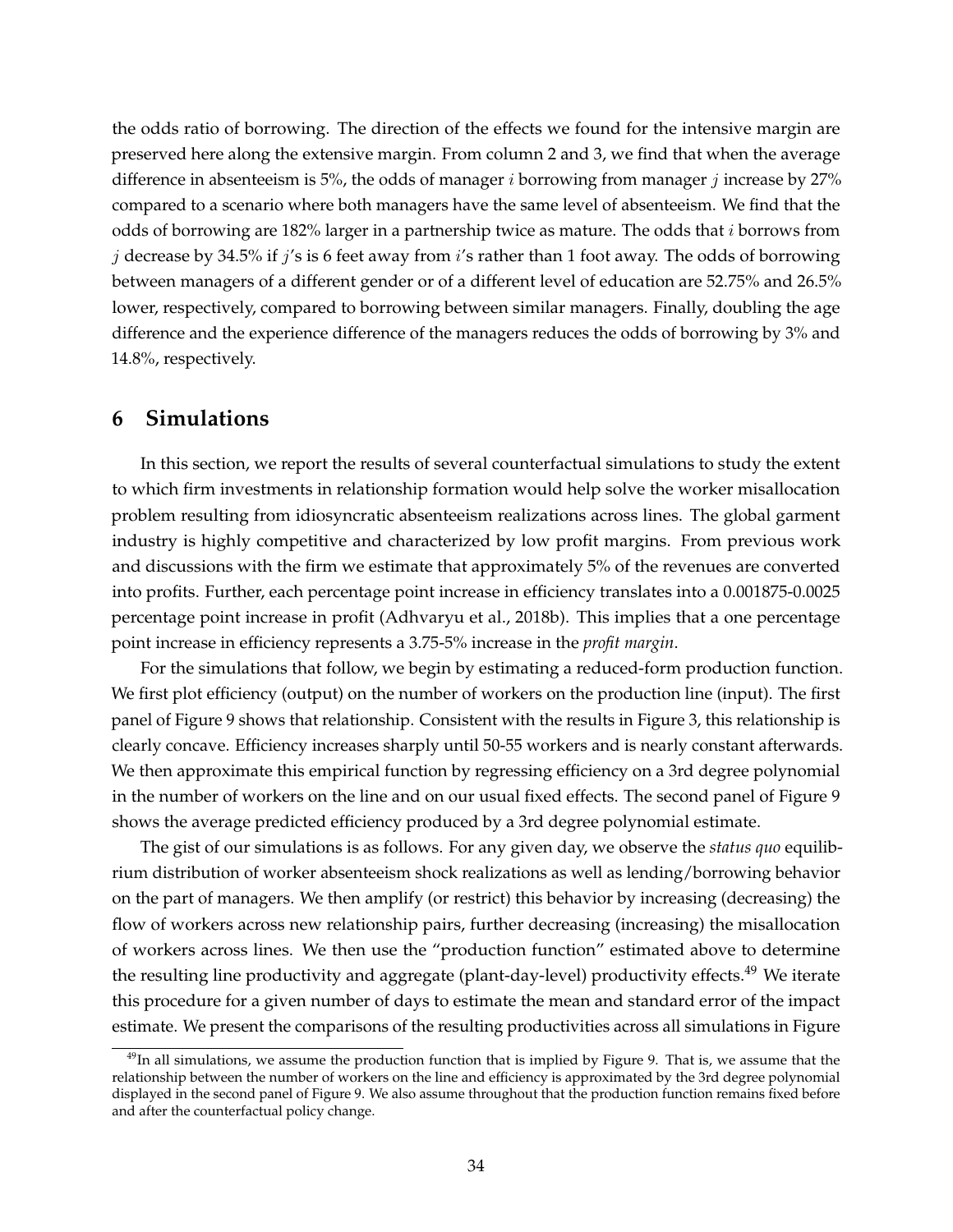the odds ratio of borrowing. The direction of the effects we found for the intensive margin are preserved here along the extensive margin. From column 2 and 3, we find that when the average difference in absenteeism is 5%, the odds of manager  $i$  borrowing from manager  $j$  increase by 27% compared to a scenario where both managers have the same level of absenteeism. We find that the odds of borrowing are 182% larger in a partnership twice as mature. The odds that *i* borrows from j decrease by 34.5% if j's is 6 feet away from i's rather than 1 foot away. The odds of borrowing between managers of a different gender or of a different level of education are 52.75% and 26.5% lower, respectively, compared to borrowing between similar managers. Finally, doubling the age difference and the experience difference of the managers reduces the odds of borrowing by 3% and 14.8%, respectively.

### **6 Simulations**

In this section, we report the results of several counterfactual simulations to study the extent to which firm investments in relationship formation would help solve the worker misallocation problem resulting from idiosyncratic absenteeism realizations across lines. The global garment industry is highly competitive and characterized by low profit margins. From previous work and discussions with the firm we estimate that approximately 5% of the revenues are converted into profits. Further, each percentage point increase in efficiency translates into a 0.001875-0.0025 percentage point increase in profit (Adhvaryu et al., 2018b). This implies that a one percentage point increase in efficiency represents a 3.75-5% increase in the *profit margin*.

For the simulations that follow, we begin by estimating a reduced-form production function. We first plot efficiency (output) on the number of workers on the production line (input). The first panel of Figure 9 shows that relationship. Consistent with the results in Figure 3, this relationship is clearly concave. Efficiency increases sharply until 50-55 workers and is nearly constant afterwards. We then approximate this empirical function by regressing efficiency on a 3rd degree polynomial in the number of workers on the line and on our usual fixed effects. The second panel of Figure 9 shows the average predicted efficiency produced by a 3rd degree polynomial estimate.

The gist of our simulations is as follows. For any given day, we observe the *status quo* equilibrium distribution of worker absenteeism shock realizations as well as lending/borrowing behavior on the part of managers. We then amplify (or restrict) this behavior by increasing (decreasing) the flow of workers across new relationship pairs, further decreasing (increasing) the misallocation of workers across lines. We then use the "production function" estimated above to determine the resulting line productivity and aggregate (plant-day-level) productivity effects.<sup>49</sup> We iterate this procedure for a given number of days to estimate the mean and standard error of the impact estimate. We present the comparisons of the resulting productivities across all simulations in Figure

<sup>&</sup>lt;sup>49</sup>In all simulations, we assume the production function that is implied by Figure 9. That is, we assume that the relationship between the number of workers on the line and efficiency is approximated by the 3rd degree polynomial displayed in the second panel of Figure 9. We also assume throughout that the production function remains fixed before and after the counterfactual policy change.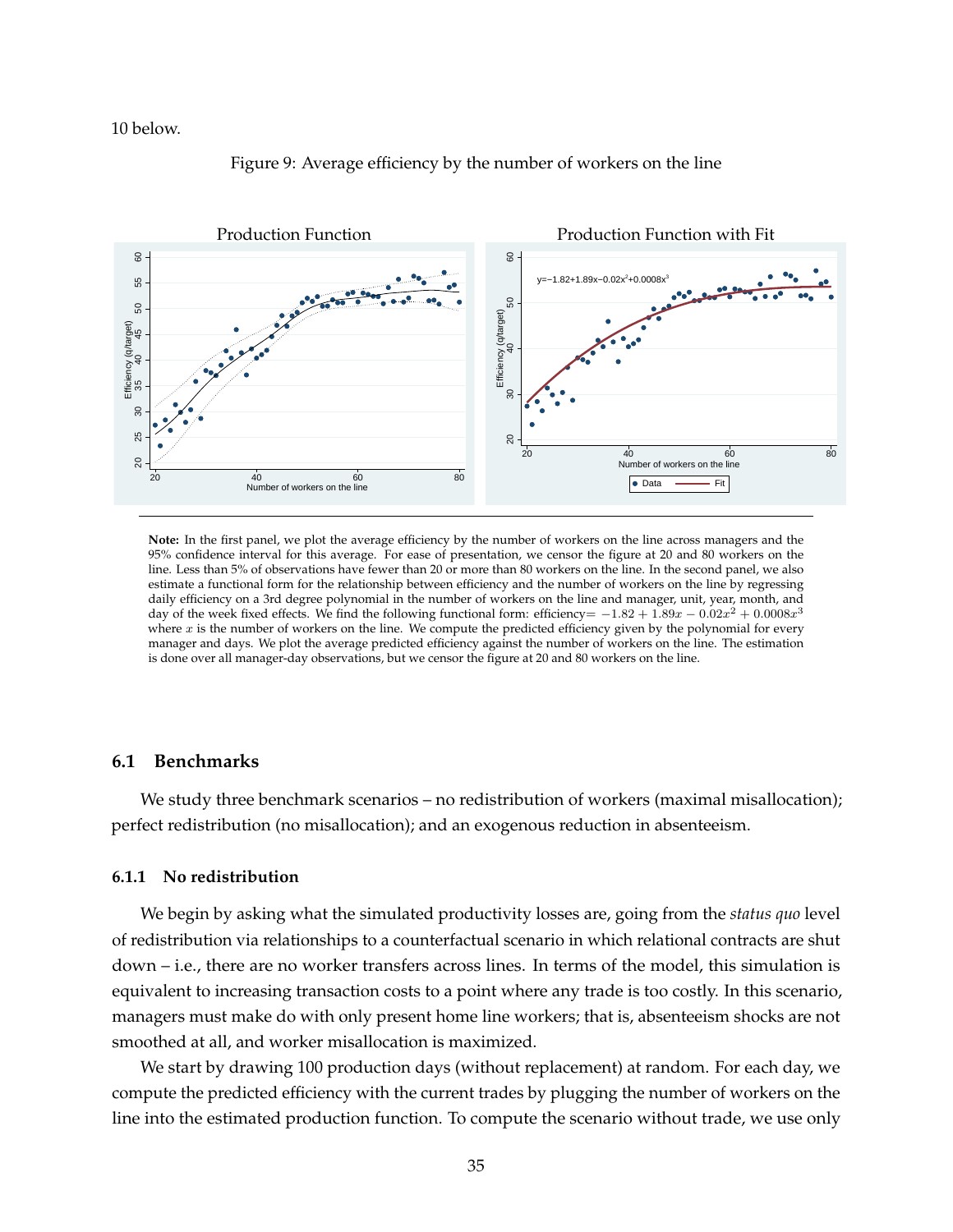#### 10 below.



#### Figure 9: Average efficiency by the number of workers on the line

**Note:** In the first panel, we plot the average efficiency by the number of workers on the line across managers and the 95% confidence interval for this average. For ease of presentation, we censor the figure at 20 and 80 workers on the line. Less than 5% of observations have fewer than 20 or more than 80 workers on the line. In the second panel, we also estimate a functional form for the relationship between efficiency and the number of workers on the line by regressing daily efficiency on a 3rd degree polynomial in the number of workers on the line and manager, unit, year, month, and day of the week fixed effects. We find the following functional form: efficiency=  $-1.82 + 1.89x - 0.02x^2 + 0.0008x^3$ where  $x$  is the number of workers on the line. We compute the predicted efficiency given by the polynomial for every manager and days. We plot the average predicted efficiency against the number of workers on the line. The estimation is done over all manager-day observations, but we censor the figure at 20 and 80 workers on the line.

### **6.1 Benchmarks**

We study three benchmark scenarios – no redistribution of workers (maximal misallocation); perfect redistribution (no misallocation); and an exogenous reduction in absenteeism.

#### **6.1.1 No redistribution**

We begin by asking what the simulated productivity losses are, going from the *status quo* level of redistribution via relationships to a counterfactual scenario in which relational contracts are shut down – i.e., there are no worker transfers across lines. In terms of the model, this simulation is equivalent to increasing transaction costs to a point where any trade is too costly. In this scenario, managers must make do with only present home line workers; that is, absenteeism shocks are not smoothed at all, and worker misallocation is maximized.

We start by drawing 100 production days (without replacement) at random. For each day, we compute the predicted efficiency with the current trades by plugging the number of workers on the line into the estimated production function. To compute the scenario without trade, we use only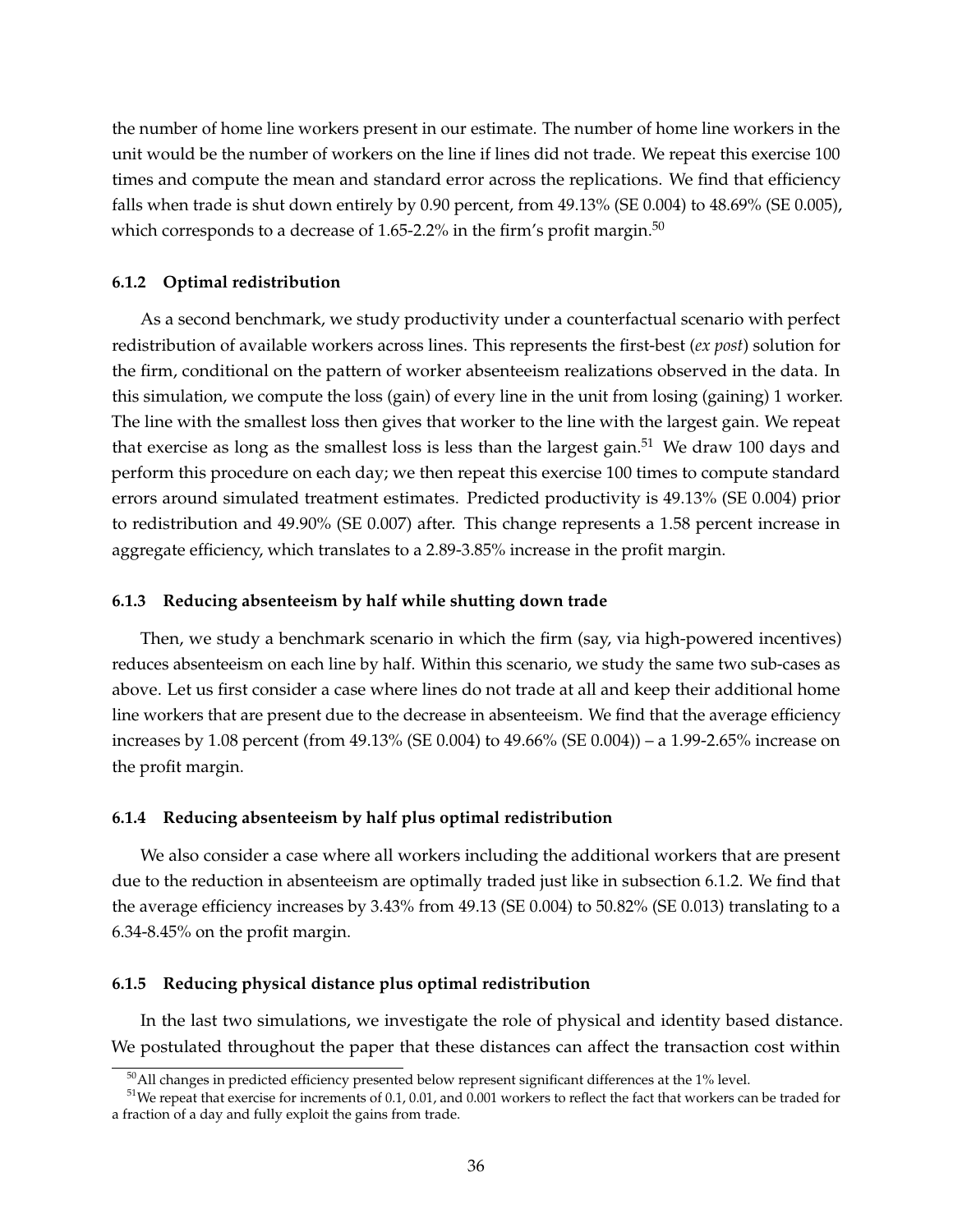the number of home line workers present in our estimate. The number of home line workers in the unit would be the number of workers on the line if lines did not trade. We repeat this exercise 100 times and compute the mean and standard error across the replications. We find that efficiency falls when trade is shut down entirely by 0.90 percent, from 49.13% (SE 0.004) to 48.69% (SE 0.005), which corresponds to a decrease of 1.65-2.2% in the firm's profit margin.<sup>50</sup>

#### **6.1.2 Optimal redistribution**

As a second benchmark, we study productivity under a counterfactual scenario with perfect redistribution of available workers across lines. This represents the first-best (*ex post*) solution for the firm, conditional on the pattern of worker absenteeism realizations observed in the data. In this simulation, we compute the loss (gain) of every line in the unit from losing (gaining) 1 worker. The line with the smallest loss then gives that worker to the line with the largest gain. We repeat that exercise as long as the smallest loss is less than the largest gain.<sup>51</sup> We draw 100 days and perform this procedure on each day; we then repeat this exercise 100 times to compute standard errors around simulated treatment estimates. Predicted productivity is 49.13% (SE 0.004) prior to redistribution and 49.90% (SE 0.007) after. This change represents a 1.58 percent increase in aggregate efficiency, which translates to a 2.89-3.85% increase in the profit margin.

#### **6.1.3 Reducing absenteeism by half while shutting down trade**

Then, we study a benchmark scenario in which the firm (say, via high-powered incentives) reduces absenteeism on each line by half. Within this scenario, we study the same two sub-cases as above. Let us first consider a case where lines do not trade at all and keep their additional home line workers that are present due to the decrease in absenteeism. We find that the average efficiency increases by 1.08 percent (from 49.13% (SE 0.004) to 49.66% (SE 0.004)) – a 1.99-2.65% increase on the profit margin.

#### **6.1.4 Reducing absenteeism by half plus optimal redistribution**

We also consider a case where all workers including the additional workers that are present due to the reduction in absenteeism are optimally traded just like in subsection 6.1.2. We find that the average efficiency increases by 3.43% from 49.13 (SE 0.004) to 50.82% (SE 0.013) translating to a 6.34-8.45% on the profit margin.

#### **6.1.5 Reducing physical distance plus optimal redistribution**

In the last two simulations, we investigate the role of physical and identity based distance. We postulated throughout the paper that these distances can affect the transaction cost within

 $50$ All changes in predicted efficiency presented below represent significant differences at the 1% level.

<sup>&</sup>lt;sup>51</sup>We repeat that exercise for increments of 0.1, 0.01, and 0.001 workers to reflect the fact that workers can be traded for a fraction of a day and fully exploit the gains from trade.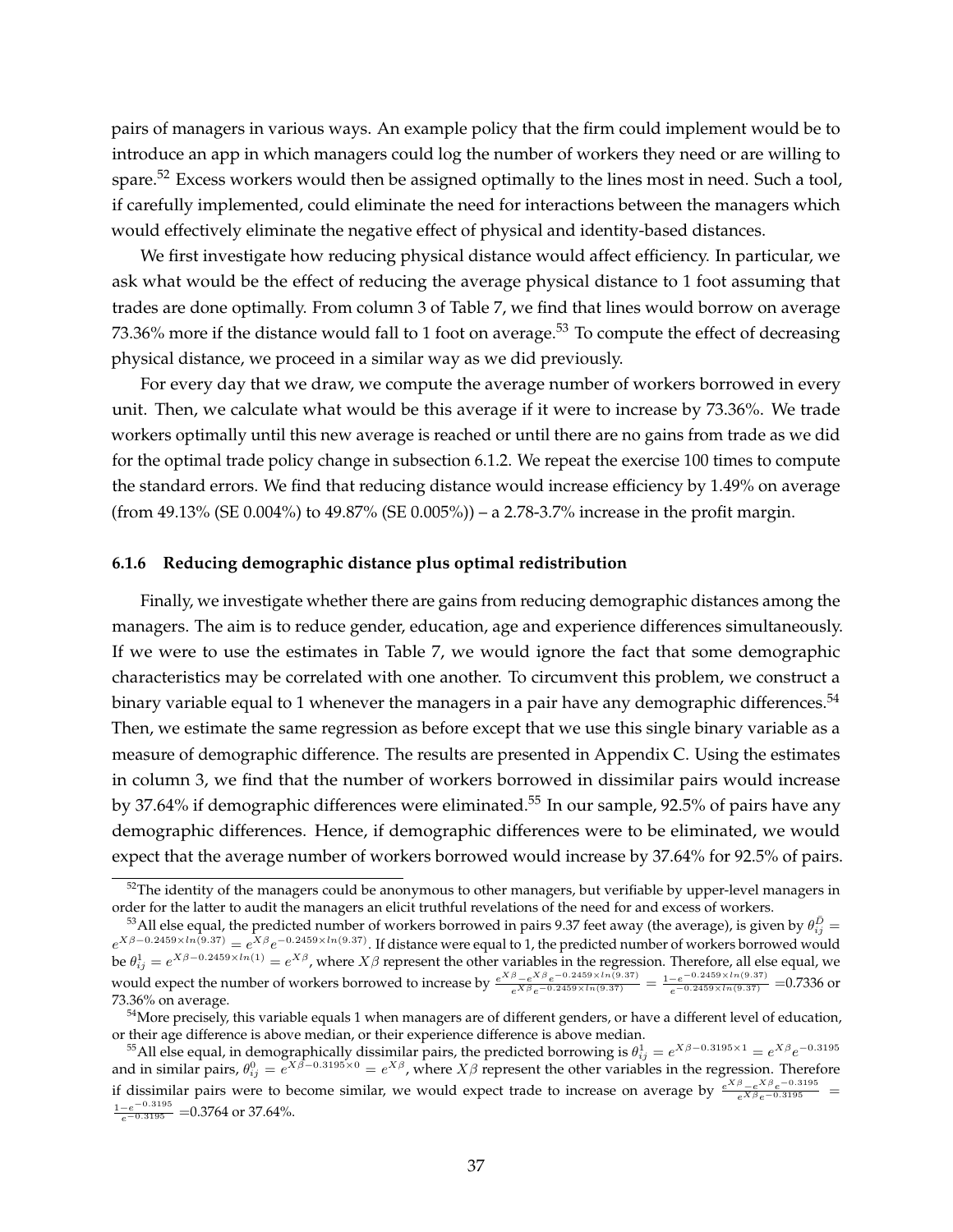pairs of managers in various ways. An example policy that the firm could implement would be to introduce an app in which managers could log the number of workers they need or are willing to spare.<sup>52</sup> Excess workers would then be assigned optimally to the lines most in need. Such a tool, if carefully implemented, could eliminate the need for interactions between the managers which would effectively eliminate the negative effect of physical and identity-based distances.

We first investigate how reducing physical distance would affect efficiency. In particular, we ask what would be the effect of reducing the average physical distance to 1 foot assuming that trades are done optimally. From column 3 of Table 7, we find that lines would borrow on average 73.36% more if the distance would fall to 1 foot on average.<sup>53</sup> To compute the effect of decreasing physical distance, we proceed in a similar way as we did previously.

For every day that we draw, we compute the average number of workers borrowed in every unit. Then, we calculate what would be this average if it were to increase by 73.36%. We trade workers optimally until this new average is reached or until there are no gains from trade as we did for the optimal trade policy change in subsection 6.1.2. We repeat the exercise 100 times to compute the standard errors. We find that reducing distance would increase efficiency by 1.49% on average (from 49.13% (SE 0.004%) to 49.87% (SE 0.005%)) – a 2.78-3.7% increase in the profit margin.

#### **6.1.6 Reducing demographic distance plus optimal redistribution**

Finally, we investigate whether there are gains from reducing demographic distances among the managers. The aim is to reduce gender, education, age and experience differences simultaneously. If we were to use the estimates in Table 7, we would ignore the fact that some demographic characteristics may be correlated with one another. To circumvent this problem, we construct a binary variable equal to 1 whenever the managers in a pair have any demographic differences.<sup>54</sup> Then, we estimate the same regression as before except that we use this single binary variable as a measure of demographic difference. The results are presented in Appendix C. Using the estimates in column 3, we find that the number of workers borrowed in dissimilar pairs would increase by 37.64% if demographic differences were eliminated.<sup>55</sup> In our sample, 92.5% of pairs have any demographic differences. Hence, if demographic differences were to be eliminated, we would expect that the average number of workers borrowed would increase by 37.64% for 92.5% of pairs.

 $52$ The identity of the managers could be anonymous to other managers, but verifiable by upper-level managers in order for the latter to audit the managers an elicit truthful revelations of the need for and excess of workers.

 $^{53}$ All else equal, the predicted number of workers borrowed in pairs 9.37 feet away (the average), is given by  $\theta^{\bar{D}}_{ij}$  =  $e^{X\beta-0.2459\times ln(9.37)}=e^{X\beta}e^{-0.2459\times ln(9.37)}$ . If distance were equal to 1, the predicted number of workers borrowed would be  $\theta_{ij}^1=e^{X\beta-0.2459\times ln(1)}=e^{X\beta}$ , where  $X\beta$  represent the other variables in the regression. Therefore, all else equal, we would expect the number of workers borrowed to increase by  $\frac{e^{X\beta}-e^{X\beta}e^{-0.2459\times ln(9.37)}}{e^{X\beta}e^{-0.2459\times ln(9.37)}} = \frac{1-e^{-0.2459\times ln(9.37)}}{e^{-0.2459\times ln(9.37)}} = 0.7336$  or 73.36% on average.

<sup>&</sup>lt;sup>54</sup>More precisely, this variable equals 1 when managers are of different genders, or have a different level of education, or their age difference is above median, or their experience difference is above median.

<sup>&</sup>lt;sup>55</sup>All else equal, in demographically dissimilar pairs, the predicted borrowing is  $\theta_{ij}^1=e^{X\beta-0.3195\times 1}=e^{X\beta}e^{-0.3195}$ and in similar pairs,  $\theta_{ij}^0 = e^{X\beta - 0.3195\times0} = e^{X\beta}$ , where  $X\beta$  represent the other variables in the regression. Therefore if dissimilar pairs were to become similar, we would expect trade to increase on average by  $\frac{e^{X\beta}-e^{X\beta}e^{-0.3195}}{e^{X\beta}e^{-0.3195}}$  =  $\frac{1-e^{-0.3195}}{e^{-0.3195}}$  =0.3764 or 37.64%.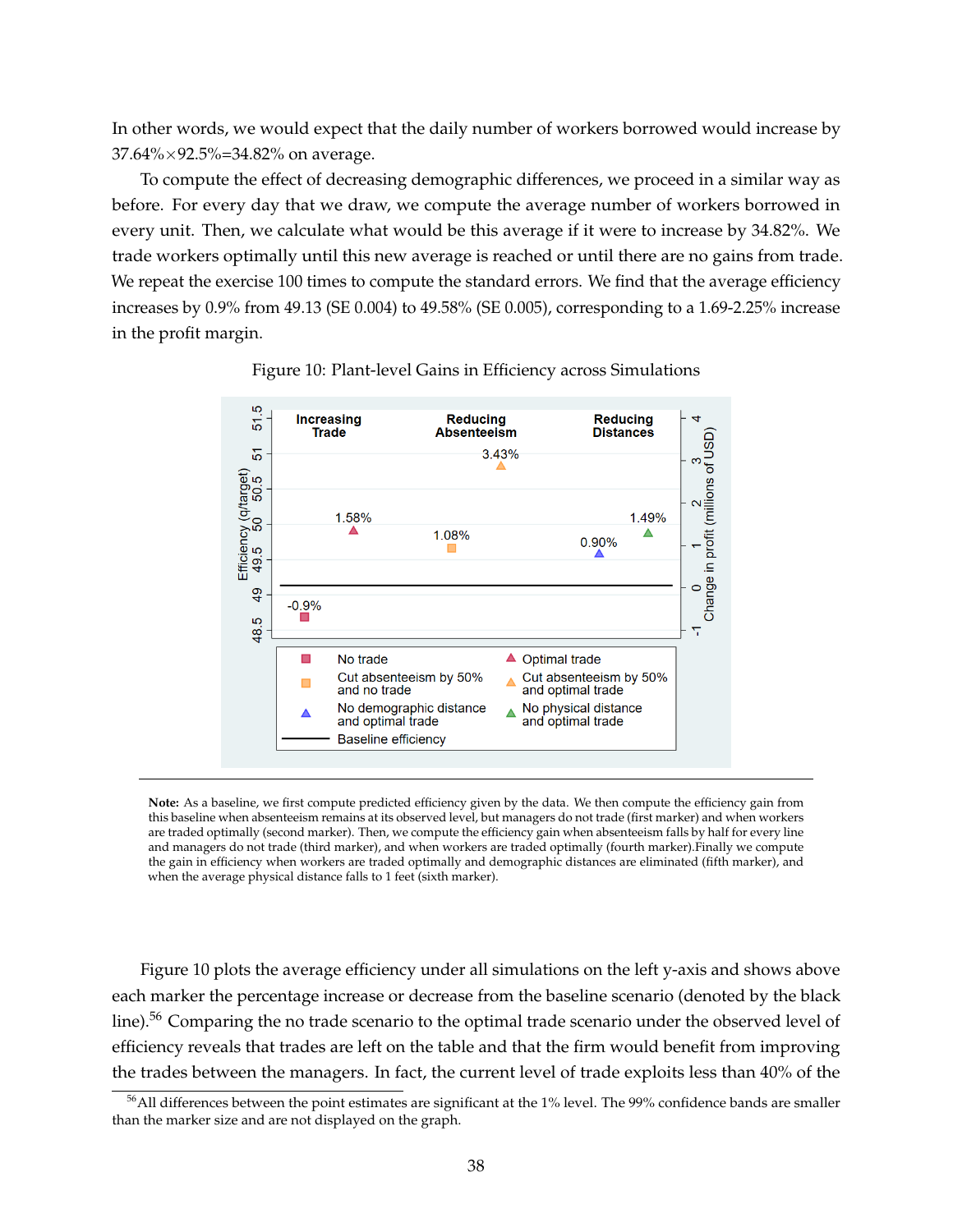In other words, we would expect that the daily number of workers borrowed would increase by 37.64%×92.5%=34.82% on average.

To compute the effect of decreasing demographic differences, we proceed in a similar way as before. For every day that we draw, we compute the average number of workers borrowed in every unit. Then, we calculate what would be this average if it were to increase by 34.82%. We trade workers optimally until this new average is reached or until there are no gains from trade. We repeat the exercise 100 times to compute the standard errors. We find that the average efficiency increases by 0.9% from 49.13 (SE 0.004) to 49.58% (SE 0.005), corresponding to a 1.69-2.25% increase in the profit margin.



Figure 10: Plant-level Gains in Efficiency across Simulations

**Note:** As a baseline, we first compute predicted efficiency given by the data. We then compute the efficiency gain from this baseline when absenteeism remains at its observed level, but managers do not trade (first marker) and when workers are traded optimally (second marker). Then, we compute the efficiency gain when absenteeism falls by half for every line and managers do not trade (third marker), and when workers are traded optimally (fourth marker).Finally we compute the gain in efficiency when workers are traded optimally and demographic distances are eliminated (fifth marker), and when the average physical distance falls to 1 feet (sixth marker).

Figure 10 plots the average efficiency under all simulations on the left y-axis and shows above each marker the percentage increase or decrease from the baseline scenario (denoted by the black line).<sup>56</sup> Comparing the no trade scenario to the optimal trade scenario under the observed level of efficiency reveals that trades are left on the table and that the firm would benefit from improving the trades between the managers. In fact, the current level of trade exploits less than 40% of the

<sup>56</sup>All differences between the point estimates are significant at the 1% level. The 99% confidence bands are smaller than the marker size and are not displayed on the graph.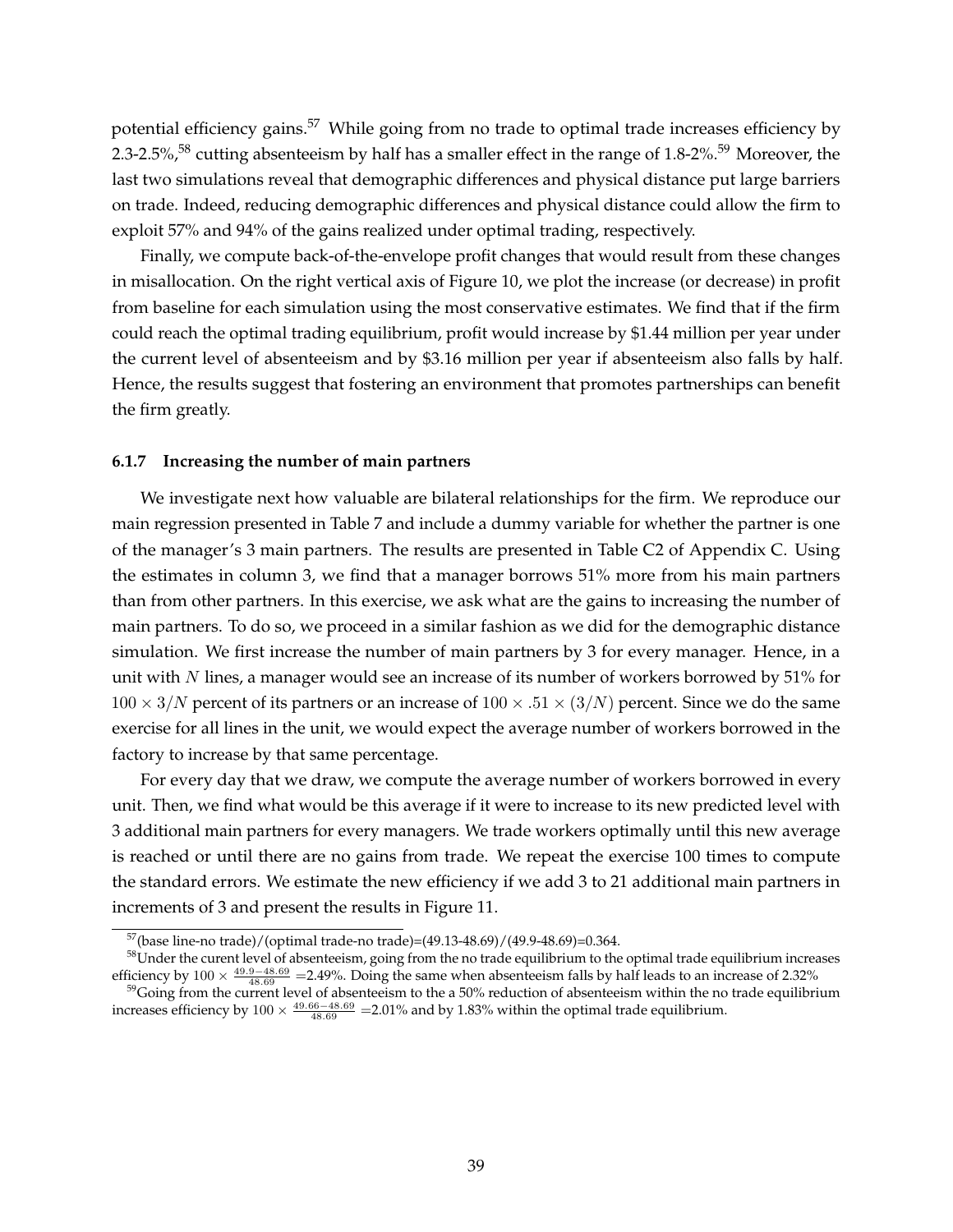potential efficiency gains.<sup>57</sup> While going from no trade to optimal trade increases efficiency by 2.3-2.5%,<sup>58</sup> cutting absenteeism by half has a smaller effect in the range of 1.8-2%.<sup>59</sup> Moreover, the last two simulations reveal that demographic differences and physical distance put large barriers on trade. Indeed, reducing demographic differences and physical distance could allow the firm to exploit 57% and 94% of the gains realized under optimal trading, respectively.

Finally, we compute back-of-the-envelope profit changes that would result from these changes in misallocation. On the right vertical axis of Figure 10, we plot the increase (or decrease) in profit from baseline for each simulation using the most conservative estimates. We find that if the firm could reach the optimal trading equilibrium, profit would increase by \$1.44 million per year under the current level of absenteeism and by \$3.16 million per year if absenteeism also falls by half. Hence, the results suggest that fostering an environment that promotes partnerships can benefit the firm greatly.

#### **6.1.7 Increasing the number of main partners**

We investigate next how valuable are bilateral relationships for the firm. We reproduce our main regression presented in Table 7 and include a dummy variable for whether the partner is one of the manager's 3 main partners. The results are presented in Table C2 of Appendix C. Using the estimates in column 3, we find that a manager borrows 51% more from his main partners than from other partners. In this exercise, we ask what are the gains to increasing the number of main partners. To do so, we proceed in a similar fashion as we did for the demographic distance simulation. We first increase the number of main partners by 3 for every manager. Hence, in a unit with N lines, a manager would see an increase of its number of workers borrowed by 51% for  $100 \times 3/N$  percent of its partners or an increase of  $100 \times .51 \times (3/N)$  percent. Since we do the same exercise for all lines in the unit, we would expect the average number of workers borrowed in the factory to increase by that same percentage.

For every day that we draw, we compute the average number of workers borrowed in every unit. Then, we find what would be this average if it were to increase to its new predicted level with 3 additional main partners for every managers. We trade workers optimally until this new average is reached or until there are no gains from trade. We repeat the exercise 100 times to compute the standard errors. We estimate the new efficiency if we add 3 to 21 additional main partners in increments of 3 and present the results in Figure 11.

<sup>57</sup>(base line-no trade)/(optimal trade-no trade)=(49.13-48.69)/(49.9-48.69)=0.364.

<sup>&</sup>lt;sup>58</sup>Under the curent level of absenteeism, going from the no trade equilibrium to the optimal trade equilibrium increases efficiency by  $100 \times \frac{49.9-48.69}{48.69}$  =2.49%. Doing the same when absenteeism falls by half leads to an increase of 2.32%

 $59$  Going from the current level of absenteeism to the a 50% reduction of absenteeism within the no trade equilibrium increases efficiency by  $100 \times \frac{49.66 - 48.69}{48.69} = 2.01\%$  and by 1.83% within the optimal trade equilibrium.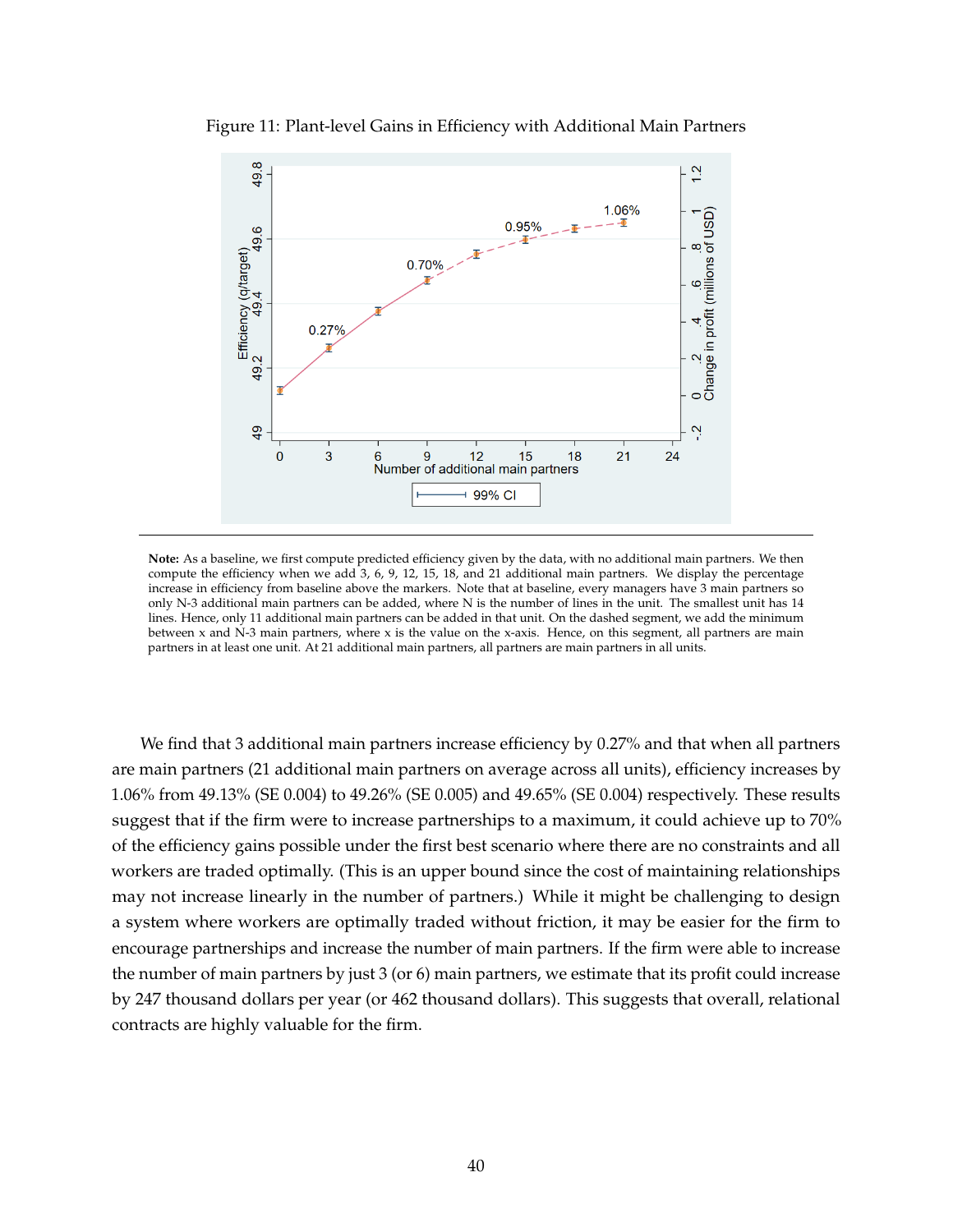

Figure 11: Plant-level Gains in Efficiency with Additional Main Partners

**Note:** As a baseline, we first compute predicted efficiency given by the data, with no additional main partners. We then compute the efficiency when we add 3, 6, 9, 12, 15, 18, and 21 additional main partners. We display the percentage increase in efficiency from baseline above the markers. Note that at baseline, every managers have 3 main partners so only N-3 additional main partners can be added, where N is the number of lines in the unit. The smallest unit has 14 lines. Hence, only 11 additional main partners can be added in that unit. On the dashed segment, we add the minimum between x and N-3 main partners, where x is the value on the x-axis. Hence, on this segment, all partners are main partners in at least one unit. At 21 additional main partners, all partners are main partners in all units.

We find that 3 additional main partners increase efficiency by 0.27% and that when all partners are main partners (21 additional main partners on average across all units), efficiency increases by 1.06% from 49.13% (SE 0.004) to 49.26% (SE 0.005) and 49.65% (SE 0.004) respectively. These results suggest that if the firm were to increase partnerships to a maximum, it could achieve up to 70% of the efficiency gains possible under the first best scenario where there are no constraints and all workers are traded optimally. (This is an upper bound since the cost of maintaining relationships may not increase linearly in the number of partners.) While it might be challenging to design a system where workers are optimally traded without friction, it may be easier for the firm to encourage partnerships and increase the number of main partners. If the firm were able to increase the number of main partners by just 3 (or 6) main partners, we estimate that its profit could increase by 247 thousand dollars per year (or 462 thousand dollars). This suggests that overall, relational contracts are highly valuable for the firm.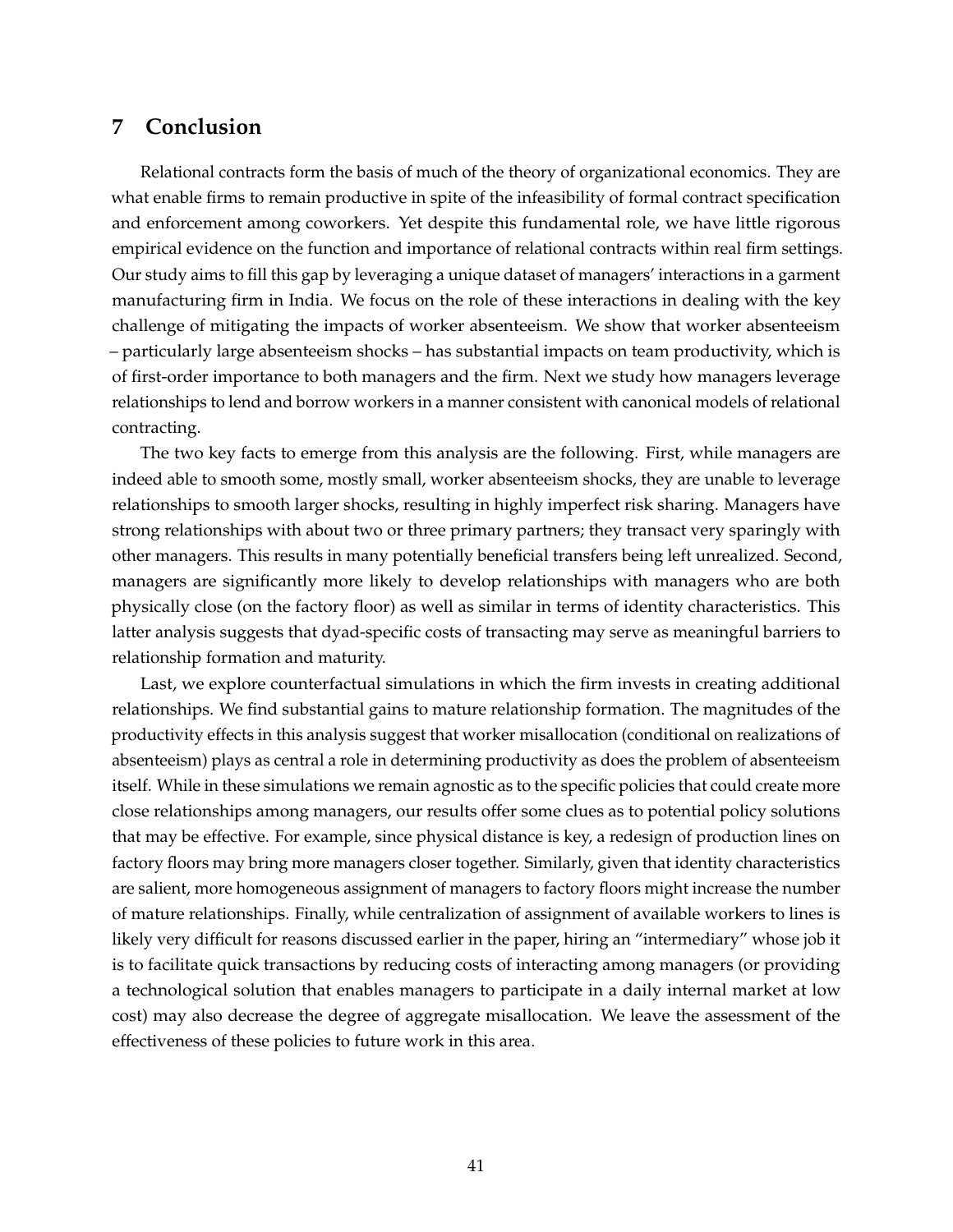## **7 Conclusion**

Relational contracts form the basis of much of the theory of organizational economics. They are what enable firms to remain productive in spite of the infeasibility of formal contract specification and enforcement among coworkers. Yet despite this fundamental role, we have little rigorous empirical evidence on the function and importance of relational contracts within real firm settings. Our study aims to fill this gap by leveraging a unique dataset of managers' interactions in a garment manufacturing firm in India. We focus on the role of these interactions in dealing with the key challenge of mitigating the impacts of worker absenteeism. We show that worker absenteeism – particularly large absenteeism shocks – has substantial impacts on team productivity, which is of first-order importance to both managers and the firm. Next we study how managers leverage relationships to lend and borrow workers in a manner consistent with canonical models of relational contracting.

The two key facts to emerge from this analysis are the following. First, while managers are indeed able to smooth some, mostly small, worker absenteeism shocks, they are unable to leverage relationships to smooth larger shocks, resulting in highly imperfect risk sharing. Managers have strong relationships with about two or three primary partners; they transact very sparingly with other managers. This results in many potentially beneficial transfers being left unrealized. Second, managers are significantly more likely to develop relationships with managers who are both physically close (on the factory floor) as well as similar in terms of identity characteristics. This latter analysis suggests that dyad-specific costs of transacting may serve as meaningful barriers to relationship formation and maturity.

Last, we explore counterfactual simulations in which the firm invests in creating additional relationships. We find substantial gains to mature relationship formation. The magnitudes of the productivity effects in this analysis suggest that worker misallocation (conditional on realizations of absenteeism) plays as central a role in determining productivity as does the problem of absenteeism itself. While in these simulations we remain agnostic as to the specific policies that could create more close relationships among managers, our results offer some clues as to potential policy solutions that may be effective. For example, since physical distance is key, a redesign of production lines on factory floors may bring more managers closer together. Similarly, given that identity characteristics are salient, more homogeneous assignment of managers to factory floors might increase the number of mature relationships. Finally, while centralization of assignment of available workers to lines is likely very difficult for reasons discussed earlier in the paper, hiring an "intermediary" whose job it is to facilitate quick transactions by reducing costs of interacting among managers (or providing a technological solution that enables managers to participate in a daily internal market at low cost) may also decrease the degree of aggregate misallocation. We leave the assessment of the effectiveness of these policies to future work in this area.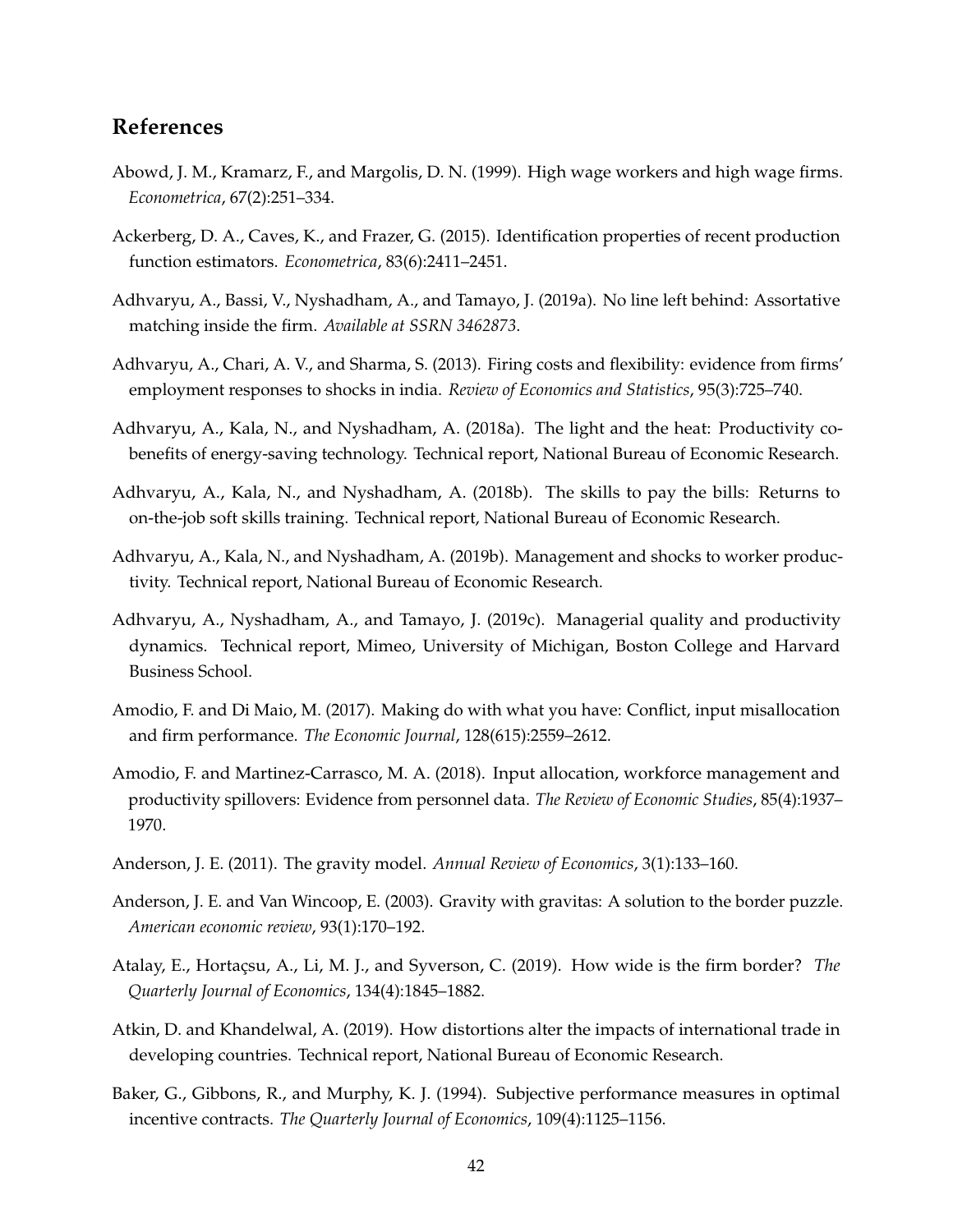## **References**

- Abowd, J. M., Kramarz, F., and Margolis, D. N. (1999). High wage workers and high wage firms. *Econometrica*, 67(2):251–334.
- Ackerberg, D. A., Caves, K., and Frazer, G. (2015). Identification properties of recent production function estimators. *Econometrica*, 83(6):2411–2451.
- Adhvaryu, A., Bassi, V., Nyshadham, A., and Tamayo, J. (2019a). No line left behind: Assortative matching inside the firm. *Available at SSRN 3462873*.
- Adhvaryu, A., Chari, A. V., and Sharma, S. (2013). Firing costs and flexibility: evidence from firms' employment responses to shocks in india. *Review of Economics and Statistics*, 95(3):725–740.
- Adhvaryu, A., Kala, N., and Nyshadham, A. (2018a). The light and the heat: Productivity cobenefits of energy-saving technology. Technical report, National Bureau of Economic Research.
- Adhvaryu, A., Kala, N., and Nyshadham, A. (2018b). The skills to pay the bills: Returns to on-the-job soft skills training. Technical report, National Bureau of Economic Research.
- Adhvaryu, A., Kala, N., and Nyshadham, A. (2019b). Management and shocks to worker productivity. Technical report, National Bureau of Economic Research.
- Adhvaryu, A., Nyshadham, A., and Tamayo, J. (2019c). Managerial quality and productivity dynamics. Technical report, Mimeo, University of Michigan, Boston College and Harvard Business School.
- Amodio, F. and Di Maio, M. (2017). Making do with what you have: Conflict, input misallocation and firm performance. *The Economic Journal*, 128(615):2559–2612.
- Amodio, F. and Martinez-Carrasco, M. A. (2018). Input allocation, workforce management and productivity spillovers: Evidence from personnel data. *The Review of Economic Studies*, 85(4):1937– 1970.
- Anderson, J. E. (2011). The gravity model. *Annual Review of Economics*, 3(1):133–160.
- Anderson, J. E. and Van Wincoop, E. (2003). Gravity with gravitas: A solution to the border puzzle. *American economic review*, 93(1):170–192.
- Atalay, E., Hortaçsu, A., Li, M. J., and Syverson, C. (2019). How wide is the firm border? *The Quarterly Journal of Economics*, 134(4):1845–1882.
- Atkin, D. and Khandelwal, A. (2019). How distortions alter the impacts of international trade in developing countries. Technical report, National Bureau of Economic Research.
- Baker, G., Gibbons, R., and Murphy, K. J. (1994). Subjective performance measures in optimal incentive contracts. *The Quarterly Journal of Economics*, 109(4):1125–1156.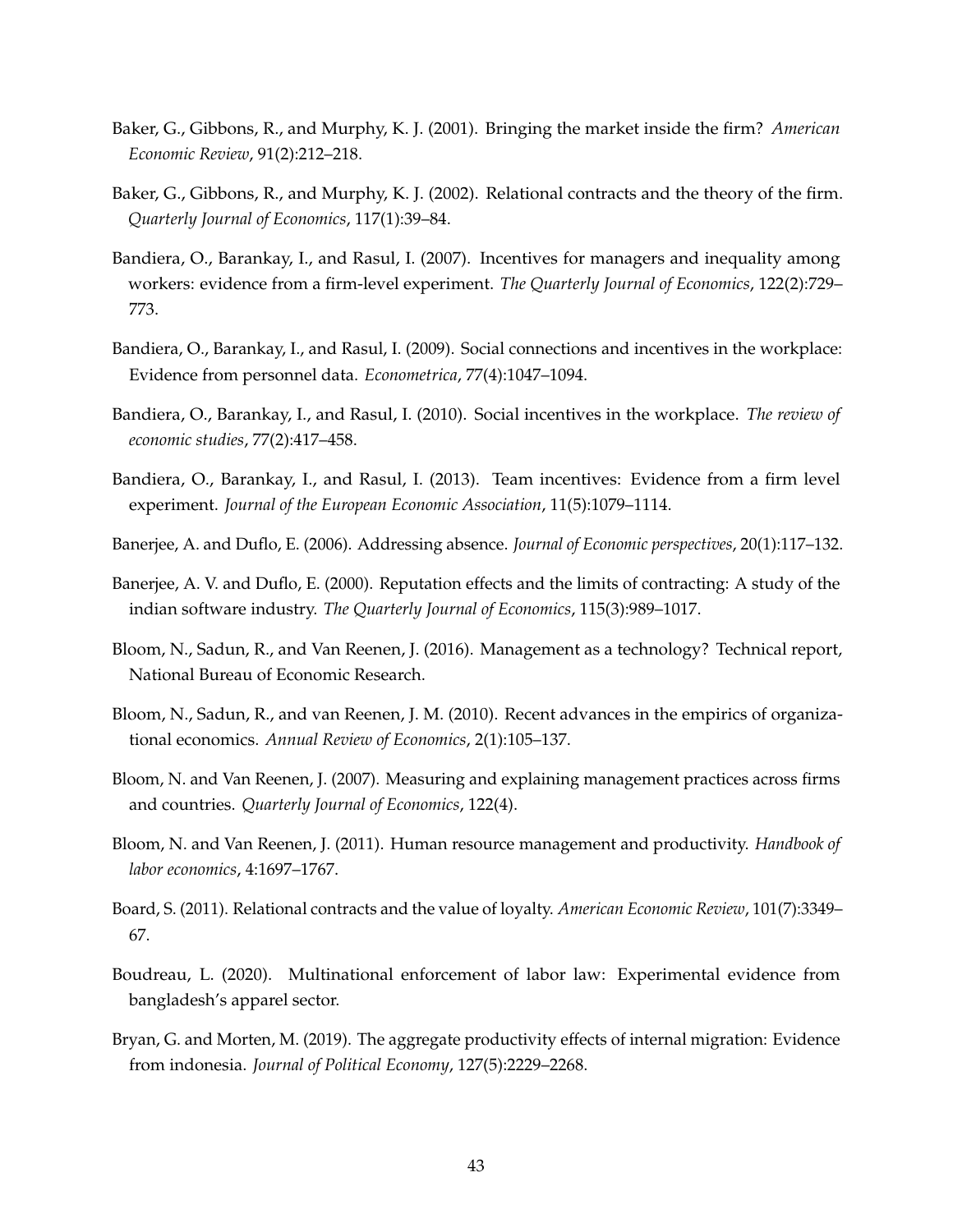- Baker, G., Gibbons, R., and Murphy, K. J. (2001). Bringing the market inside the firm? *American Economic Review*, 91(2):212–218.
- Baker, G., Gibbons, R., and Murphy, K. J. (2002). Relational contracts and the theory of the firm. *Quarterly Journal of Economics*, 117(1):39–84.
- Bandiera, O., Barankay, I., and Rasul, I. (2007). Incentives for managers and inequality among workers: evidence from a firm-level experiment. *The Quarterly Journal of Economics*, 122(2):729– 773.
- Bandiera, O., Barankay, I., and Rasul, I. (2009). Social connections and incentives in the workplace: Evidence from personnel data. *Econometrica*, 77(4):1047–1094.
- Bandiera, O., Barankay, I., and Rasul, I. (2010). Social incentives in the workplace. *The review of economic studies*, 77(2):417–458.
- Bandiera, O., Barankay, I., and Rasul, I. (2013). Team incentives: Evidence from a firm level experiment. *Journal of the European Economic Association*, 11(5):1079–1114.
- Banerjee, A. and Duflo, E. (2006). Addressing absence. *Journal of Economic perspectives*, 20(1):117–132.
- Banerjee, A. V. and Duflo, E. (2000). Reputation effects and the limits of contracting: A study of the indian software industry. *The Quarterly Journal of Economics*, 115(3):989–1017.
- Bloom, N., Sadun, R., and Van Reenen, J. (2016). Management as a technology? Technical report, National Bureau of Economic Research.
- Bloom, N., Sadun, R., and van Reenen, J. M. (2010). Recent advances in the empirics of organizational economics. *Annual Review of Economics*, 2(1):105–137.
- Bloom, N. and Van Reenen, J. (2007). Measuring and explaining management practices across firms and countries. *Quarterly Journal of Economics*, 122(4).
- Bloom, N. and Van Reenen, J. (2011). Human resource management and productivity. *Handbook of labor economics*, 4:1697–1767.
- Board, S. (2011). Relational contracts and the value of loyalty. *American Economic Review*, 101(7):3349– 67.
- Boudreau, L. (2020). Multinational enforcement of labor law: Experimental evidence from bangladesh's apparel sector.
- Bryan, G. and Morten, M. (2019). The aggregate productivity effects of internal migration: Evidence from indonesia. *Journal of Political Economy*, 127(5):2229–2268.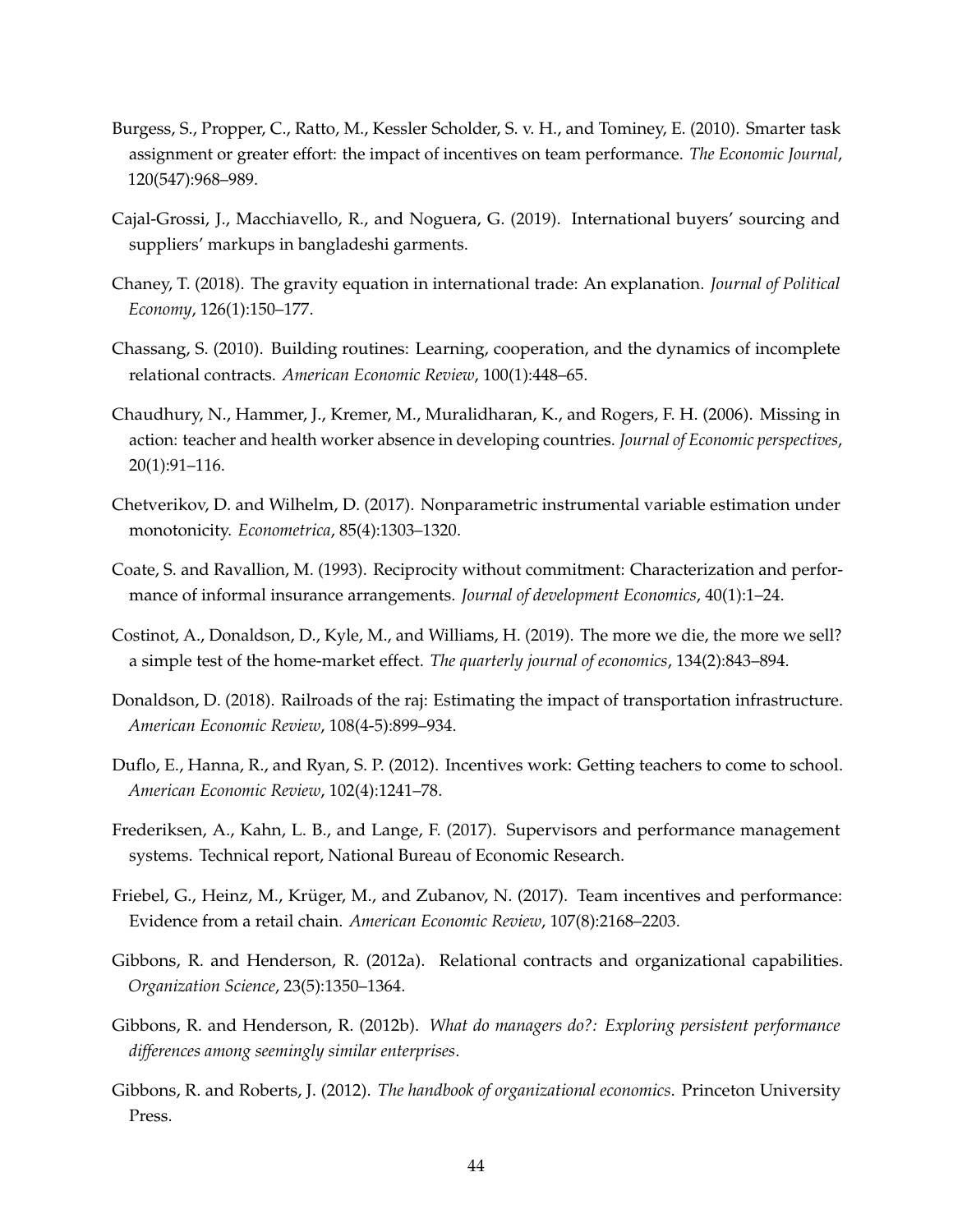- Burgess, S., Propper, C., Ratto, M., Kessler Scholder, S. v. H., and Tominey, E. (2010). Smarter task assignment or greater effort: the impact of incentives on team performance. *The Economic Journal*, 120(547):968–989.
- Cajal-Grossi, J., Macchiavello, R., and Noguera, G. (2019). International buyers' sourcing and suppliers' markups in bangladeshi garments.
- Chaney, T. (2018). The gravity equation in international trade: An explanation. *Journal of Political Economy*, 126(1):150–177.
- Chassang, S. (2010). Building routines: Learning, cooperation, and the dynamics of incomplete relational contracts. *American Economic Review*, 100(1):448–65.
- Chaudhury, N., Hammer, J., Kremer, M., Muralidharan, K., and Rogers, F. H. (2006). Missing in action: teacher and health worker absence in developing countries. *Journal of Economic perspectives*, 20(1):91–116.
- Chetverikov, D. and Wilhelm, D. (2017). Nonparametric instrumental variable estimation under monotonicity. *Econometrica*, 85(4):1303–1320.
- Coate, S. and Ravallion, M. (1993). Reciprocity without commitment: Characterization and performance of informal insurance arrangements. *Journal of development Economics*, 40(1):1–24.
- Costinot, A., Donaldson, D., Kyle, M., and Williams, H. (2019). The more we die, the more we sell? a simple test of the home-market effect. *The quarterly journal of economics*, 134(2):843–894.
- Donaldson, D. (2018). Railroads of the raj: Estimating the impact of transportation infrastructure. *American Economic Review*, 108(4-5):899–934.
- Duflo, E., Hanna, R., and Ryan, S. P. (2012). Incentives work: Getting teachers to come to school. *American Economic Review*, 102(4):1241–78.
- Frederiksen, A., Kahn, L. B., and Lange, F. (2017). Supervisors and performance management systems. Technical report, National Bureau of Economic Research.
- Friebel, G., Heinz, M., Krüger, M., and Zubanov, N. (2017). Team incentives and performance: Evidence from a retail chain. *American Economic Review*, 107(8):2168–2203.
- Gibbons, R. and Henderson, R. (2012a). Relational contracts and organizational capabilities. *Organization Science*, 23(5):1350–1364.
- Gibbons, R. and Henderson, R. (2012b). *What do managers do?: Exploring persistent performance differences among seemingly similar enterprises*.
- Gibbons, R. and Roberts, J. (2012). *The handbook of organizational economics*. Princeton University Press.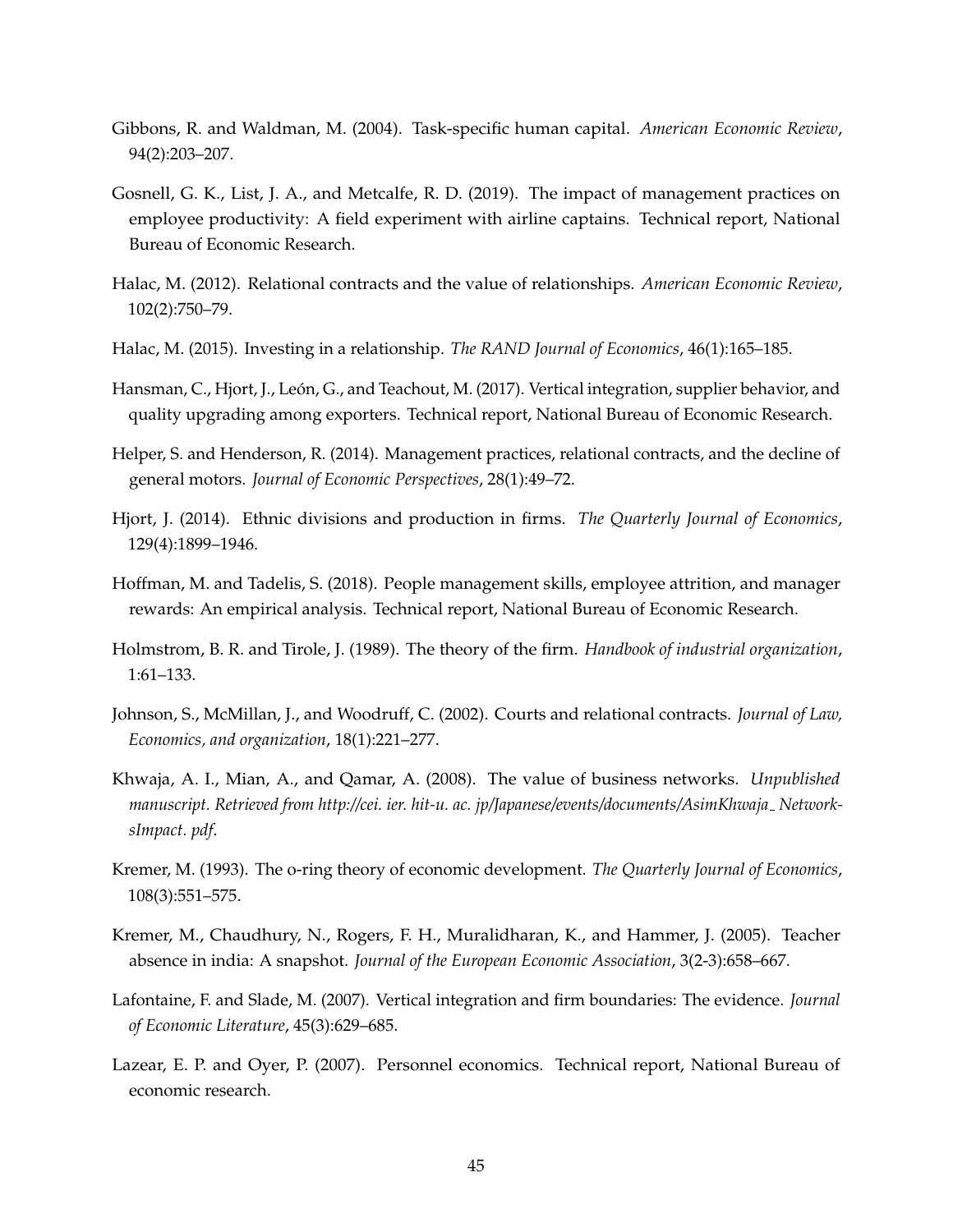- Gibbons, R. and Waldman, M. (2004). Task-specific human capital. *American Economic Review*, 94(2):203–207.
- Gosnell, G. K., List, J. A., and Metcalfe, R. D. (2019). The impact of management practices on employee productivity: A field experiment with airline captains. Technical report, National Bureau of Economic Research.
- Halac, M. (2012). Relational contracts and the value of relationships. *American Economic Review*, 102(2):750–79.
- Halac, M. (2015). Investing in a relationship. *The RAND Journal of Economics*, 46(1):165–185.
- Hansman, C., Hjort, J., León, G., and Teachout, M. (2017). Vertical integration, supplier behavior, and quality upgrading among exporters. Technical report, National Bureau of Economic Research.
- Helper, S. and Henderson, R. (2014). Management practices, relational contracts, and the decline of general motors. *Journal of Economic Perspectives*, 28(1):49–72.
- Hjort, J. (2014). Ethnic divisions and production in firms. *The Quarterly Journal of Economics*, 129(4):1899–1946.
- Hoffman, M. and Tadelis, S. (2018). People management skills, employee attrition, and manager rewards: An empirical analysis. Technical report, National Bureau of Economic Research.
- Holmstrom, B. R. and Tirole, J. (1989). The theory of the firm. *Handbook of industrial organization*, 1:61–133.
- Johnson, S., McMillan, J., and Woodruff, C. (2002). Courts and relational contracts. *Journal of Law, Economics, and organization*, 18(1):221–277.
- Khwaja, A. I., Mian, A., and Qamar, A. (2008). The value of business networks. *Unpublished* manuscript. Retrieved from http://cei. ier. hit-u. ac. jp/Japanese/events/documents/AsimKhwaja\_Network*sImpact. pdf*.
- Kremer, M. (1993). The o-ring theory of economic development. *The Quarterly Journal of Economics*, 108(3):551–575.
- Kremer, M., Chaudhury, N., Rogers, F. H., Muralidharan, K., and Hammer, J. (2005). Teacher absence in india: A snapshot. *Journal of the European Economic Association*, 3(2-3):658–667.
- Lafontaine, F. and Slade, M. (2007). Vertical integration and firm boundaries: The evidence. *Journal of Economic Literature*, 45(3):629–685.
- Lazear, E. P. and Oyer, P. (2007). Personnel economics. Technical report, National Bureau of economic research.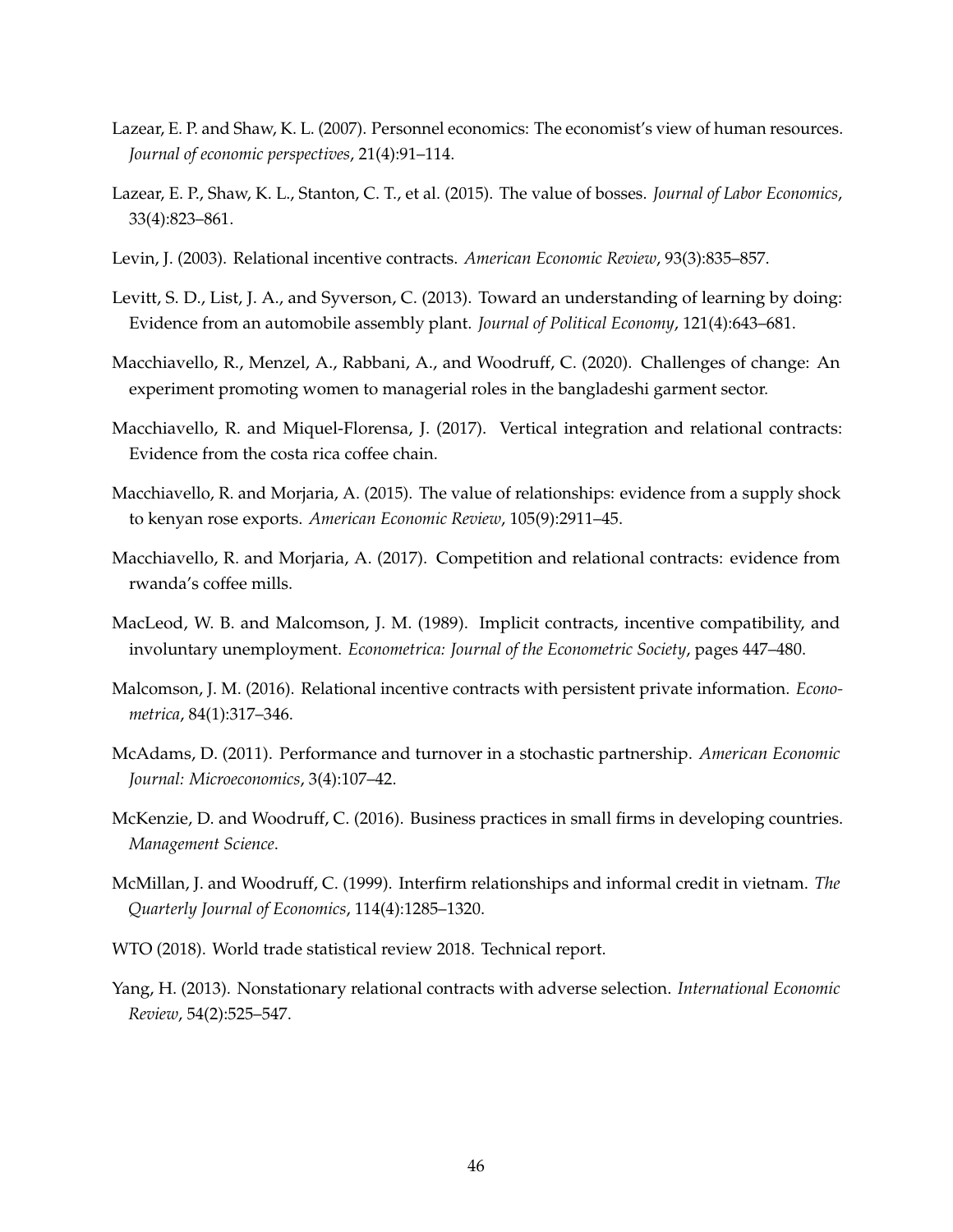- Lazear, E. P. and Shaw, K. L. (2007). Personnel economics: The economist's view of human resources. *Journal of economic perspectives*, 21(4):91–114.
- Lazear, E. P., Shaw, K. L., Stanton, C. T., et al. (2015). The value of bosses. *Journal of Labor Economics*, 33(4):823–861.
- Levin, J. (2003). Relational incentive contracts. *American Economic Review*, 93(3):835–857.
- Levitt, S. D., List, J. A., and Syverson, C. (2013). Toward an understanding of learning by doing: Evidence from an automobile assembly plant. *Journal of Political Economy*, 121(4):643–681.
- Macchiavello, R., Menzel, A., Rabbani, A., and Woodruff, C. (2020). Challenges of change: An experiment promoting women to managerial roles in the bangladeshi garment sector.
- Macchiavello, R. and Miquel-Florensa, J. (2017). Vertical integration and relational contracts: Evidence from the costa rica coffee chain.
- Macchiavello, R. and Morjaria, A. (2015). The value of relationships: evidence from a supply shock to kenyan rose exports. *American Economic Review*, 105(9):2911–45.
- Macchiavello, R. and Morjaria, A. (2017). Competition and relational contracts: evidence from rwanda's coffee mills.
- MacLeod, W. B. and Malcomson, J. M. (1989). Implicit contracts, incentive compatibility, and involuntary unemployment. *Econometrica: Journal of the Econometric Society*, pages 447–480.
- Malcomson, J. M. (2016). Relational incentive contracts with persistent private information. *Econometrica*, 84(1):317–346.
- McAdams, D. (2011). Performance and turnover in a stochastic partnership. *American Economic Journal: Microeconomics*, 3(4):107–42.
- McKenzie, D. and Woodruff, C. (2016). Business practices in small firms in developing countries. *Management Science*.
- McMillan, J. and Woodruff, C. (1999). Interfirm relationships and informal credit in vietnam. *The Quarterly Journal of Economics*, 114(4):1285–1320.
- WTO (2018). World trade statistical review 2018. Technical report.
- Yang, H. (2013). Nonstationary relational contracts with adverse selection. *International Economic Review*, 54(2):525–547.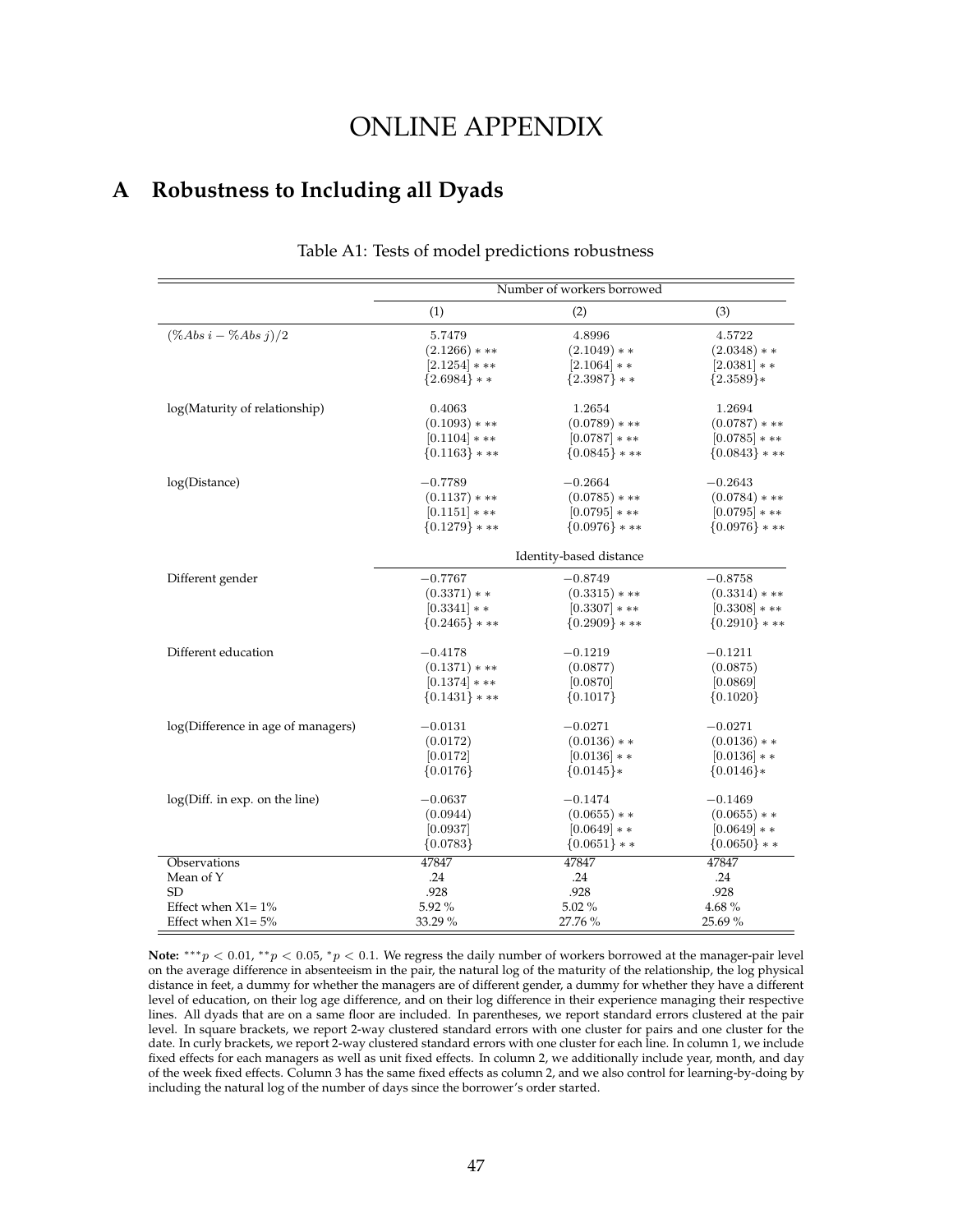## ONLINE APPENDIX

## **A Robustness to Including all Dyads**

|                                    | Number of workers borrowed |                         |                   |
|------------------------------------|----------------------------|-------------------------|-------------------|
|                                    | (1)                        | (2)                     | (3)               |
| $(\% Abs i - \% Abs j)/2$          | 5.7479                     | 4.8996                  | 4.5722            |
|                                    | $(2.1266)$ * **            | $(2.1049)**$            | $(2.0348)**$      |
|                                    | $[2.1254]***$              | $[2.1064]**$            | $[2.0381]**$      |
|                                    | ${2.6984}$ **              | ${2.3987}$ * *          | ${2.3589}*$       |
| log(Maturity of relationship)      | 0.4063                     | 1.2654                  | 1.2694            |
|                                    | $(0.1093)$ * **            | $(0.0789)$ * **         | $(0.0787)$ * **   |
|                                    | $[0.1104]$ * **            | $[0.0787]$ * **         | $[0.0785]$ * **   |
|                                    | $\{0.1163\}$ * **          | ${0.0845}$ * **         | $\{0.0843\}$ * ** |
| log(Distance)                      | $-0.7789$                  | $-0.2664$               | $-0.2643$         |
|                                    | $(0.1137)$ * **            | $(0.0785)$ * **         | $(0.0784)$ * **   |
|                                    | $[0.1151]***$              | $[0.0795]$ * **         | $[0.0795]$ * **   |
|                                    | ${0.1279}$ * **            | ${0.0976}$ * **         | ${0.0976}$ * **   |
|                                    |                            | Identity-based distance |                   |
| Different gender                   | $-0.7767$                  | $-0.8749$               | $-0.8758$         |
|                                    | $(0.3371)**$               | $(0.3315)$ * **         | $(0.3314)$ * **   |
|                                    | $[0.3341]$ * *             | $[0.3307]$ * **         | $[0.3308]$ * **   |
|                                    | ${0.2465}$ * **            | ${0.2909}$ * **         | ${0.2910}$ * **   |
| Different education                | $-0.4178$                  | $-0.1219$               | $-0.1211$         |
|                                    | $(0.1371)$ * **            | (0.0877)                | (0.0875)          |
|                                    | $[0.1374]$ * **            | [0.0870]                | [0.0869]          |
|                                    | $\{0.1431\}$ * **          | ${0.1017}$              | ${0.1020}$        |
| log(Difference in age of managers) | $-0.0131$                  | $-0.0271$               | $-0.0271$         |
|                                    | (0.0172)                   | $(0.0136)**$            | $(0.0136)**$      |
|                                    | [0.0172]                   | $[0.0136]$ * *          | $[0.0136]$ * *    |
|                                    | ${0.0176}$                 | ${0.0145}$ *            | ${0.0146}$        |
| log(Diff. in exp. on the line)     | $-0.0637$                  | $-0.1474$               | $-0.1469$         |
|                                    | (0.0944)                   | $(0.0655)**$            | $(0.0655)**$      |
|                                    | [0.0937]                   | $[0.0649]**$            | $[0.0649]**$      |
|                                    | ${0.0783}$                 | ${0.0651}$ * *          | $\{0.0650\}$ * *  |
| Observations                       | 47847                      | 47847                   | 47847             |
| Mean of Y                          | .24                        | .24                     | .24               |
| <b>SD</b>                          | .928                       | .928                    | .928              |
| Effect when $X1 = 1\%$             | 5.92%                      | 5.02%                   | 4.68%             |
| Effect when $X1 = 5%$              | 33.29 %                    | 27.76 %                 | 25.69%            |

#### Table A1: Tests of model predictions robustness

**Note:**  $***p$  < 0.01,  $**p$  < 0.05,  $*p$  < 0.1. We regress the daily number of workers borrowed at the manager-pair level on the average difference in absenteeism in the pair, the natural log of the maturity of the relationship, the log physical distance in feet, a dummy for whether the managers are of different gender, a dummy for whether they have a different level of education, on their log age difference, and on their log difference in their experience managing their respective lines. All dyads that are on a same floor are included. In parentheses, we report standard errors clustered at the pair level. In square brackets, we report 2-way clustered standard errors with one cluster for pairs and one cluster for the date. In curly brackets, we report 2-way clustered standard errors with one cluster for each line. In column 1, we include fixed effects for each managers as well as unit fixed effects. In column 2, we additionally include year, month, and day of the week fixed effects. Column 3 has the same fixed effects as column 2, and we also control for learning-by-doing by including the natural log of the number of days since the borrower's order started.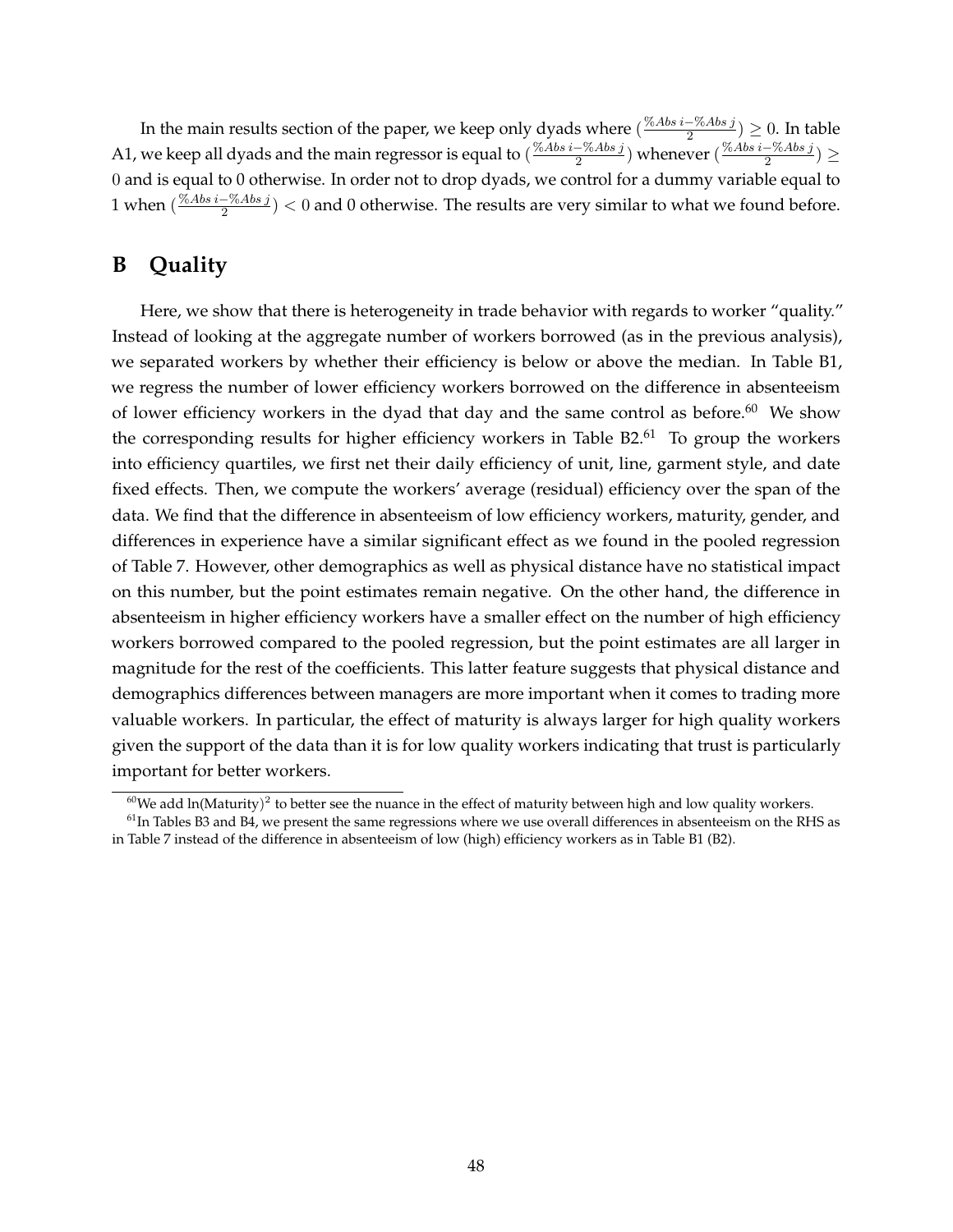In the main results section of the paper, we keep only dyads where ( $\frac{\%Abs~i-\%Abs~j}{2}$  $\frac{(-\%Abs\,J}{2})\geq 0$ . In table A1, we keep all dyads and the main regressor is equal to  $(\frac{\% Abs - \% Abs j}{2})$  $\frac{-\%Abs~j}{2})$  whenever  $(\frac{\%Abs~i-\%Abs~j}{2})$  $\frac{-\gamma_0 As \,j}{2}) \geq$ 0 and is equal to 0 otherwise. In order not to drop dyads, we control for a dummy variable equal to 1 when  $(\frac{\%Abs~i-\%Abs~j}{2})$  $\frac{2^{10} \times 10^{8} \text{ J}}{2}$   $<$  0 and 0 otherwise. The results are very similar to what we found before.

## **B Quality**

Here, we show that there is heterogeneity in trade behavior with regards to worker "quality." Instead of looking at the aggregate number of workers borrowed (as in the previous analysis), we separated workers by whether their efficiency is below or above the median. In Table B1, we regress the number of lower efficiency workers borrowed on the difference in absenteeism of lower efficiency workers in the dyad that day and the same control as before. $60$  We show the corresponding results for higher efficiency workers in Table  $B2<sup>61</sup>$  To group the workers into efficiency quartiles, we first net their daily efficiency of unit, line, garment style, and date fixed effects. Then, we compute the workers' average (residual) efficiency over the span of the data. We find that the difference in absenteeism of low efficiency workers, maturity, gender, and differences in experience have a similar significant effect as we found in the pooled regression of Table 7. However, other demographics as well as physical distance have no statistical impact on this number, but the point estimates remain negative. On the other hand, the difference in absenteeism in higher efficiency workers have a smaller effect on the number of high efficiency workers borrowed compared to the pooled regression, but the point estimates are all larger in magnitude for the rest of the coefficients. This latter feature suggests that physical distance and demographics differences between managers are more important when it comes to trading more valuable workers. In particular, the effect of maturity is always larger for high quality workers given the support of the data than it is for low quality workers indicating that trust is particularly important for better workers.

 $^{60}$ We add ln(Maturity)<sup>2</sup> to better see the nuance in the effect of maturity between high and low quality workers.

 $<sup>61</sup>$  In Tables B3 and B4, we present the same regressions where we use overall differences in absenteeism on the RHS as</sup> in Table 7 instead of the difference in absenteeism of low (high) efficiency workers as in Table B1 (B2).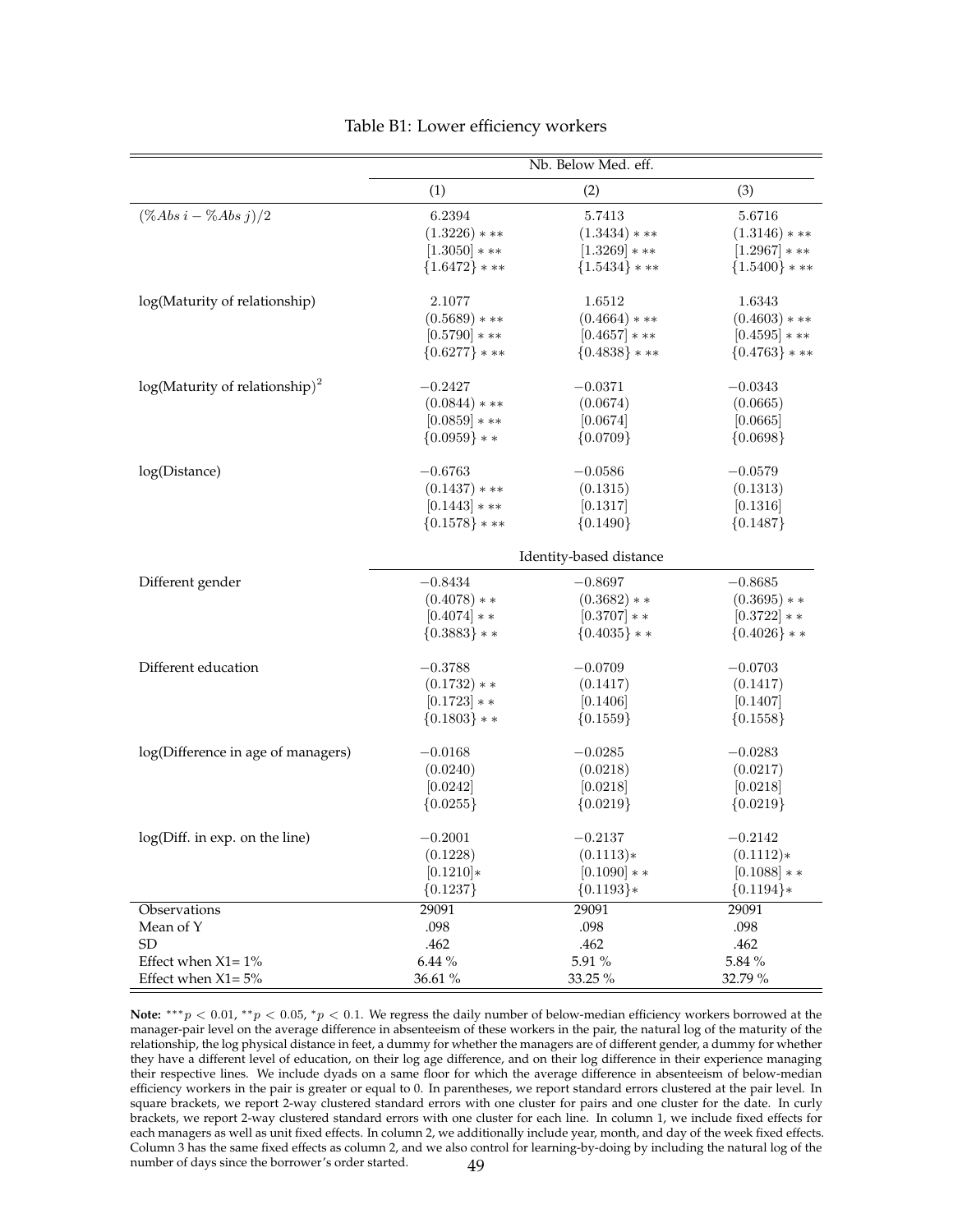|                                    | Nb. Below Med. eff. |                         |                   |
|------------------------------------|---------------------|-------------------------|-------------------|
|                                    | (1)                 | (2)                     | (3)               |
| $(\%Abs\ i - \%Abs\ j)/2$          | 6.2394              | 5.7413                  | 5.6716            |
|                                    | $(1.3226)$ * **     | $(1.3434)****$          | $(1.3146)$ * **   |
|                                    | $[1.3050]***$       | $[1.3269]***$           | $[1.2967]***$     |
|                                    | ${1.6472}$ * **     | ${1.5434}$ ***          | $\{1.5400\}$ * ** |
| log(Maturity of relationship)      | 2.1077              | 1.6512                  | 1.6343            |
|                                    | $(0.5689)****$      | $(0.4664)$ * **         | $(0.4603)$ * **   |
|                                    | $[0.5790]***$       | $[0.4657]***$           | $[0.4595]$ * **   |
|                                    | ${0.6277}$ * **     | ${0.4838}$ * **         | ${0.4763}$ * **   |
| $log(Maturity of relationship)2$   | $-0.2427$           | $-0.0371$               | $-0.0343$         |
|                                    | $(0.0844)$ * **     | (0.0674)                | (0.0665)          |
|                                    | $[0.0859]$ * **     | [0.0674]                | [0.0665]          |
|                                    | ${0.0959}$ * *      | ${0.0709}$              | ${0.0698}$        |
| log(Distance)                      | $-0.6763$           | $-0.0586$               | $-0.0579$         |
|                                    | $(0.1437)$ * **     | (0.1315)                | (0.1313)          |
|                                    | $[0.1443]$ * **     | [0.1317]                | [0.1316]          |
|                                    | ${0.1578}$ * **     | ${0.1490}$              | ${0.1487}$        |
|                                    |                     | Identity-based distance |                   |
| Different gender                   | $-0.8434$           | $-0.8697$               | $-0.8685$         |
|                                    | $(0.4078)**$        | $(0.3682)**$            | $(0.3695)**$      |
|                                    | $[0.4074]**$        | $[0.3707]**$            | $[0.3722]**$      |
|                                    | ${0.3883}$ * *      | ${0.4035}$ * *          | ${0.4026}$ * *    |
| Different education                | $-0.3788$           | $-0.0709$               | $-0.0703$         |
|                                    | $(0.1732)**$        | (0.1417)                | (0.1417)          |
|                                    | $[0.1723]**$        | [0.1406]                | [0.1407]          |
|                                    | ${0.1803}$ * *      | ${0.1559}$              | ${0.1558}$        |
| log(Difference in age of managers) | $-0.0168$           | $-0.0285$               | $-0.0283$         |
|                                    | (0.0240)            | (0.0218)                | (0.0217)          |
|                                    | [0.0242]            | [0.0218]                | [0.0218]          |
|                                    | ${0.0255}$          | ${0.0219}$              | ${0.0219}$        |
| log(Diff. in exp. on the line)     | $-0.2001$           | $-0.2137$               | $-0.2142$         |
|                                    | (0.1228)            | $(0.1113)*$             | $(0.1112)*$       |
|                                    | $[0.1210]*$         | $[0.1090]**$            | $[0.1088]$ * *    |
|                                    | ${0.1237}$          | ${0.1193}$ *            | ${0.1194}$ *      |
| Observations                       | 29091               | 29091                   | 29091             |
| Mean of Y                          | .098                | .098                    | .098              |
| SD                                 | .462                | .462                    | .462              |
| Effect when $X1 = 1\%$             | $6.44~\%$           | $5.91\ \%$              | $5.84~\%$         |
| Effect when $X1 = 5%$              | 36.61 %             | 33.25 %                 | 32.79 %           |

#### Table B1: Lower efficiency workers

Note: \*\*\*p < 0.01, \*\*p < 0.05, \*p < 0.1. We regress the daily number of below-median efficiency workers borrowed at the manager-pair level on the average difference in absenteeism of these workers in the pair, the natural log of the maturity of the relationship, the log physical distance in feet, a dummy for whether the managers are of different gender, a dummy for whether they have a different level of education, on their log age difference, and on their log difference in their experience managing their respective lines. We include dyads on a same floor for which the average difference in absenteeism of below-median efficiency workers in the pair is greater or equal to 0. In parentheses, we report standard errors clustered at the pair level. In square brackets, we report 2-way clustered standard errors with one cluster for pairs and one cluster for the date. In curly brackets, we report 2-way clustered standard errors with one cluster for each line. In column 1, we include fixed effects for each managers as well as unit fixed effects. In column 2, we additionally include year, month, and day of the week fixed effects. Column 3 has the same fixed effects as column 2, and we also control for learning-by-doing by including the natural log of the number of days since the borrower's order started. 49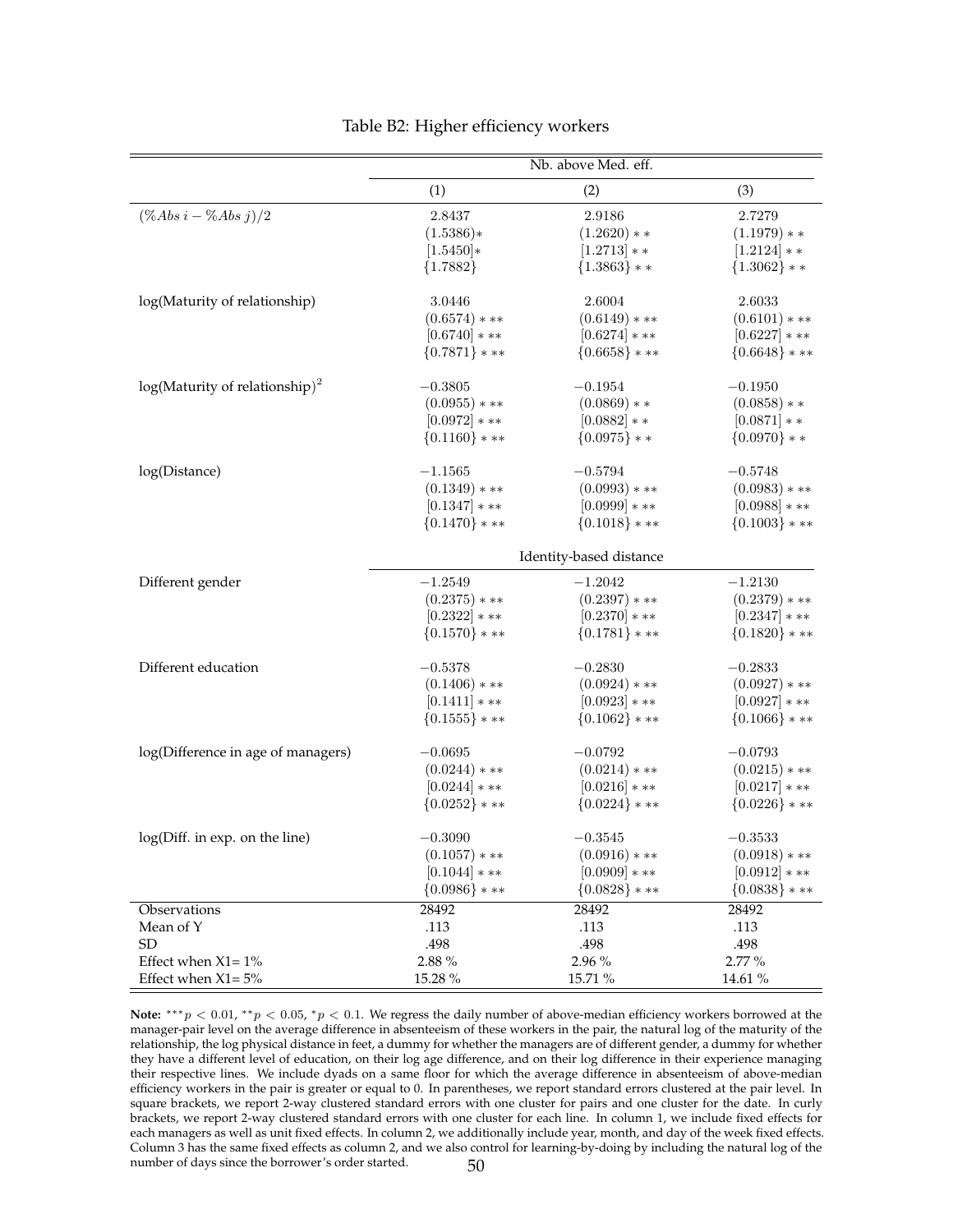|                                    | Nb. above Med. eff. |                         |                 |
|------------------------------------|---------------------|-------------------------|-----------------|
|                                    | (1)                 | (2)                     | (3)             |
| $(\%Abs\ i - \%Abs\ j)/2$          | 2.8437              | 2.9186                  | 2.7279          |
|                                    | $(1.5386)*$         | $(1.2620)**$            | $(1.1979)**$    |
|                                    | $[1.5450]*$         | $[1.2713]**$            | $[1.2124]**$    |
|                                    | ${1.7882}$          | ${1.3863}$ * *          | ${1.3062}$ * *  |
| log(Maturity of relationship)      | 3.0446              | 2.6004                  | 2.6033          |
|                                    | $(0.6574)***$       | $(0.6149)***$           | $(0.6101)$ * ** |
|                                    | $[0.6740]***$       | $[0.6274]$ * **         | $[0.6227]***$   |
|                                    | ${0.7871}$ * **     | ${0.6658}$ * **         | ${0.6648}$ * ** |
| $log(Maturity of relationship)2$   | $-0.3805$           | $-0.1954$               | $-0.1950$       |
|                                    | $(0.0955)$ * **     | $(0.0869)**$            | $(0.0858)**$    |
|                                    | $[0.0972]***$       | $[0.0882]$ * *          | $[0.0871]**$    |
|                                    | ${0.1160}$ * **     | ${0.0975}$ * *          | ${0.0970}$ * *  |
| log(Distance)                      | $-1.1565$           | $-0.5794$               | $-0.5748$       |
|                                    | $(0.1349)***$       | $(0.0993)$ * **         | $(0.0983)$ * ** |
|                                    | $[0.1347]$ * **     | $[0.0999]$ * **         | $[0.0988]$ * ** |
|                                    | ${0.1470}$ * **     | ${0.1018}$ * **         | ${0.1003}$ * ** |
|                                    |                     | Identity-based distance |                 |
| Different gender                   | $-1.2549$           | $-1.2042$               | $-1.2130$       |
|                                    | $(0.2375)$ * **     | $(0.2397)$ * **         | $(0.2379)***$   |
|                                    | $[0.2322]***$       | $[0.2370]***$           | $[0.2347]$ * ** |
|                                    | ${0.1570}$ * **     | ${0.1781}$ * **         | ${0.1820}$ * ** |
| Different education                | $-0.5378$           | $-0.2830$               | $-0.2833$       |
|                                    | $(0.1406)$ * **     | $(0.0924)$ * **         | $(0.0927)$ * ** |
|                                    | $[0.1411]***$       | $[0.0923]***$           | $[0.0927]***$   |
|                                    | ${0.1555}$ ***      | ${0.1062}$ ***          | ${0.1066}$ * ** |
| log(Difference in age of managers) | $-0.0695$           | $-0.0792$               | $-0.0793$       |
|                                    | $(0.0244)$ * **     | $(0.0214)***$           | $(0.0215)$ * ** |
|                                    | $[0.0244]$ * **     | $[0.0216]***$           | $[0.0217]***$   |
|                                    | ${0.0252}$ * **     | ${0.0224}$ * **         | ${0.0226}$ * ** |
| log(Diff. in exp. on the line)     | $-0.3090$           | $-0.3545$               | $-0.3533$       |
|                                    | $(0.1057)$ * **     | $(0.0916)$ * **         | $(0.0918)***$   |
|                                    | $[0.1044]$ * **     | $[0.0909]$ * **         | $[0.0912]$ * ** |
|                                    | ${0.0986}$ * **     | ${0.0828}$ * **         | ${0.0838}$ * ** |
| Observations                       | 28492               | 28492                   | 28492           |
| Mean of Y                          | .113                | .113                    | .113            |
| <b>SD</b>                          | .498                | .498                    | .498            |
| Effect when $X1 = 1\%$             | $2.88~\%$           | 2.96 %                  | 2.77 %          |
| Effect when $X1 = 5%$              | 15.28 %             | 15.71 %                 | 14.61 %         |

#### Table B2: Higher efficiency workers

Note: \*\*\*p < 0.01, \*\*p < 0.05, \*p < 0.1. We regress the daily number of above-median efficiency workers borrowed at the manager-pair level on the average difference in absenteeism of these workers in the pair, the natural log of the maturity of the relationship, the log physical distance in feet, a dummy for whether the managers are of different gender, a dummy for whether they have a different level of education, on their log age difference, and on their log difference in their experience managing their respective lines. We include dyads on a same floor for which the average difference in absenteeism of above-median efficiency workers in the pair is greater or equal to 0. In parentheses, we report standard errors clustered at the pair level. In square brackets, we report 2-way clustered standard errors with one cluster for pairs and one cluster for the date. In curly brackets, we report 2-way clustered standard errors with one cluster for each line. In column 1, we include fixed effects for each managers as well as unit fixed effects. In column 2, we additionally include year, month, and day of the week fixed effects. Column 3 has the same fixed effects as column 2, and we also control for learning-by-doing by including the natural log of the number of days since the borrower's order started. 50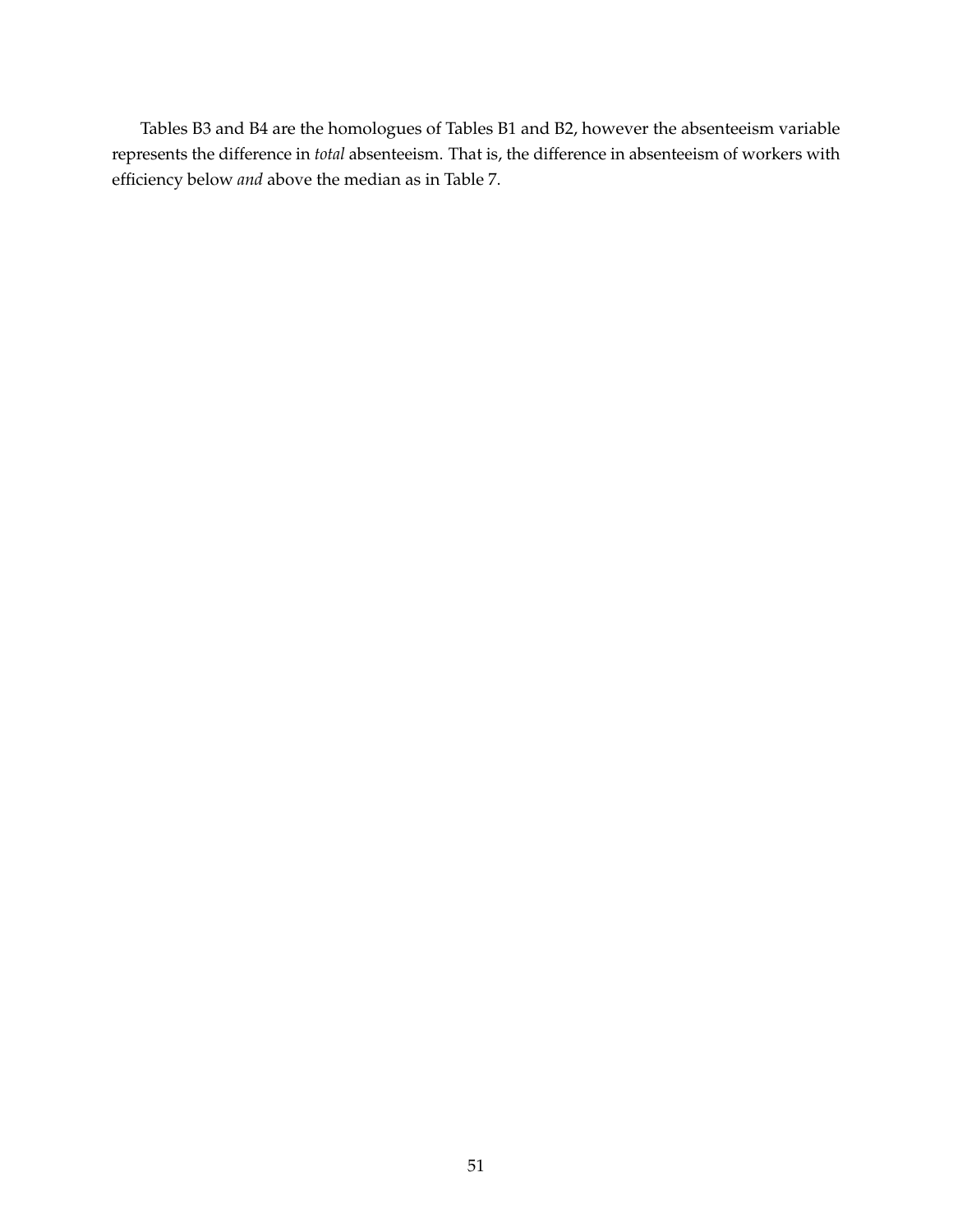Tables B3 and B4 are the homologues of Tables B1 and B2, however the absenteeism variable represents the difference in *total* absenteeism. That is, the difference in absenteeism of workers with efficiency below *and* above the median as in Table 7.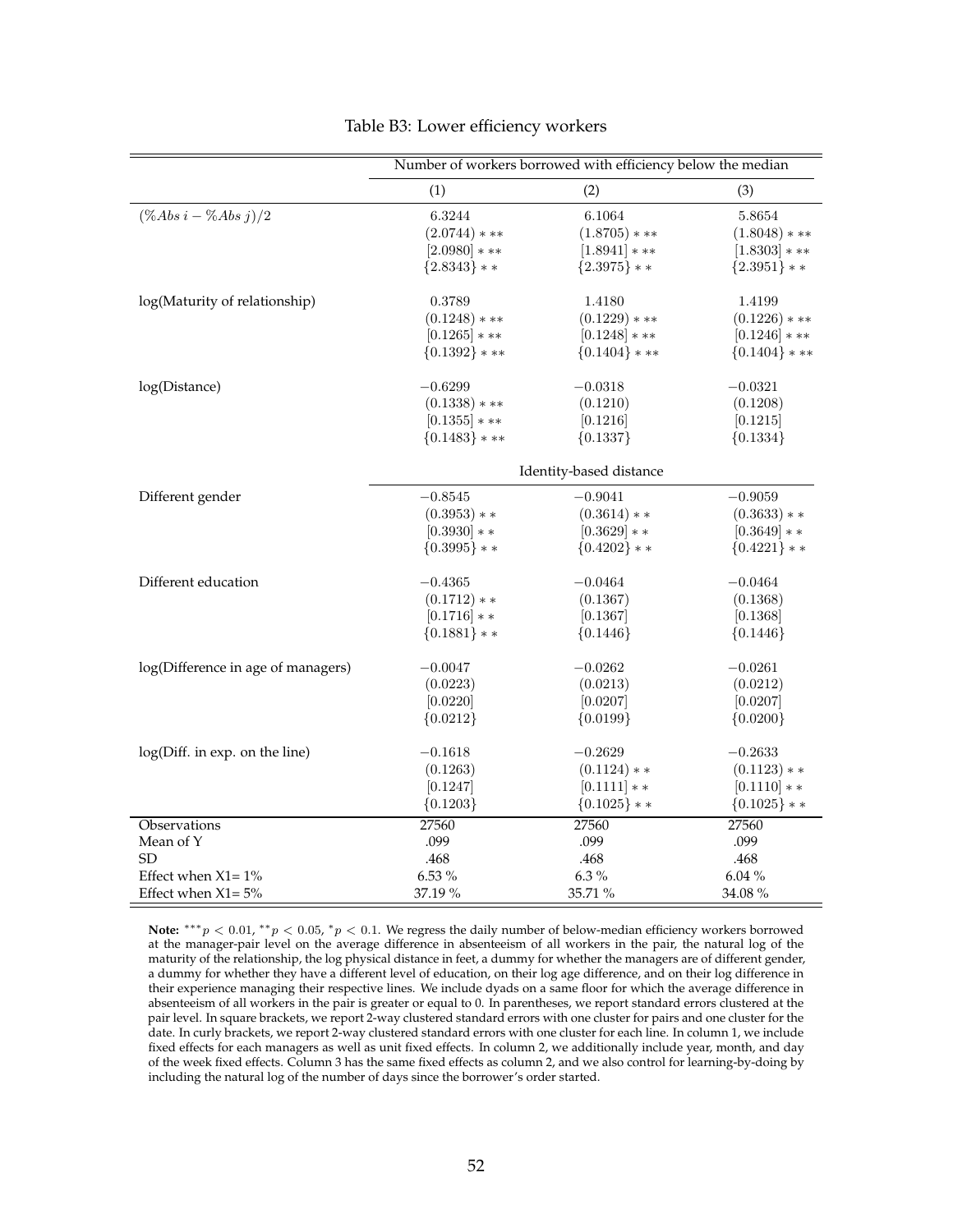|                                    |                 | Number of workers borrowed with efficiency below the median |                  |
|------------------------------------|-----------------|-------------------------------------------------------------|------------------|
|                                    | (1)             | (2)                                                         | (3)              |
| $(\%Abs\ i - \%Abs\ j)/2$          | 6.3244          | 6.1064                                                      | 5.8654           |
|                                    | $(2.0744)$ * ** | $(1.8705)***$                                               | $(1.8048)***$    |
|                                    | $[2.0980]***$   | $[1.8941]***$                                               | $[1.8303]***$    |
|                                    | ${2.8343}$ * *  | ${2.3975}$ * *                                              | ${2.3951}$ * *   |
| log(Maturity of relationship)      | 0.3789          | 1.4180                                                      | 1.4199           |
|                                    | $(0.1248)$ * ** | $(0.1229)$ * **                                             | $(0.1226)$ * **  |
|                                    | $[0.1265]$ * ** | $[0.1248]***$                                               | $[0.1246]***$    |
|                                    | ${0.1392}$ * ** | $\{0.1404\}$ * **                                           | ${0.1404}$ * **  |
| log(Distance)                      | $-0.6299$       | $-0.0318$                                                   | $-0.0321$        |
|                                    | $(0.1338)****$  | (0.1210)                                                    | (0.1208)         |
|                                    | $[0.1355]$ * ** | [0.1216]                                                    | [0.1215]         |
|                                    | ${0.1483}$ * ** | ${0.1337}$                                                  | ${0.1334}$       |
|                                    |                 | Identity-based distance                                     |                  |
| Different gender                   | $-0.8545$       | $-0.9041$                                                   | $-0.9059$        |
|                                    | $(0.3953)**$    | $(0.3614)**$                                                | $(0.3633)**$     |
|                                    | $[0.3930]**$    | $[0.3629]**$                                                | $[0.3649]**$     |
|                                    | ${0.3995}$ * *  | $\{0.4202\}$ * *                                            | $\{0.4221\}$ * * |
| Different education                | $-0.4365$       | $-0.0464$                                                   | $-0.0464$        |
|                                    | $(0.1712)**$    | (0.1367)                                                    | (0.1368)         |
|                                    | $[0.1716]**$    | [0.1367]                                                    | [0.1368]         |
|                                    | ${0.1881}$ * *  | ${0.1446}$                                                  | ${0.1446}$       |
| log(Difference in age of managers) | $-0.0047$       | $-0.0262$                                                   | $-0.0261$        |
|                                    | (0.0223)        | (0.0213)                                                    | (0.0212)         |
|                                    | [0.0220]        | [0.0207]                                                    | [0.0207]         |
|                                    | ${0.0212}$      | ${0.0199}$                                                  | ${0.0200}$       |
| log(Diff. in exp. on the line)     | $-0.1618$       | $-0.2629$                                                   | $-0.2633$        |
|                                    | (0.1263)        | $(0.1124)**$                                                | $(0.1123)**$     |
|                                    | [0.1247]        | $[0.1111]**$                                                | $[0.1110]**$     |
|                                    | ${0.1203}$      | ${0.1025}$ * *                                              | $\{0.1025\}$ * * |
| Observations                       | 27560           | 27560                                                       | 27560            |
| Mean of Y                          | .099            | .099                                                        | .099             |
| <b>SD</b>                          | .468            | .468                                                        | .468             |
| Effect when $X1 = 1\%$             | 6.53 %          | $6.3~\%$                                                    | 6.04%            |
| Effect when $X1 = 5\%$             | 37.19 %         | 35.71 %                                                     | 34.08%           |

#### Table B3: Lower efficiency workers

Note:  $***p$  < 0.01,  $**p$  < 0.05,  $*p$  < 0.1. We regress the daily number of below-median efficiency workers borrowed at the manager-pair level on the average difference in absenteeism of all workers in the pair, the natural log of the maturity of the relationship, the log physical distance in feet, a dummy for whether the managers are of different gender, a dummy for whether they have a different level of education, on their log age difference, and on their log difference in their experience managing their respective lines. We include dyads on a same floor for which the average difference in absenteeism of all workers in the pair is greater or equal to 0. In parentheses, we report standard errors clustered at the pair level. In square brackets, we report 2-way clustered standard errors with one cluster for pairs and one cluster for the date. In curly brackets, we report 2-way clustered standard errors with one cluster for each line. In column 1, we include fixed effects for each managers as well as unit fixed effects. In column 2, we additionally include year, month, and day of the week fixed effects. Column 3 has the same fixed effects as column 2, and we also control for learning-by-doing by including the natural log of the number of days since the borrower's order started.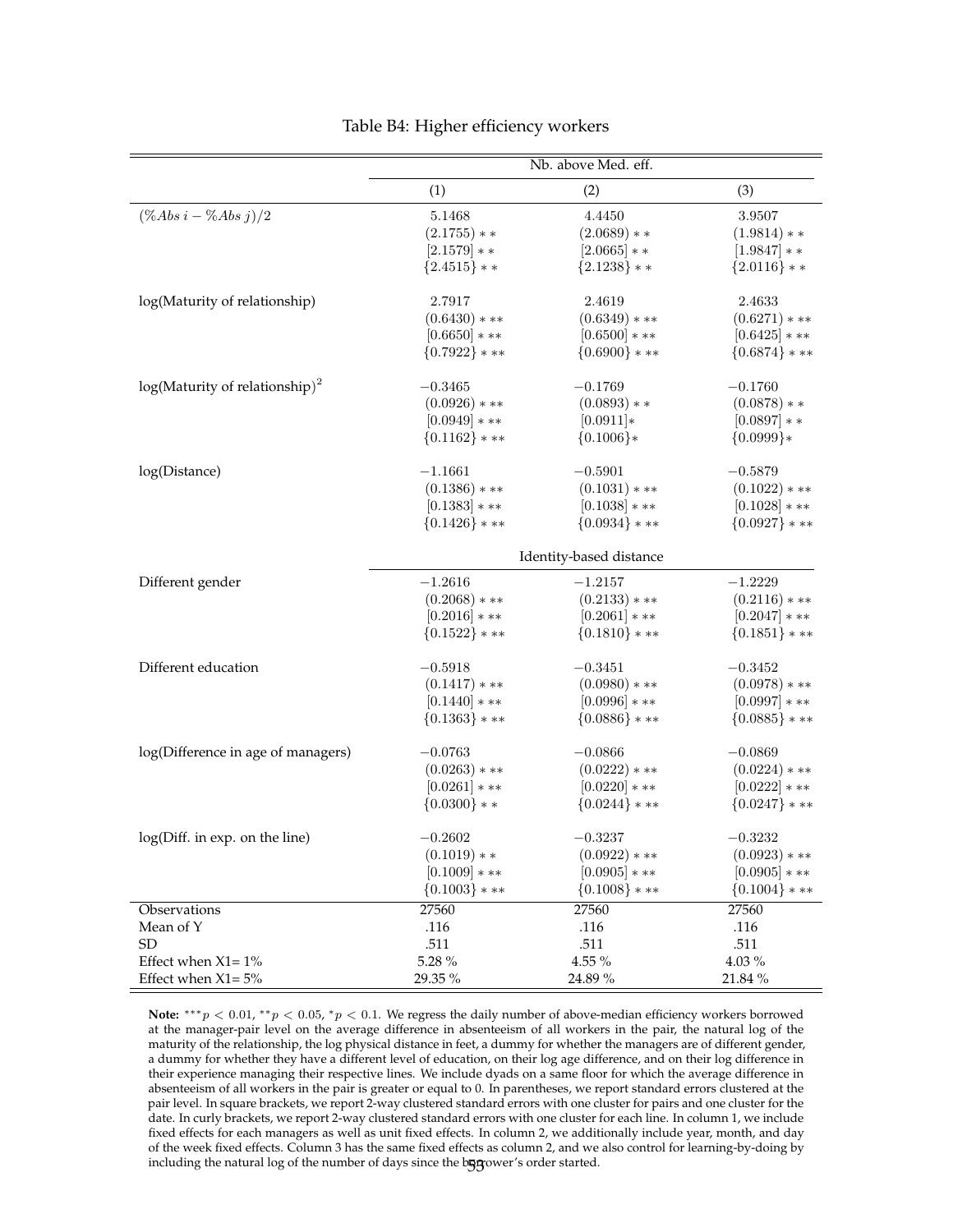|                                    |                 | Nb. above Med. eff.     |                 |
|------------------------------------|-----------------|-------------------------|-----------------|
|                                    | (1)             | (2)                     | (3)             |
| $(\%Abs\ i - \%Abs\ j)/2$          | 5.1468          | 4.4450                  | 3.9507          |
|                                    | $(2.1755)**$    | $(2.0689)**$            | $(1.9814)**$    |
|                                    | $[2.1579]**$    | $[2.0665]$ * *          | $[1.9847]**$    |
|                                    | ${2.4515}$ * *  | ${2.1238}$ * *          | ${2.0116}$ * *  |
| log(Maturity of relationship)      | 2.7917          | 2.4619                  | 2.4633          |
|                                    | $(0.6430)***$   | $(0.6349)****$          | $(0.6271)***$   |
|                                    | $[0.6650]***$   | $[0.6500]***$           | $[0.6425]***$   |
|                                    | ${0.7922}$ * ** | ${0.6900}$ ***          | ${0.6874}$ ***  |
| $log(Maturity of relationship)2$   | $-0.3465$       | $-0.1769$               | $-0.1760$       |
|                                    | $(0.0926)$ * ** | $(0.0893)**$            | $(0.0878)**$    |
|                                    | $[0.0949]$ * ** | $[0.0911]*$             | $[0.0897]**$    |
|                                    | ${0.1162}$ * ** | ${0.1006}$ *            | ${0.0999}$      |
| log(Distance)                      | $-1.1661$       | $-0.5901$               | $-0.5879$       |
|                                    | $(0.1386)$ * ** | $(0.1031)$ * **         | $(0.1022)***$   |
|                                    | $[0.1383]****$  | $[0.1038]***$           | $[0.1028]***$   |
|                                    | ${0.1426}$ * ** | ${0.0934}$ ***          | ${0.0927}$ ***  |
|                                    |                 | Identity-based distance |                 |
| Different gender                   | $-1.2616$       | $-1.2157$               | $-1.2229$       |
|                                    | $(0.2068)***$   | $(0.2133)$ * **         | $(0.2116)$ * ** |
|                                    | $[0.2016]***$   | $[0.2061]***$           | $[0.2047]$ * ** |
|                                    | ${0.1522}$ * ** | ${0.1810}$ * **         | ${0.1851}$ * ** |
| Different education                | $-0.5918$       | $-0.3451$               | $-0.3452$       |
|                                    | $(0.1417)***$   | $(0.0980)$ * **         | $(0.0978)****$  |
|                                    | $[0.1440]***$   | $[0.0996]$ * **         | $[0.0997]$ * ** |
|                                    | ${0.1363}$ * ** | ${0.0886}$ * **         | ${0.0885}$ * ** |
| log(Difference in age of managers) | $-0.0763$       | $-0.0866$               | $-0.0869$       |
|                                    | $(0.0263)$ * ** | $(0.0222)***$           | $(0.0224)$ * ** |
|                                    | $[0.0261]***$   | $[0.0220]***$           | $[0.0222]***$   |
|                                    | ${0.0300}$ * *  | ${0.0244}$ ***          | ${0.0247}$ ***  |
| log(Diff. in exp. on the line)     | $-0.2602$       | $-0.3237$               | $-0.3232$       |
|                                    | $(0.1019)**$    | $(0.0922)***$           | $(0.0923)$ * ** |
|                                    | $[0.1009]***$   | $[0.0905]$ * **         | $[0.0905]$ * ** |
|                                    | ${0.1003}$ * ** | ${0.1008}$ * **         | ${0.1004}$ * ** |
| Observations                       | 27560           | 27560                   | 27560           |
| Mean of Y                          | .116            | .116                    | .116            |
| SD                                 | .511            | .511                    | .511            |
| Effect when $X1 = 1\%$             | 5.28 %          | $4.55~\%$               | 4.03%           |
| Effect when $X1 = 5%$              | 29.35 %         | 24.89 %                 | 21.84 %         |

#### Table B4: Higher efficiency workers

Note: \*\*\*p < 0.01, \*\*p < 0.05, \*p < 0.1. We regress the daily number of above-median efficiency workers borrowed at the manager-pair level on the average difference in absenteeism of all workers in the pair, the natural log of the maturity of the relationship, the log physical distance in feet, a dummy for whether the managers are of different gender, a dummy for whether they have a different level of education, on their log age difference, and on their log difference in their experience managing their respective lines. We include dyads on a same floor for which the average difference in absenteeism of all workers in the pair is greater or equal to 0. In parentheses, we report standard errors clustered at the pair level. In square brackets, we report 2-way clustered standard errors with one cluster for pairs and one cluster for the date. In curly brackets, we report 2-way clustered standard errors with one cluster for each line. In column 1, we include fixed effects for each managers as well as unit fixed effects. In column 2, we additionally include year, month, and day of the week fixed effects. Column 3 has the same fixed effects as column 2, and we also control for learning-by-doing by including the natural log of the number of days since the bogyower's order started.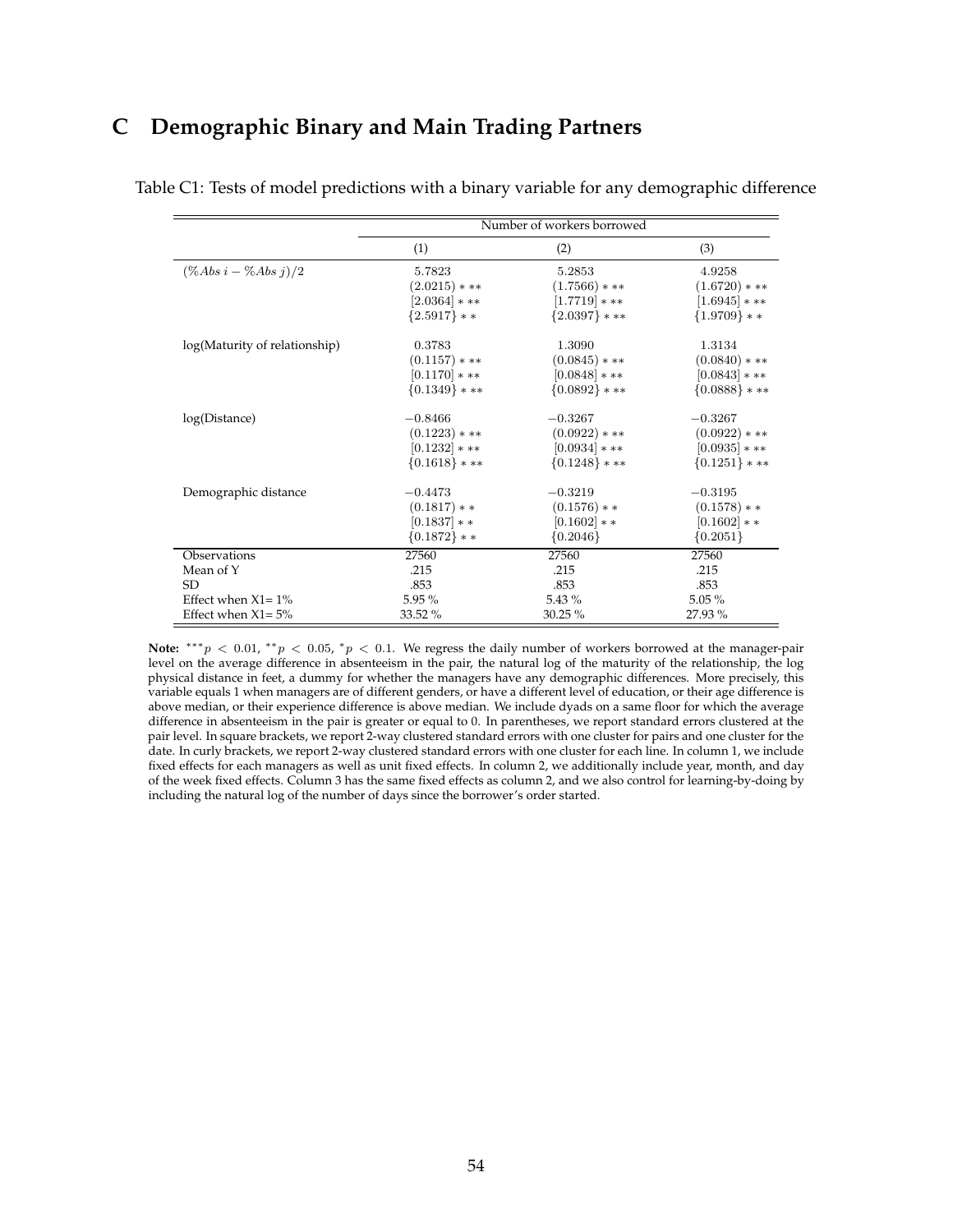## **C Demographic Binary and Main Trading Partners**

|                               |                 | Number of workers borrowed |                 |
|-------------------------------|-----------------|----------------------------|-----------------|
|                               | (1)             | (2)                        | (3)             |
| $(\% Abs i - \% Abs j)/2$     | 5.7823          | 5.2853                     | 4.9258          |
|                               | $(2.0215)$ * ** | $(1.7566)$ * **            | $(1.6720)***$   |
|                               | $[2.0364]$ * ** | $[1.7719]***$              | $[1.6945]$ * ** |
|                               | ${2.5917}$ * *  | ${2.0397}$ * **            | ${1.9709}$ * *  |
| log(Maturity of relationship) | 0.3783          | 1.3090                     | 1.3134          |
|                               | $(0.1157)$ * ** | $(0.0845)$ * **            | $(0.0840)****$  |
|                               | $[0.1170]***$   | $[0.0848]$ * **            | $[0.0843]$ * ** |
|                               | ${0.1349}$ * ** | ${0.0892}$ * **            | ${0.0888}$ * ** |
| log(Distance)                 | $-0.8466$       | $-0.3267$                  | $-0.3267$       |
|                               | $(0.1223)$ * ** | $(0.0922)***$              | $(0.0922)$ * ** |
|                               | $[0.1232]***$   | $[0.0934]$ * **            | $[0.0935]$ * ** |
|                               | ${0.1618}$ * ** | ${0.1248}$ * **            | ${0.1251}$ * ** |
| Demographic distance          | $-0.4473$       | $-0.3219$                  | $-0.3195$       |
|                               | $(0.1817)**$    | $(0.1576)**$               | $(0.1578)**$    |
|                               | $[0.1837]**$    | $[0.1602]**$               | $[0.1602]**$    |
|                               | ${0.1872}$ * *  | ${0.2046}$                 | ${0.2051}$      |
| Observations                  | 27560           | 27560                      | 27560           |
| Mean of Y                     | .215            | .215                       | .215            |
| <b>SD</b>                     | .853            | .853                       | .853            |
| Effect when $X1 = 1\%$        | $5.95\%$        | $5.43\%$                   | $5.05\%$        |
| Effect when $X1 = 5%$         | 33.52 %         | 30.25%                     | 27.93 %         |

Table C1: Tests of model predictions with a binary variable for any demographic difference

Note: \*\*\*p < 0.01, \*\*p < 0.05, \*p < 0.1. We regress the daily number of workers borrowed at the manager-pair level on the average difference in absenteeism in the pair, the natural log of the maturity of the relationship, the log physical distance in feet, a dummy for whether the managers have any demographic differences. More precisely, this variable equals 1 when managers are of different genders, or have a different level of education, or their age difference is above median, or their experience difference is above median. We include dyads on a same floor for which the average difference in absenteeism in the pair is greater or equal to 0. In parentheses, we report standard errors clustered at the pair level. In square brackets, we report 2-way clustered standard errors with one cluster for pairs and one cluster for the date. In curly brackets, we report 2-way clustered standard errors with one cluster for each line. In column 1, we include fixed effects for each managers as well as unit fixed effects. In column 2, we additionally include year, month, and day of the week fixed effects. Column 3 has the same fixed effects as column 2, and we also control for learning-by-doing by including the natural log of the number of days since the borrower's order started.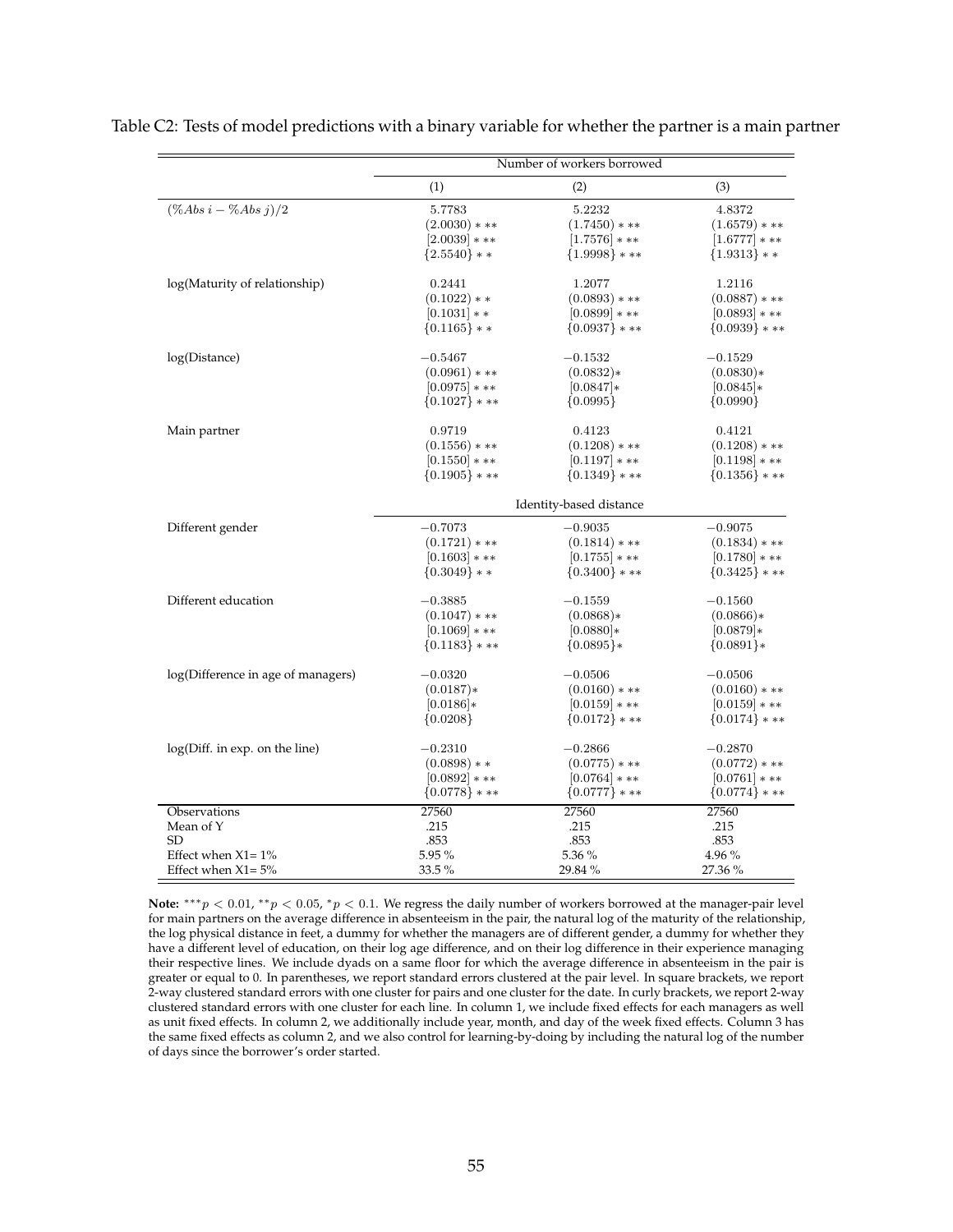|                                    |                  | Number of workers borrowed |                   |
|------------------------------------|------------------|----------------------------|-------------------|
|                                    | (1)              | (2)                        | (3)               |
| $(\% Abs i - \% Abs j)/2$          | 5.7783           | 5.2232                     | 4.8372            |
|                                    | $(2.0030)$ * **  | $(1.7450)***$              | $(1.6579)***$     |
|                                    | $[2.0039]$ * **  | $[1.7576]$ * **            | $[1.6777]***$     |
|                                    | ${2.5540}$ * *   | ${1.9998}$ ***             | ${1.9313}$ * *    |
| log(Maturity of relationship)      | 0.2441           | 1.2077                     | 1.2116            |
|                                    | $(0.1022)**$     | $(0.0893)$ * **            | $(0.0887)$ * **   |
|                                    | $[0.1031]**$     | $[0.0899]$ * **            | $[0.0893]$ * **   |
|                                    | $\{0.1165\}$ * * | $\{0.0937\}$ * **          | $\{0.0939\}$ * ** |
| log(Distance)                      | $-0.5467$        | $-0.1532$                  | $-0.1529$         |
|                                    | $(0.0961)$ * **  | $(0.0832)*$                | $(0.0830)*$       |
|                                    | $[0.0975]$ * **  | $[0.0847]*$                | $[0.0845]*$       |
|                                    | ${0.1027}$ ***   | ${0.0995}$                 | ${0.0990}$        |
| Main partner                       | 0.9719           | 0.4123                     | 0.4121            |
|                                    | $(0.1556)***$    | $(0.1208)$ * **            | $(0.1208)$ * **   |
|                                    | $[0.1550]***$    | $[0.1197]$ * **            | $[0.1198]***$     |
|                                    | ${0.1905}$ ***   | ${0.1349}$ ***             | ${0.1356}$ ***    |
|                                    |                  | Identity-based distance    |                   |
| Different gender                   | $-0.7073$        | $-0.9035$                  | $-0.9075$         |
|                                    | $(0.1721)$ * **  | $(0.1814)$ * **            | $(0.1834)$ * **   |
|                                    | $[0.1603]$ * **  | $[0.1755]$ * **            | $[0.1780]***$     |
|                                    | $\{0.3049\}$ * * | $\{0.3400\}$ * **          | $\{0.3425\}$ * ** |
|                                    |                  |                            |                   |
| Different education                | $-0.3885$        | $-0.1559$                  | $-0.1560$         |
|                                    | $(0.1047)$ * **  | $(0.0868)*$                | $(0.0866)*$       |
|                                    | $[0.1069]$ * **  | $[0.0880]*$                | $[0.0879]*$       |
|                                    | ${0.1183}$ * **  | ${0.0895}$ *               | ${0.0891}*$       |
| log(Difference in age of managers) | $-0.0320$        | $-0.0506$                  | $-0.0506$         |
|                                    | $(0.0187)*$      | $(0.0160)$ * **            | $(0.0160)$ * **   |
|                                    | $[0.0186]*$      | $[0.0159]***$              | $[0.0159]***$     |
|                                    | ${0.0208}$       | ${0.0172}$ * **            | ${0.0174}$ ***    |
| log(Diff. in exp. on the line)     | $-0.2310$        | $-0.2866$                  | $-0.2870$         |
|                                    | $(0.0898)**$     | $(0.0775)$ * **            | $(0.0772)***$     |
|                                    | $[0.0892]$ * **  | $[0.0764]$ * **            | $[0.0761]***$     |
|                                    | ${0.0778}$ ***   | $\{0.0777\}$ * **          | $\{0.0774\}$ * ** |
| Observations                       | 27560            | 27560                      | 27560             |
| Mean of Y                          | .215             | .215                       | .215              |
| SD                                 | .853             | .853                       | .853              |
| Effect when $X1 = 1\%$             | 5.95 %           | 5.36 %                     | 4.96 %            |
| Effect when $X1 = 5%$              | 33.5 %           | 29.84 %                    | 27.36 %           |

Table C2: Tests of model predictions with a binary variable for whether the partner is a main partner

Note:  $***p$  < 0.01,  $**p$  < 0.05,  $*p$  < 0.1. We regress the daily number of workers borrowed at the manager-pair level for main partners on the average difference in absenteeism in the pair, the natural log of the maturity of the relationship, the log physical distance in feet, a dummy for whether the managers are of different gender, a dummy for whether they have a different level of education, on their log age difference, and on their log difference in their experience managing their respective lines. We include dyads on a same floor for which the average difference in absenteeism in the pair is greater or equal to 0. In parentheses, we report standard errors clustered at the pair level. In square brackets, we report 2-way clustered standard errors with one cluster for pairs and one cluster for the date. In curly brackets, we report 2-way clustered standard errors with one cluster for each line. In column 1, we include fixed effects for each managers as well as unit fixed effects. In column 2, we additionally include year, month, and day of the week fixed effects. Column 3 has the same fixed effects as column 2, and we also control for learning-by-doing by including the natural log of the number of days since the borrower's order started.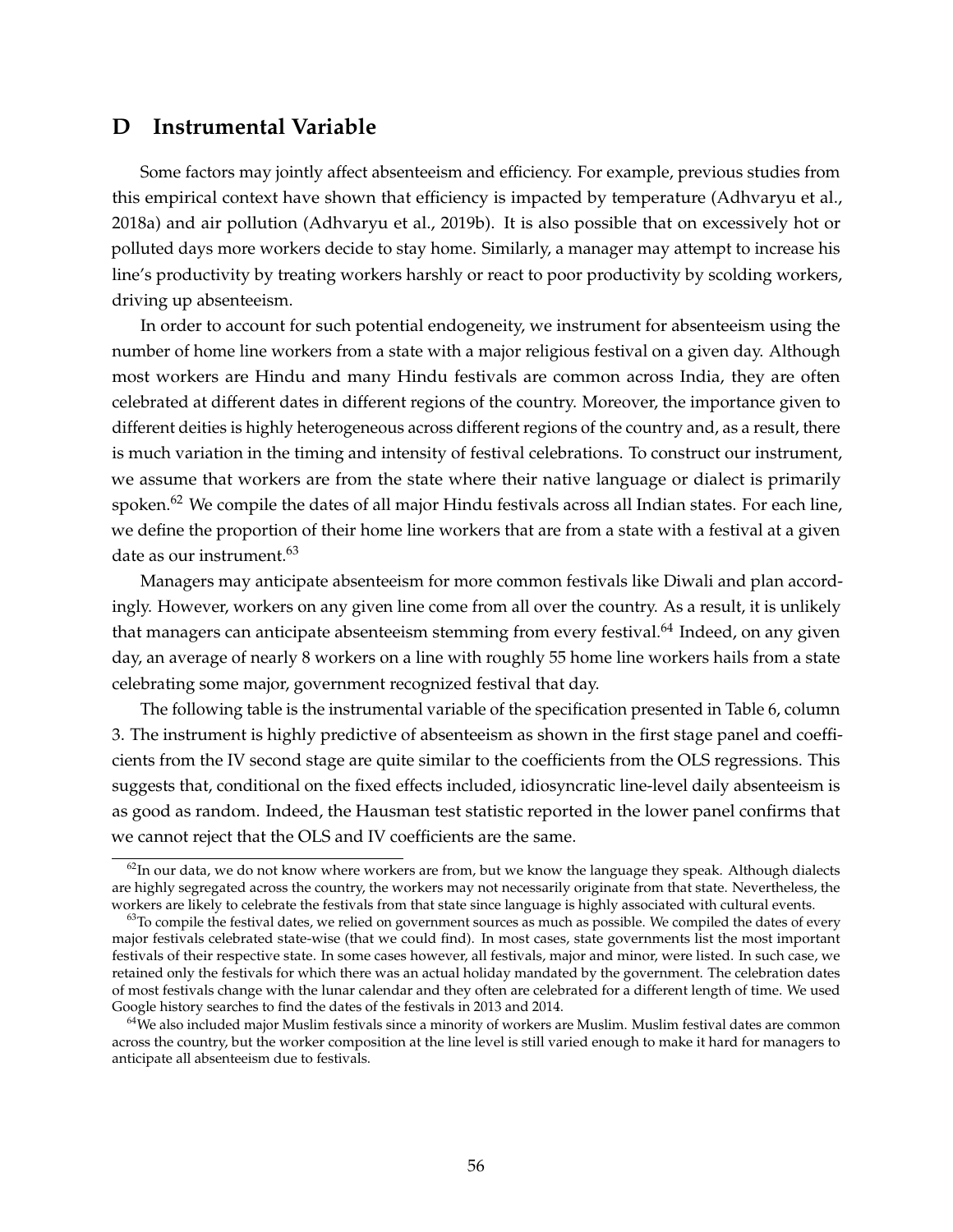## **D Instrumental Variable**

Some factors may jointly affect absenteeism and efficiency. For example, previous studies from this empirical context have shown that efficiency is impacted by temperature (Adhvaryu et al., 2018a) and air pollution (Adhvaryu et al., 2019b). It is also possible that on excessively hot or polluted days more workers decide to stay home. Similarly, a manager may attempt to increase his line's productivity by treating workers harshly or react to poor productivity by scolding workers, driving up absenteeism.

In order to account for such potential endogeneity, we instrument for absenteeism using the number of home line workers from a state with a major religious festival on a given day. Although most workers are Hindu and many Hindu festivals are common across India, they are often celebrated at different dates in different regions of the country. Moreover, the importance given to different deities is highly heterogeneous across different regions of the country and, as a result, there is much variation in the timing and intensity of festival celebrations. To construct our instrument, we assume that workers are from the state where their native language or dialect is primarily spoken.<sup>62</sup> We compile the dates of all major Hindu festivals across all Indian states. For each line, we define the proportion of their home line workers that are from a state with a festival at a given date as our instrument.<sup>63</sup>

Managers may anticipate absenteeism for more common festivals like Diwali and plan accordingly. However, workers on any given line come from all over the country. As a result, it is unlikely that managers can anticipate absenteeism stemming from every festival.<sup>64</sup> Indeed, on any given day, an average of nearly 8 workers on a line with roughly 55 home line workers hails from a state celebrating some major, government recognized festival that day.

The following table is the instrumental variable of the specification presented in Table 6, column 3. The instrument is highly predictive of absenteeism as shown in the first stage panel and coefficients from the IV second stage are quite similar to the coefficients from the OLS regressions. This suggests that, conditional on the fixed effects included, idiosyncratic line-level daily absenteeism is as good as random. Indeed, the Hausman test statistic reported in the lower panel confirms that we cannot reject that the OLS and IV coefficients are the same.

 $62$ In our data, we do not know where workers are from, but we know the language they speak. Although dialects are highly segregated across the country, the workers may not necessarily originate from that state. Nevertheless, the workers are likely to celebrate the festivals from that state since language is highly associated with cultural events.

 $63$ To compile the festival dates, we relied on government sources as much as possible. We compiled the dates of every major festivals celebrated state-wise (that we could find). In most cases, state governments list the most important festivals of their respective state. In some cases however, all festivals, major and minor, were listed. In such case, we retained only the festivals for which there was an actual holiday mandated by the government. The celebration dates of most festivals change with the lunar calendar and they often are celebrated for a different length of time. We used Google history searches to find the dates of the festivals in 2013 and 2014.

<sup>&</sup>lt;sup>64</sup>We also included major Muslim festivals since a minority of workers are Muslim. Muslim festival dates are common across the country, but the worker composition at the line level is still varied enough to make it hard for managers to anticipate all absenteeism due to festivals.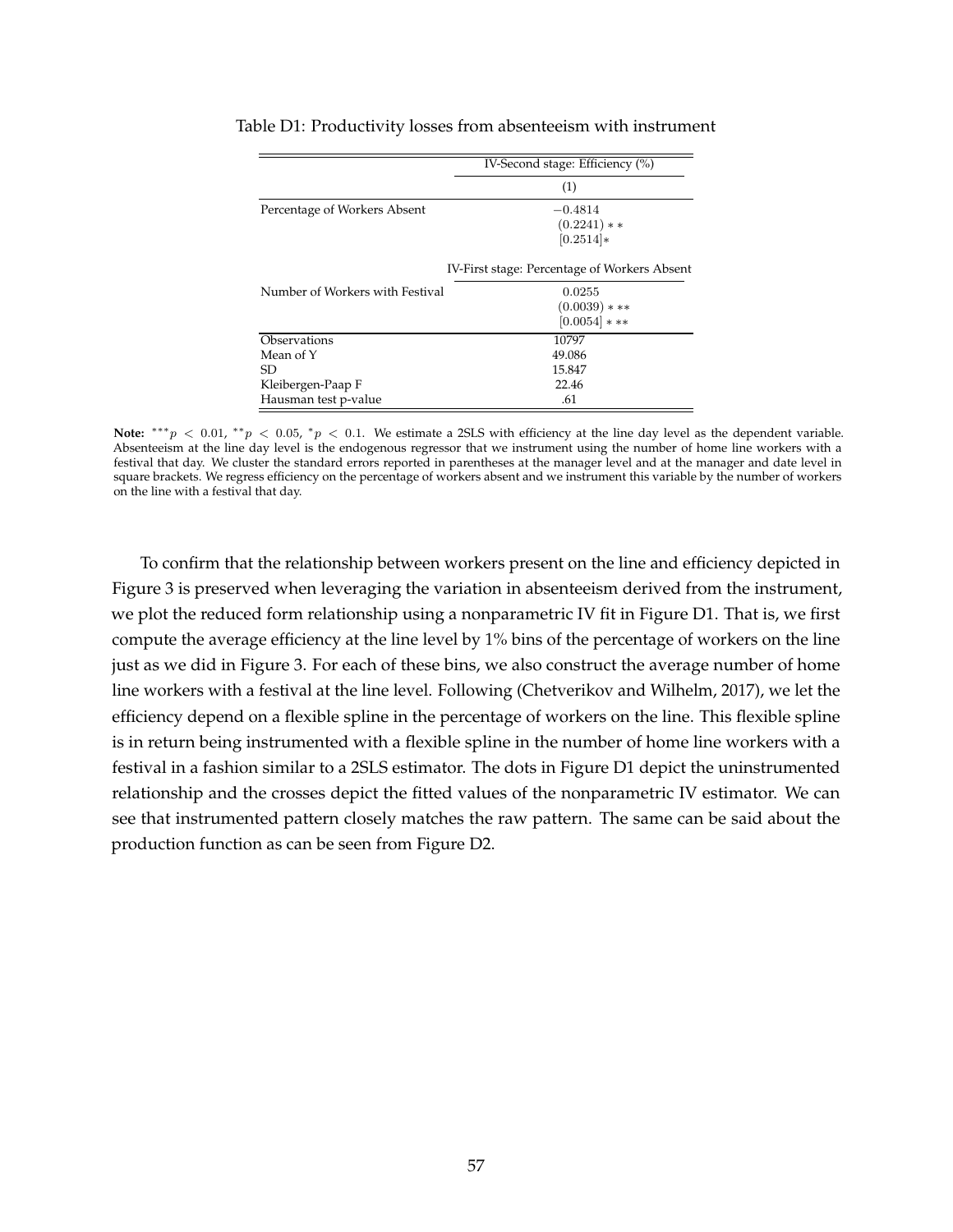|                                 | IV-Second stage: Efficiency (%)              |
|---------------------------------|----------------------------------------------|
|                                 | (1)                                          |
| Percentage of Workers Absent    | $-0.4814$                                    |
|                                 | $(0.2241)**$                                 |
|                                 | $[0.2514]*$                                  |
|                                 | IV-First stage: Percentage of Workers Absent |
| Number of Workers with Festival | 0.0255                                       |
|                                 | $(0.0039)$ * **                              |
|                                 | $[0.0054]$ * **                              |
| Observations                    | 10797                                        |
| Mean of Y                       | 49.086                                       |
| SD                              | 15.847                                       |
| Kleibergen-Paap F               | 22.46                                        |
| Hausman test p-value            | .61                                          |

Table D1: Productivity losses from absenteeism with instrument

Note:  $***p$  < 0.01,  $**p$  < 0.05,  $*p$  < 0.1. We estimate a 2SLS with efficiency at the line day level as the dependent variable. Absenteeism at the line day level is the endogenous regressor that we instrument using the number of home line workers with a festival that day. We cluster the standard errors reported in parentheses at the manager level and at the manager and date level in square brackets. We regress efficiency on the percentage of workers absent and we instrument this variable by the number of workers on the line with a festival that day.

To confirm that the relationship between workers present on the line and efficiency depicted in Figure 3 is preserved when leveraging the variation in absenteeism derived from the instrument, we plot the reduced form relationship using a nonparametric IV fit in Figure D1. That is, we first compute the average efficiency at the line level by 1% bins of the percentage of workers on the line just as we did in Figure 3. For each of these bins, we also construct the average number of home line workers with a festival at the line level. Following (Chetverikov and Wilhelm, 2017), we let the efficiency depend on a flexible spline in the percentage of workers on the line. This flexible spline is in return being instrumented with a flexible spline in the number of home line workers with a festival in a fashion similar to a 2SLS estimator. The dots in Figure D1 depict the uninstrumented relationship and the crosses depict the fitted values of the nonparametric IV estimator. We can see that instrumented pattern closely matches the raw pattern. The same can be said about the production function as can be seen from Figure D2.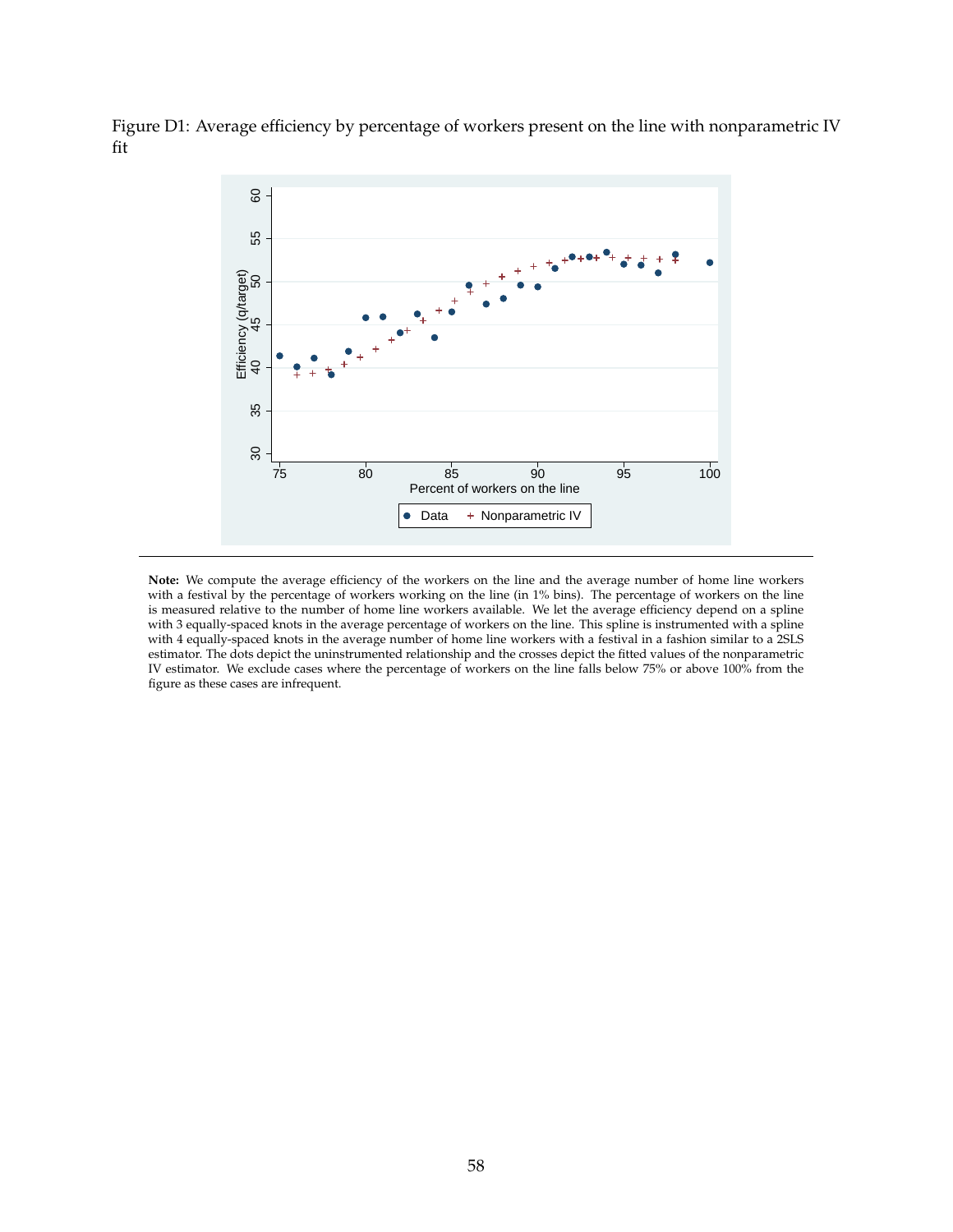Figure D1: Average efficiency by percentage of workers present on the line with nonparametric IV fit



**Note:** We compute the average efficiency of the workers on the line and the average number of home line workers with a festival by the percentage of workers working on the line (in 1% bins). The percentage of workers on the line is measured relative to the number of home line workers available. We let the average efficiency depend on a spline with 3 equally-spaced knots in the average percentage of workers on the line. This spline is instrumented with a spline with 4 equally-spaced knots in the average number of home line workers with a festival in a fashion similar to a 2SLS estimator. The dots depict the uninstrumented relationship and the crosses depict the fitted values of the nonparametric IV estimator. We exclude cases where the percentage of workers on the line falls below 75% or above 100% from the figure as these cases are infrequent.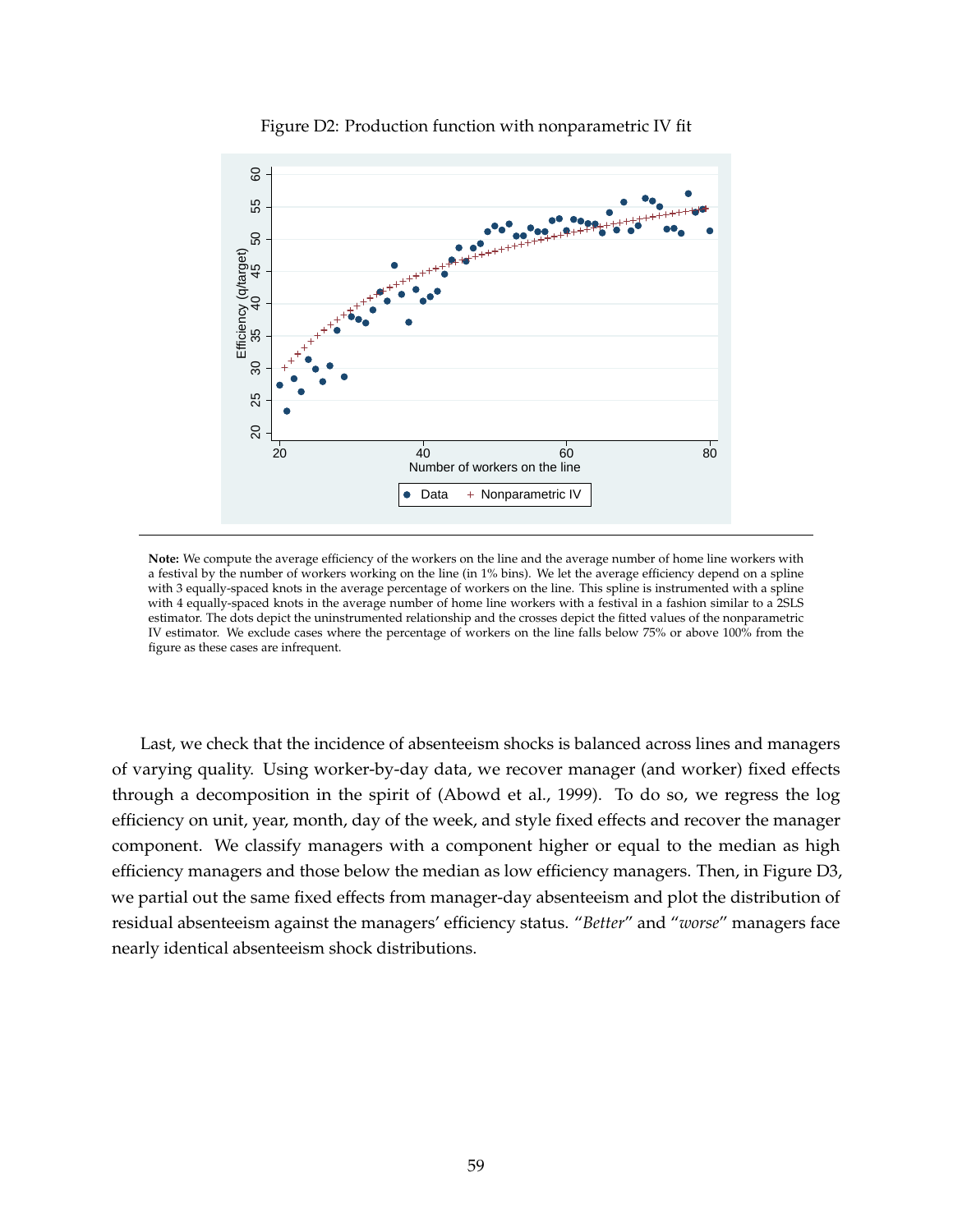

Figure D2: Production function with nonparametric IV fit

**Note:** We compute the average efficiency of the workers on the line and the average number of home line workers with a festival by the number of workers working on the line (in 1% bins). We let the average efficiency depend on a spline with 3 equally-spaced knots in the average percentage of workers on the line. This spline is instrumented with a spline with 4 equally-spaced knots in the average number of home line workers with a festival in a fashion similar to a 2SLS estimator. The dots depict the uninstrumented relationship and the crosses depict the fitted values of the nonparametric IV estimator. We exclude cases where the percentage of workers on the line falls below 75% or above 100% from the figure as these cases are infrequent.

Last, we check that the incidence of absenteeism shocks is balanced across lines and managers of varying quality. Using worker-by-day data, we recover manager (and worker) fixed effects through a decomposition in the spirit of (Abowd et al., 1999). To do so, we regress the log efficiency on unit, year, month, day of the week, and style fixed effects and recover the manager component. We classify managers with a component higher or equal to the median as high efficiency managers and those below the median as low efficiency managers. Then, in Figure D3, we partial out the same fixed effects from manager-day absenteeism and plot the distribution of residual absenteeism against the managers' efficiency status. "*Better*" and "*worse*" managers face nearly identical absenteeism shock distributions.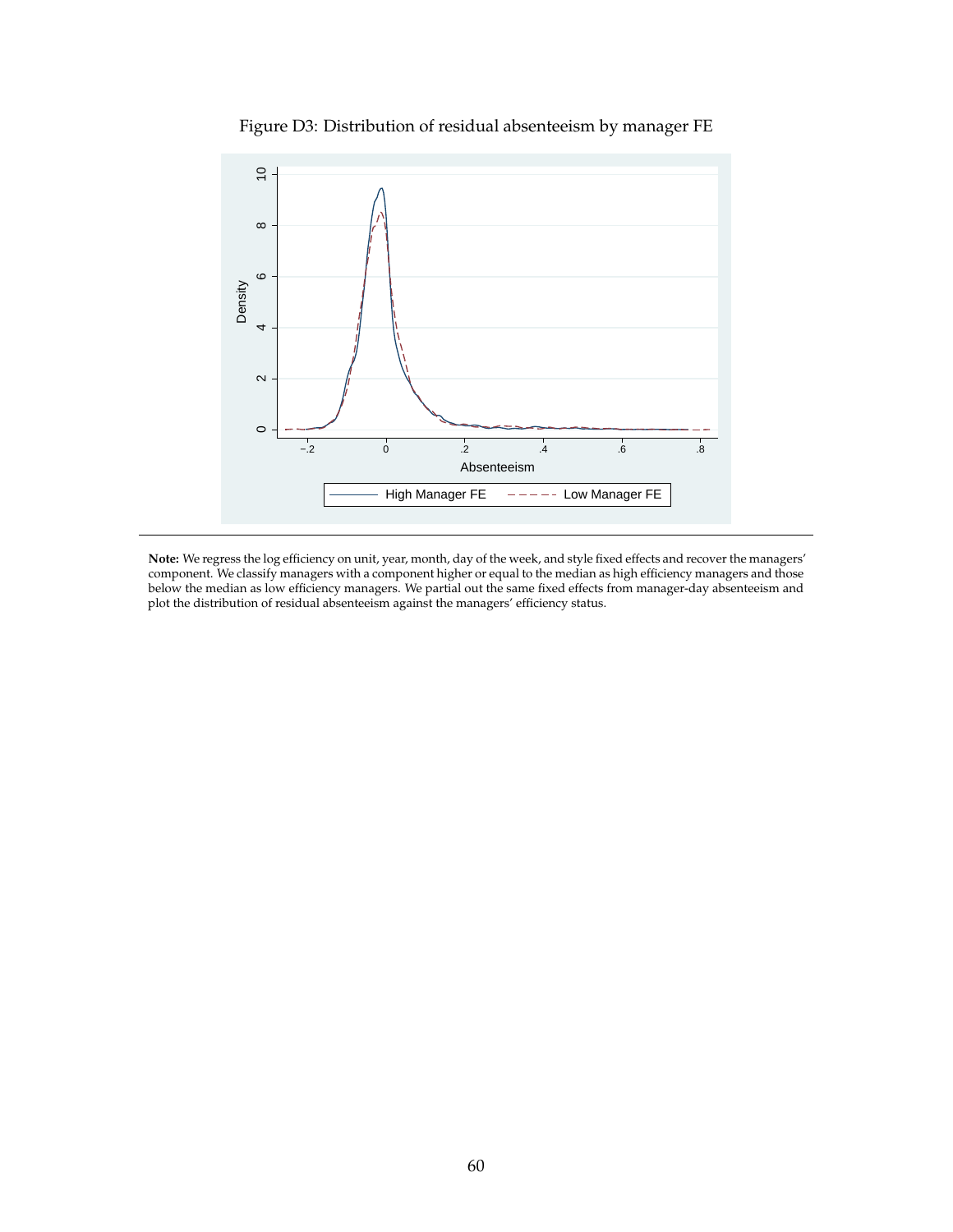

Figure D3: Distribution of residual absenteeism by manager FE

**Note:** We regress the log efficiency on unit, year, month, day of the week, and style fixed effects and recover the managers' component. We classify managers with a component higher or equal to the median as high efficiency managers and those below the median as low efficiency managers. We partial out the same fixed effects from manager-day absenteeism and plot the distribution of residual absenteeism against the managers' efficiency status.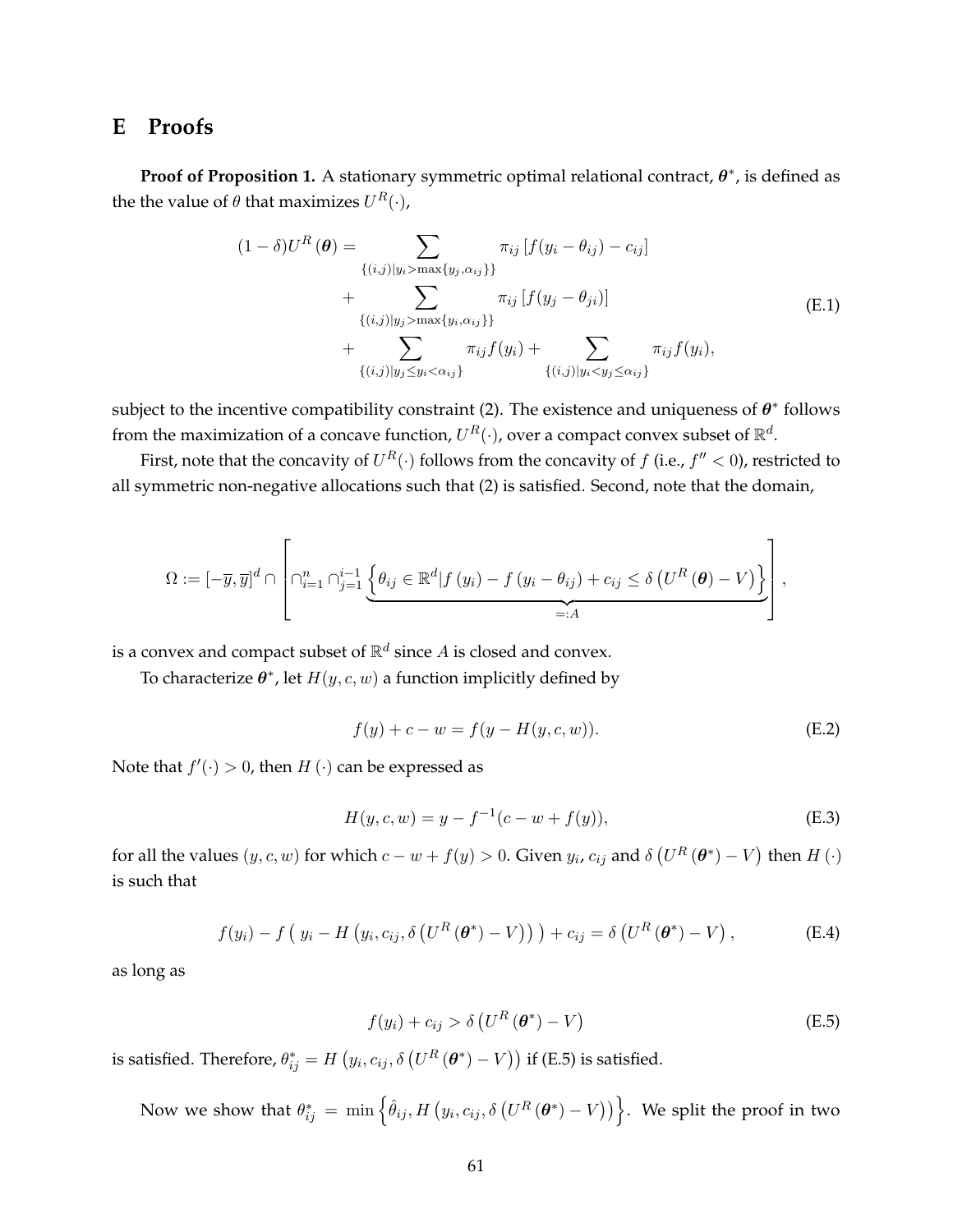## **E Proofs**

**Proof of Proposition 1.** A stationary symmetric optimal relational contract,  $\theta^*$ , is defined as the the value of  $\theta$  that maximizes  $U^{R}(\cdot)$ ,

$$
(1 - \delta)U^{R}(\theta) = \sum_{\{(i,j)|y_{i} > \max\{y_{j}, \alpha_{ij}\}\}} \pi_{ij} [f(y_{i} - \theta_{ij}) - c_{ij}] + \sum_{\{(i,j)|y_{j} > \max\{y_{i}, \alpha_{ij}\}\}} \pi_{ij} [f(y_{j} - \theta_{ji})] + \sum_{\{(i,j)|y_{j} \le y_{i} < \alpha_{ij}\}} \pi_{ij} f(y_{i}) + \sum_{\{(i,j)|y_{j} \le y_{i} < \alpha_{ij}\}} \pi_{ij} f(y_{i}),
$$
\n(E.1)

subject to the incentive compatibility constraint (2). The existence and uniqueness of  $\theta^*$  follows from the maximization of a concave function,  $U^R(\cdot)$ , over a compact convex subset of  $\mathbb{R}^d$ .

First, note that the concavity of  $U^R(\cdot)$  follows from the concavity of  $f$  (i.e.,  $f'' < 0$ ), restricted to all symmetric non-negative allocations such that (2) is satisfied. Second, note that the domain,

$$
\Omega := [-\overline{y}, \overline{y}]^d \cap \left[ \bigcap_{i=1}^n \bigcap_{j=1}^{i-1} \left\{ \theta_{ij} \in \mathbb{R}^d | f(y_i) - f(y_i - \theta_{ij}) + c_{ij} \leq \delta \left( U^R \left( \boldsymbol{\theta} \right) - V \right) \right\} \right],
$$

is a convex and compact subset of  $\mathbb{R}^d$  since  $A$  is closed and convex.

To characterize  $\theta^*$ , let  $H(y, c, w)$  a function implicitly defined by

$$
f(y) + c - w = f(y - H(y, c, w)).
$$
 (E.2)

Note that  $f'(\cdot) > 0$ , then  $H(\cdot)$  can be expressed as

$$
H(y, c, w) = y - f^{-1}(c - w + f(y)),
$$
\n(E.3)

for all the values  $(y, c, w)$  for which  $c - w + f(y) > 0$ . Given  $y_i, c_{ij}$  and  $\delta \left( U^R (\theta^*) - V \right)$  then  $H(\cdot)$ is such that

$$
f(y_i) - f\left(\,y_i - H\left(y_i, c_{ij}, \delta\left(U^R\left(\boldsymbol{\theta}^*\right) - V\right)\right)\,\right) + c_{ij} = \delta\left(U^R\left(\boldsymbol{\theta}^*\right) - V\right),\tag{E.4}
$$

as long as

$$
f(y_i) + c_{ij} > \delta \left( U^R \left( \boldsymbol{\theta}^* \right) - V \right) \tag{E.5}
$$

is satisfied. Therefore,  $\theta^*_{ij} = H\left(y_i, c_{ij}, \delta\left(U^R\left(\bm{\theta}^*\right) - V\right)\right)$  if (E.5) is satisfied.

Now we show that  $\theta^*_{ij} \, = \, \min \left\{\hat{\theta}_{ij}, H\left(y_i, c_{ij}, \delta\left(U^R\left(\bm{\theta}^* \right) - V\right)\right)\right\}.$  We split the proof in two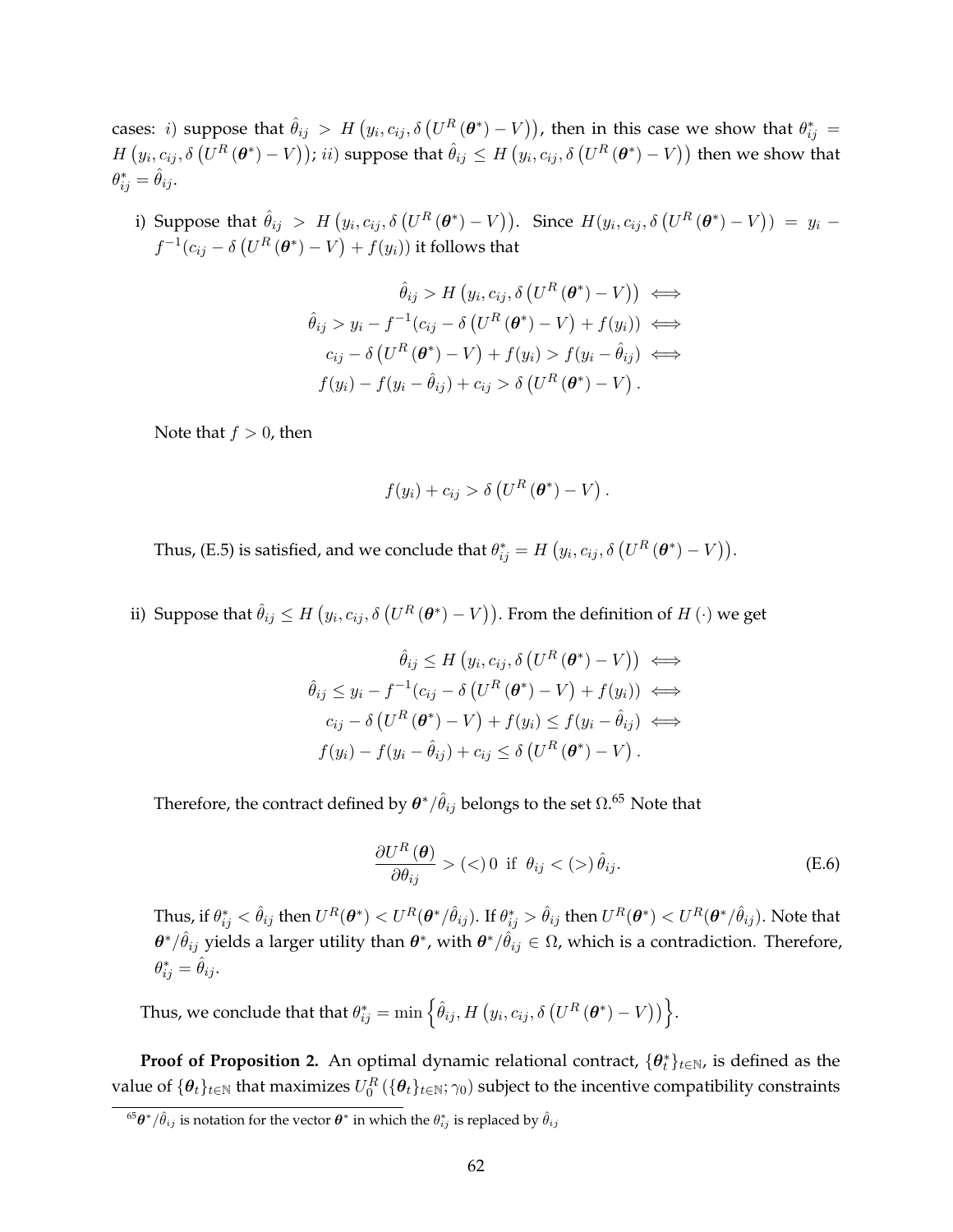cases: i) suppose that  $\hat{\theta}_{ij}$   $>$   $H$   $\big(y_i,c_{ij},\delta\left(U^R\left(\bm{\theta}^*)-V\right)\right)$ , then in this case we show that  $\theta^*_{ij}$   $=$  $H\left(y_i, c_{ij}, \delta\left(U^R\left(\bm{\theta}^*\right) - V\right)\right); ii)$  suppose that  $\hat{\theta}_{ij} \leq H\left(y_i, c_{ij}, \delta\left(U^R\left(\bm{\theta}^*\right) - V\right)\right)$  then we show that  $\theta_{ij}^* = \hat{\theta}_{ij}.$ 

i) Suppose that  $\hat{\theta}_{ij} > H(y_i, c_{ij}, \delta\left(U^R(\theta^*) - V\right))$ . Since  $H(y_i, c_{ij}, \delta\left(U^R(\theta^*) - V\right)) = y_i$  $f^{-1}(c_{ij}-\delta\left(U^R\left(\bm{\theta}^*\right)-V\right)+f(y_i))$  it follows that

$$
\hat{\theta}_{ij} > H\left(y_i, c_{ij}, \delta\left(U^R\left(\boldsymbol{\theta}^*\right) - V\right)\right) \iff
$$

$$
\hat{\theta}_{ij} > y_i - f^{-1}(c_{ij} - \delta\left(U^R\left(\boldsymbol{\theta}^*\right) - V\right) + f(y_i)) \iff
$$

$$
c_{ij} - \delta\left(U^R\left(\boldsymbol{\theta}^*\right) - V\right) + f(y_i) > f(y_i - \hat{\theta}_{ij}) \iff
$$

$$
f(y_i) - f(y_i - \hat{\theta}_{ij}) + c_{ij} > \delta\left(U^R\left(\boldsymbol{\theta}^*\right) - V\right).
$$

Note that  $f > 0$ , then

$$
f(y_i) + c_{ij} > \delta \left( U^R \left( \boldsymbol{\theta}^* \right) - V \right).
$$

Thus, (E.5) is satisfied, and we conclude that  $\theta_{ij}^* = H\left(y_i, c_{ij}, \delta\left(U^R\left(\bm{\theta}^* \right) - V\right)\right)$ .

ii) Suppose that  $\hat{\theta}_{ij} \leq H\left(y_i, c_{ij}, \delta\left(U^R\left(\bm{\theta}^*\right) - V\right)\right)$ . From the definition of  $H\left(\cdot\right)$  we get

$$
\hat{\theta}_{ij} \le H \left( y_i, c_{ij}, \delta \left( U^R \left( \boldsymbol{\theta}^* \right) - V \right) \right) \iff
$$

$$
\hat{\theta}_{ij} \le y_i - f^{-1} (c_{ij} - \delta \left( U^R \left( \boldsymbol{\theta}^* \right) - V \right) + f(y_i)) \iff
$$

$$
c_{ij} - \delta \left( U^R \left( \boldsymbol{\theta}^* \right) - V \right) + f(y_i) \le f(y_i - \hat{\theta}_{ij}) \iff
$$

$$
f(y_i) - f(y_i - \hat{\theta}_{ij}) + c_{ij} \le \delta \left( U^R \left( \boldsymbol{\theta}^* \right) - V \right).
$$

Therefore, the contract defined by  $\bm{\theta}^*/\hat{\theta}_{ij}$  belongs to the set  $\Omega^{.65}$  Note that

$$
\frac{\partial U^R(\boldsymbol{\theta})}{\partial \theta_{ij}} > (<0 \text{ if } \theta_{ij} < (>)\hat{\theta}_{ij}.
$$
 (E.6)

Thus, if  $\theta^*_{ij}<\hat\theta_{ij}$  then  $U^R(\bm\theta^*)< U^R(\bm\theta^*/\hat\theta_{ij}).$  If  $\theta^*_{ij}>\hat\theta_{ij}$  then  $U^R(\bm\theta^*)< U^R(\bm\theta^*/\hat\theta_{ij}).$  Note that  $\bm{\theta}^*/\hat\theta_{ij}$  yields a larger utility than  $\bm{\theta}^*$ , with  $\bm{\theta}^*/\hat\theta_{ij}\in\Omega$ , which is a contradiction. Therefore,  $\theta_{ij}^* = \hat{\theta}_{ij}.$ 

Thus, we conclude that that  $\theta_{ij}^* = \min \Big\{ \hat{\theta}_{ij}, H\left(y_i, c_{ij}, \delta\left(U^R\left(\bm{\theta}^* \right) - V\right) \right) \Big\}.$ 

**Proof of Proposition 2.** An optimal dynamic relational contract,  $\{\theta_t^*\}_{t\in\mathbb{N}}$ , is defined as the value of  $\{\bm{\theta}_t\}_{t\in\mathbb{N}}$  that maximizes  $U^R_0$   $(\{\bm{\theta}_t\}_{t\in\mathbb{N}};\gamma_0)$  subject to the incentive compatibility constraints

 $^{65}\theta^*/\hat{\theta}_{ij}$  is notation for the vector  $\theta^*$  in which the  $\theta^*_{ij}$  is replaced by  $\hat{\theta}_{ij}$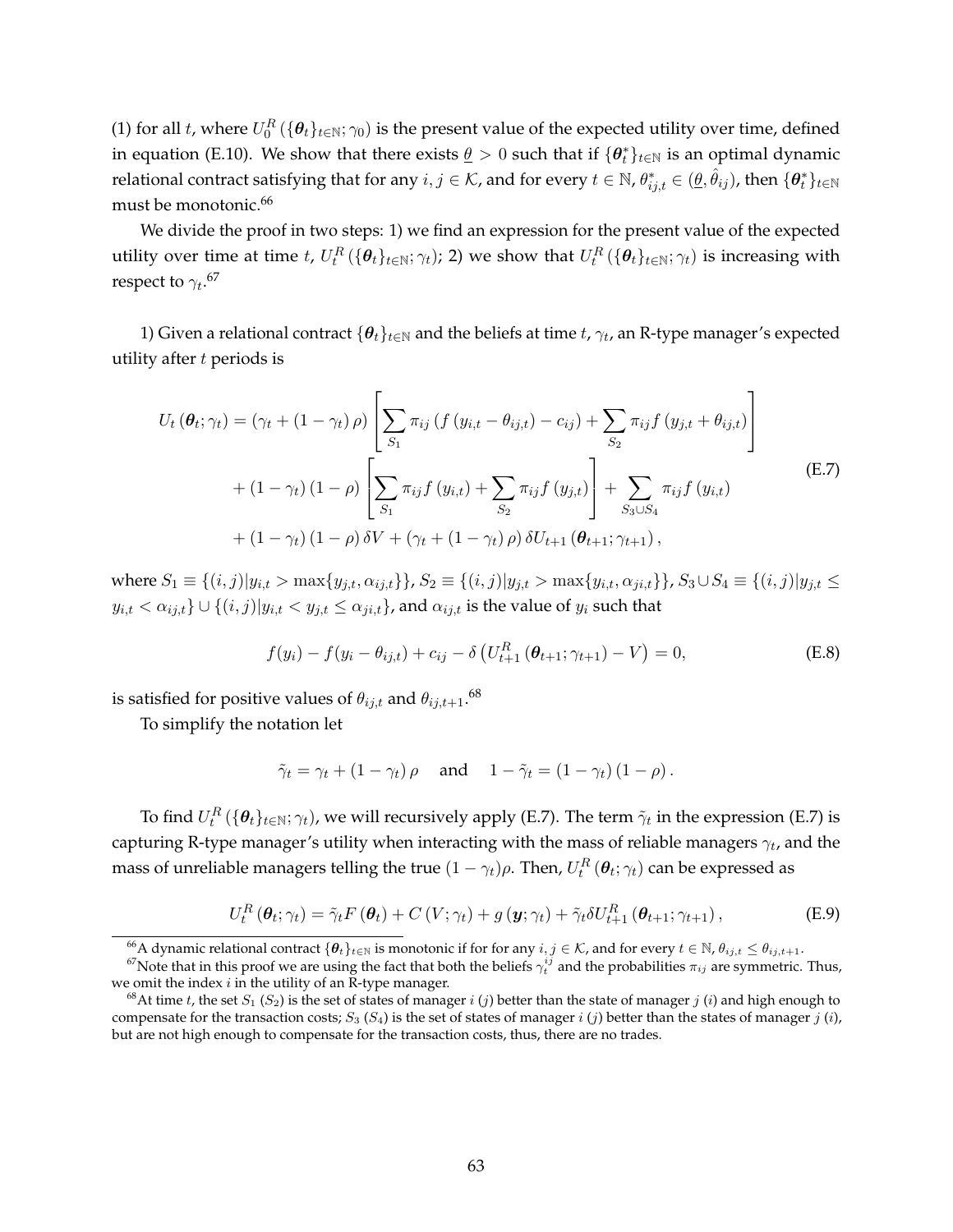(1) for all t, where  $U_0^R(\{\theta_t\}_{t\in\mathbb{N}};\gamma_0)$  is the present value of the expected utility over time, defined in equation (E.10). We show that there exists  $\underline{\theta} > 0$  such that if  $\{\theta_t^*\}_{t \in \mathbb{N}}$  is an optimal dynamic relational contract satisfying that for any  $i,j\in\mathcal{K}$ , and for every  $t\in\mathbb{N}$ ,  $\theta^*_{ij,t}\in(\underline{\theta},\hat{\theta}_{ij})$ , then  $\{\bm{\theta}^*_t\}_{t\in\mathbb{N}}$ must be monotonic.<sup>66</sup>

We divide the proof in two steps: 1) we find an expression for the present value of the expected utility over time at time  $t$ ,  $U_t^R(\{\bm{\theta}_t\}_{t\in\mathbb{N}};\gamma_t)$ ; 2) we show that  $U_t^R(\{\bm{\theta}_t\}_{t\in\mathbb{N}};\gamma_t)$  is increasing with respect to  ${\gamma_t}.^{67}$ 

1) Given a relational contract  $\{\bm{\theta}_t\}_{t\in\mathbb{N}}$  and the beliefs at time  $t$ ,  $\gamma_t$ , an R-type manager's expected utility after  $t$  periods is

$$
U_{t}(\theta_{t};\gamma_{t}) = (\gamma_{t} + (1 - \gamma_{t}) \rho) \left[ \sum_{S_{1}} \pi_{ij} \left( f(y_{i,t} - \theta_{ij,t}) - c_{ij} \right) + \sum_{S_{2}} \pi_{ij} f(y_{j,t} + \theta_{ij,t}) \right] + (1 - \gamma_{t}) (1 - \rho) \left[ \sum_{S_{1}} \pi_{ij} f(y_{i,t}) + \sum_{S_{2}} \pi_{ij} f(y_{j,t}) \right] + \sum_{S_{3} \cup S_{4}} \pi_{ij} f(y_{i,t}) + (1 - \gamma_{t}) (1 - \rho) \delta V + (\gamma_{t} + (1 - \gamma_{t}) \rho) \delta U_{t+1} (\theta_{t+1}; \gamma_{t+1}),
$$
\n(E.7)

where  $S_1 \equiv \{(i, j)|y_{i,t} > \max\{y_{j,t}, \alpha_{ij,t}\}\}\$ ,  $S_2 \equiv \{(i, j)|y_{j,t} > \max\{y_{i,t}, \alpha_{ji,t}\}\}\$ ,  $S_3 \cup S_4 \equiv \{(i, j)|y_{j,t} \leq S_4 \}$  $y_{i,t} < \alpha_{ij,t}$   $\cup$   $\{(i,j)|y_{i,t} < y_{j,t} \leq \alpha_{ji,t}\}$ , and  $\alpha_{ij,t}$  is the value of  $y_i$  such that

$$
f(y_i) - f(y_i - \theta_{ij,t}) + c_{ij} - \delta \left( U_{t+1}^R \left( \theta_{t+1}; \gamma_{t+1} \right) - V \right) = 0, \tag{E.8}
$$

is satisfied for positive values of  $\theta_{ij,t}$  and  $\theta_{ij,t+1}$ . $^{68}$ 

To simplify the notation let

$$
\tilde{\gamma}_t = \gamma_t + (1 - \gamma_t) \rho
$$
 and  $1 - \tilde{\gamma}_t = (1 - \gamma_t) (1 - \rho)$ .

To find  $U_t^R(\{\bm{\theta}_t\}_{t\in \mathbb{N}};\gamma_t)$ , we will recursively apply (E.7). The term  $\tilde{\gamma}_t$  in the expression (E.7) is capturing R-type manager's utility when interacting with the mass of reliable managers  $\gamma_t$ , and the mass of unreliable managers telling the true  $(1-\gamma_t)\rho.$  Then,  $U_t^R\left(\bm{\theta}_t;\gamma_t\right)$  can be expressed as

$$
U_t^R(\boldsymbol{\theta}_t; \gamma_t) = \tilde{\gamma}_t F(\boldsymbol{\theta}_t) + C(V; \gamma_t) + g(\mathbf{y}; \gamma_t) + \tilde{\gamma}_t \delta U_{t+1}^R(\boldsymbol{\theta}_{t+1}; \gamma_{t+1}), \tag{E.9}
$$

<sup>&</sup>lt;sup>66</sup>A dynamic relational contract  $\{\theta_t\}_{t∈\mathbb{N}}$  is monotonic if for for any  $i, j ∈ \mathcal{K}$ , and for every  $t ∈ \mathbb{N}$ ,  $\theta_{ij,t} ≤ \theta_{ij,t+1}$ .

<sup>&</sup>lt;sup>67</sup>Note that in this proof we are using the fact that both the beliefs  $\gamma_t^{ij}$  and the probabilities  $\pi_{ij}$  are symmetric. Thus, we omit the index  $i$  in the utility of an R-type manager.

<sup>&</sup>lt;sup>68</sup>At time t, the set  $S_1$  ( $S_2$ ) is the set of states of manager i (j) better than the state of manager j (i) and high enough to compensate for the transaction costs;  $S_3$  ( $S_4$ ) is the set of states of manager i (j) better than the states of manager j (i), but are not high enough to compensate for the transaction costs, thus, there are no trades.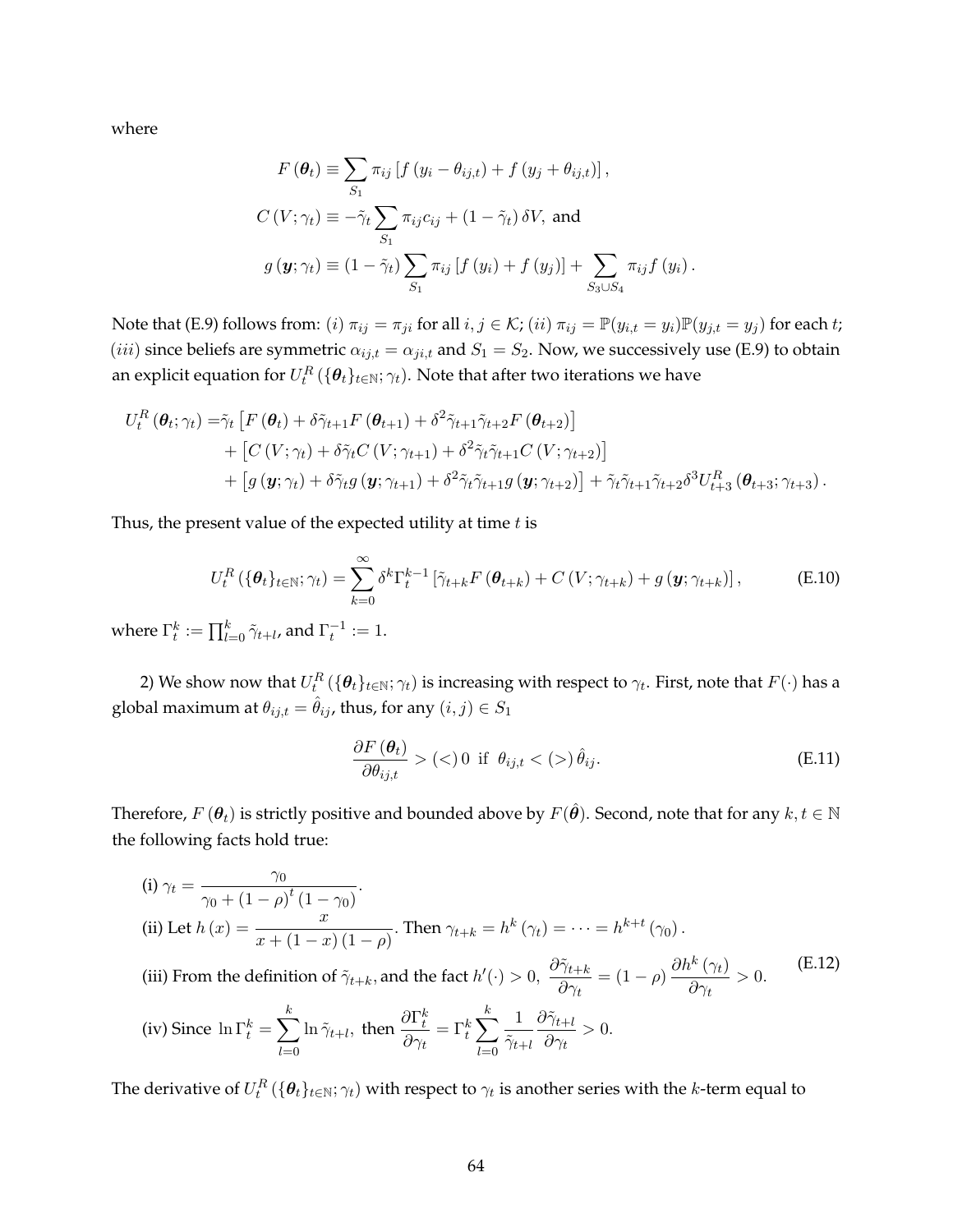where

$$
F(\theta_t) \equiv \sum_{S_1} \pi_{ij} \left[ f(y_i - \theta_{ij,t}) + f(y_j + \theta_{ij,t}) \right],
$$
  
\n
$$
C(V; \gamma_t) \equiv -\tilde{\gamma}_t \sum_{S_1} \pi_{ij} c_{ij} + (1 - \tilde{\gamma}_t) \delta V, \text{ and}
$$
  
\n
$$
g(\mathbf{y}; \gamma_t) \equiv (1 - \tilde{\gamma}_t) \sum_{S_1} \pi_{ij} \left[ f(y_i) + f(y_j) \right] + \sum_{S_3 \cup S_4} \pi_{ij} f(y_i).
$$

Note that (E.9) follows from: (i)  $\pi_{ij} = \pi_{ji}$  for all  $i, j \in \mathcal{K}$ ; (ii)  $\pi_{ij} = \mathbb{P}(y_{i,t} = y_i)\mathbb{P}(y_{j,t} = y_j)$  for each t; (*iii*) since beliefs are symmetric  $\alpha_{ij,t} = \alpha_{ji,t}$  and  $S_1 = S_2$ . Now, we successively use (E.9) to obtain an explicit equation for  $U_t^R\left( \{ \bm{\theta}_t \}_{t\in \mathbb{N}}; \gamma_t \right)$ . Note that after two iterations we have

$$
U_t^R(\theta_t; \gamma_t) = \tilde{\gamma}_t \left[ F(\theta_t) + \delta \tilde{\gamma}_{t+1} F(\theta_{t+1}) + \delta^2 \tilde{\gamma}_{t+1} \tilde{\gamma}_{t+2} F(\theta_{t+2}) \right] + \left[ C(V; \gamma_t) + \delta \tilde{\gamma}_t C(V; \gamma_{t+1}) + \delta^2 \tilde{\gamma}_t \tilde{\gamma}_{t+1} C(V; \gamma_{t+2}) \right] + \left[ g(\mathbf{y}; \gamma_t) + \delta \tilde{\gamma}_t g(\mathbf{y}; \gamma_{t+1}) + \delta^2 \tilde{\gamma}_t \tilde{\gamma}_{t+1} g(\mathbf{y}; \gamma_{t+2}) \right] + \tilde{\gamma}_t \tilde{\gamma}_{t+1} \tilde{\gamma}_{t+2} \delta^3 U_{t+3}^R(\theta_{t+3}; \gamma_{t+3}).
$$

Thus, the present value of the expected utility at time  $t$  is

$$
U_t^R\left(\{\boldsymbol{\theta}_t\}_{t\in\mathbb{N}};\gamma_t\right) = \sum_{k=0}^{\infty} \delta^k \Gamma_t^{k-1} \left[\tilde{\gamma}_{t+k} F\left(\boldsymbol{\theta}_{t+k}\right) + C\left(V;\gamma_{t+k}\right) + g\left(\mathbf{y};\gamma_{t+k}\right)\right],\tag{E.10}
$$

where  $\Gamma_t^k:=\prod_{l=0}^k \tilde{\gamma}_{t+l}$ , and  $\Gamma_t^{-1}:=1.$ 

2) We show now that  $U_t^R\left(\{\bm{\theta}_t\}_{t\in\mathbb{N}};\gamma_t\right)$  is increasing with respect to  $\gamma_t.$  First, note that  $F(\cdot)$  has a global maximum at  $\theta_{ij,t} = \hat{\theta}_{ij}$ , thus, for any  $(i, j) \in S_1$ 

$$
\frac{\partial F\left(\boldsymbol{\theta}_{t}\right)}{\partial \theta_{ij,t}} > \left(\langle \cdot \rangle\right) 0 \text{ if } \theta_{ij,t} < \left(\rangle\right) \hat{\theta}_{ij}.\tag{E.11}
$$

Therefore,  $F(\theta_t)$  is strictly positive and bounded above by  $F(\hat{\theta})$ . Second, note that for any  $k, t \in \mathbb{N}$ the following facts hold true:

(i) 
$$
\gamma_t = \frac{\gamma_0}{\gamma_0 + (1 - \rho)^t (1 - \gamma_0)}
$$
.  
\n(ii) Let  $h(x) = \frac{x}{x + (1 - x)(1 - \rho)}$ . Then  $\gamma_{t+k} = h^k(\gamma_t) = \cdots = h^{k+t}(\gamma_0)$ .  
\n(iii) From the definition of  $\tilde{\gamma}_{t+k}$ , and the fact  $h'(\cdot) > 0$ ,  $\frac{\partial \tilde{\gamma}_{t+k}}{\partial \gamma_t} = (1 - \rho) \frac{\partial h^k(\gamma_t)}{\partial \gamma_t} > 0$ .  
\n(iv) Since  $\ln \Gamma_t^k = \sum_{l=0}^k \ln \tilde{\gamma}_{t+l}$ , then  $\frac{\partial \Gamma_t^k}{\partial \gamma_t} = \Gamma_t^k \sum_{l=0}^k \frac{1}{\tilde{\gamma}_{t+l}} \frac{\partial \tilde{\gamma}_{t+l}}{\partial \gamma_t} > 0$ .

The derivative of  $U_t^R\left(\{\bm{\theta}_t\}_{t\in\mathbb{N}};\gamma_t\right)$  with respect to  $\gamma_t$  is another series with the  $k$ -term equal to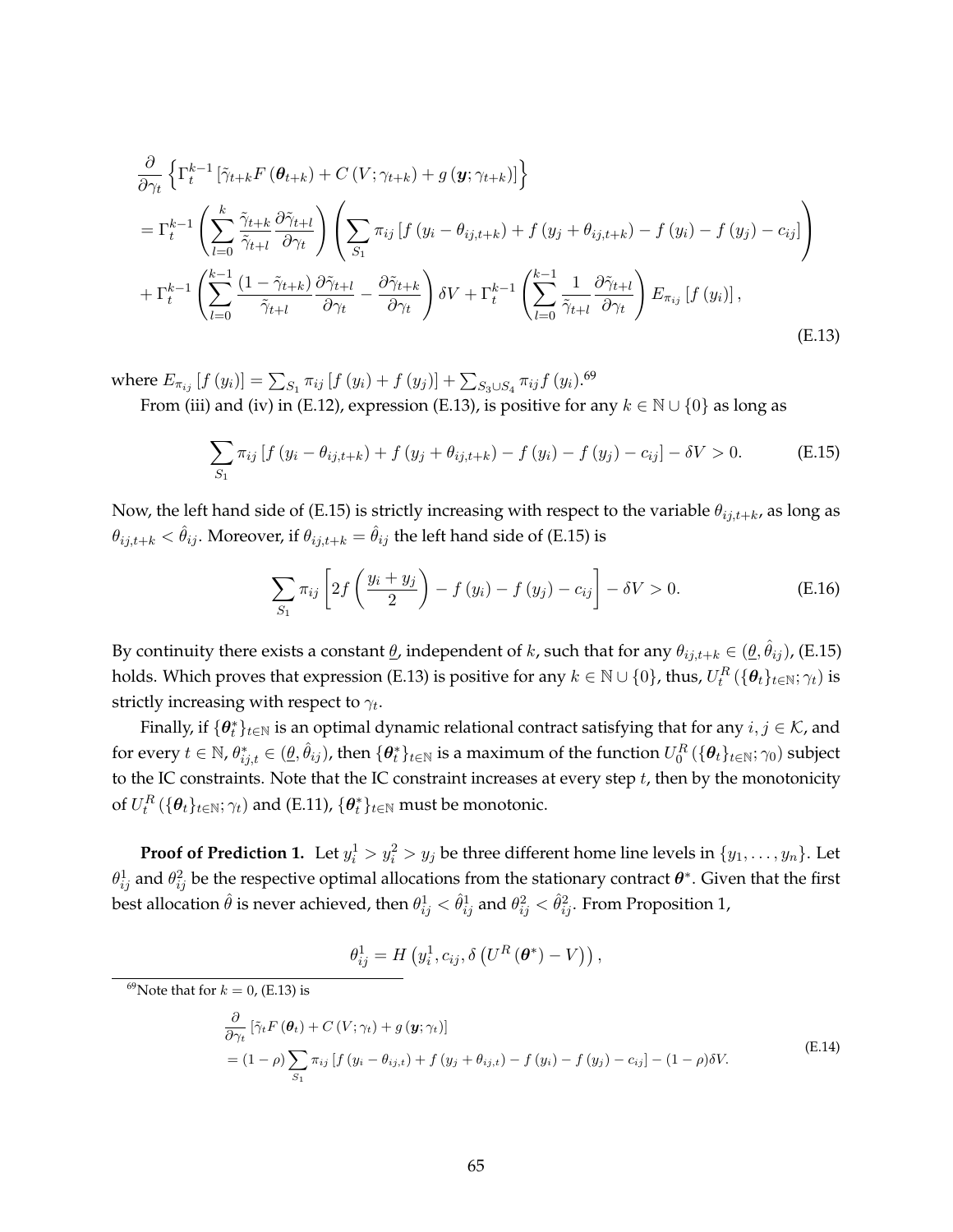$$
\frac{\partial}{\partial \gamma_t} \left\{ \Gamma_t^{k-1} \left[ \tilde{\gamma}_{t+k} F\left(\theta_{t+k}\right) + C\left(V; \gamma_{t+k}\right) + g\left(\mathbf{y}; \gamma_{t+k}\right) \right] \right\} \n= \Gamma_t^{k-1} \left( \sum_{l=0}^k \frac{\tilde{\gamma}_{t+k}}{\tilde{\gamma}_{t+l}} \frac{\partial \tilde{\gamma}_{t+l}}{\partial \gamma_t} \right) \left( \sum_{S_1} \pi_{ij} \left[ f\left(y_i - \theta_{ij,t+k}\right) + f\left(y_j + \theta_{ij,t+k}\right) - f\left(y_i\right) - f\left(y_j\right) - c_{ij} \right] \right) \n+ \Gamma_t^{k-1} \left( \sum_{l=0}^{k-1} \frac{\left(1 - \tilde{\gamma}_{t+k}\right)}{\tilde{\gamma}_{t+l}} \frac{\partial \tilde{\gamma}_{t+l}}{\partial \gamma_t} - \frac{\partial \tilde{\gamma}_{t+k}}{\partial \gamma_t} \right) \delta V + \Gamma_t^{k-1} \left( \sum_{l=0}^{k-1} \frac{1}{\tilde{\gamma}_{t+l}} \frac{\partial \tilde{\gamma}_{t+l}}{\partial \gamma_t} \right) E_{\pi_{ij}} \left[ f\left(y_i\right) \right],
$$
\n(E.13)

where  $E_{\pi_{ij}}\left[f\left(y_i\right)\right] = \sum_{S_1}\pi_{ij}\left[f\left(y_i\right)+f\left(y_j\right)\right] + \sum_{S_3\cup S_4}\pi_{ij}f\left(y_i\right).^{69}$ From (iii) and (iv) in (E.12), expression (E.13), is positive for any  $k \in \mathbb{N} \cup \{0\}$  as long as

$$
\sum_{S_1} \pi_{ij} \left[ f \left( y_i - \theta_{ij, t+k} \right) + f \left( y_j + \theta_{ij, t+k} \right) - f \left( y_i \right) - f \left( y_j \right) - c_{ij} \right] - \delta V > 0. \tag{E.15}
$$

Now, the left hand side of (E.15) is strictly increasing with respect to the variable  $\theta_{ij,t+k}$ , as long as  $\theta_{ij,t+k} < \hat{\theta}_{ij}$ . Moreover, if  $\theta_{ij,t+k} = \hat{\theta}_{ij}$  the left hand side of (E.15) is

$$
\sum_{S_1} \pi_{ij} \left[ 2f\left(\frac{y_i + y_j}{2}\right) - f\left(y_i\right) - f\left(y_j\right) - c_{ij} \right] - \delta V > 0. \tag{E.16}
$$

By continuity there exists a constant  $\underline{\theta}$ , independent of  $k$ , such that for any  $\theta_{ij,t+k} \in (\underline{\theta}, \hat{\theta}_{ij})$ , (E.15) holds. Which proves that expression (E.13) is positive for any  $k\in\mathbb{N}\cup\{0\}$ , thus,  $U_t^R\left(\{\bm{\theta}_t\}_{t\in\mathbb{N}};\gamma_t\right)$  is strictly increasing with respect to  $\gamma_t.$ 

Finally, if  $\{\bm{\theta}_t^*\}_{t\in\mathbb{N}}$  is an optimal dynamic relational contract satisfying that for any  $i, j \in \mathcal{K}$ , and for every  $t\in\mathbb{N}$ ,  $\theta^*_{ij,t}\in(\underline{\theta},\hat{\theta}_{ij})$ , then  $\{\bm\theta^*_t\}_{t\in\mathbb{N}}$  is a maximum of the function  $U^R_0$   $(\{\bm\theta_t\}_{t\in\mathbb{N}};\gamma_0)$  subject to the IC constraints. Note that the IC constraint increases at every step  $t$ , then by the monotonicity of  $U_t^R\left( \{ \bm{\theta}_t \}_{t\in \mathbb{N}}; \gamma_t \right)$  and (E.11),  $\{ \bm{\theta}_t^* \}_{t\in \mathbb{N}}$  must be monotonic.

**Proof of Prediction 1.** Let  $y_i^1 > y_i^2 > y_j$  be three different home line levels in  $\{y_1, \ldots, y_n\}$ . Let  $\theta_{ij}^1$  and  $\theta_{ij}^2$  be the respective optimal allocations from the stationary contract  $\bm\theta^*$ . Given that the first best allocation  $\hat{\theta}$  is never achieved, then  $\theta_{ij}^1<\hat{\theta}_{ij}^1$  and  $\theta_{ij}^2<\hat{\theta}_{ij}^2.$  From Proposition 1,

$$
\theta_{ij}^{1} = H\left(y_i^1, c_{ij}, \delta\left(U^R\left(\boldsymbol{\theta}^*\right) - V\right)\right),
$$

<sup>69</sup>Note that for  $k = 0$ , (E.13) is

$$
\frac{\partial}{\partial \gamma_t} \left[ \tilde{\gamma}_t F\left(\boldsymbol{\theta}_t\right) + C\left(V; \gamma_t\right) + g\left(\boldsymbol{y}; \gamma_t\right) \right]
$$
\n
$$
= (1 - \rho) \sum_{S_1} \pi_{ij} \left[ f\left(y_i - \theta_{ij,t}\right) + f\left(y_j + \theta_{ij,t}\right) - f\left(y_i\right) - f\left(y_j\right) - c_{ij} \right] - (1 - \rho) \delta V. \tag{E.14}
$$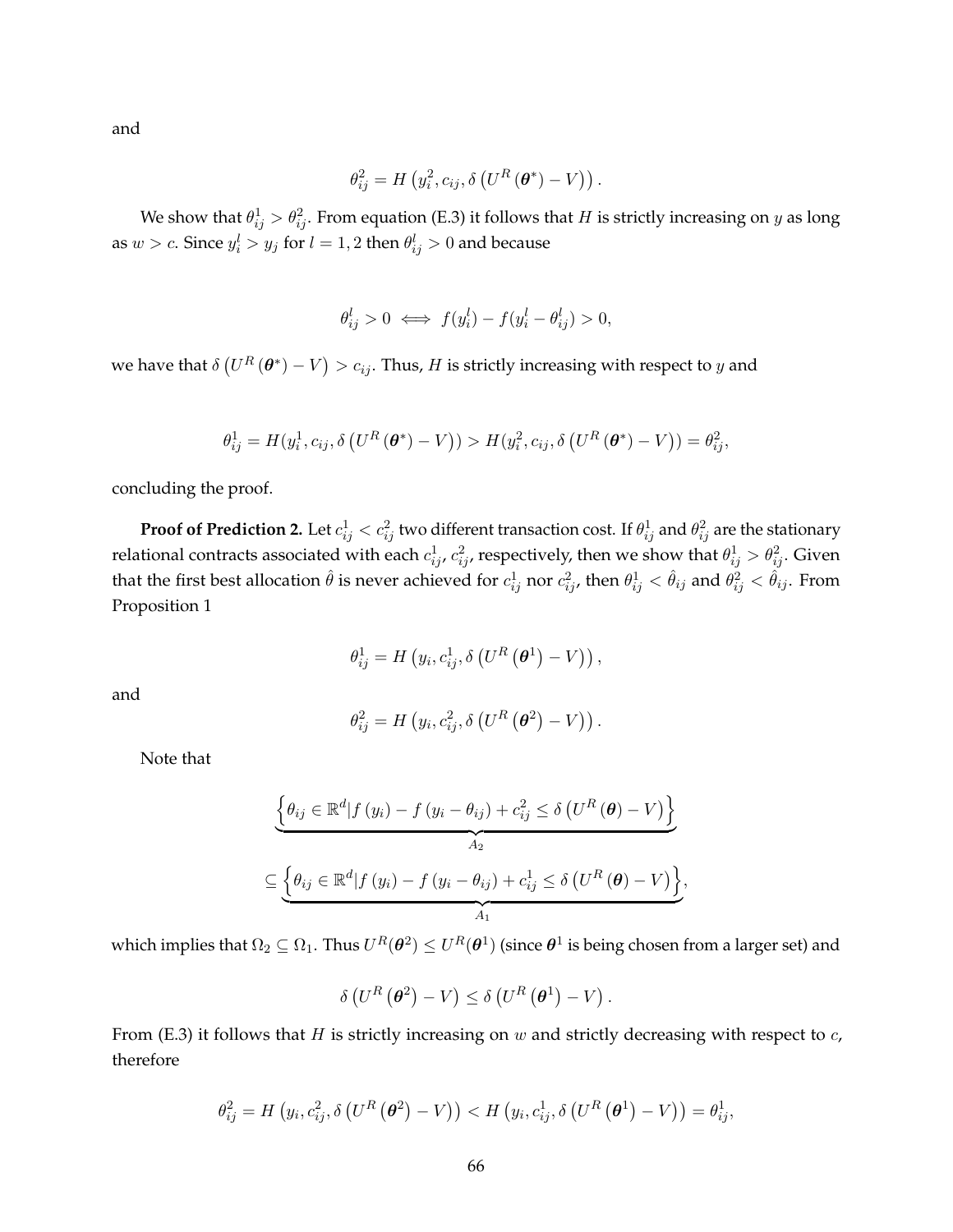and

$$
\theta_{ij}^2 = H\left(y_i^2, c_{ij}, \delta\left(U^R\left(\boldsymbol{\theta}^*\right) - V\right)\right).
$$

We show that  $\theta_{ij}^1 > \theta_{ij}^2$ . From equation (E.3) it follows that  $H$  is strictly increasing on  $y$  as long as  $w > c$ . Since  $y_i^l > y_j$  for  $l = 1,2$  then  $\theta_{ij}^l > 0$  and because

$$
\theta_{ij}^l > 0 \iff f(y_i^l) - f(y_i^l - \theta_{ij}^l) > 0,
$$

we have that  $\delta\left(U^{R}\left(\bm{\theta}^{\ast}\right)-V\right)>c_{ij}.$  Thus,  $H$  is strictly increasing with respect to  $y$  and

$$
\theta_{ij}^1 = H(y_i^1, c_{ij}, \delta\left(U^R\left(\boldsymbol{\theta}^*\right) - V\right)) > H(y_i^2, c_{ij}, \delta\left(U^R\left(\boldsymbol{\theta}^*\right) - V\right)) = \theta_{ij}^2,
$$

concluding the proof.

**Proof of Prediction 2.** Let  $c_{ij}^1 < c_{ij}^2$  two different transaction cost. If  $\theta_{ij}^1$  and  $\theta_{ij}^2$  are the stationary relational contracts associated with each  $c^1_{ij}$ ,  $c^2_{ij}$ , respectively, then we show that  $\theta^1_{ij}>\theta^2_{ij}.$  Given that the first best allocation  $\hat\theta$  is never achieved for  $c^1_{ij}$  nor  $c^2_{ij}$ , then  $\theta^1_{ij}<\hat\theta_{ij}$  and  $\theta^2_{ij}<\hat\theta_{ij}.$  From Proposition 1

$$
\theta_{ij}^{1} = H\left(y_i, c_{ij}^{1}, \delta\left(U^R\left(\boldsymbol{\theta}^1\right) - V\right)\right),
$$

and

$$
\theta_{ij}^2 = H\left(y_i, c_{ij}^2, \delta\left(U^R\left(\boldsymbol{\theta}^2\right) - V\right)\right).
$$

Note that

$$
\underbrace{\left\{\theta_{ij}\in\mathbb{R}^d|f(y_i)-f(y_i-\theta_{ij})+c_{ij}^2\leq \delta\left(U^R\left(\boldsymbol{\theta}\right)-V\right)\right\}}_{A_2}
$$
\n
$$
\subseteq \underbrace{\left\{\theta_{ij}\in\mathbb{R}^d|f(y_i)-f(y_i-\theta_{ij})+c_{ij}^1\leq \delta\left(U^R\left(\boldsymbol{\theta}\right)-V\right)\right\}}_{A_1},
$$

which implies that  $\Omega_2\subseteq\Omega_1.$  Thus  $U^R(\bm{\theta}^2)\leq U^R(\bm{\theta}^1)$  (since  $\bm{\theta}^1$  is being chosen from a larger set) and

$$
\delta\left(U^R\left(\boldsymbol{\theta}^2\right)-V\right)\leq \delta\left(U^R\left(\boldsymbol{\theta}^1\right)-V\right).
$$

From (E.3) it follows that  $H$  is strictly increasing on  $w$  and strictly decreasing with respect to  $c$ , therefore

$$
\theta_{ij}^2 = H\left(y_i, c_{ij}^2, \delta\left(U^R\left(\boldsymbol{\theta}^2\right) - V\right)\right) < H\left(y_i, c_{ij}^1, \delta\left(U^R\left(\boldsymbol{\theta}^1\right) - V\right)\right) = \theta_{ij}^1,
$$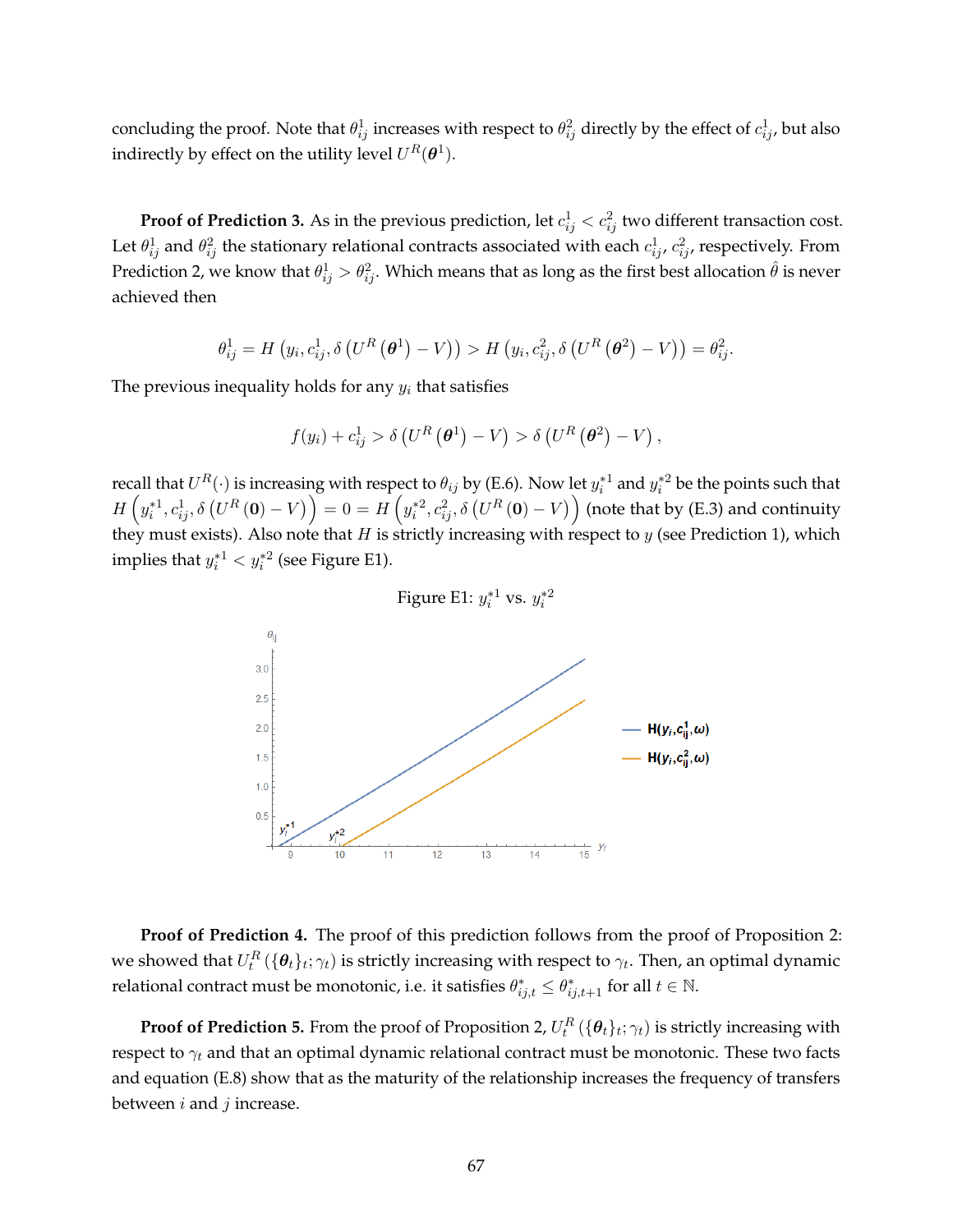concluding the proof. Note that  $\theta^1_{ij}$  increases with respect to  $\theta^2_{ij}$  directly by the effect of  $c^1_{ij}$ , but also indirectly by effect on the utility level  $U^R(\boldsymbol\theta^1).$ 

**Proof of Prediction 3.** As in the previous prediction, let  $c_{ij}^1 < c_{ij}^2$  two different transaction cost. Let  $\theta^1_{ij}$  and  $\theta^2_{ij}$  the stationary relational contracts associated with each  $c^1_{ij}$ ,  $c^2_{ij}$ , respectively. From Prediction 2, we know that  $\theta^1_{ij}>\theta^2_{ij}.$  Which means that as long as the first best allocation  $\hat\theta$  is never achieved then

$$
\theta_{ij}^1 = H\left(y_i, c_{ij}^1, \delta\left(U^R\left(\boldsymbol{\theta}^1\right) - V\right)\right) > H\left(y_i, c_{ij}^2, \delta\left(U^R\left(\boldsymbol{\theta}^2\right) - V\right)\right) = \theta_{ij}^2.
$$

The previous inequality holds for any  $y_i$  that satisfies

$$
f(y_i) + c_{ij}^1 > \delta \left( U^R \left( \boldsymbol{\theta}^1 \right) - V \right) > \delta \left( U^R \left( \boldsymbol{\theta}^2 \right) - V \right),
$$

recall that  $U^R(\cdot)$  is increasing with respect to  $\theta_{ij}$  by (E.6). Now let  $y_i^{*1}$  and  $y_i^{*2}$  be the points such that  $H\left(y^*_i1,c^1_{ij},\delta\left(U^R\left(\mathbf{0}\right)-V\right)\right)=0=H\left(y^*_i{}^2,c^2_{ij},\delta\left(U^R\left(\mathbf{0}\right)-V\right)\right)$  (note that by (E.3) and continuity they must exists). Also note that H is strictly increasing with respect to  $y$  (see Prediction 1), which implies that  $y_i^{*1} < y_i^{*2}$  (see Figure E1).



**Proof of Prediction 4.** The proof of this prediction follows from the proof of Proposition 2: we showed that  $U_t^R(\{\bm{\theta}_t\}_t; \gamma_t)$  is strictly increasing with respect to  $\gamma_t.$  Then, an optimal dynamic relational contract must be monotonic, i.e. it satisfies  $\theta^*_{ij,t} \leq \theta^*_{ij,t+1}$  for all  $t \in \mathbb{N}$ .

**Proof of Prediction 5.** From the proof of Proposition 2,  $U_t^R\left( \{ \bm{\theta}_t \}_t; \gamma_t \right)$  is strictly increasing with respect to  $\gamma_t$  and that an optimal dynamic relational contract must be monotonic. These two facts and equation (E.8) show that as the maturity of the relationship increases the frequency of transfers between  $i$  and  $j$  increase.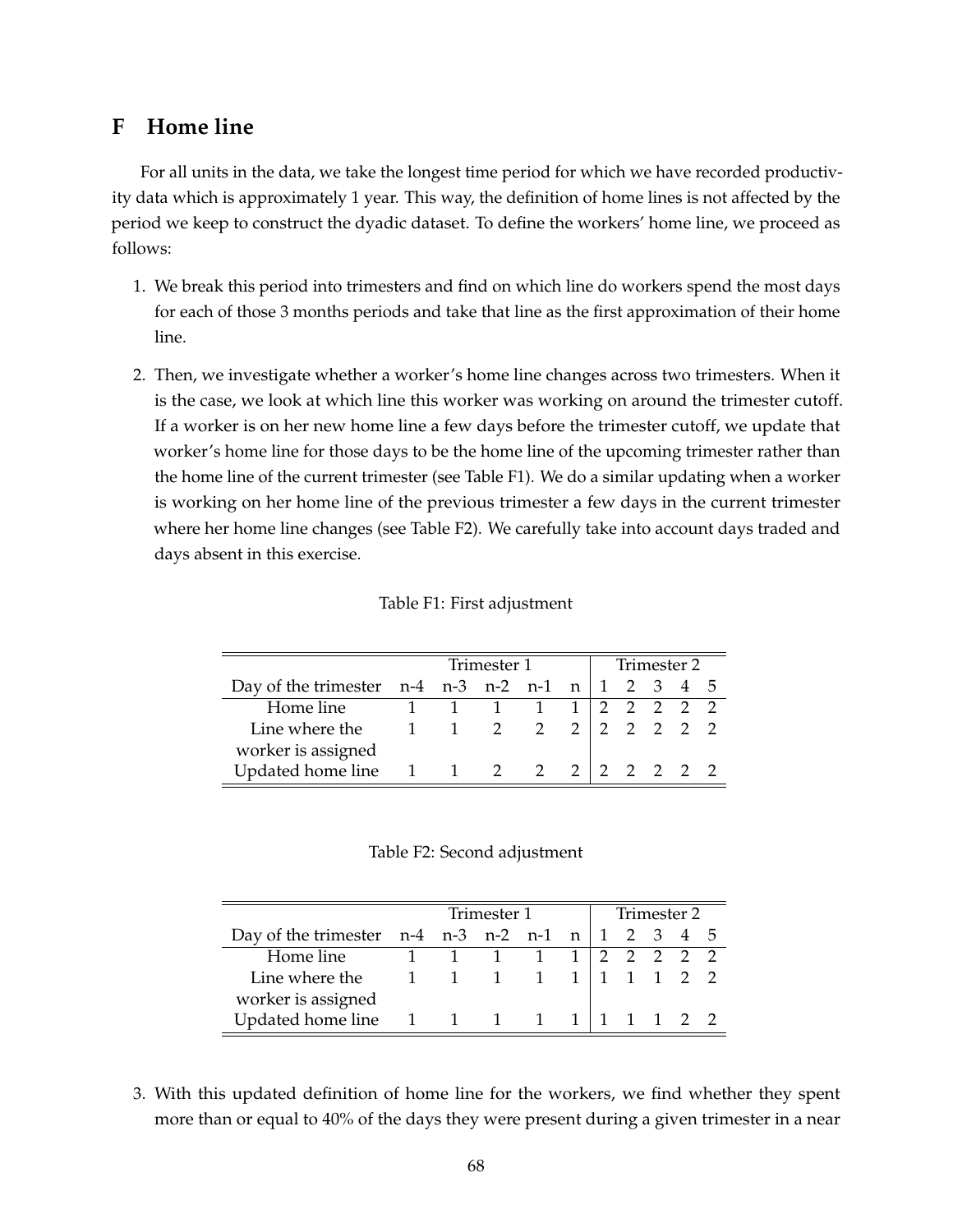## **F Home line**

For all units in the data, we take the longest time period for which we have recorded productivity data which is approximately 1 year. This way, the definition of home lines is not affected by the period we keep to construct the dyadic dataset. To define the workers' home line, we proceed as follows:

- 1. We break this period into trimesters and find on which line do workers spend the most days for each of those 3 months periods and take that line as the first approximation of their home line.
- 2. Then, we investigate whether a worker's home line changes across two trimesters. When it is the case, we look at which line this worker was working on around the trimester cutoff. If a worker is on her new home line a few days before the trimester cutoff, we update that worker's home line for those days to be the home line of the upcoming trimester rather than the home line of the current trimester (see Table F1). We do a similar updating when a worker is working on her home line of the previous trimester a few days in the current trimester where her home line changes (see Table F2). We carefully take into account days traded and days absent in this exercise.

|                                                                              |             | Trimester 1 | Trimester 2     |  |  |           |  |  |  |
|------------------------------------------------------------------------------|-------------|-------------|-----------------|--|--|-----------|--|--|--|
| Day of the trimester $n-4$ $n-3$ $n-2$ $n-1$ $n \mid 1 \leq 3 \leq 4 \leq 5$ |             |             |                 |  |  |           |  |  |  |
| Home line                                                                    | 1 1 1 1 1   |             |                 |  |  | 2 2 2 2 2 |  |  |  |
| Line where the                                                               | $1 \quad 1$ |             | 2 2 2 2 2 2 2 2 |  |  |           |  |  |  |
| worker is assigned                                                           |             |             |                 |  |  |           |  |  |  |
| Updated home line $1 \t1 \t2 \t2 \t2 \t2 \t2 \t2 \t2$                        |             |             |                 |  |  |           |  |  |  |

Table F2: Second adjustment

|                                                       |             | Trimester 1 | Trimester 2         |  |  |           |  |  |  |
|-------------------------------------------------------|-------------|-------------|---------------------|--|--|-----------|--|--|--|
| Day of the trimester $n-4$ $n-3$ $n-2$ $n-1$ $n \mid$ |             |             |                     |  |  | 1 2 3 4 5 |  |  |  |
| Home line                                             |             |             | $1 \quad 1 \quad 1$ |  |  | 2 2 2 2 2 |  |  |  |
| Line where the                                        | $1 \quad 1$ |             | $1 \quad 1$         |  |  | 1 1 2 2   |  |  |  |
| worker is assigned                                    |             |             |                     |  |  |           |  |  |  |
| Updated home line                                     |             |             | 1 1 1               |  |  |           |  |  |  |

3. With this updated definition of home line for the workers, we find whether they spent more than or equal to 40% of the days they were present during a given trimester in a near